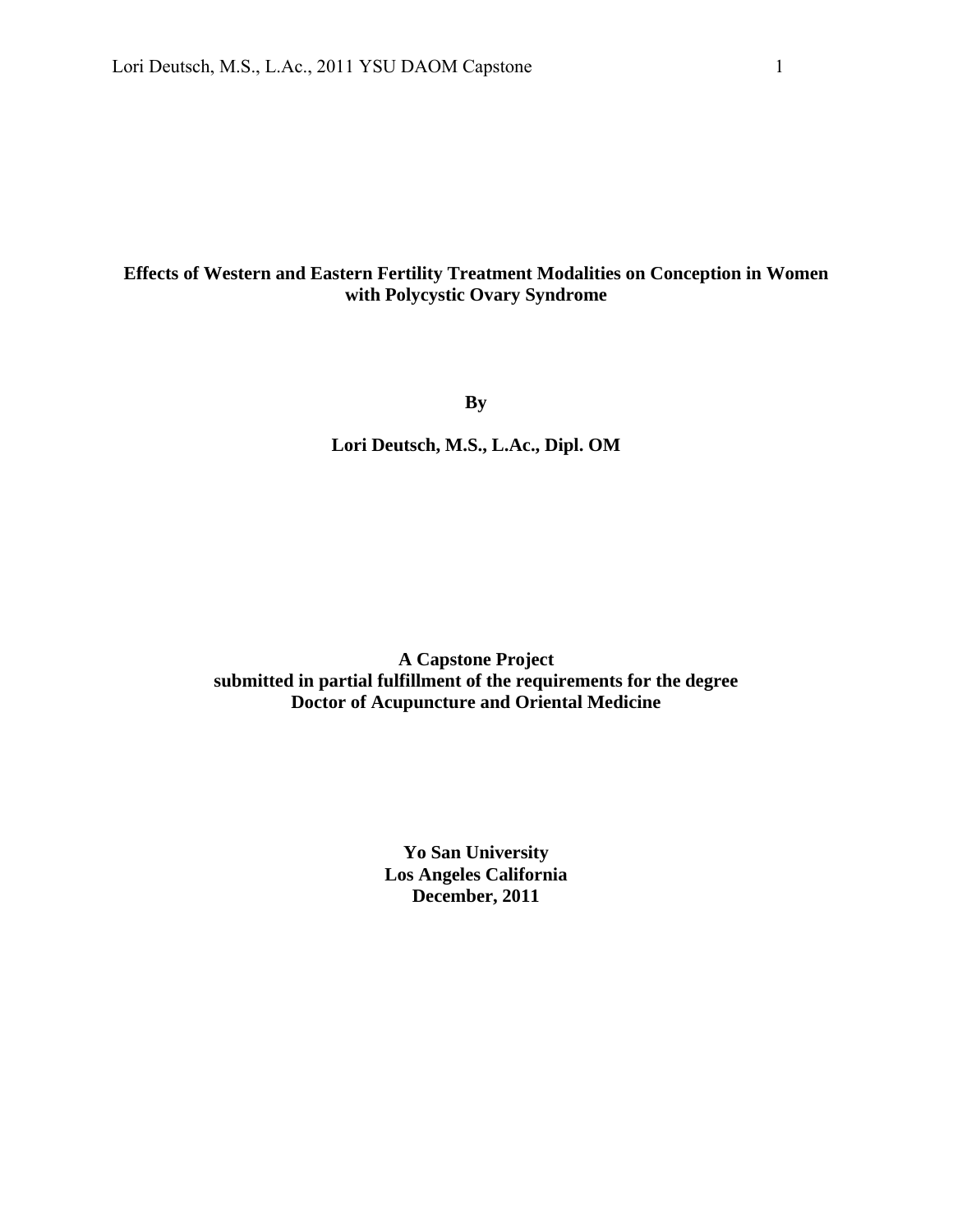# **Effects of Western and Eastern Fertility Treatment Modalities on Conception in Women with Polycystic Ovary Syndrome**

**By**

**Lori Deutsch, M.S., L.Ac., Dipl. OM**

**A Capstone Project submitted in partial fulfillment of the requirements for the degree Doctor of Acupuncture and Oriental Medicine**

> **Yo San University Los Angeles California December, 2011**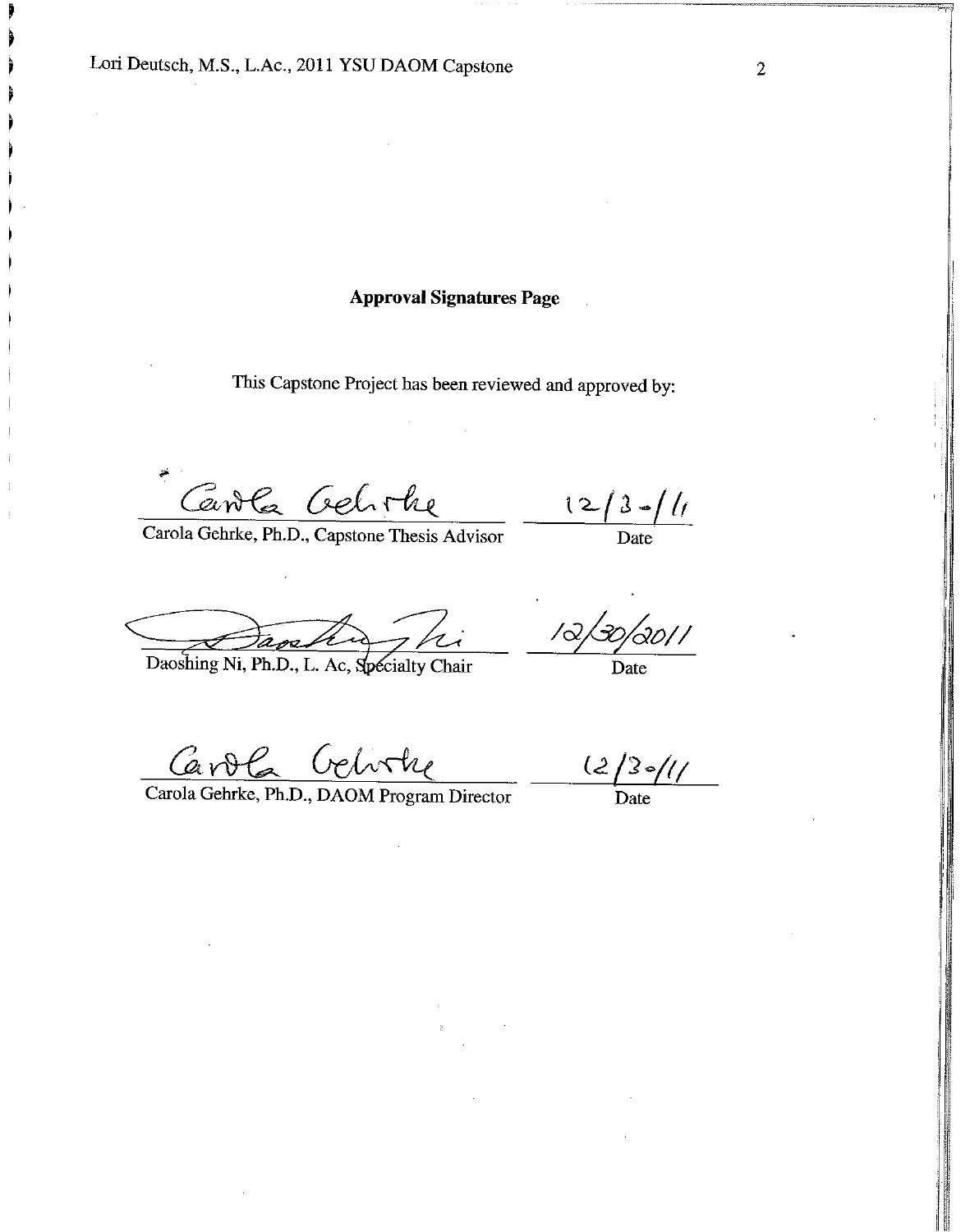# **Approval Signatures Page**

This Capstone Project has been reviewed and approved by:

Carola Celishe

Carola Gehrke, Ph.D., Capstone Thesis Advisor

 $\frac{12/3}{\text{Date}}$ 

Daoshing Ni, Ph.D., L. Ac, Specialty Chair

12/30/2011

Date

Carola Gehrke, Ph.D., DAOM Program Director

 $\frac{(2/3)/(1/2)}{2}$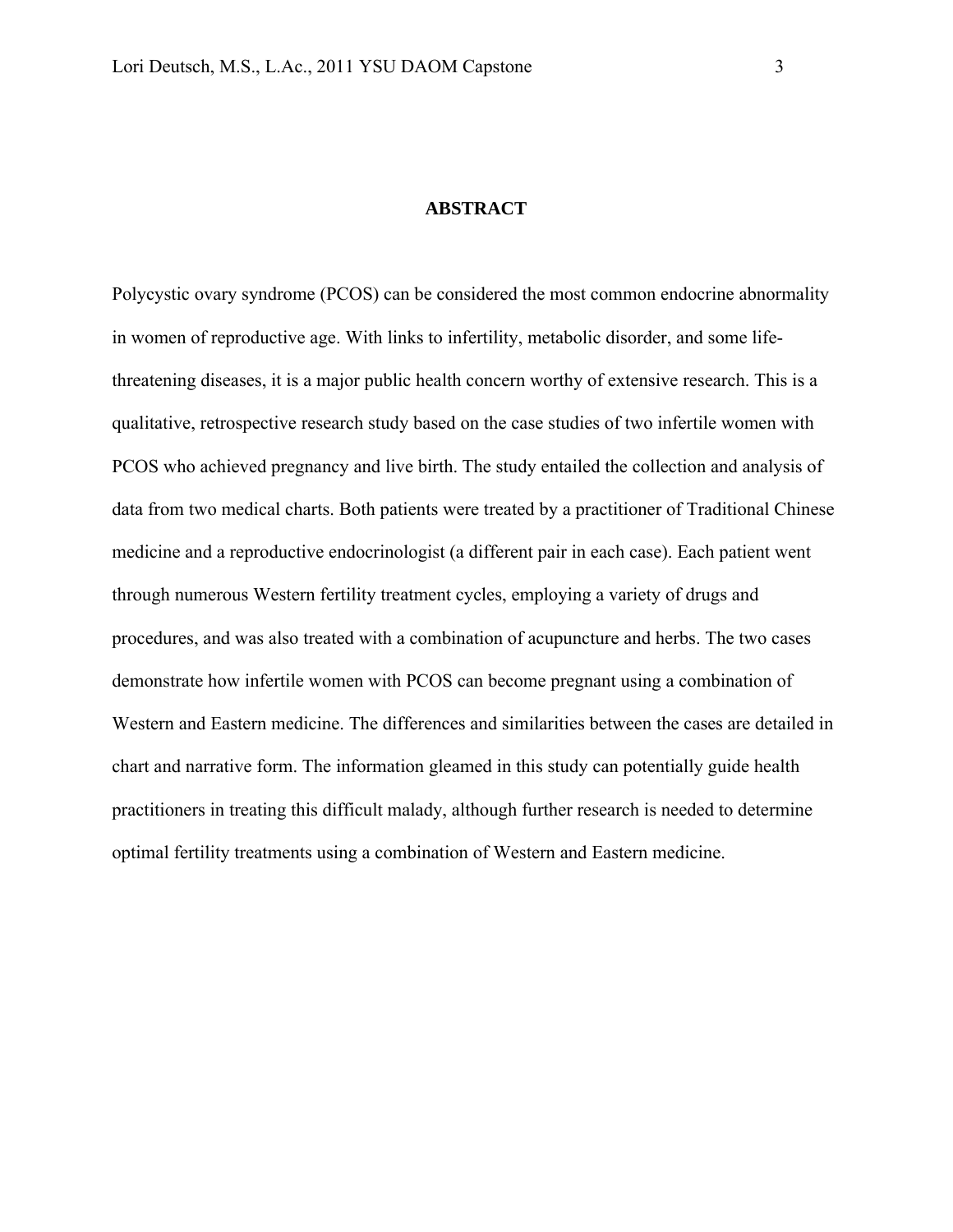# **ABSTRACT**

Polycystic ovary syndrome (PCOS) can be considered the most common endocrine abnormality in women of reproductive age. With links to infertility, metabolic disorder, and some lifethreatening diseases, it is a major public health concern worthy of extensive research. This is a qualitative, retrospective research study based on the case studies of two infertile women with PCOS who achieved pregnancy and live birth. The study entailed the collection and analysis of data from two medical charts. Both patients were treated by a practitioner of Traditional Chinese medicine and a reproductive endocrinologist (a different pair in each case). Each patient went through numerous Western fertility treatment cycles, employing a variety of drugs and procedures, and was also treated with a combination of acupuncture and herbs. The two cases demonstrate how infertile women with PCOS can become pregnant using a combination of Western and Eastern medicine. The differences and similarities between the cases are detailed in chart and narrative form. The information gleamed in this study can potentially guide health practitioners in treating this difficult malady, although further research is needed to determine optimal fertility treatments using a combination of Western and Eastern medicine.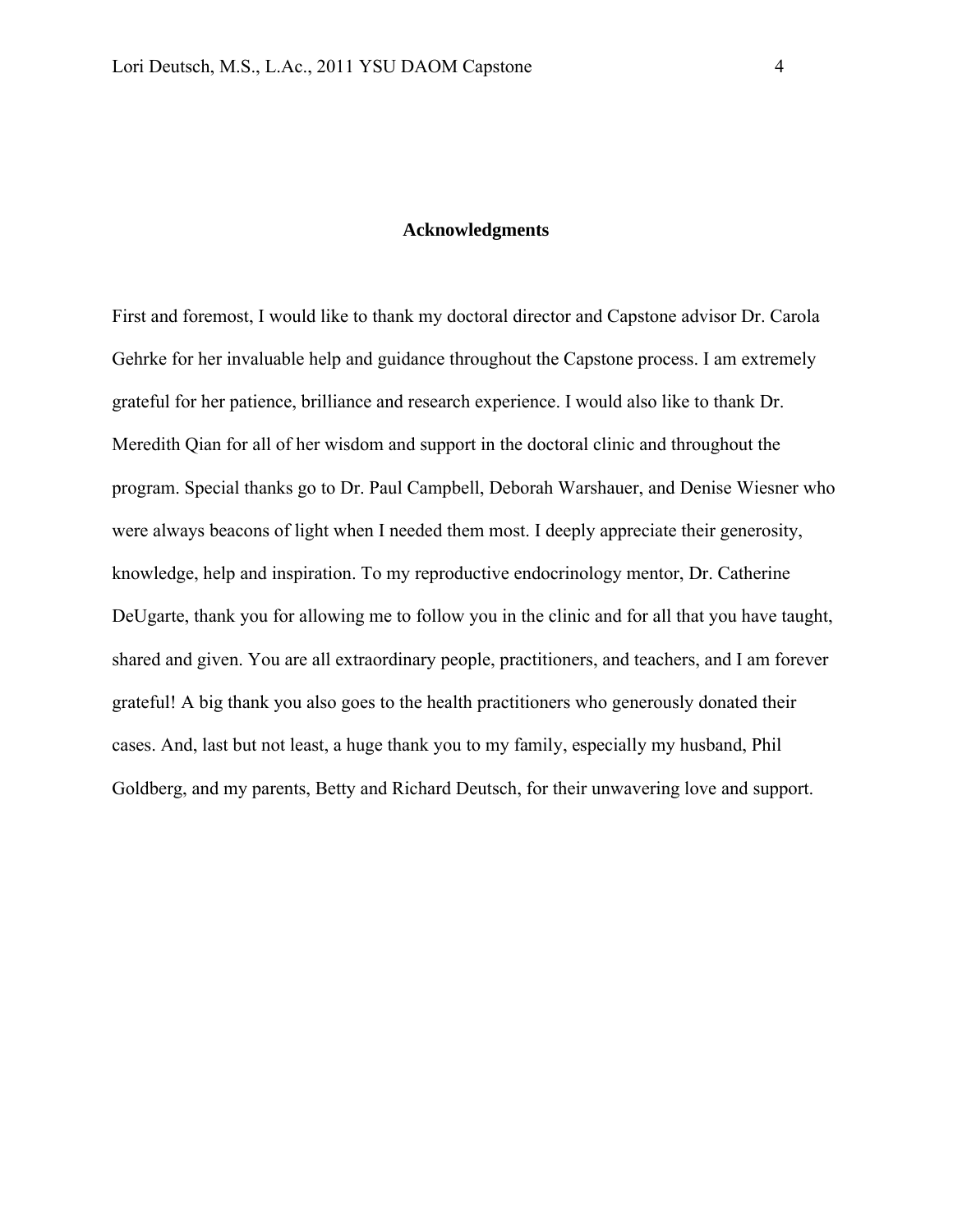First and foremost, I would like to thank my doctoral director and Capstone advisor Dr. Carola Gehrke for her invaluable help and guidance throughout the Capstone process. I am extremely grateful for her patience, brilliance and research experience. I would also like to thank Dr. Meredith Qian for all of her wisdom and support in the doctoral clinic and throughout the program. Special thanks go to Dr. Paul Campbell, Deborah Warshauer, and Denise Wiesner who were always beacons of light when I needed them most. I deeply appreciate their generosity, knowledge, help and inspiration. To my reproductive endocrinology mentor, Dr. Catherine DeUgarte, thank you for allowing me to follow you in the clinic and for all that you have taught, shared and given. You are all extraordinary people, practitioners, and teachers, and I am forever grateful! A big thank you also goes to the health practitioners who generously donated their cases. And, last but not least, a huge thank you to my family, especially my husband, Phil Goldberg, and my parents, Betty and Richard Deutsch, for their unwavering love and support.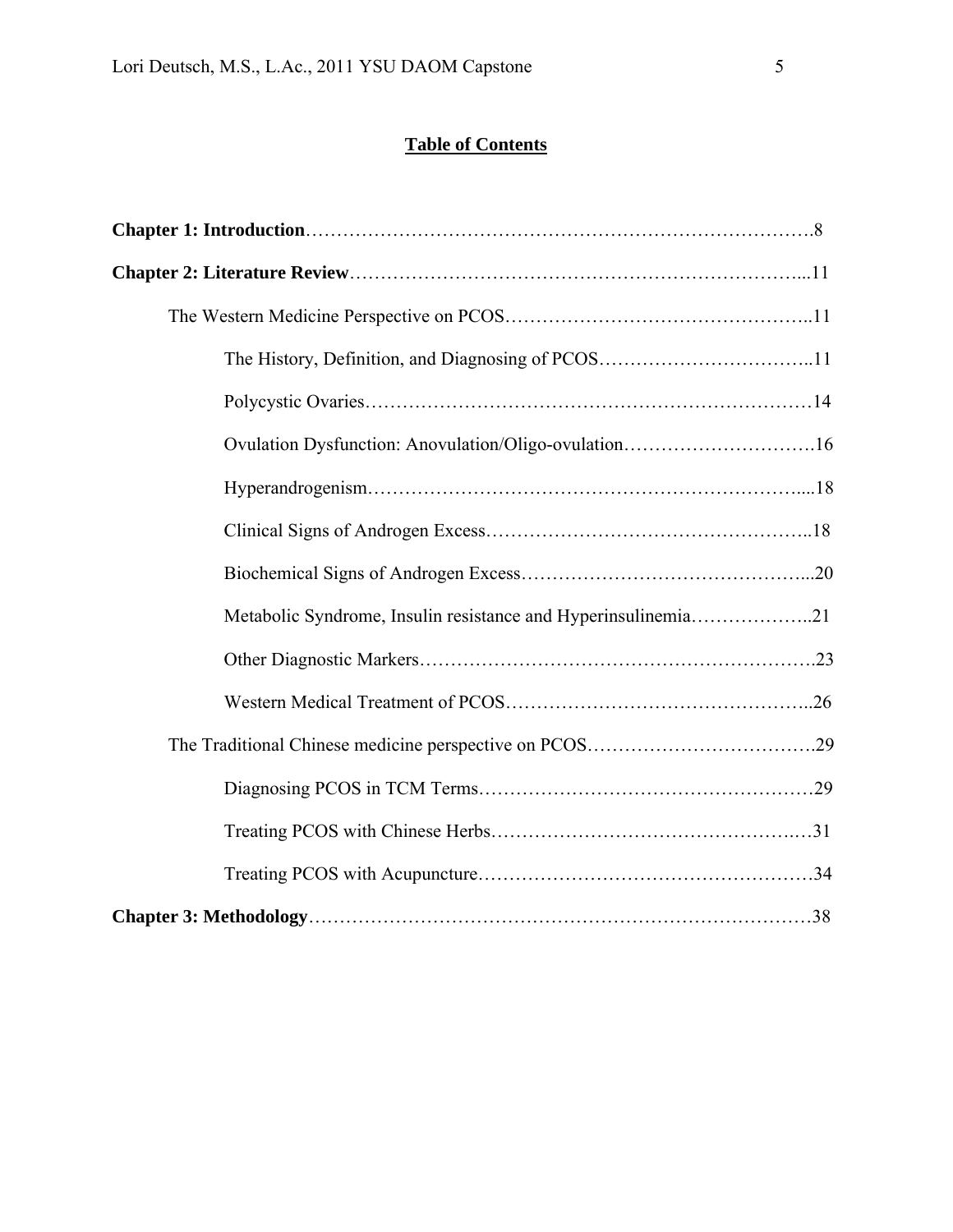# **Table of Contents**

| Ovulation Dysfunction: Anovulation/Oligo-ovulation16          |  |
|---------------------------------------------------------------|--|
|                                                               |  |
|                                                               |  |
|                                                               |  |
| Metabolic Syndrome, Insulin resistance and Hyperinsulinemia21 |  |
|                                                               |  |
|                                                               |  |
|                                                               |  |
|                                                               |  |
|                                                               |  |
|                                                               |  |
|                                                               |  |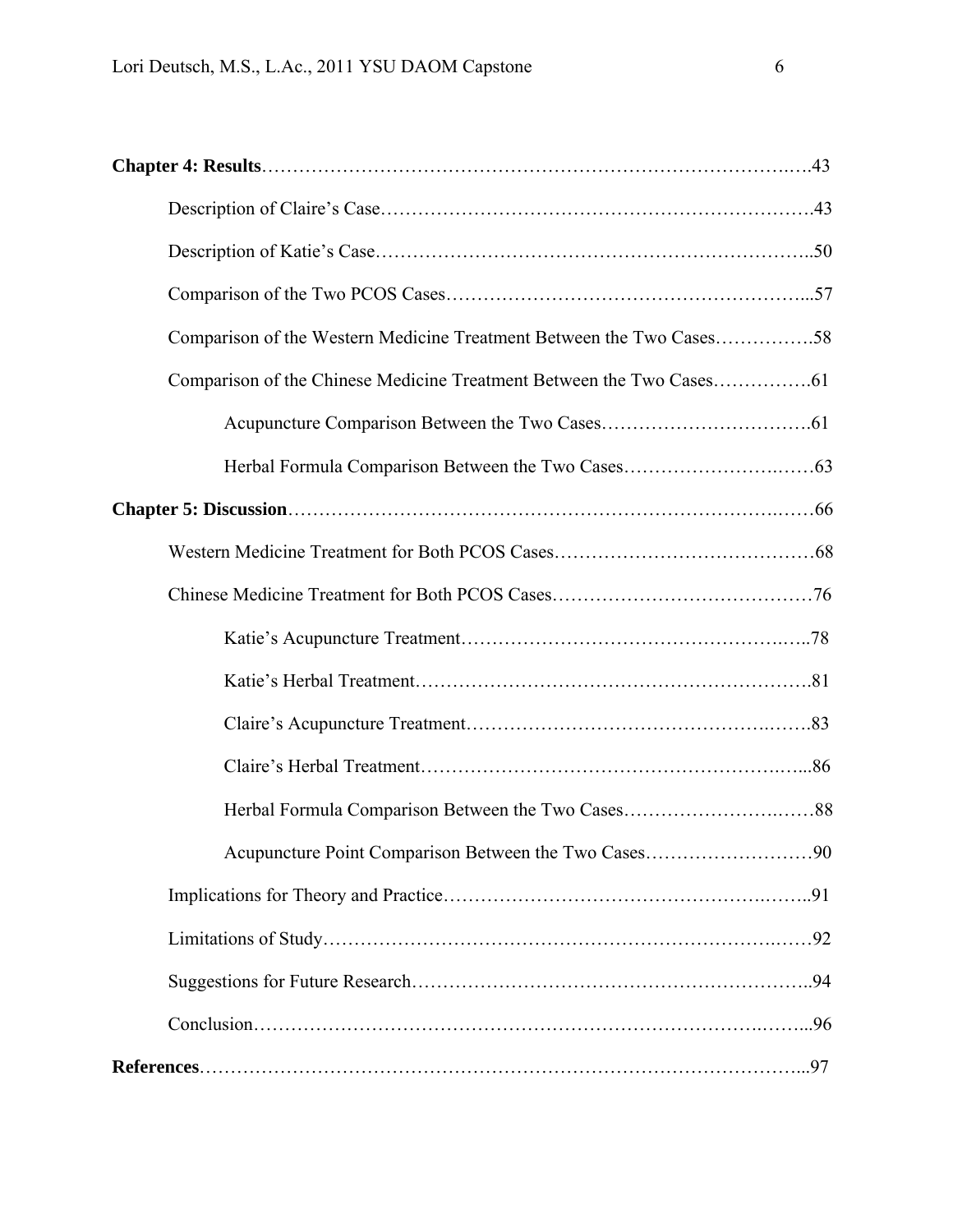| Comparison of the Western Medicine Treatment Between the Two Cases58 |  |
|----------------------------------------------------------------------|--|
|                                                                      |  |
|                                                                      |  |
|                                                                      |  |
|                                                                      |  |
|                                                                      |  |
|                                                                      |  |
|                                                                      |  |
|                                                                      |  |
|                                                                      |  |
|                                                                      |  |
|                                                                      |  |
| Acupuncture Point Comparison Between the Two Cases90                 |  |
|                                                                      |  |
|                                                                      |  |
|                                                                      |  |
|                                                                      |  |
|                                                                      |  |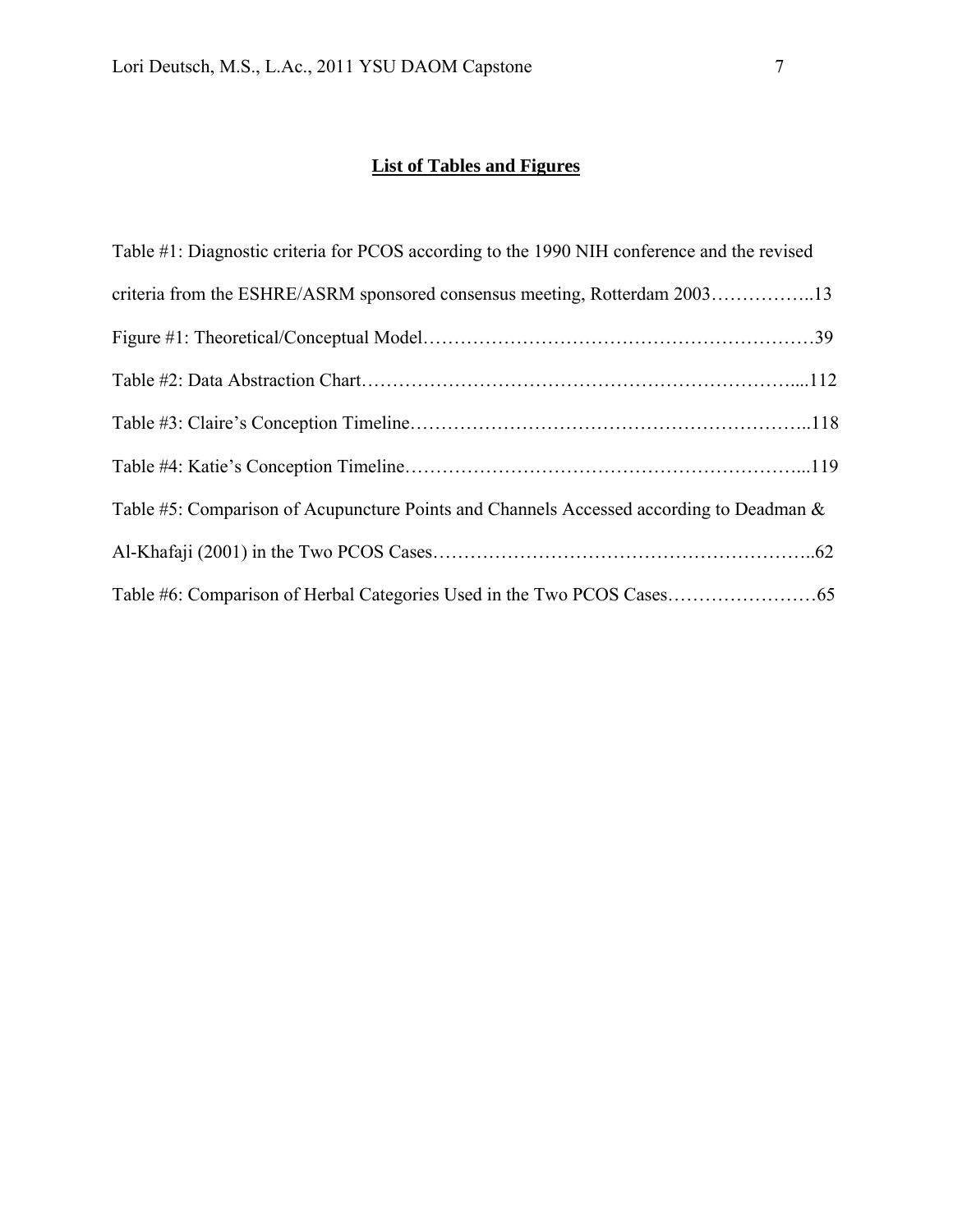# **List of Tables and Figures**

| Table #1: Diagnostic criteria for PCOS according to the 1990 NIH conference and the revised |  |
|---------------------------------------------------------------------------------------------|--|
| criteria from the ESHRE/ASRM sponsored consensus meeting, Rotterdam 200313                  |  |
|                                                                                             |  |
|                                                                                             |  |
|                                                                                             |  |
|                                                                                             |  |
| Table #5: Comparison of Acupuncture Points and Channels Accessed according to Deadman &     |  |
|                                                                                             |  |
|                                                                                             |  |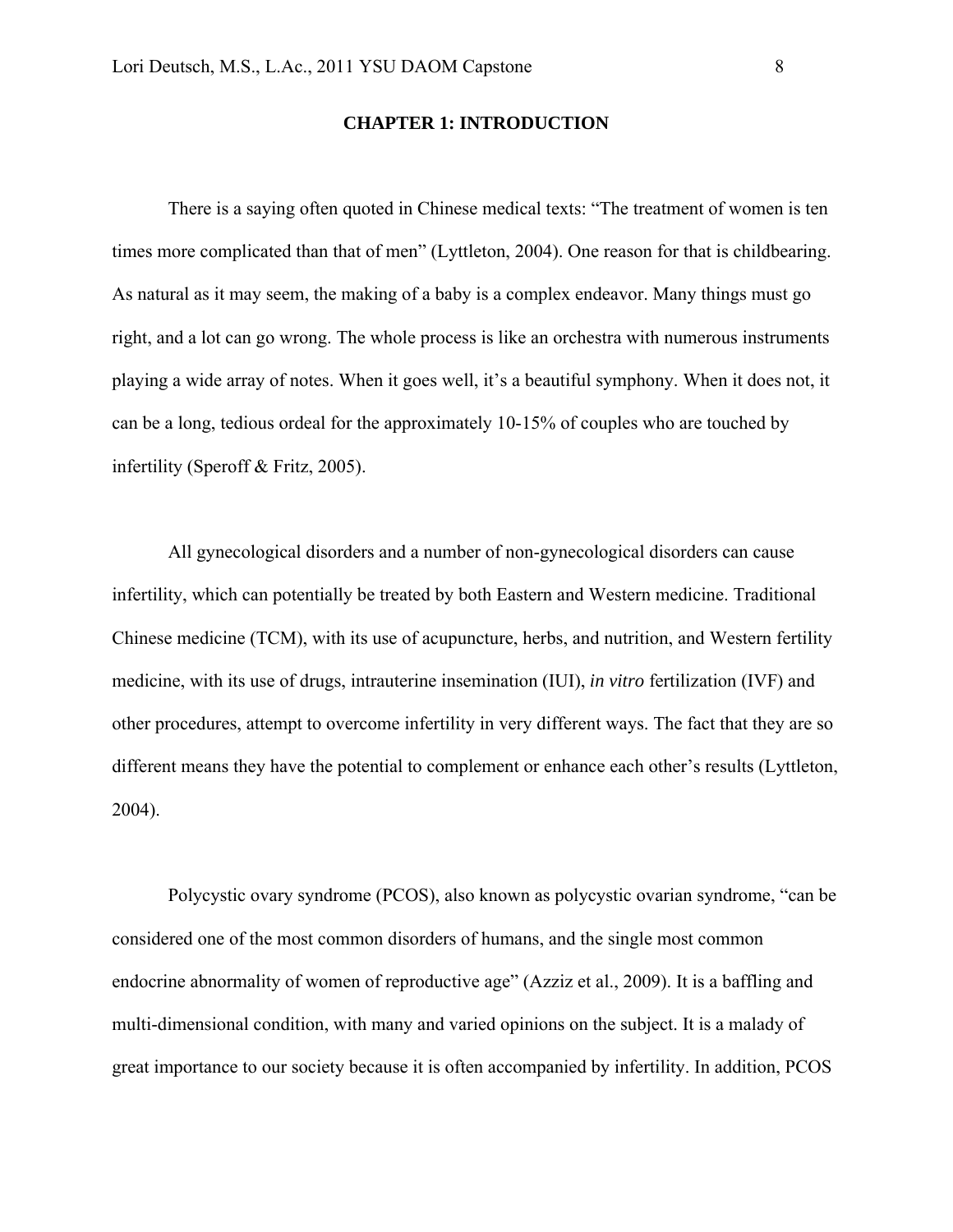# **CHAPTER 1: INTRODUCTION**

There is a saying often quoted in Chinese medical texts: "The treatment of women is ten times more complicated than that of men" (Lyttleton, 2004). One reason for that is childbearing. As natural as it may seem, the making of a baby is a complex endeavor. Many things must go right, and a lot can go wrong. The whole process is like an orchestra with numerous instruments playing a wide array of notes. When it goes well, it's a beautiful symphony. When it does not, it can be a long, tedious ordeal for the approximately 10-15% of couples who are touched by infertility (Speroff & Fritz, 2005).

All gynecological disorders and a number of non-gynecological disorders can cause infertility, which can potentially be treated by both Eastern and Western medicine. Traditional Chinese medicine (TCM), with its use of acupuncture, herbs, and nutrition, and Western fertility medicine, with its use of drugs, intrauterine insemination (IUI), *in vitro* fertilization (IVF) and other procedures, attempt to overcome infertility in very different ways. The fact that they are so different means they have the potential to complement or enhance each other's results (Lyttleton, 2004).

Polycystic ovary syndrome (PCOS), also known as polycystic ovarian syndrome, "can be considered one of the most common disorders of humans, and the single most common endocrine abnormality of women of reproductive age" (Azziz et al., 2009). It is a baffling and multi-dimensional condition, with many and varied opinions on the subject. It is a malady of great importance to our society because it is often accompanied by infertility. In addition, PCOS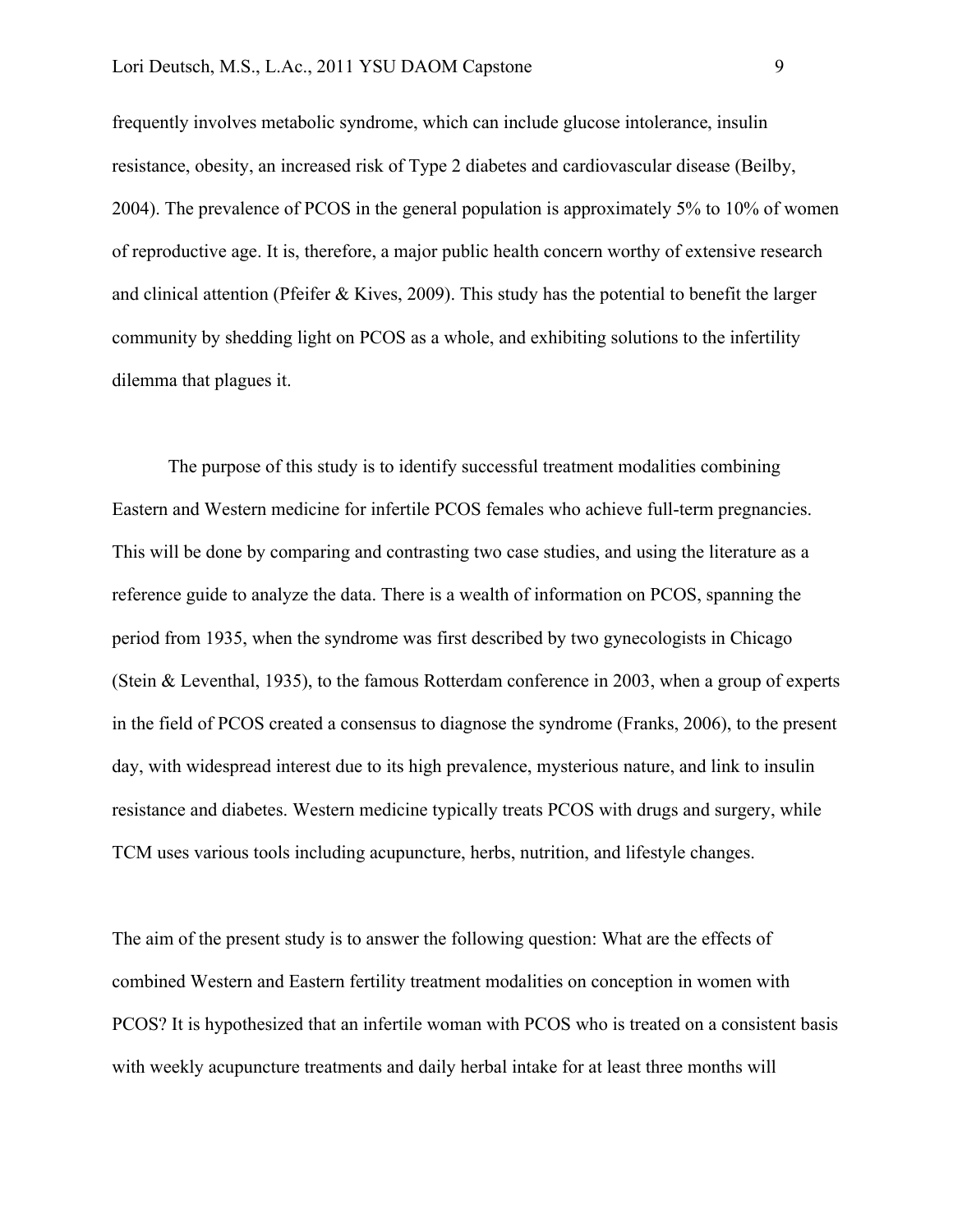frequently involves metabolic syndrome, which can include glucose intolerance, insulin resistance, obesity, an increased risk of Type 2 diabetes and cardiovascular disease (Beilby, 2004). The prevalence of PCOS in the general population is approximately 5% to 10% of women of reproductive age. It is, therefore, a major public health concern worthy of extensive research and clinical attention (Pfeifer & Kives, 2009). This study has the potential to benefit the larger community by shedding light on PCOS as a whole, and exhibiting solutions to the infertility dilemma that plagues it.

The purpose of this study is to identify successful treatment modalities combining Eastern and Western medicine for infertile PCOS females who achieve full-term pregnancies. This will be done by comparing and contrasting two case studies, and using the literature as a reference guide to analyze the data. There is a wealth of information on PCOS, spanning the period from 1935, when the syndrome was first described by two gynecologists in Chicago (Stein & Leventhal, 1935), to the famous Rotterdam conference in 2003, when a group of experts in the field of PCOS created a consensus to diagnose the syndrome (Franks, 2006), to the present day, with widespread interest due to its high prevalence, mysterious nature, and link to insulin resistance and diabetes. Western medicine typically treats PCOS with drugs and surgery, while TCM uses various tools including acupuncture, herbs, nutrition, and lifestyle changes.

The aim of the present study is to answer the following question: What are the effects of combined Western and Eastern fertility treatment modalities on conception in women with PCOS? It is hypothesized that an infertile woman with PCOS who is treated on a consistent basis with weekly acupuncture treatments and daily herbal intake for at least three months will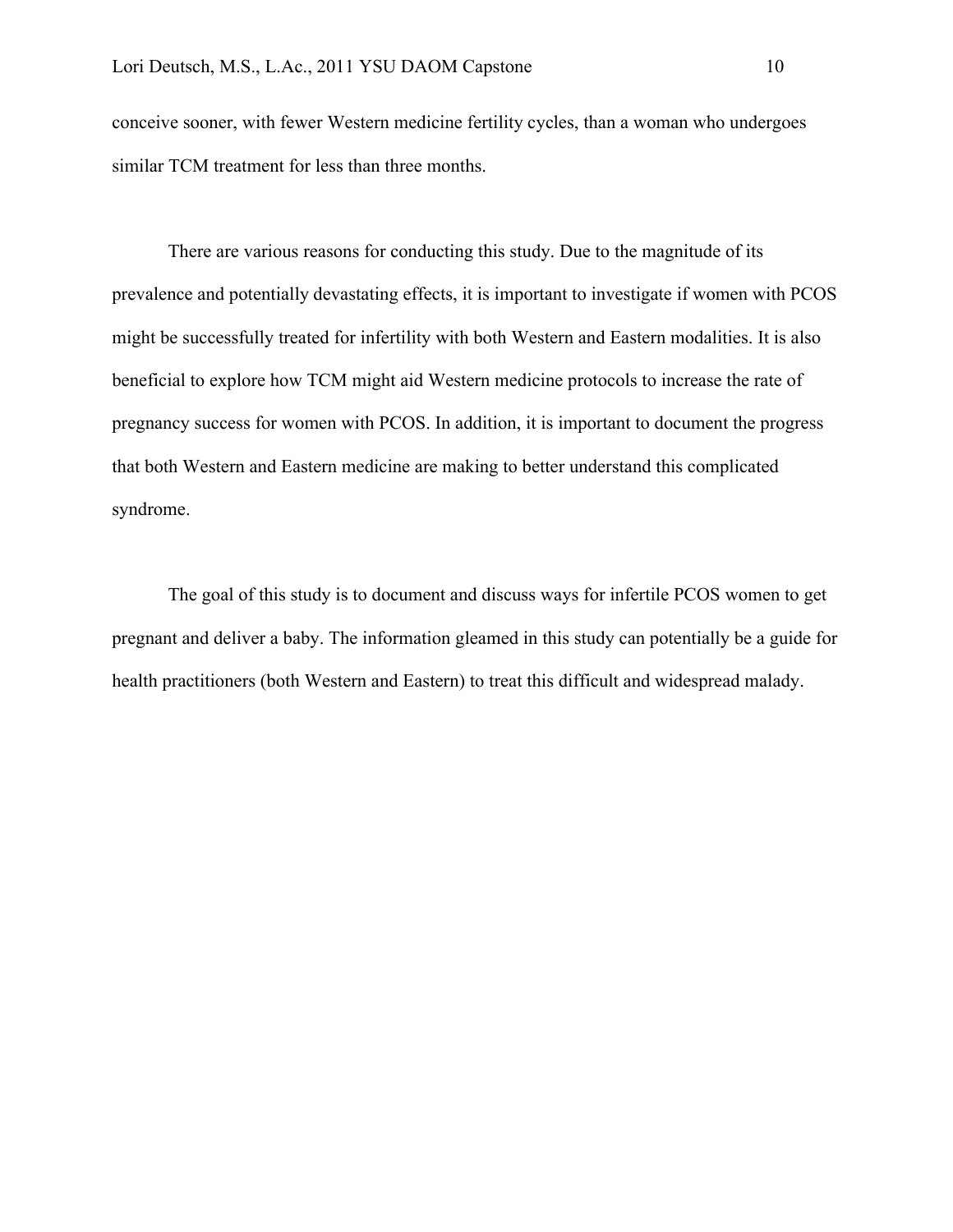conceive sooner, with fewer Western medicine fertility cycles, than a woman who undergoes similar TCM treatment for less than three months.

There are various reasons for conducting this study. Due to the magnitude of its prevalence and potentially devastating effects, it is important to investigate if women with PCOS might be successfully treated for infertility with both Western and Eastern modalities. It is also beneficial to explore how TCM might aid Western medicine protocols to increase the rate of pregnancy success for women with PCOS. In addition, it is important to document the progress that both Western and Eastern medicine are making to better understand this complicated syndrome.

The goal of this study is to document and discuss ways for infertile PCOS women to get pregnant and deliver a baby. The information gleamed in this study can potentially be a guide for health practitioners (both Western and Eastern) to treat this difficult and widespread malady.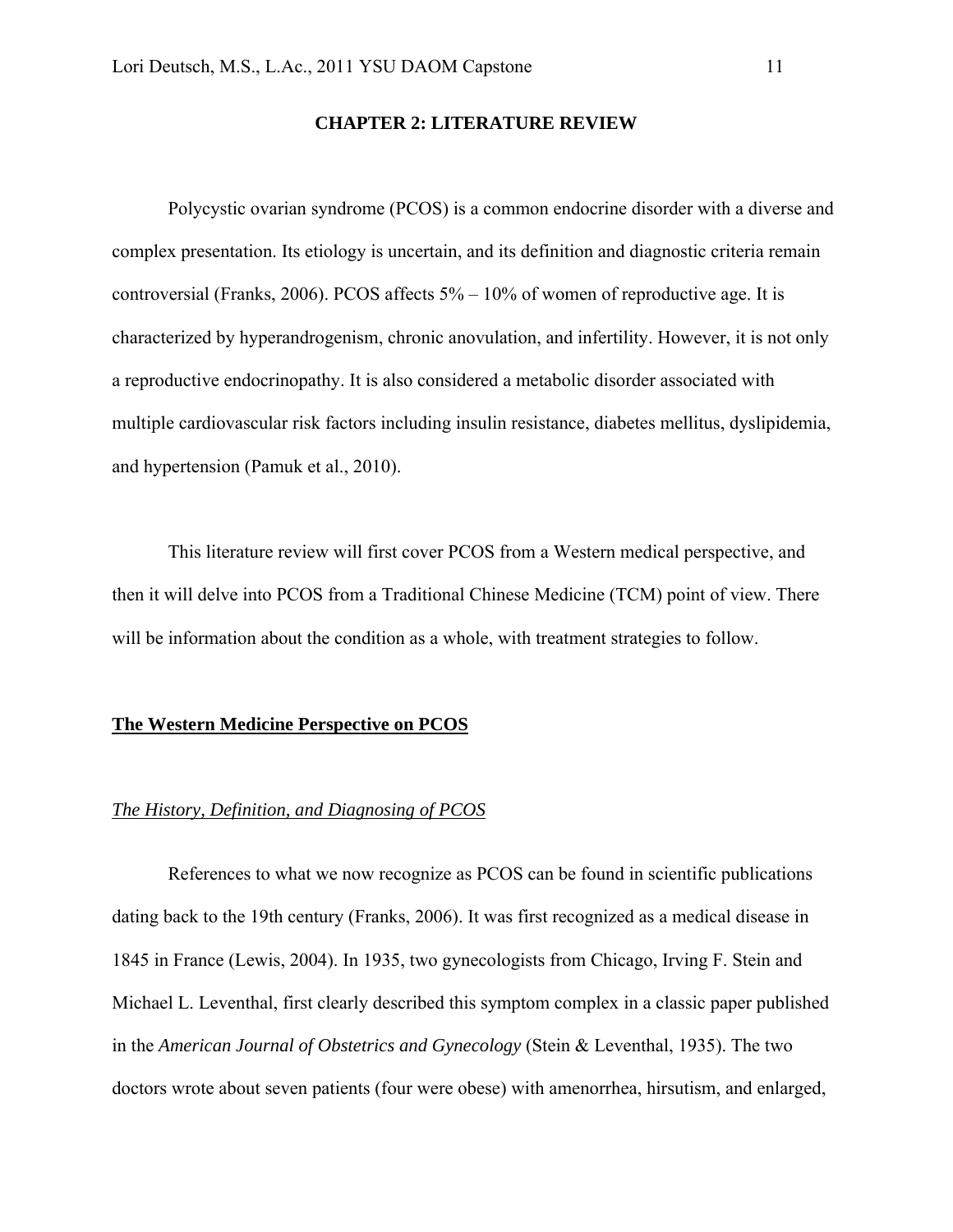# **CHAPTER 2: LITERATURE REVIEW**

Polycystic ovarian syndrome (PCOS) is a common endocrine disorder with a diverse and complex presentation. Its etiology is uncertain, and its definition and diagnostic criteria remain controversial (Franks, 2006). PCOS affects 5% – 10% of women of reproductive age. It is characterized by hyperandrogenism, chronic anovulation, and infertility. However, it is not only a reproductive endocrinopathy. It is also considered a metabolic disorder associated with multiple cardiovascular risk factors including insulin resistance, diabetes mellitus, dyslipidemia, and hypertension (Pamuk et al., 2010).

This literature review will first cover PCOS from a Western medical perspective, and then it will delve into PCOS from a Traditional Chinese Medicine (TCM) point of view. There will be information about the condition as a whole, with treatment strategies to follow.

# **The Western Medicine Perspective on PCOS**

#### *The History, Definition, and Diagnosing of PCOS*

References to what we now recognize as PCOS can be found in scientific publications dating back to the 19th century (Franks, 2006). It was first recognized as a medical disease in 1845 in France (Lewis, 2004). In 1935, two gynecologists from Chicago, Irving F. Stein and Michael L. Leventhal, first clearly described this symptom complex in a classic paper published in the *American Journal of Obstetrics and Gynecology* (Stein & Leventhal, 1935). The two doctors wrote about seven patients (four were obese) with amenorrhea, hirsutism, and enlarged,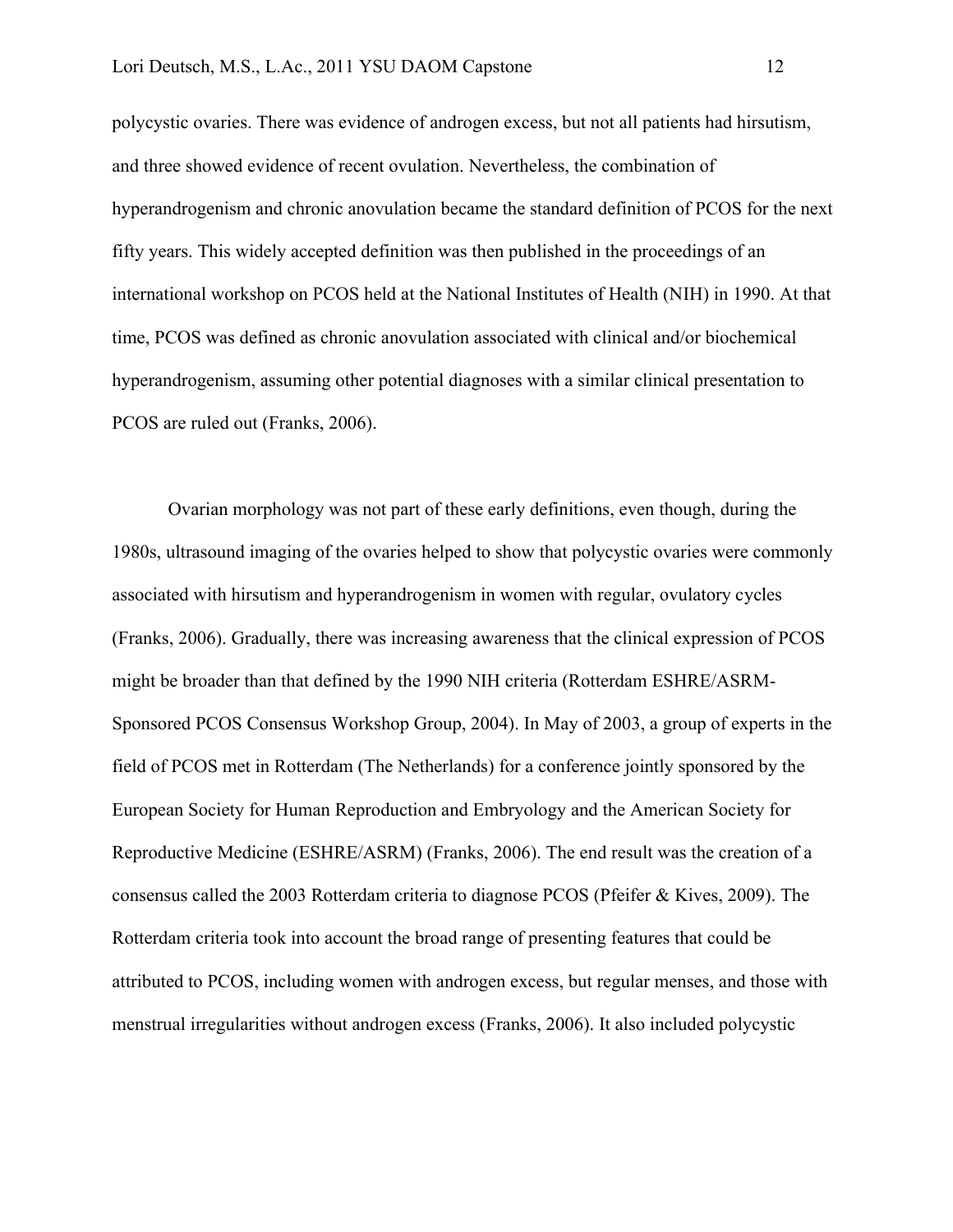polycystic ovaries. There was evidence of androgen excess, but not all patients had hirsutism, and three showed evidence of recent ovulation. Nevertheless, the combination of hyperandrogenism and chronic anovulation became the standard definition of PCOS for the next fifty years. This widely accepted definition was then published in the proceedings of an international workshop on PCOS held at the National Institutes of Health (NIH) in 1990. At that time, PCOS was defined as chronic anovulation associated with clinical and/or biochemical hyperandrogenism, assuming other potential diagnoses with a similar clinical presentation to PCOS are ruled out (Franks, 2006).

Ovarian morphology was not part of these early definitions, even though, during the 1980s, ultrasound imaging of the ovaries helped to show that polycystic ovaries were commonly associated with hirsutism and hyperandrogenism in women with regular, ovulatory cycles (Franks, 2006). Gradually, there was increasing awareness that the clinical expression of PCOS might be broader than that defined by the 1990 NIH criteria (Rotterdam ESHRE/ASRM-Sponsored PCOS Consensus Workshop Group, 2004). In May of 2003, a group of experts in the field of PCOS met in Rotterdam (The Netherlands) for a conference jointly sponsored by the European Society for Human Reproduction and Embryology and the American Society for Reproductive Medicine (ESHRE/ASRM) (Franks, 2006). The end result was the creation of a consensus called the 2003 Rotterdam criteria to diagnose PCOS (Pfeifer & Kives, 2009). The Rotterdam criteria took into account the broad range of presenting features that could be attributed to PCOS, including women with androgen excess, but regular menses, and those with menstrual irregularities without androgen excess (Franks, 2006). It also included polycystic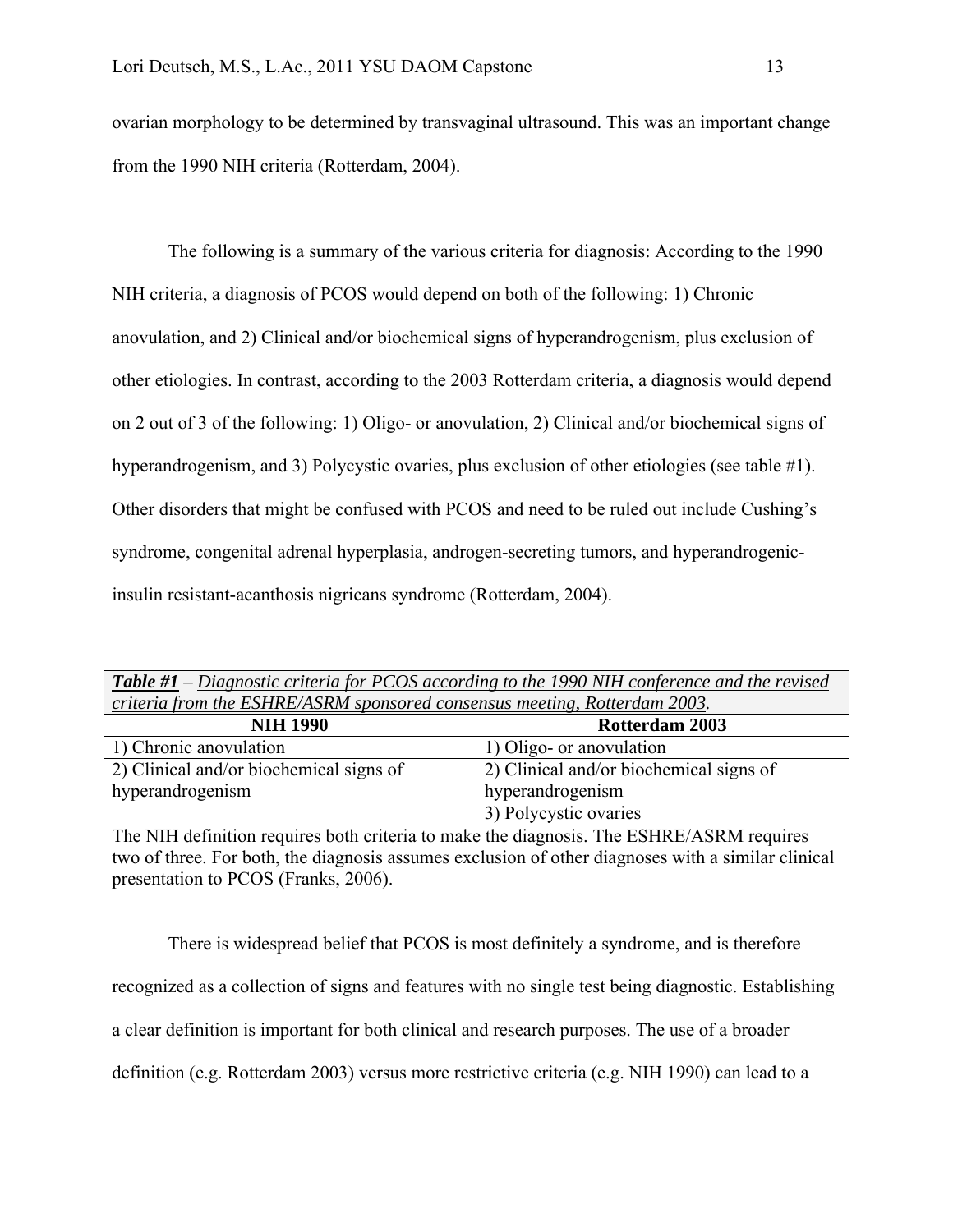ovarian morphology to be determined by transvaginal ultrasound. This was an important change from the 1990 NIH criteria (Rotterdam, 2004).

The following is a summary of the various criteria for diagnosis: According to the 1990 NIH criteria, a diagnosis of PCOS would depend on both of the following: 1) Chronic anovulation, and 2) Clinical and/or biochemical signs of hyperandrogenism, plus exclusion of other etiologies. In contrast, according to the 2003 Rotterdam criteria, a diagnosis would depend on 2 out of 3 of the following: 1) Oligo- or anovulation, 2) Clinical and/or biochemical signs of hyperandrogenism, and 3) Polycystic ovaries, plus exclusion of other etiologies (see table #1). Other disorders that might be confused with PCOS and need to be ruled out include Cushing's syndrome, congenital adrenal hyperplasia, androgen-secreting tumors, and hyperandrogenicinsulin resistant-acanthosis nigricans syndrome (Rotterdam, 2004).

| <b>Table #1</b> – Diagnostic criteria for PCOS according to the 1990 NIH conference and the revised |                                         |  |
|-----------------------------------------------------------------------------------------------------|-----------------------------------------|--|
| criteria from the ESHRE/ASRM sponsored consensus meeting, Rotterdam 2003.                           |                                         |  |
| <b>NIH 1990</b>                                                                                     | Rotterdam 2003                          |  |
| 1) Chronic anovulation                                                                              | 1) Oligo- or anovulation                |  |
| 2) Clinical and/or biochemical signs of                                                             | 2) Clinical and/or biochemical signs of |  |
| hyperandrogenism                                                                                    | hyperandrogenism                        |  |
|                                                                                                     | 3) Polycystic ovaries                   |  |
| The NIH definition requires both criteria to make the diagnosis. The ESHRE/ASRM requires            |                                         |  |
| two of three. For both, the diagnosis assumes exclusion of other diagnoses with a similar clinical  |                                         |  |

presentation to PCOS (Franks, 2006).

There is widespread belief that PCOS is most definitely a syndrome, and is therefore recognized as a collection of signs and features with no single test being diagnostic. Establishing a clear definition is important for both clinical and research purposes. The use of a broader definition (e.g. Rotterdam 2003) versus more restrictive criteria (e.g. NIH 1990) can lead to a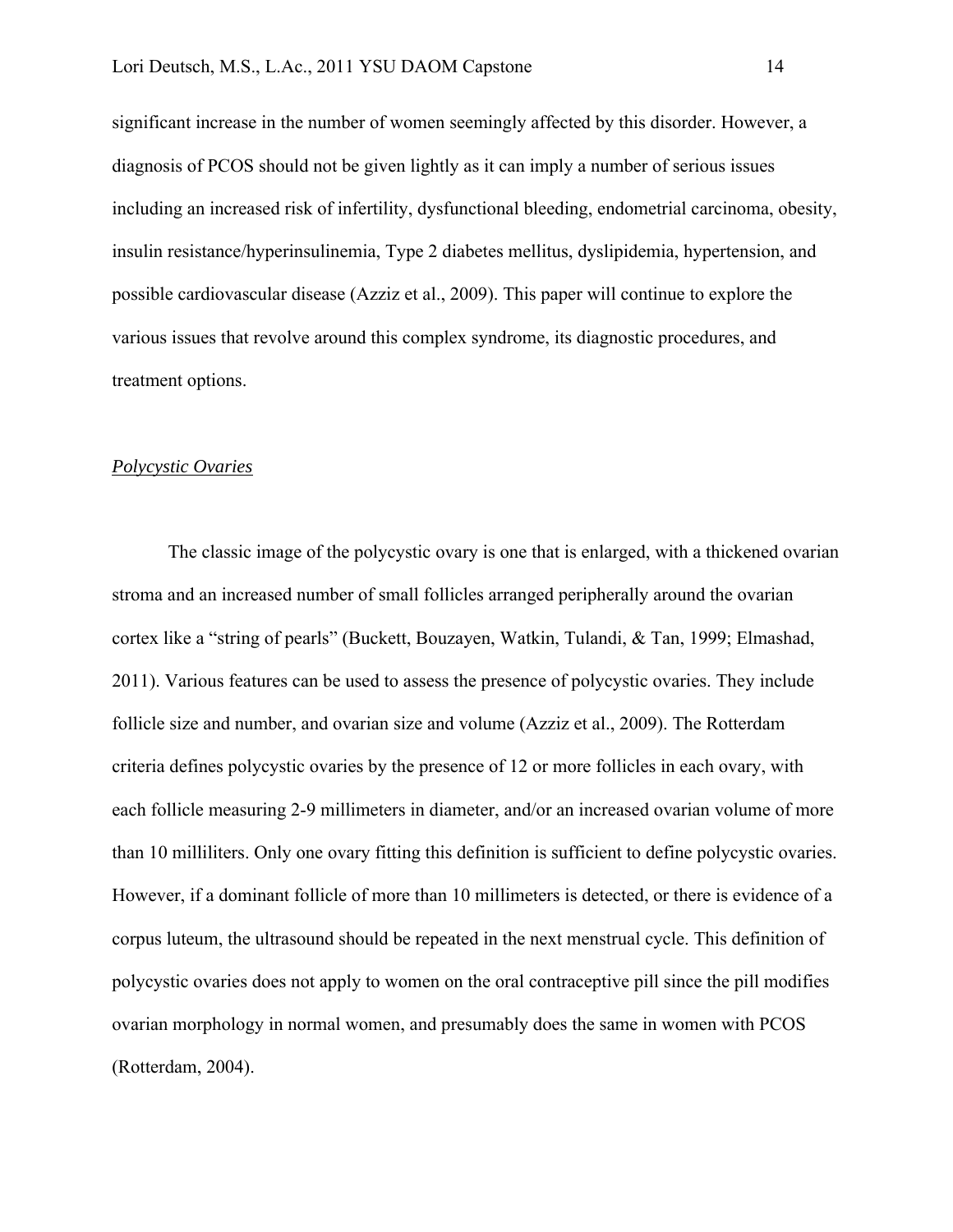significant increase in the number of women seemingly affected by this disorder. However, a diagnosis of PCOS should not be given lightly as it can imply a number of serious issues including an increased risk of infertility, dysfunctional bleeding, endometrial carcinoma, obesity, insulin resistance/hyperinsulinemia, Type 2 diabetes mellitus, dyslipidemia, hypertension, and possible cardiovascular disease (Azziz et al., 2009). This paper will continue to explore the various issues that revolve around this complex syndrome, its diagnostic procedures, and treatment options.

#### *Polycystic Ovaries*

The classic image of the polycystic ovary is one that is enlarged, with a thickened ovarian stroma and an increased number of small follicles arranged peripherally around the ovarian cortex like a "string of pearls" (Buckett, Bouzayen, Watkin, Tulandi, & Tan, 1999; Elmashad, 2011). Various features can be used to assess the presence of polycystic ovaries. They include follicle size and number, and ovarian size and volume (Azziz et al., 2009). The Rotterdam criteria defines polycystic ovaries by the presence of 12 or more follicles in each ovary, with each follicle measuring 2-9 millimeters in diameter, and/or an increased ovarian volume of more than 10 milliliters. Only one ovary fitting this definition is sufficient to define polycystic ovaries. However, if a dominant follicle of more than 10 millimeters is detected, or there is evidence of a corpus luteum, the ultrasound should be repeated in the next menstrual cycle. This definition of polycystic ovaries does not apply to women on the oral contraceptive pill since the pill modifies ovarian morphology in normal women, and presumably does the same in women with PCOS (Rotterdam, 2004).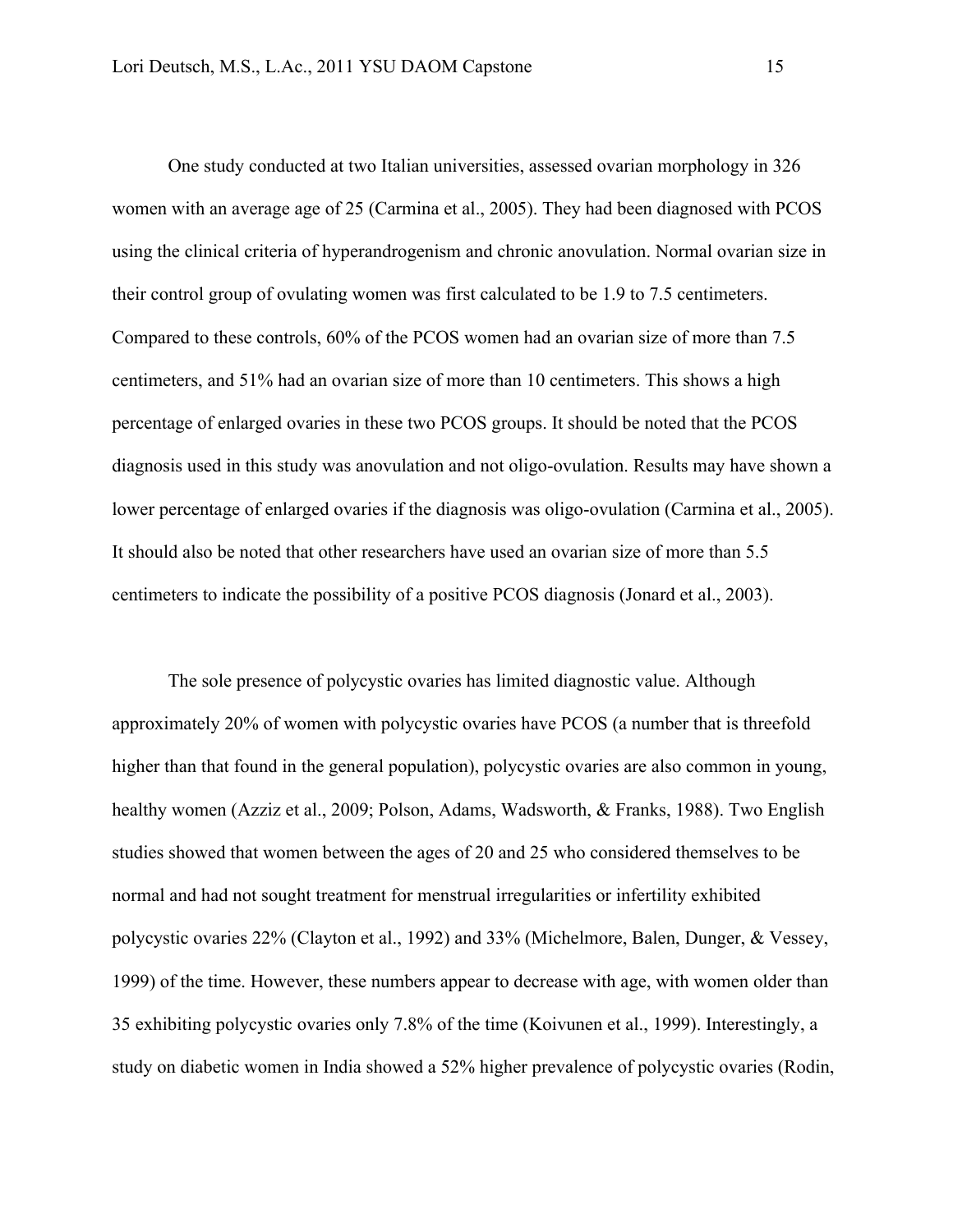One study conducted at two Italian universities, assessed ovarian morphology in 326 women with an average age of 25 (Carmina et al., 2005). They had been diagnosed with PCOS using the clinical criteria of hyperandrogenism and chronic anovulation. Normal ovarian size in their control group of ovulating women was first calculated to be 1.9 to 7.5 centimeters. Compared to these controls, 60% of the PCOS women had an ovarian size of more than 7.5 centimeters, and 51% had an ovarian size of more than 10 centimeters. This shows a high percentage of enlarged ovaries in these two PCOS groups. It should be noted that the PCOS diagnosis used in this study was anovulation and not oligo-ovulation. Results may have shown a lower percentage of enlarged ovaries if the diagnosis was oligo-ovulation (Carmina et al., 2005). It should also be noted that other researchers have used an ovarian size of more than 5.5 centimeters to indicate the possibility of a positive PCOS diagnosis (Jonard et al., 2003).

The sole presence of polycystic ovaries has limited diagnostic value. Although approximately 20% of women with polycystic ovaries have PCOS (a number that is threefold higher than that found in the general population), polycystic ovaries are also common in young, healthy women (Azziz et al., 2009; Polson, Adams, Wadsworth, & Franks, 1988). Two English studies showed that women between the ages of 20 and 25 who considered themselves to be normal and had not sought treatment for menstrual irregularities or infertility exhibited polycystic ovaries 22% (Clayton et al., 1992) and 33% (Michelmore, Balen, Dunger, & Vessey, 1999) of the time. However, these numbers appear to decrease with age, with women older than 35 exhibiting polycystic ovaries only 7.8% of the time (Koivunen et al., 1999). Interestingly, a study on diabetic women in India showed a 52% higher prevalence of polycystic ovaries (Rodin,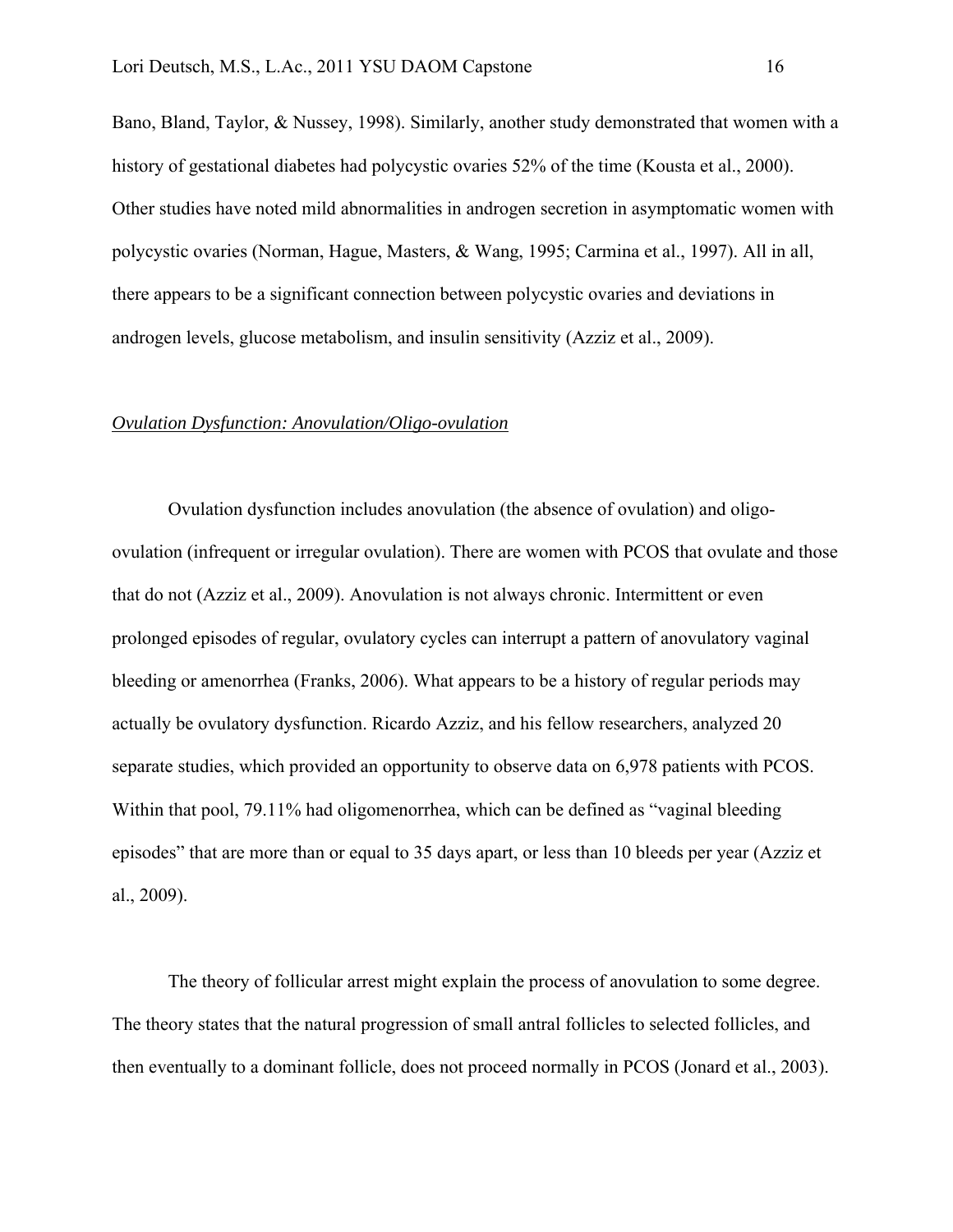Bano, Bland, Taylor, & Nussey, 1998). Similarly, another study demonstrated that women with a history of gestational diabetes had polycystic ovaries 52% of the time (Kousta et al., 2000). Other studies have noted mild abnormalities in androgen secretion in asymptomatic women with polycystic ovaries (Norman, Hague, Masters, & Wang, 1995; Carmina et al., 1997). All in all, there appears to be a significant connection between polycystic ovaries and deviations in androgen levels, glucose metabolism, and insulin sensitivity (Azziz et al., 2009).

# *Ovulation Dysfunction: Anovulation/Oligo-ovulation*

Ovulation dysfunction includes anovulation (the absence of ovulation) and oligoovulation (infrequent or irregular ovulation). There are women with PCOS that ovulate and those that do not (Azziz et al., 2009). Anovulation is not always chronic. Intermittent or even prolonged episodes of regular, ovulatory cycles can interrupt a pattern of anovulatory vaginal bleeding or amenorrhea (Franks, 2006). What appears to be a history of regular periods may actually be ovulatory dysfunction. Ricardo Azziz, and his fellow researchers, analyzed 20 separate studies, which provided an opportunity to observe data on 6,978 patients with PCOS. Within that pool, 79.11% had oligomenorrhea, which can be defined as "vaginal bleeding episodes" that are more than or equal to 35 days apart, or less than 10 bleeds per year (Azziz et al., 2009).

The theory of follicular arrest might explain the process of anovulation to some degree. The theory states that the natural progression of small antral follicles to selected follicles, and then eventually to a dominant follicle, does not proceed normally in PCOS (Jonard et al., 2003).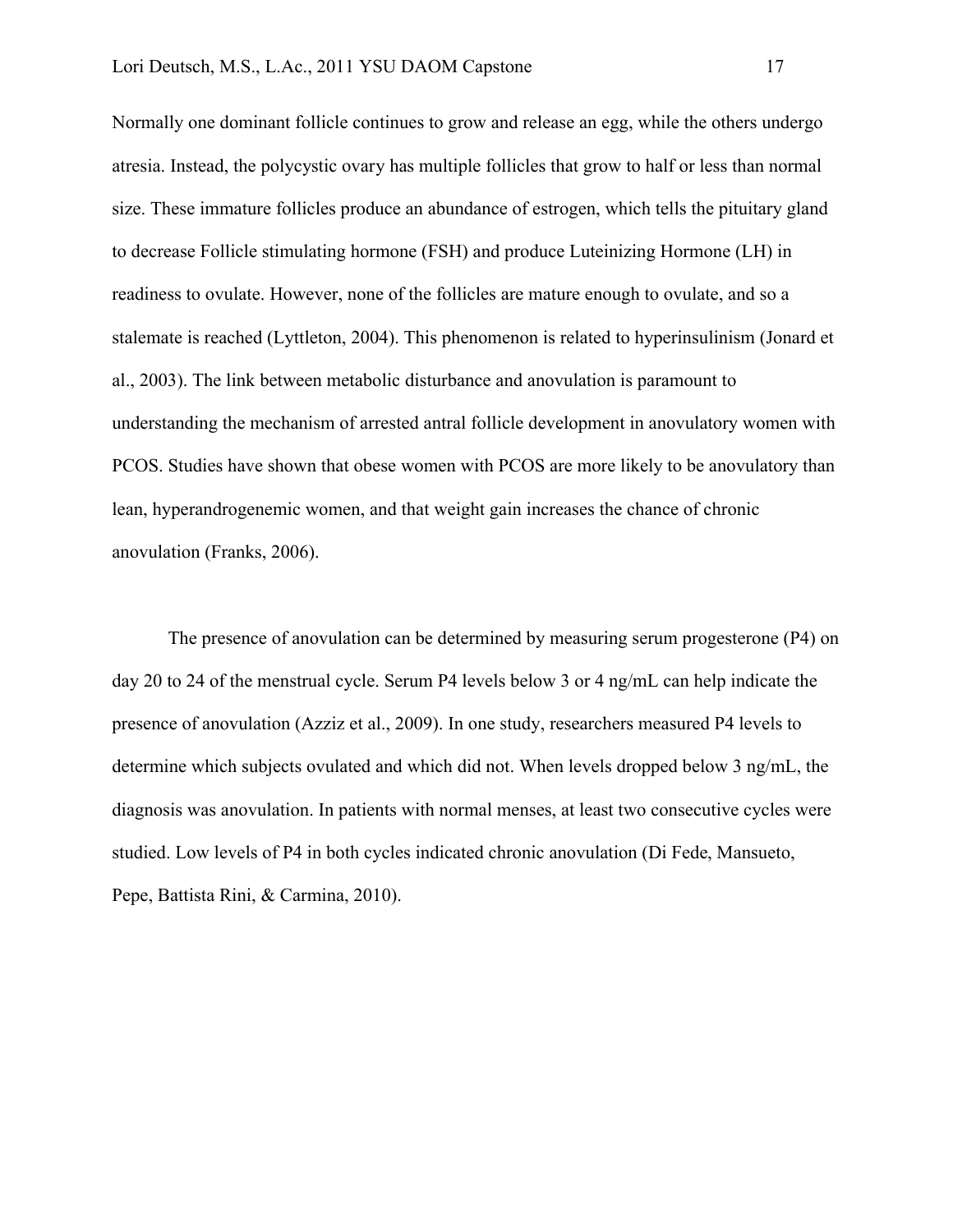Normally one dominant follicle continues to grow and release an egg, while the others undergo atresia. Instead, the polycystic ovary has multiple follicles that grow to half or less than normal size. These immature follicles produce an abundance of estrogen, which tells the pituitary gland to decrease Follicle stimulating hormone (FSH) and produce Luteinizing Hormone (LH) in readiness to ovulate. However, none of the follicles are mature enough to ovulate, and so a stalemate is reached (Lyttleton, 2004). This phenomenon is related to hyperinsulinism (Jonard et al., 2003). The link between metabolic disturbance and anovulation is paramount to understanding the mechanism of arrested antral follicle development in anovulatory women with PCOS. Studies have shown that obese women with PCOS are more likely to be anovulatory than lean, hyperandrogenemic women, and that weight gain increases the chance of chronic anovulation (Franks, 2006).

The presence of anovulation can be determined by measuring serum progesterone (P4) on day 20 to 24 of the menstrual cycle. Serum P4 levels below 3 or 4 ng/mL can help indicate the presence of anovulation (Azziz et al., 2009). In one study, researchers measured P4 levels to determine which subjects ovulated and which did not. When levels dropped below 3 ng/mL, the diagnosis was anovulation. In patients with normal menses, at least two consecutive cycles were studied. Low levels of P4 in both cycles indicated chronic anovulation (Di Fede, Mansueto, Pepe, Battista Rini, & Carmina, 2010).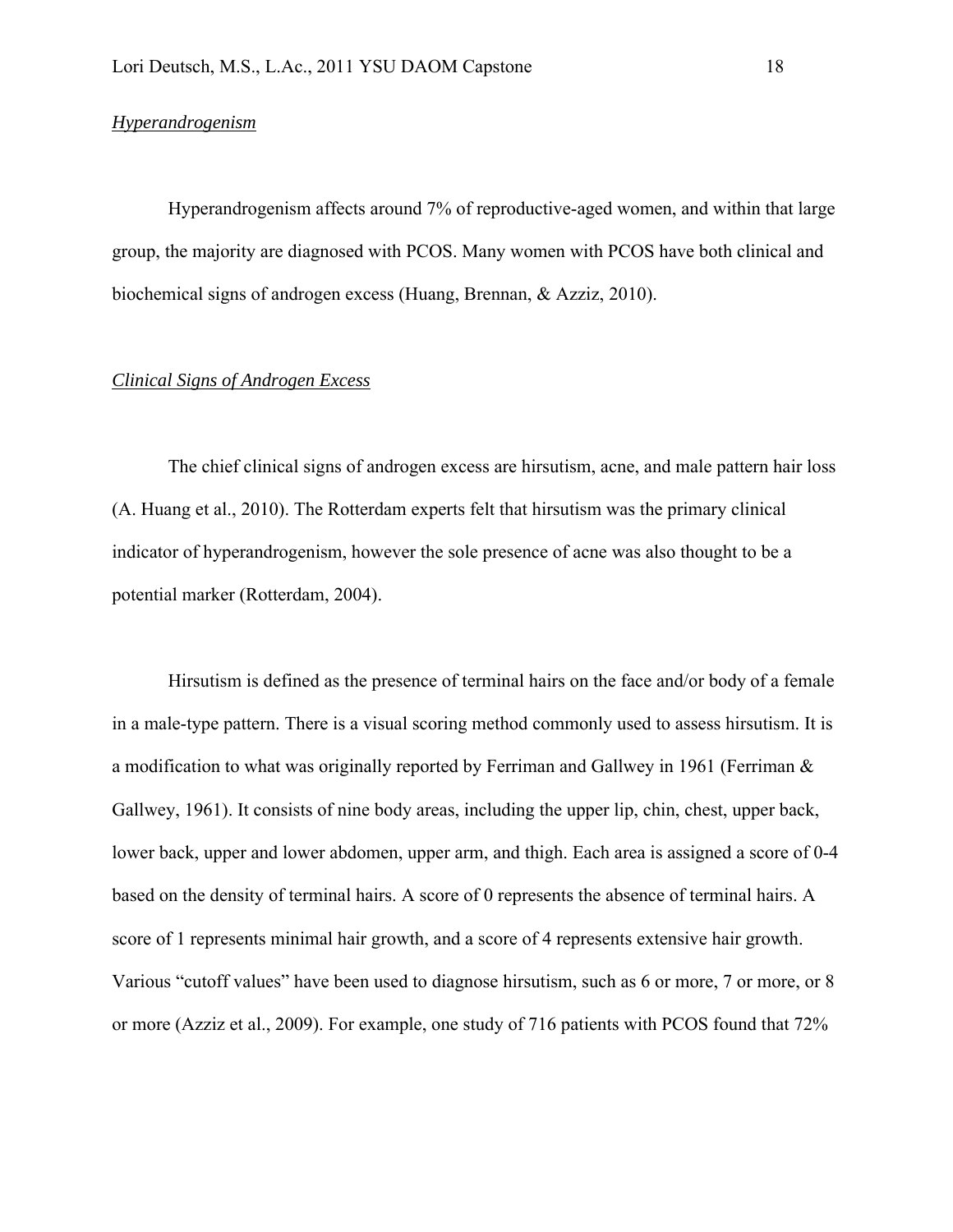# *Hyperandrogenism*

Hyperandrogenism affects around 7% of reproductive-aged women, and within that large group, the majority are diagnosed with PCOS. Many women with PCOS have both clinical and biochemical signs of androgen excess (Huang, Brennan, & Azziz, 2010).

# *Clinical Signs of Androgen Excess*

The chief clinical signs of androgen excess are hirsutism, acne, and male pattern hair loss (A. Huang et al., 2010). The Rotterdam experts felt that hirsutism was the primary clinical indicator of hyperandrogenism, however the sole presence of acne was also thought to be a potential marker (Rotterdam, 2004).

Hirsutism is defined as the presence of terminal hairs on the face and/or body of a female in a male-type pattern. There is a visual scoring method commonly used to assess hirsutism. It is a modification to what was originally reported by Ferriman and Gallwey in 1961 (Ferriman & Gallwey, 1961). It consists of nine body areas, including the upper lip, chin, chest, upper back, lower back, upper and lower abdomen, upper arm, and thigh. Each area is assigned a score of 0-4 based on the density of terminal hairs. A score of 0 represents the absence of terminal hairs. A score of 1 represents minimal hair growth, and a score of 4 represents extensive hair growth. Various "cutoff values" have been used to diagnose hirsutism, such as 6 or more, 7 or more, or 8 or more (Azziz et al., 2009). For example, one study of 716 patients with PCOS found that 72%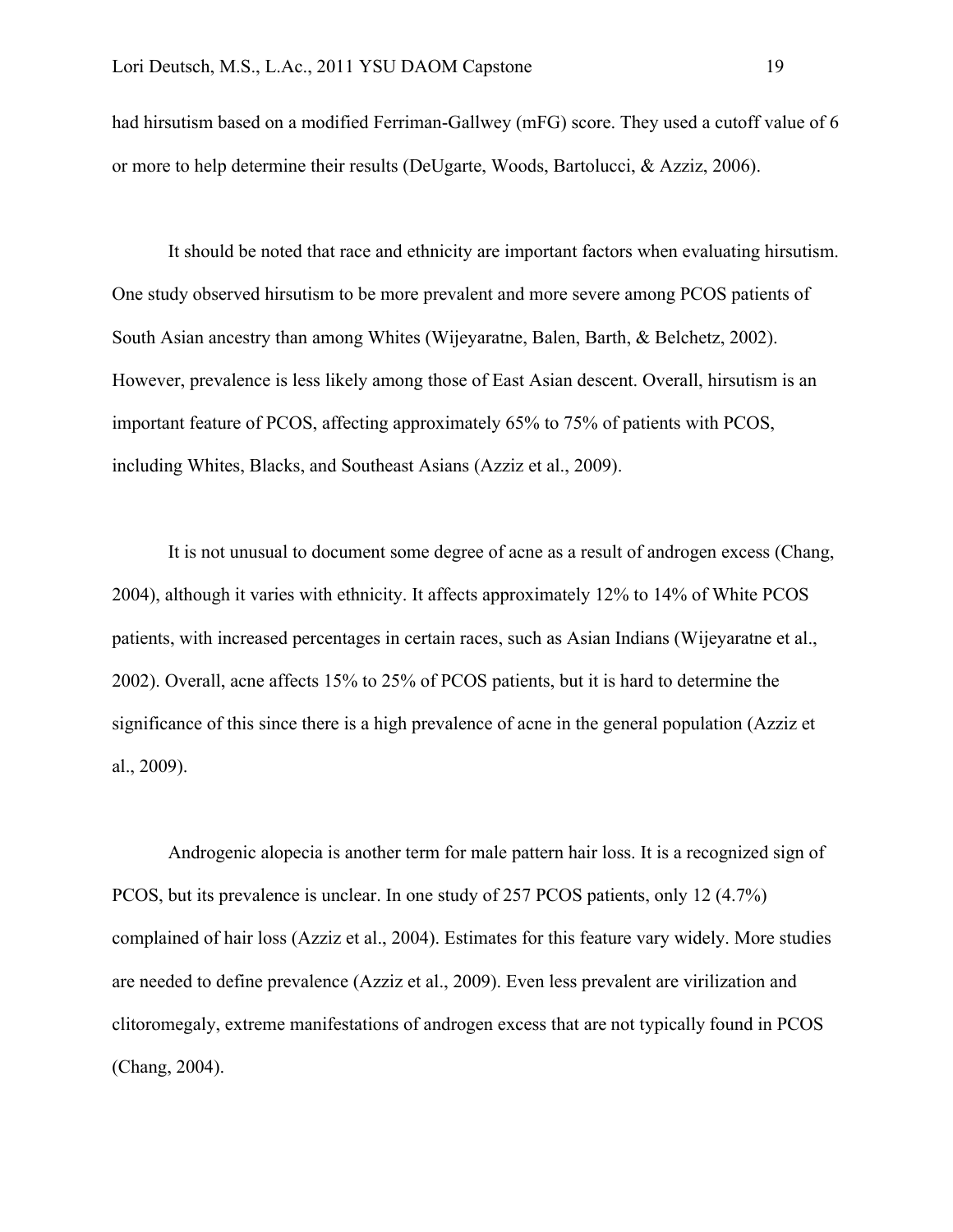had hirsutism based on a modified Ferriman-Gallwey (mFG) score. They used a cutoff value of 6 or more to help determine their results (DeUgarte, Woods, Bartolucci, & Azziz, 2006).

It should be noted that race and ethnicity are important factors when evaluating hirsutism. One study observed hirsutism to be more prevalent and more severe among PCOS patients of South Asian ancestry than among Whites (Wijeyaratne, Balen, Barth, & Belchetz, 2002). However, prevalence is less likely among those of East Asian descent. Overall, hirsutism is an important feature of PCOS, affecting approximately 65% to 75% of patients with PCOS, including Whites, Blacks, and Southeast Asians (Azziz et al., 2009).

It is not unusual to document some degree of acne as a result of androgen excess (Chang, 2004), although it varies with ethnicity. It affects approximately 12% to 14% of White PCOS patients, with increased percentages in certain races, such as Asian Indians (Wijeyaratne et al., 2002). Overall, acne affects 15% to 25% of PCOS patients, but it is hard to determine the significance of this since there is a high prevalence of acne in the general population (Azziz et al., 2009).

Androgenic alopecia is another term for male pattern hair loss. It is a recognized sign of PCOS, but its prevalence is unclear. In one study of 257 PCOS patients, only 12 (4.7%) complained of hair loss (Azziz et al., 2004). Estimates for this feature vary widely. More studies are needed to define prevalence (Azziz et al., 2009). Even less prevalent are virilization and clitoromegaly, extreme manifestations of androgen excess that are not typically found in PCOS (Chang, 2004).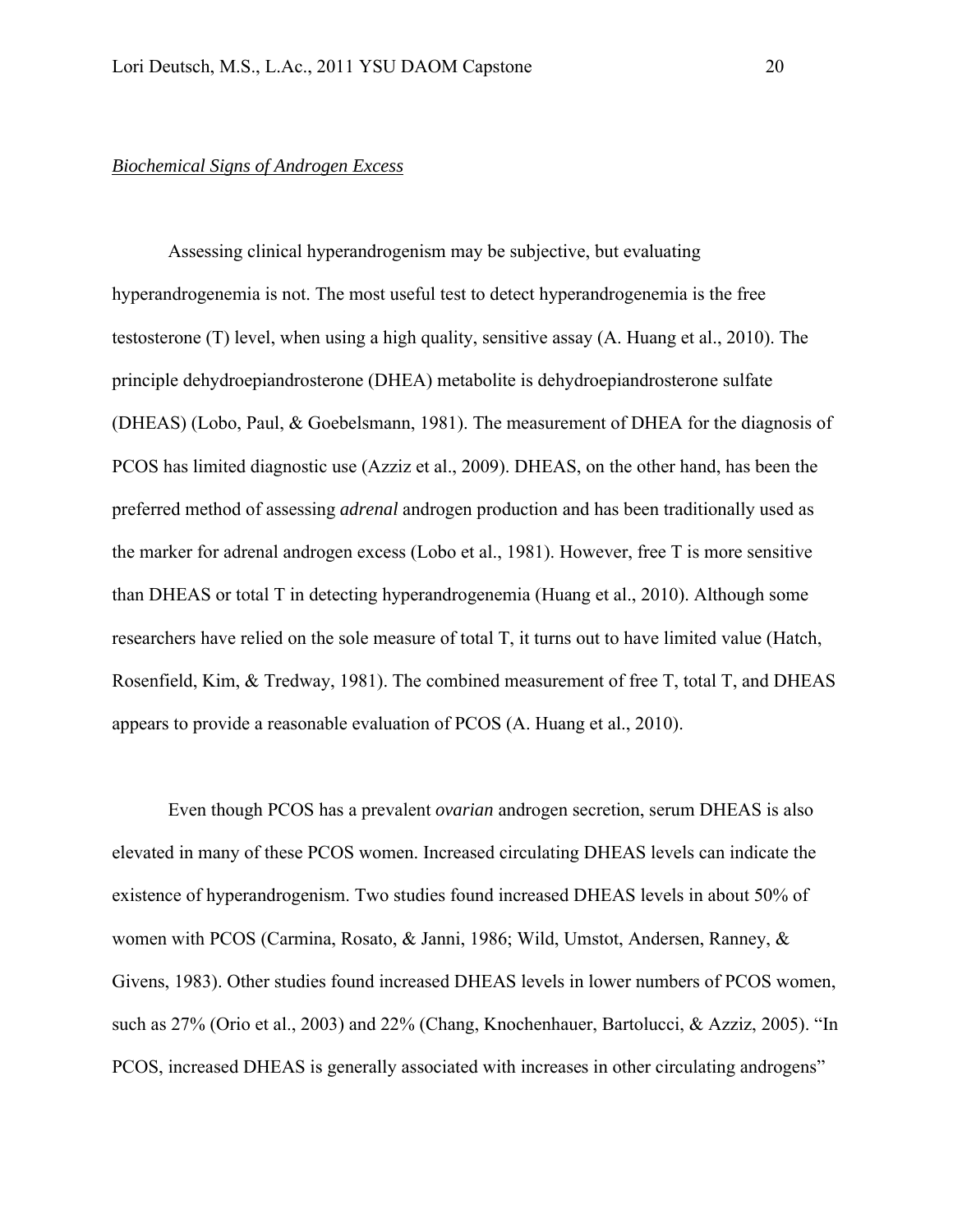# *Biochemical Signs of Androgen Excess*

Assessing clinical hyperandrogenism may be subjective, but evaluating hyperandrogenemia is not. The most useful test to detect hyperandrogenemia is the free testosterone (T) level, when using a high quality, sensitive assay (A. Huang et al., 2010). The principle dehydroepiandrosterone (DHEA) metabolite is dehydroepiandrosterone sulfate (DHEAS) (Lobo, Paul, & Goebelsmann, 1981). The measurement of DHEA for the diagnosis of PCOS has limited diagnostic use (Azziz et al., 2009). DHEAS, on the other hand, has been the preferred method of assessing *adrenal* androgen production and has been traditionally used as the marker for adrenal androgen excess (Lobo et al., 1981). However, free T is more sensitive than DHEAS or total T in detecting hyperandrogenemia (Huang et al., 2010). Although some researchers have relied on the sole measure of total T, it turns out to have limited value (Hatch, Rosenfield, Kim, & Tredway, 1981). The combined measurement of free T, total T, and DHEAS appears to provide a reasonable evaluation of PCOS (A. Huang et al., 2010).

Even though PCOS has a prevalent *ovarian* androgen secretion, serum DHEAS is also elevated in many of these PCOS women. Increased circulating DHEAS levels can indicate the existence of hyperandrogenism. Two studies found increased DHEAS levels in about 50% of women with PCOS (Carmina, Rosato, & Janni, 1986; Wild, Umstot, Andersen, Ranney, & Givens, 1983). Other studies found increased DHEAS levels in lower numbers of PCOS women, such as 27% (Orio et al., 2003) and 22% (Chang, Knochenhauer, Bartolucci, & Azziz, 2005). "In PCOS, increased DHEAS is generally associated with increases in other circulating androgens"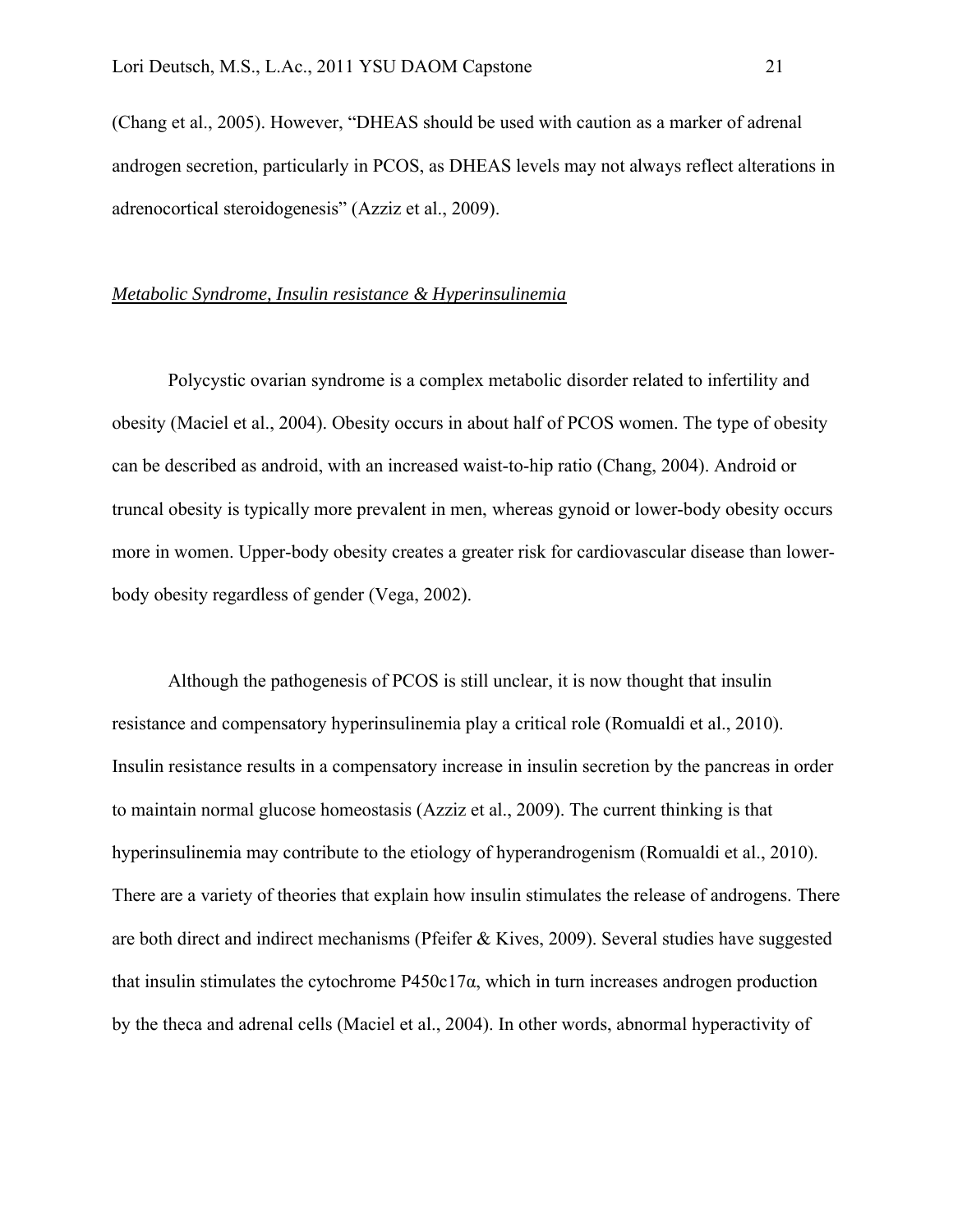(Chang et al., 2005). However, "DHEAS should be used with caution as a marker of adrenal androgen secretion, particularly in PCOS, as DHEAS levels may not always reflect alterations in adrenocortical steroidogenesis" (Azziz et al., 2009).

# *Metabolic Syndrome, Insulin resistance & Hyperinsulinemia*

Polycystic ovarian syndrome is a complex metabolic disorder related to infertility and obesity (Maciel et al., 2004). Obesity occurs in about half of PCOS women. The type of obesity can be described as android, with an increased waist-to-hip ratio (Chang, 2004). Android or truncal obesity is typically more prevalent in men, whereas gynoid or lower-body obesity occurs more in women. Upper-body obesity creates a greater risk for cardiovascular disease than lowerbody obesity regardless of gender (Vega, 2002).

Although the pathogenesis of PCOS is still unclear, it is now thought that insulin resistance and compensatory hyperinsulinemia play a critical role (Romualdi et al., 2010). Insulin resistance results in a compensatory increase in insulin secretion by the pancreas in order to maintain normal glucose homeostasis (Azziz et al., 2009). The current thinking is that hyperinsulinemia may contribute to the etiology of hyperandrogenism (Romualdi et al., 2010). There are a variety of theories that explain how insulin stimulates the release of androgens. There are both direct and indirect mechanisms (Pfeifer & Kives, 2009). Several studies have suggested that insulin stimulates the cytochrome  $P450c17\alpha$ , which in turn increases androgen production by the theca and adrenal cells (Maciel et al., 2004). In other words, abnormal hyperactivity of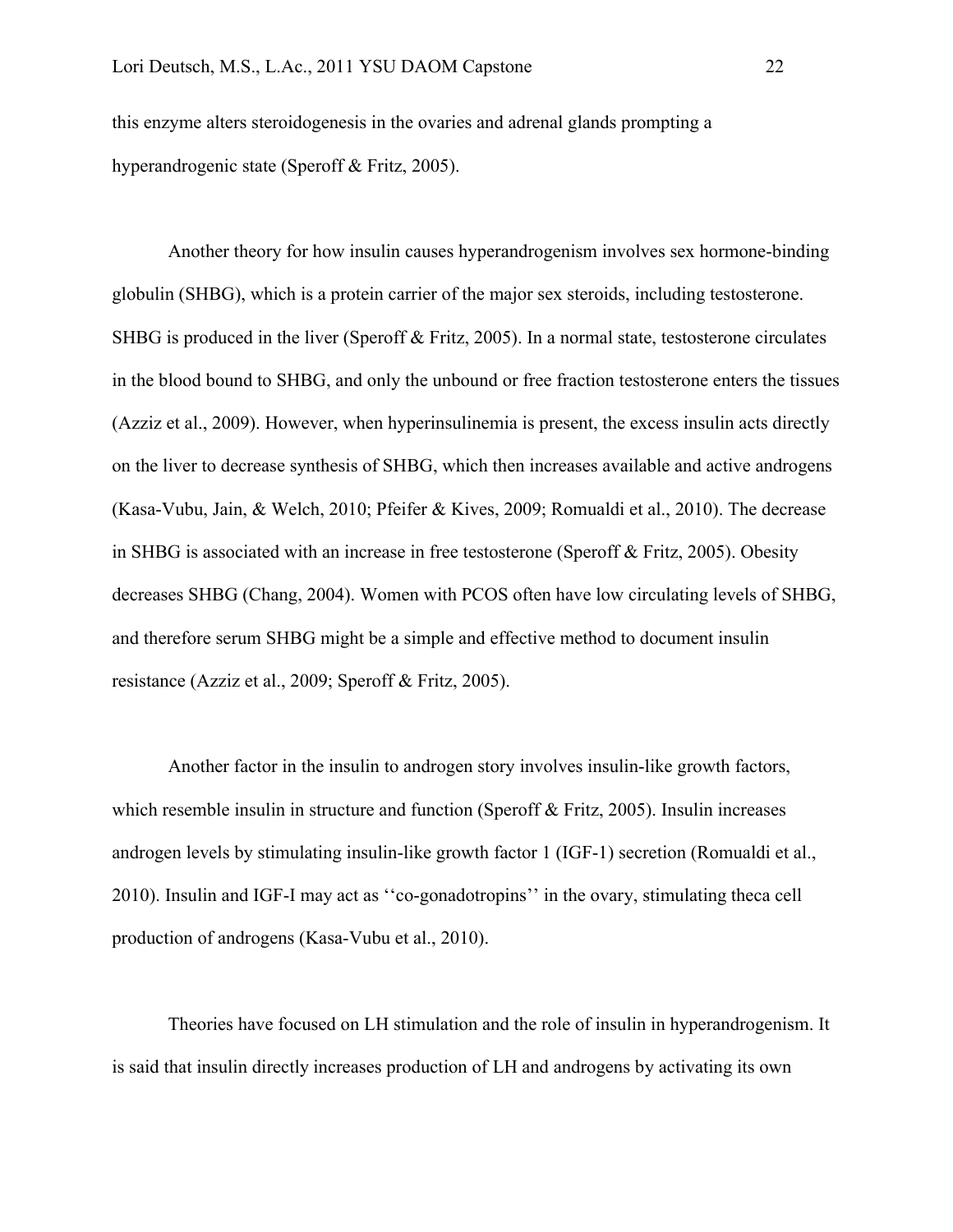this enzyme alters steroidogenesis in the ovaries and adrenal glands prompting a hyperandrogenic state (Speroff & Fritz, 2005).

Another theory for how insulin causes hyperandrogenism involves sex hormone-binding globulin (SHBG), which is a protein carrier of the major sex steroids, including testosterone. SHBG is produced in the liver (Speroff & Fritz, 2005). In a normal state, testosterone circulates in the blood bound to SHBG, and only the unbound or free fraction testosterone enters the tissues (Azziz et al., 2009). However, when hyperinsulinemia is present, the excess insulin acts directly on the liver to decrease synthesis of SHBG, which then increases available and active androgens (Kasa-Vubu, Jain, & Welch, 2010; Pfeifer & Kives, 2009; Romualdi et al., 2010). The decrease in SHBG is associated with an increase in free testosterone (Speroff & Fritz, 2005). Obesity decreases SHBG (Chang, 2004). Women with PCOS often have low circulating levels of SHBG, and therefore serum SHBG might be a simple and effective method to document insulin resistance (Azziz et al., 2009; Speroff & Fritz, 2005).

Another factor in the insulin to androgen story involves insulin-like growth factors, which resemble insulin in structure and function (Speroff & Fritz, 2005). Insulin increases androgen levels by stimulating insulin-like growth factor 1 (IGF-1) secretion (Romualdi et al., 2010). Insulin and IGF-I may act as ''co-gonadotropins'' in the ovary, stimulating theca cell production of androgens (Kasa-Vubu et al., 2010).

Theories have focused on LH stimulation and the role of insulin in hyperandrogenism. It is said that insulin directly increases production of LH and androgens by activating its own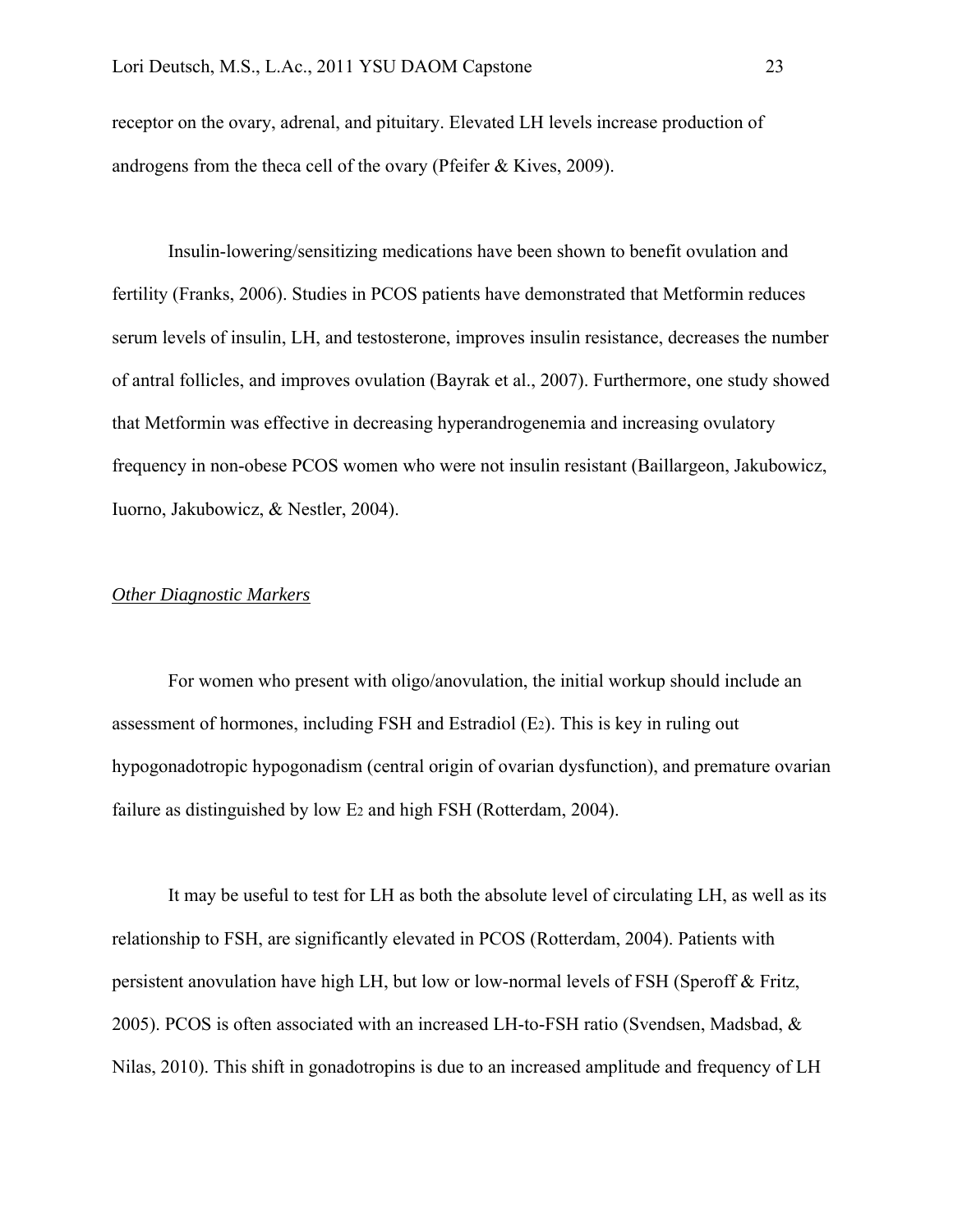receptor on the ovary, adrenal, and pituitary. Elevated LH levels increase production of androgens from the theca cell of the ovary (Pfeifer & Kives, 2009).

Insulin-lowering/sensitizing medications have been shown to benefit ovulation and fertility (Franks, 2006). Studies in PCOS patients have demonstrated that Metformin reduces serum levels of insulin, LH, and testosterone, improves insulin resistance, decreases the number of antral follicles, and improves ovulation (Bayrak et al., 2007). Furthermore, one study showed that Metformin was effective in decreasing hyperandrogenemia and increasing ovulatory frequency in non-obese PCOS women who were not insulin resistant (Baillargeon, Jakubowicz, Iuorno, Jakubowicz, & Nestler, 2004).

# *Other Diagnostic Markers*

For women who present with oligo/anovulation, the initial workup should include an assessment of hormones, including FSH and Estradiol (E2). This is key in ruling out hypogonadotropic hypogonadism (central origin of ovarian dysfunction), and premature ovarian failure as distinguished by low E2 and high FSH (Rotterdam, 2004).

It may be useful to test for LH as both the absolute level of circulating LH, as well as its relationship to FSH, are significantly elevated in PCOS (Rotterdam, 2004). Patients with persistent anovulation have high LH, but low or low-normal levels of FSH (Speroff & Fritz, 2005). PCOS is often associated with an increased LH-to-FSH ratio (Svendsen, Madsbad, & Nilas, 2010). This shift in gonadotropins is due to an increased amplitude and frequency of LH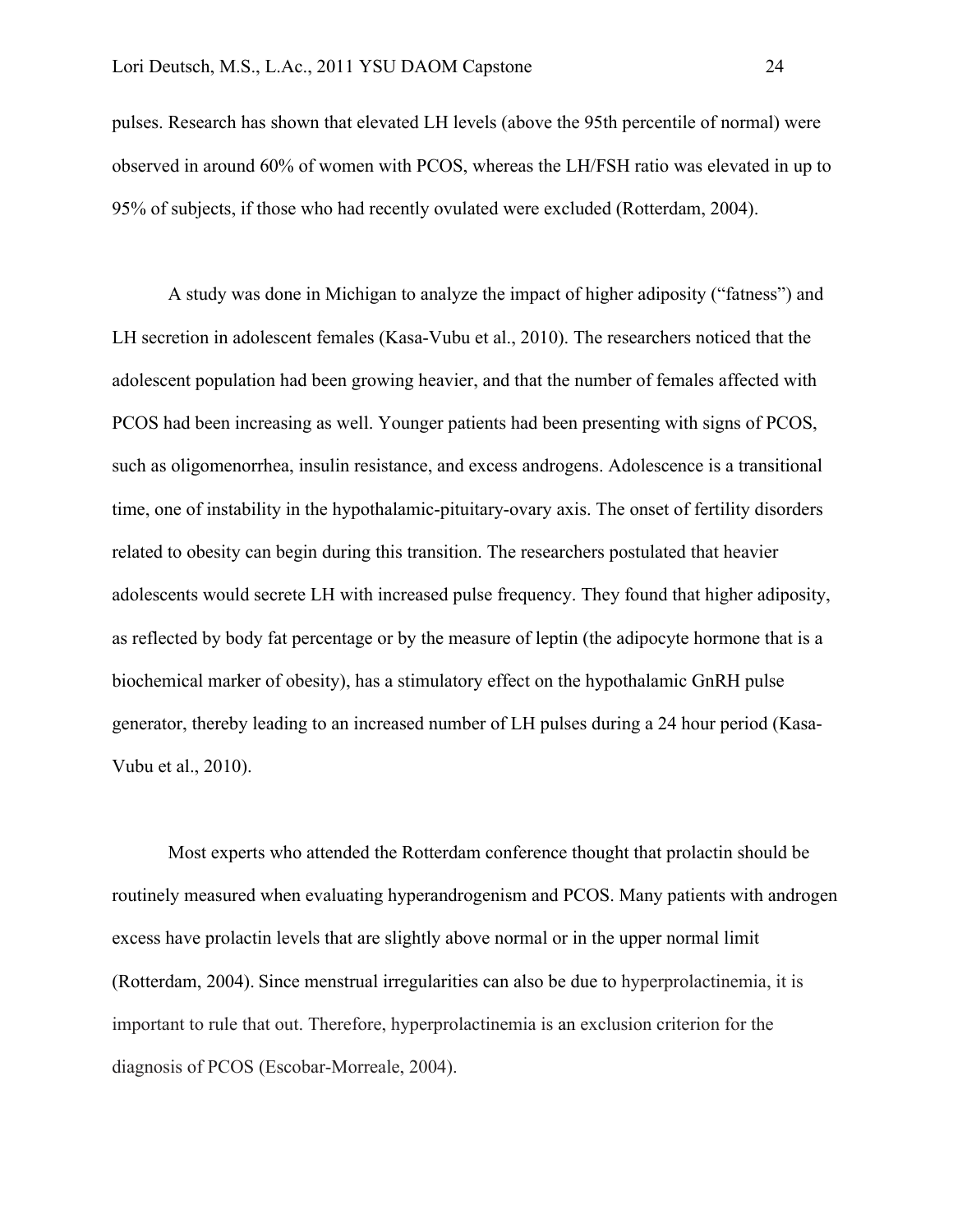pulses. Research has shown that elevated LH levels (above the 95th percentile of normal) were observed in around 60% of women with PCOS, whereas the LH/FSH ratio was elevated in up to 95% of subjects, if those who had recently ovulated were excluded (Rotterdam, 2004).

A study was done in Michigan to analyze the impact of higher adiposity ("fatness") and LH secretion in adolescent females (Kasa-Vubu et al., 2010). The researchers noticed that the adolescent population had been growing heavier, and that the number of females affected with PCOS had been increasing as well. Younger patients had been presenting with signs of PCOS, such as oligomenorrhea, insulin resistance, and excess androgens. Adolescence is a transitional time, one of instability in the hypothalamic-pituitary-ovary axis. The onset of fertility disorders related to obesity can begin during this transition. The researchers postulated that heavier adolescents would secrete LH with increased pulse frequency. They found that higher adiposity, as reflected by body fat percentage or by the measure of leptin (the adipocyte hormone that is a biochemical marker of obesity), has a stimulatory effect on the hypothalamic GnRH pulse generator, thereby leading to an increased number of LH pulses during a 24 hour period (Kasa-Vubu et al., 2010).

Most experts who attended the Rotterdam conference thought that prolactin should be routinely measured when evaluating hyperandrogenism and PCOS. Many patients with androgen excess have prolactin levels that are slightly above normal or in the upper normal limit (Rotterdam, 2004). Since menstrual irregularities can also be due to hyperprolactinemia, it is important to rule that out. Therefore, hyperprolactinemia is an exclusion criterion for the diagnosis of PCOS (Escobar-Morreale, 2004).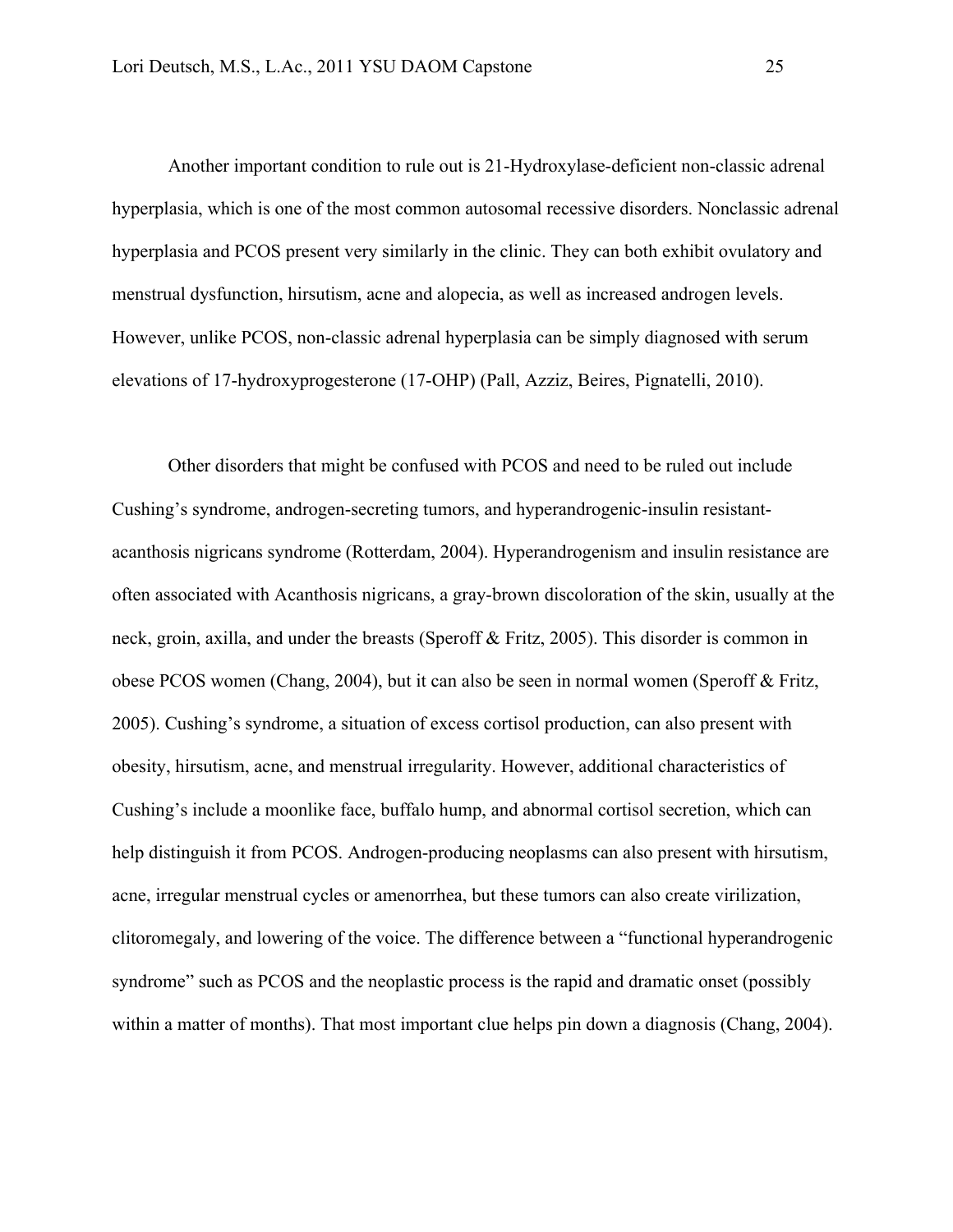Another important condition to rule out is 21-Hydroxylase-deficient non-classic adrenal hyperplasia, which is one of the most common autosomal recessive disorders. Nonclassic adrenal hyperplasia and PCOS present very similarly in the clinic. They can both exhibit ovulatory and menstrual dysfunction, hirsutism, acne and alopecia, as well as increased androgen levels. However, unlike PCOS, non-classic adrenal hyperplasia can be simply diagnosed with serum elevations of 17-hydroxyprogesterone (17-OHP) (Pall, Azziz, Beires, Pignatelli, 2010).

Other disorders that might be confused with PCOS and need to be ruled out include Cushing's syndrome, androgen-secreting tumors, and hyperandrogenic-insulin resistantacanthosis nigricans syndrome (Rotterdam, 2004). Hyperandrogenism and insulin resistance are often associated with Acanthosis nigricans, a gray-brown discoloration of the skin, usually at the neck, groin, axilla, and under the breasts (Speroff & Fritz, 2005). This disorder is common in obese PCOS women (Chang, 2004), but it can also be seen in normal women (Speroff & Fritz, 2005). Cushing's syndrome, a situation of excess cortisol production, can also present with obesity, hirsutism, acne, and menstrual irregularity. However, additional characteristics of Cushing's include a moonlike face, buffalo hump, and abnormal cortisol secretion, which can help distinguish it from PCOS. Androgen-producing neoplasms can also present with hirsutism, acne, irregular menstrual cycles or amenorrhea, but these tumors can also create virilization, clitoromegaly, and lowering of the voice. The difference between a "functional hyperandrogenic syndrome" such as PCOS and the neoplastic process is the rapid and dramatic onset (possibly within a matter of months). That most important clue helps pin down a diagnosis (Chang, 2004).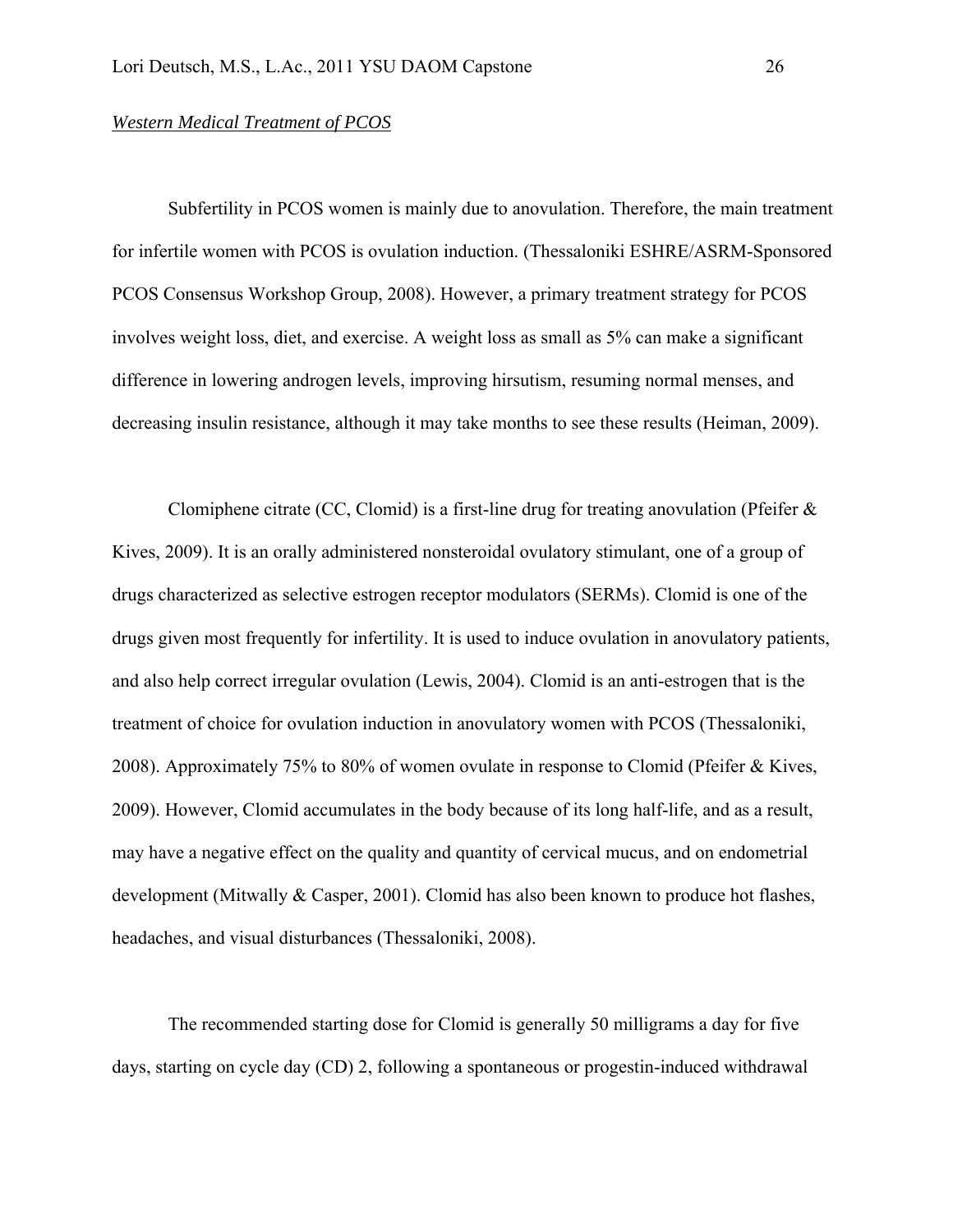# *Western Medical Treatment of PCOS*

Subfertility in PCOS women is mainly due to anovulation. Therefore, the main treatment for infertile women with PCOS is ovulation induction. (Thessaloniki ESHRE/ASRM-Sponsored PCOS Consensus Workshop Group, 2008). However, a primary treatment strategy for PCOS involves weight loss, diet, and exercise. A weight loss as small as 5% can make a significant difference in lowering androgen levels, improving hirsutism, resuming normal menses, and decreasing insulin resistance, although it may take months to see these results (Heiman, 2009).

Clomiphene citrate (CC, Clomid) is a first-line drug for treating anovulation (Pfeifer  $\&$ Kives, 2009). It is an orally administered nonsteroidal ovulatory stimulant, one of a group of drugs characterized as selective estrogen receptor modulators (SERMs). Clomid is one of the drugs given most frequently for infertility. It is used to induce ovulation in anovulatory patients, and also help correct irregular ovulation (Lewis, 2004). Clomid is an anti-estrogen that is the treatment of choice for ovulation induction in anovulatory women with PCOS (Thessaloniki, 2008). Approximately 75% to 80% of women ovulate in response to Clomid (Pfeifer & Kives, 2009). However, Clomid accumulates in the body because of its long half-life, and as a result, may have a negative effect on the quality and quantity of cervical mucus, and on endometrial development (Mitwally & Casper, 2001). Clomid has also been known to produce hot flashes, headaches, and visual disturbances (Thessaloniki, 2008).

The recommended starting dose for Clomid is generally 50 milligrams a day for five days, starting on cycle day (CD) 2, following a spontaneous or progestin-induced withdrawal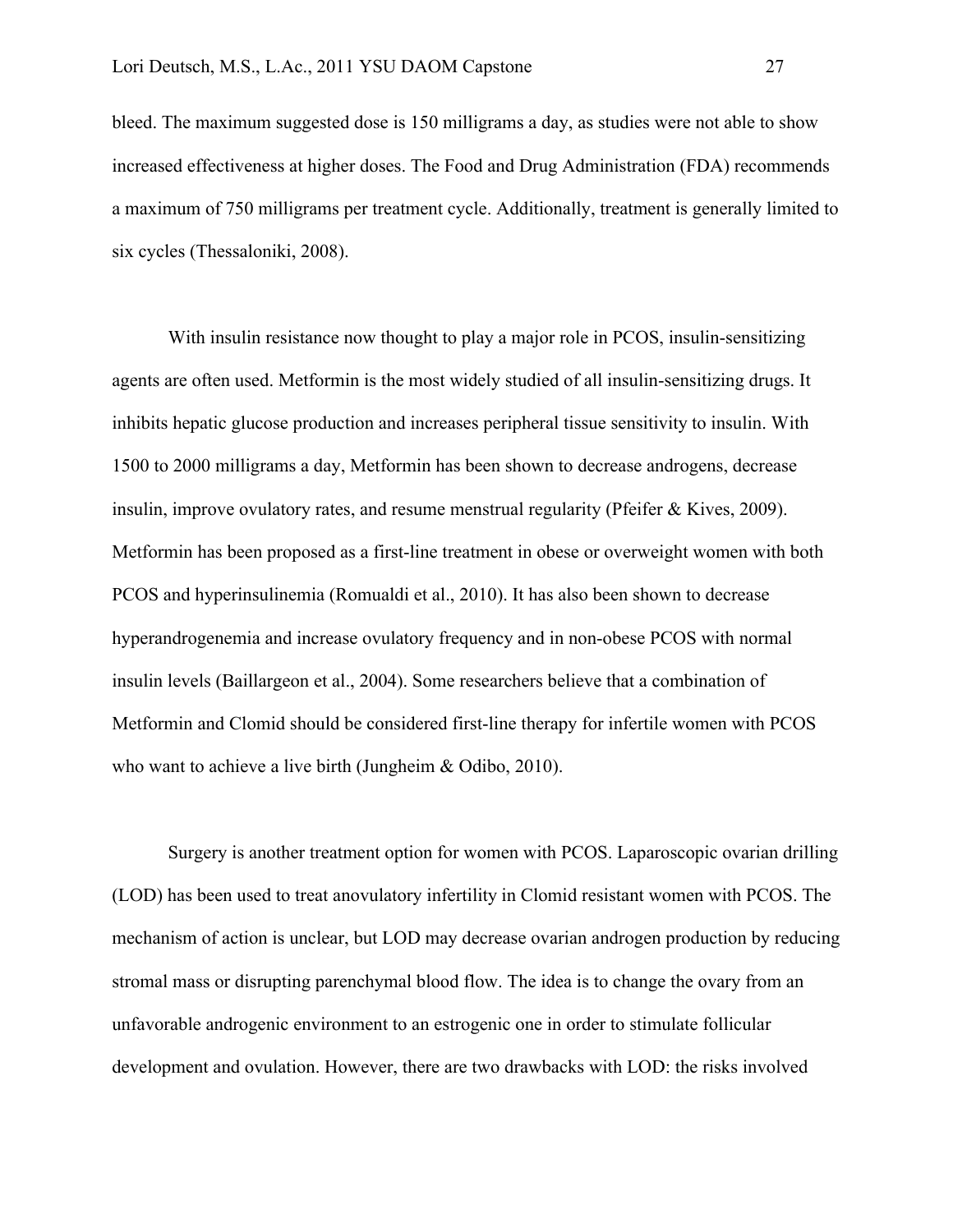bleed. The maximum suggested dose is 150 milligrams a day, as studies were not able to show increased effectiveness at higher doses. The Food and Drug Administration (FDA) recommends a maximum of 750 milligrams per treatment cycle. Additionally, treatment is generally limited to six cycles (Thessaloniki, 2008).

With insulin resistance now thought to play a major role in PCOS, insulin-sensitizing agents are often used. Metformin is the most widely studied of all insulin-sensitizing drugs. It inhibits hepatic glucose production and increases peripheral tissue sensitivity to insulin. With 1500 to 2000 milligrams a day, Metformin has been shown to decrease androgens, decrease insulin, improve ovulatory rates, and resume menstrual regularity (Pfeifer & Kives, 2009). Metformin has been proposed as a first-line treatment in obese or overweight women with both PCOS and hyperinsulinemia (Romualdi et al., 2010). It has also been shown to decrease hyperandrogenemia and increase ovulatory frequency and in non-obese PCOS with normal insulin levels (Baillargeon et al., 2004). Some researchers believe that a combination of Metformin and Clomid should be considered first-line therapy for infertile women with PCOS who want to achieve a live birth (Jungheim & Odibo, 2010).

Surgery is another treatment option for women with PCOS. Laparoscopic ovarian drilling (LOD) has been used to treat anovulatory infertility in Clomid resistant women with PCOS. The mechanism of action is unclear, but LOD may decrease ovarian androgen production by reducing stromal mass or disrupting parenchymal blood flow. The idea is to change the ovary from an unfavorable androgenic environment to an estrogenic one in order to stimulate follicular development and ovulation. However, there are two drawbacks with LOD: the risks involved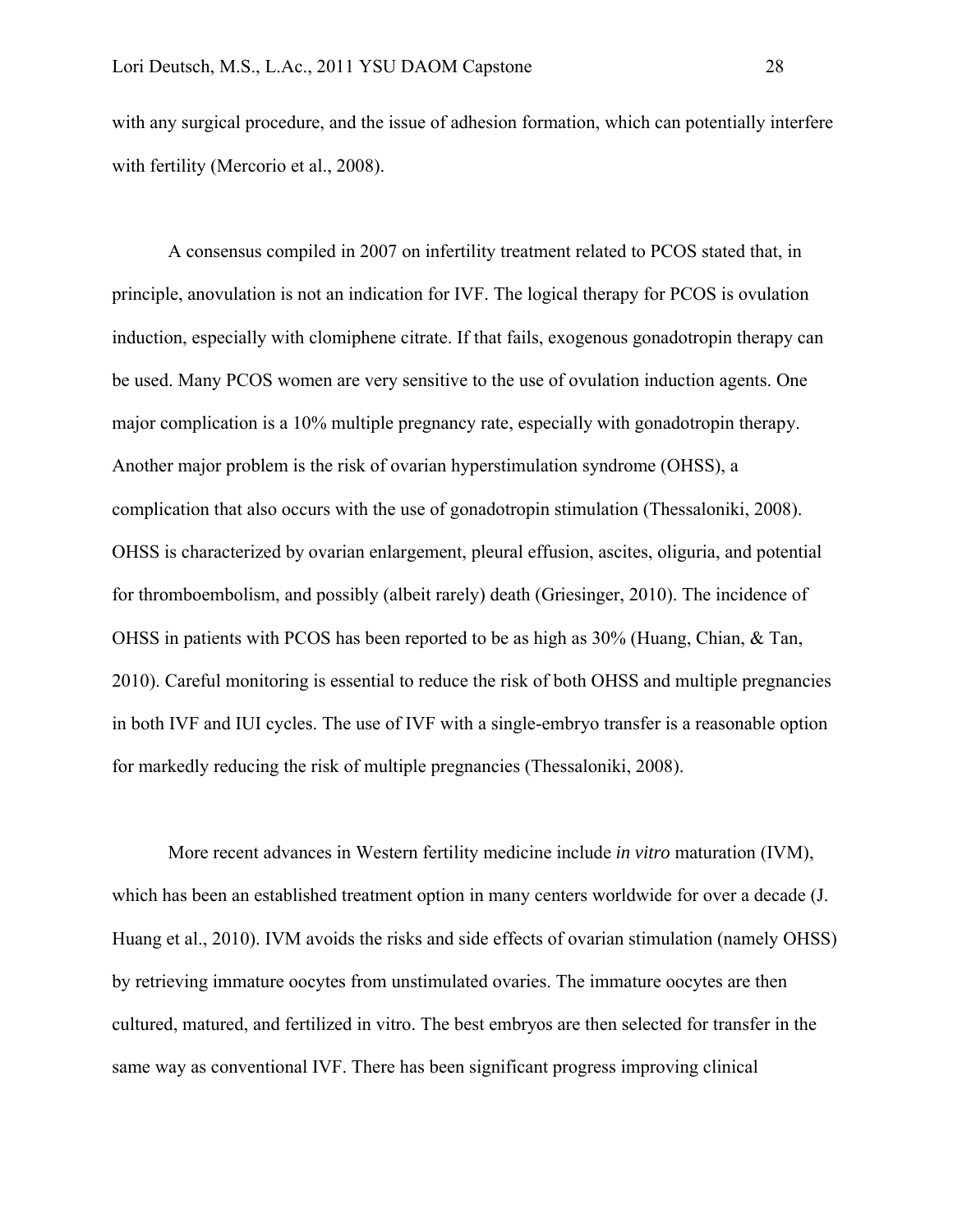with any surgical procedure, and the issue of adhesion formation, which can potentially interfere with fertility (Mercorio et al., 2008).

A consensus compiled in 2007 on infertility treatment related to PCOS stated that, in principle, anovulation is not an indication for IVF. The logical therapy for PCOS is ovulation induction, especially with clomiphene citrate. If that fails, exogenous gonadotropin therapy can be used. Many PCOS women are very sensitive to the use of ovulation induction agents. One major complication is a 10% multiple pregnancy rate, especially with gonadotropin therapy. Another major problem is the risk of ovarian hyperstimulation syndrome (OHSS), a complication that also occurs with the use of gonadotropin stimulation (Thessaloniki, 2008). OHSS is characterized by ovarian enlargement, pleural effusion, ascites, oliguria, and potential for thromboembolism, and possibly (albeit rarely) death (Griesinger, 2010). The incidence of OHSS in patients with PCOS has been reported to be as high as 30% (Huang, Chian, & Tan, 2010). Careful monitoring is essential to reduce the risk of both OHSS and multiple pregnancies in both IVF and IUI cycles. The use of IVF with a single-embryo transfer is a reasonable option for markedly reducing the risk of multiple pregnancies (Thessaloniki, 2008).

More recent advances in Western fertility medicine include *in vitro* maturation (IVM), which has been an established treatment option in many centers worldwide for over a decade (J. Huang et al., 2010). IVM avoids the risks and side effects of ovarian stimulation (namely OHSS) by retrieving immature oocytes from unstimulated ovaries. The immature oocytes are then cultured, matured, and fertilized in vitro. The best embryos are then selected for transfer in the same way as conventional IVF. There has been significant progress improving clinical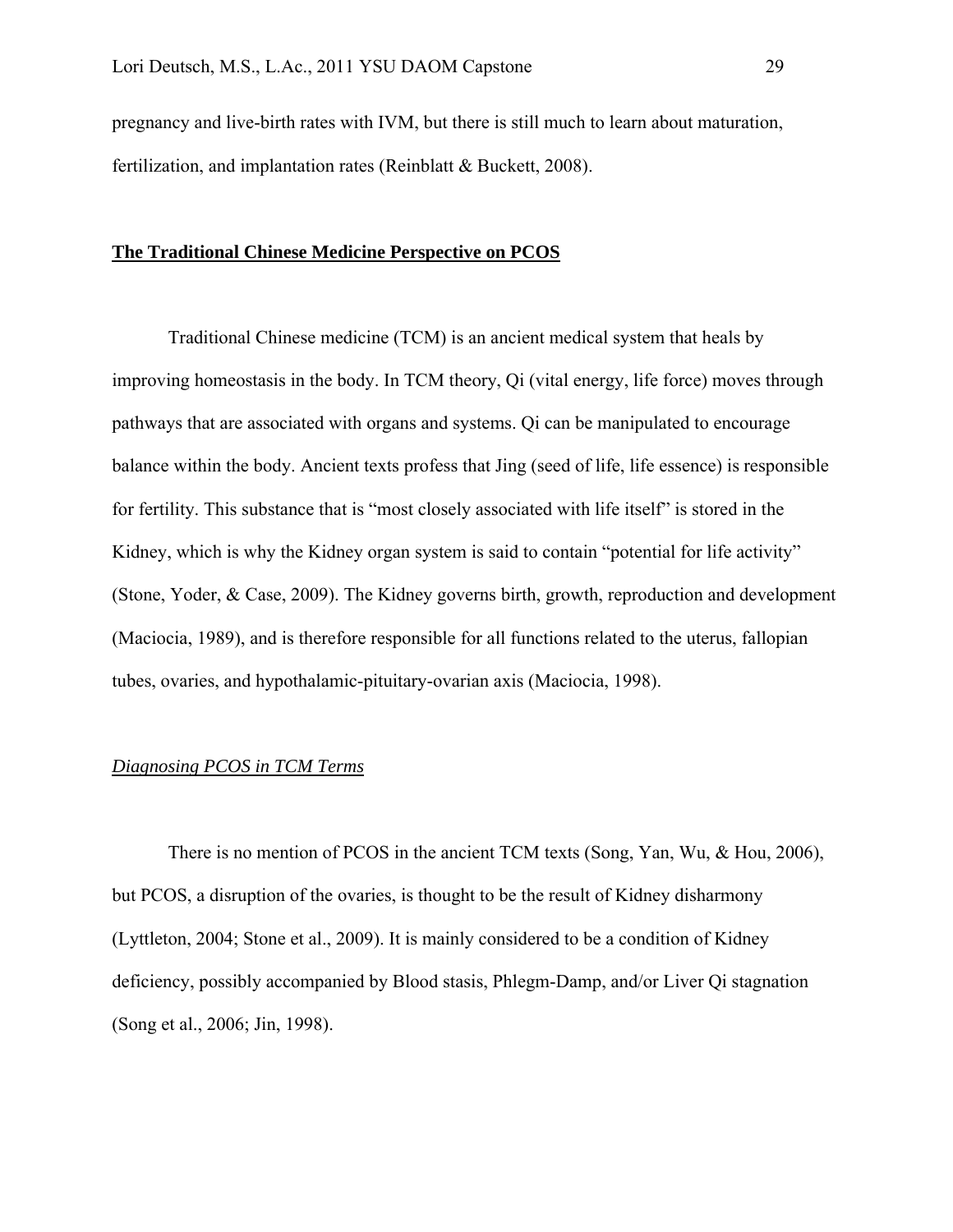pregnancy and live-birth rates with IVM, but there is still much to learn about maturation, fertilization, and implantation rates (Reinblatt & Buckett, 2008).

# **The Traditional Chinese Medicine Perspective on PCOS**

Traditional Chinese medicine (TCM) is an ancient medical system that heals by improving homeostasis in the body. In TCM theory, Qi (vital energy, life force) moves through pathways that are associated with organs and systems. Qi can be manipulated to encourage balance within the body. Ancient texts profess that Jing (seed of life, life essence) is responsible for fertility. This substance that is "most closely associated with life itself" is stored in the Kidney, which is why the Kidney organ system is said to contain "potential for life activity" (Stone, Yoder, & Case, 2009). The Kidney governs birth, growth, reproduction and development (Maciocia, 1989), and is therefore responsible for all functions related to the uterus, fallopian tubes, ovaries, and hypothalamic-pituitary-ovarian axis (Maciocia, 1998).

# *Diagnosing PCOS in TCM Terms*

There is no mention of PCOS in the ancient TCM texts (Song, Yan, Wu, & Hou, 2006), but PCOS, a disruption of the ovaries, is thought to be the result of Kidney disharmony (Lyttleton, 2004; Stone et al., 2009). It is mainly considered to be a condition of Kidney deficiency, possibly accompanied by Blood stasis, Phlegm-Damp, and/or Liver Qi stagnation (Song et al., 2006; Jin, 1998).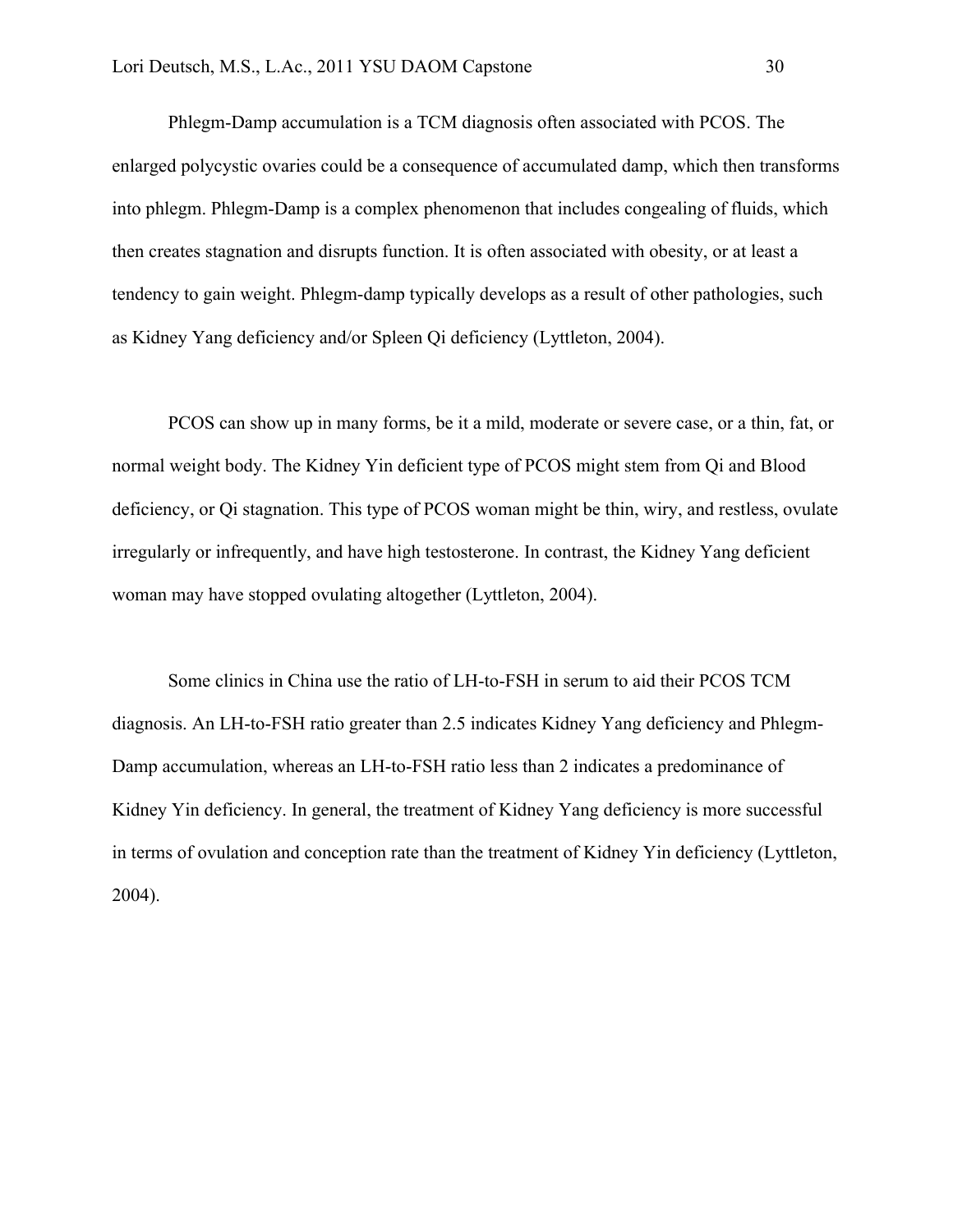Phlegm-Damp accumulation is a TCM diagnosis often associated with PCOS. The enlarged polycystic ovaries could be a consequence of accumulated damp, which then transforms into phlegm. Phlegm-Damp is a complex phenomenon that includes congealing of fluids, which then creates stagnation and disrupts function. It is often associated with obesity, or at least a tendency to gain weight. Phlegm-damp typically develops as a result of other pathologies, such as Kidney Yang deficiency and/or Spleen Qi deficiency (Lyttleton, 2004).

PCOS can show up in many forms, be it a mild, moderate or severe case, or a thin, fat, or normal weight body. The Kidney Yin deficient type of PCOS might stem from Qi and Blood deficiency, or Qi stagnation. This type of PCOS woman might be thin, wiry, and restless, ovulate irregularly or infrequently, and have high testosterone. In contrast, the Kidney Yang deficient woman may have stopped ovulating altogether (Lyttleton, 2004).

Some clinics in China use the ratio of LH-to-FSH in serum to aid their PCOS TCM diagnosis. An LH-to-FSH ratio greater than 2.5 indicates Kidney Yang deficiency and Phlegm-Damp accumulation, whereas an LH-to-FSH ratio less than 2 indicates a predominance of Kidney Yin deficiency. In general, the treatment of Kidney Yang deficiency is more successful in terms of ovulation and conception rate than the treatment of Kidney Yin deficiency (Lyttleton, 2004).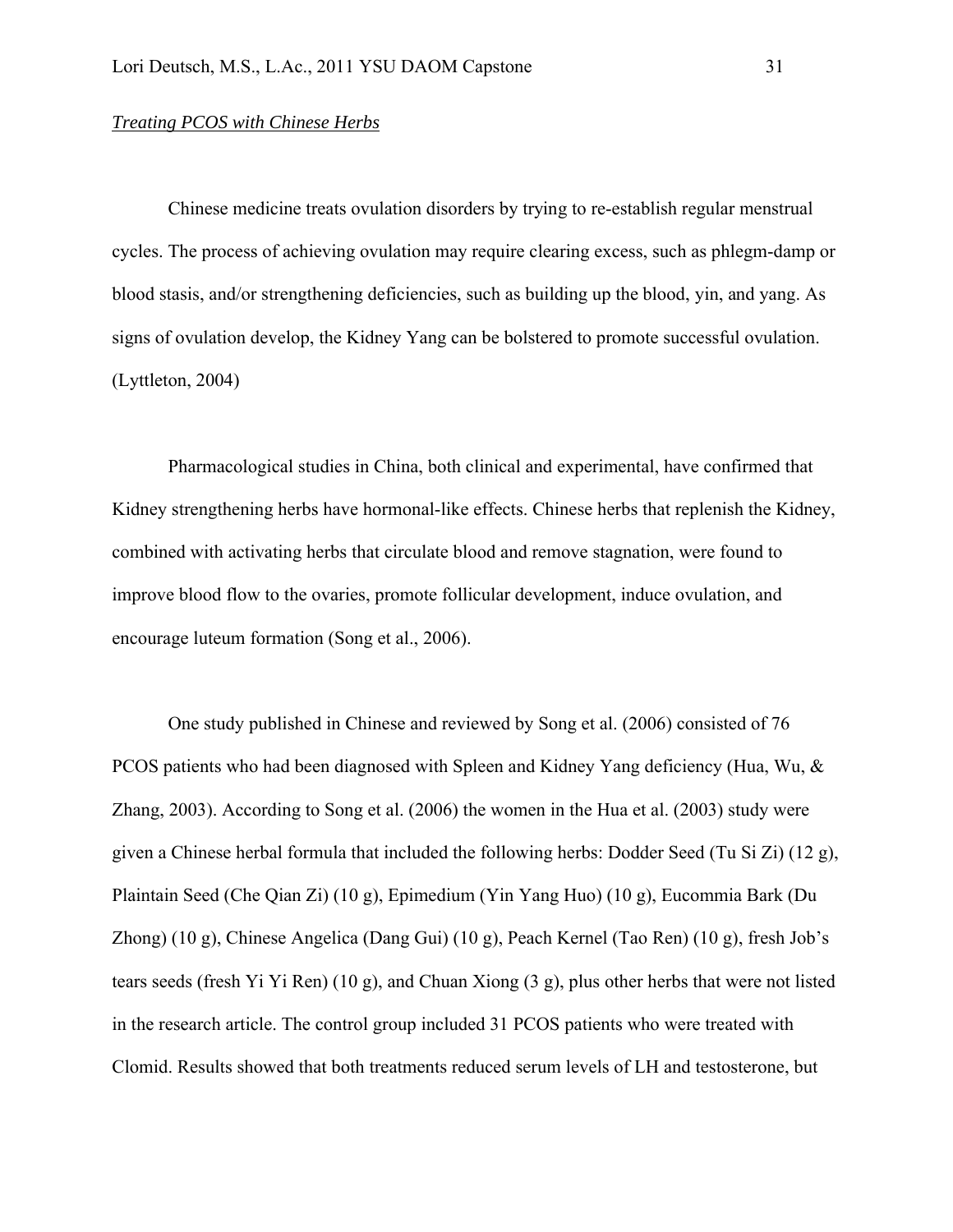# *Treating PCOS with Chinese Herbs*

Chinese medicine treats ovulation disorders by trying to re-establish regular menstrual cycles. The process of achieving ovulation may require clearing excess, such as phlegm-damp or blood stasis, and/or strengthening deficiencies, such as building up the blood, yin, and yang. As signs of ovulation develop, the Kidney Yang can be bolstered to promote successful ovulation. (Lyttleton, 2004)

Pharmacological studies in China, both clinical and experimental, have confirmed that Kidney strengthening herbs have hormonal-like effects. Chinese herbs that replenish the Kidney, combined with activating herbs that circulate blood and remove stagnation, were found to improve blood flow to the ovaries, promote follicular development, induce ovulation, and encourage luteum formation (Song et al., 2006).

One study published in Chinese and reviewed by Song et al. (2006) consisted of 76 PCOS patients who had been diagnosed with Spleen and Kidney Yang deficiency (Hua, Wu, & Zhang, 2003). According to Song et al. (2006) the women in the Hua et al. (2003) study were given a Chinese herbal formula that included the following herbs: Dodder Seed (Tu Si Zi) (12 g), Plaintain Seed (Che Qian Zi) (10 g), Epimedium (Yin Yang Huo) (10 g), Eucommia Bark (Du Zhong) (10 g), Chinese Angelica (Dang Gui) (10 g), Peach Kernel (Tao Ren) (10 g), fresh Job's tears seeds (fresh Yi Yi Ren) (10 g), and Chuan Xiong (3 g), plus other herbs that were not listed in the research article. The control group included 31 PCOS patients who were treated with Clomid. Results showed that both treatments reduced serum levels of LH and testosterone, but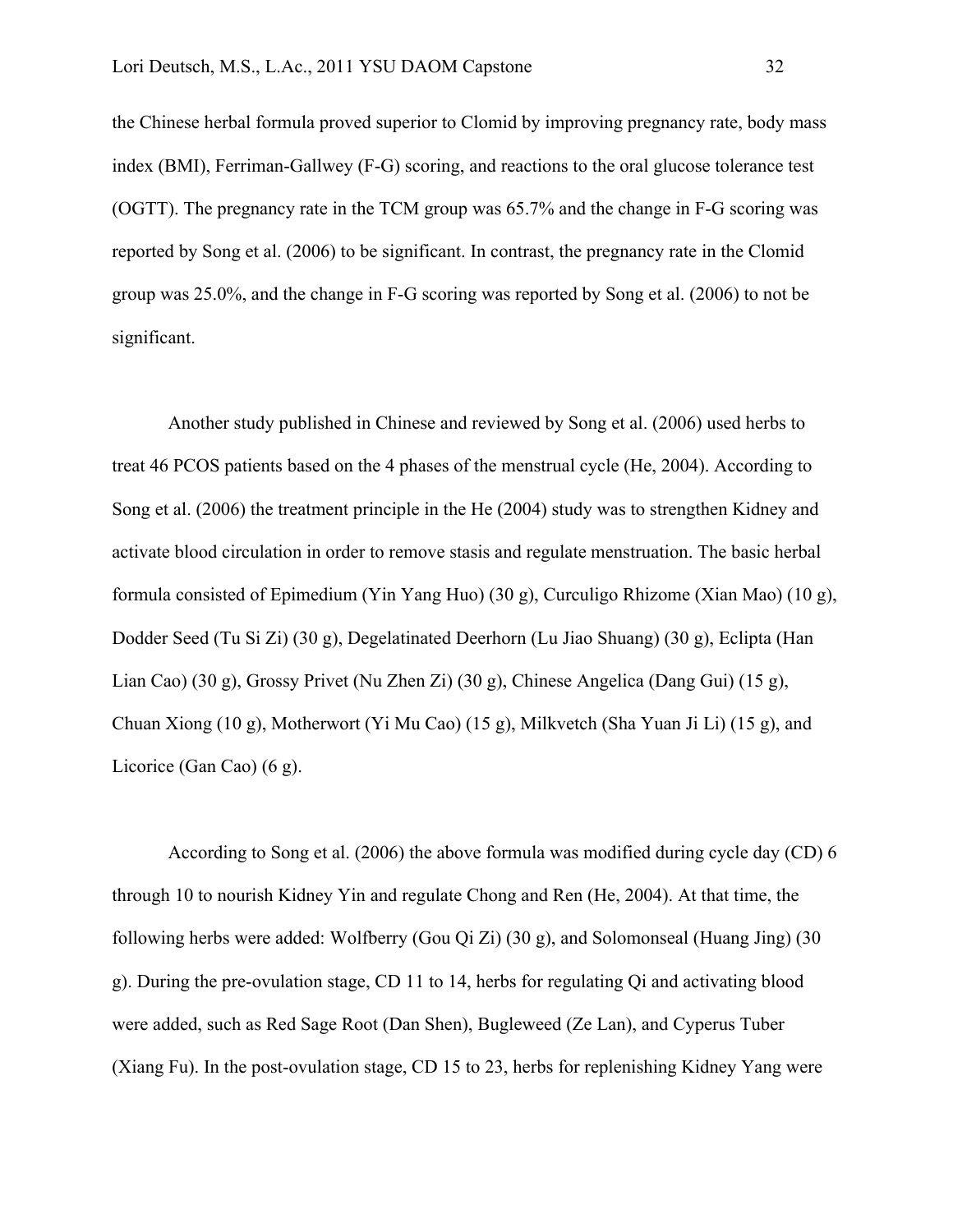the Chinese herbal formula proved superior to Clomid by improving pregnancy rate, body mass index (BMI), Ferriman-Gallwey (F-G) scoring, and reactions to the oral glucose tolerance test (OGTT). The pregnancy rate in the TCM group was 65.7% and the change in F-G scoring was reported by Song et al. (2006) to be significant. In contrast, the pregnancy rate in the Clomid group was 25.0%, and the change in F-G scoring was reported by Song et al. (2006) to not be significant.

Another study published in Chinese and reviewed by Song et al. (2006) used herbs to treat 46 PCOS patients based on the 4 phases of the menstrual cycle (He, 2004). According to Song et al. (2006) the treatment principle in the He (2004) study was to strengthen Kidney and activate blood circulation in order to remove stasis and regulate menstruation. The basic herbal formula consisted of Epimedium (Yin Yang Huo) (30 g), Curculigo Rhizome (Xian Mao) (10 g), Dodder Seed (Tu Si Zi) (30 g), Degelatinated Deerhorn (Lu Jiao Shuang) (30 g), Eclipta (Han Lian Cao) (30 g), Grossy Privet (Nu Zhen Zi) (30 g), Chinese Angelica (Dang Gui) (15 g), Chuan Xiong (10 g), Motherwort (Yi Mu Cao) (15 g), Milkvetch (Sha Yuan Ji Li) (15 g), and Licorice (Gan Cao) (6 g).

According to Song et al. (2006) the above formula was modified during cycle day (CD) 6 through 10 to nourish Kidney Yin and regulate Chong and Ren (He, 2004). At that time, the following herbs were added: Wolfberry (Gou Qi Zi) (30 g), and Solomonseal (Huang Jing) (30 g). During the pre-ovulation stage, CD 11 to 14, herbs for regulating Qi and activating blood were added, such as Red Sage Root (Dan Shen), Bugleweed (Ze Lan), and Cyperus Tuber (Xiang Fu). In the post-ovulation stage, CD 15 to 23, herbs for replenishing Kidney Yang were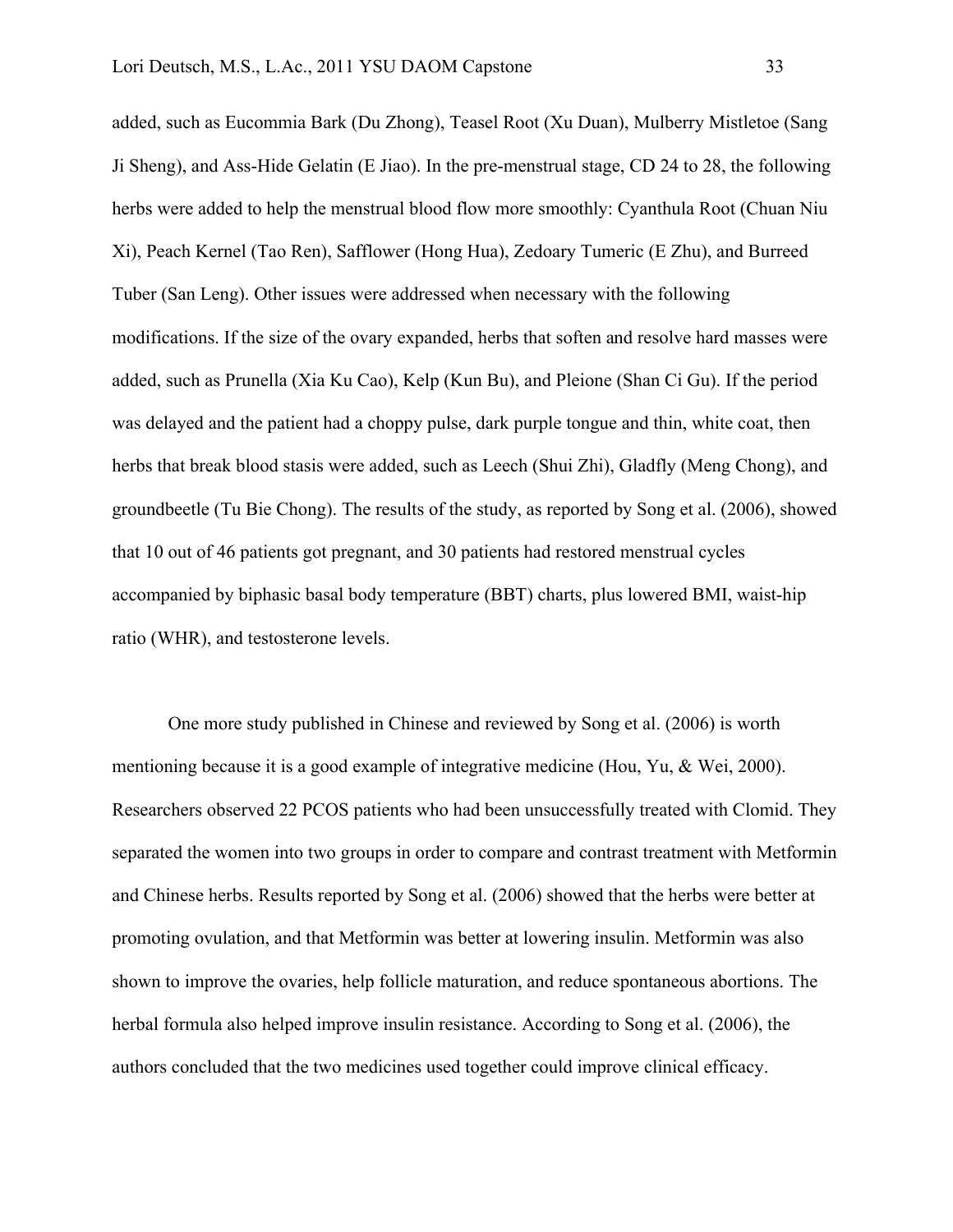added, such as Eucommia Bark (Du Zhong), Teasel Root (Xu Duan), Mulberry Mistletoe (Sang Ji Sheng), and Ass-Hide Gelatin (E Jiao). In the pre-menstrual stage, CD 24 to 28, the following herbs were added to help the menstrual blood flow more smoothly: Cyanthula Root (Chuan Niu Xi), Peach Kernel (Tao Ren), Safflower (Hong Hua), Zedoary Tumeric (E Zhu), and Burreed Tuber (San Leng). Other issues were addressed when necessary with the following modifications. If the size of the ovary expanded, herbs that soften and resolve hard masses were added, such as Prunella (Xia Ku Cao), Kelp (Kun Bu), and Pleione (Shan Ci Gu). If the period was delayed and the patient had a choppy pulse, dark purple tongue and thin, white coat, then herbs that break blood stasis were added, such as Leech (Shui Zhi), Gladfly (Meng Chong), and groundbeetle (Tu Bie Chong). The results of the study, as reported by Song et al. (2006), showed that 10 out of 46 patients got pregnant, and 30 patients had restored menstrual cycles accompanied by biphasic basal body temperature (BBT) charts, plus lowered BMI, waist-hip ratio (WHR), and testosterone levels.

One more study published in Chinese and reviewed by Song et al. (2006) is worth mentioning because it is a good example of integrative medicine (Hou, Yu, & Wei, 2000). Researchers observed 22 PCOS patients who had been unsuccessfully treated with Clomid. They separated the women into two groups in order to compare and contrast treatment with Metformin and Chinese herbs. Results reported by Song et al. (2006) showed that the herbs were better at promoting ovulation, and that Metformin was better at lowering insulin. Metformin was also shown to improve the ovaries, help follicle maturation, and reduce spontaneous abortions. The herbal formula also helped improve insulin resistance. According to Song et al. (2006), the authors concluded that the two medicines used together could improve clinical efficacy.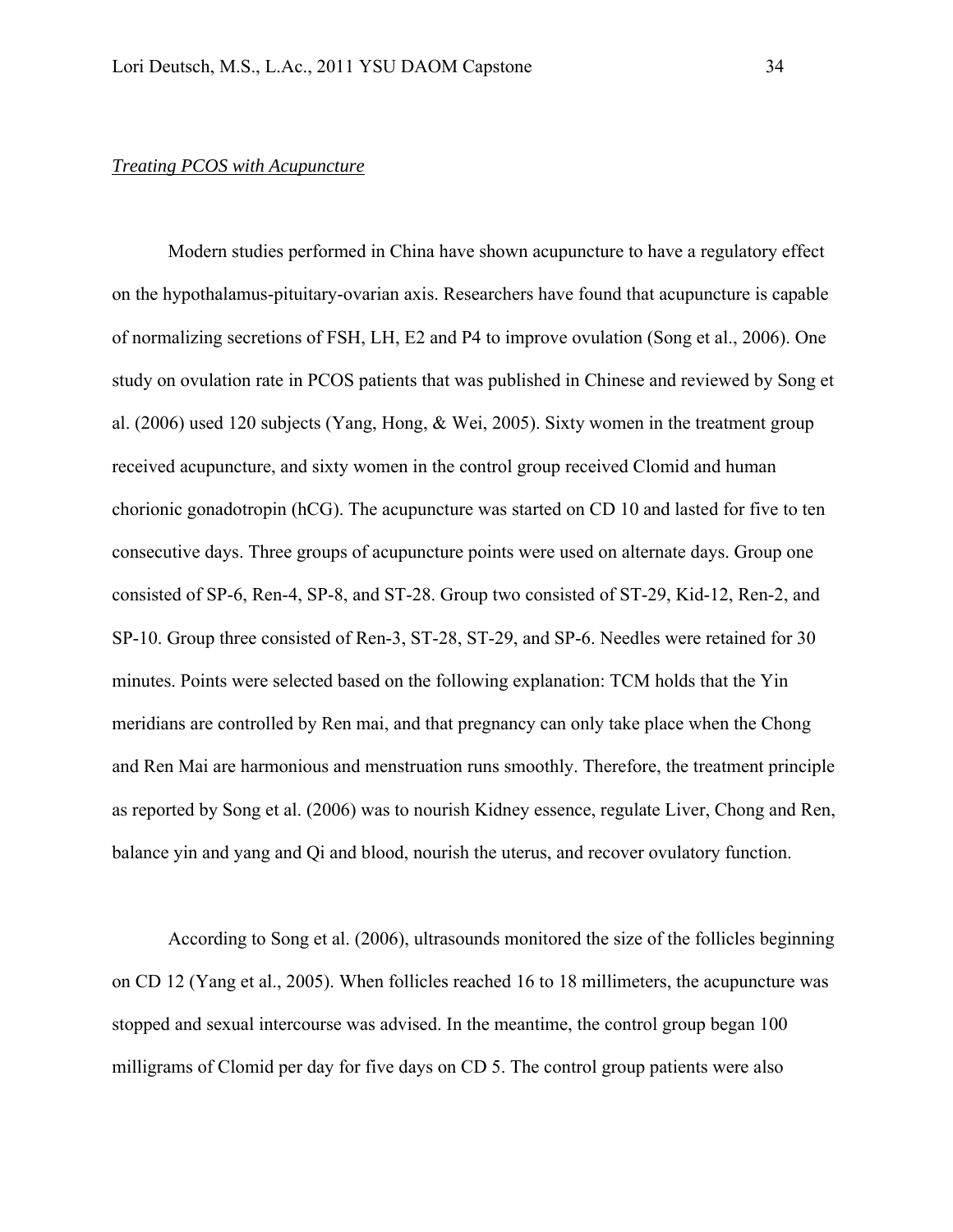# *Treating PCOS with Acupuncture*

Modern studies performed in China have shown acupuncture to have a regulatory effect on the hypothalamus-pituitary-ovarian axis. Researchers have found that acupuncture is capable of normalizing secretions of FSH, LH, E2 and P4 to improve ovulation (Song et al., 2006). One study on ovulation rate in PCOS patients that was published in Chinese and reviewed by Song et al. (2006) used 120 subjects (Yang, Hong, & Wei, 2005). Sixty women in the treatment group received acupuncture, and sixty women in the control group received Clomid and human chorionic gonadotropin (hCG). The acupuncture was started on CD 10 and lasted for five to ten consecutive days. Three groups of acupuncture points were used on alternate days. Group one consisted of SP-6, Ren-4, SP-8, and ST-28. Group two consisted of ST-29, Kid-12, Ren-2, and SP-10. Group three consisted of Ren-3, ST-28, ST-29, and SP-6. Needles were retained for 30 minutes. Points were selected based on the following explanation: TCM holds that the Yin meridians are controlled by Ren mai, and that pregnancy can only take place when the Chong and Ren Mai are harmonious and menstruation runs smoothly. Therefore, the treatment principle as reported by Song et al. (2006) was to nourish Kidney essence, regulate Liver, Chong and Ren, balance yin and yang and Qi and blood, nourish the uterus, and recover ovulatory function.

According to Song et al. (2006), ultrasounds monitored the size of the follicles beginning on CD 12 (Yang et al., 2005). When follicles reached 16 to 18 millimeters, the acupuncture was stopped and sexual intercourse was advised. In the meantime, the control group began 100 milligrams of Clomid per day for five days on CD 5. The control group patients were also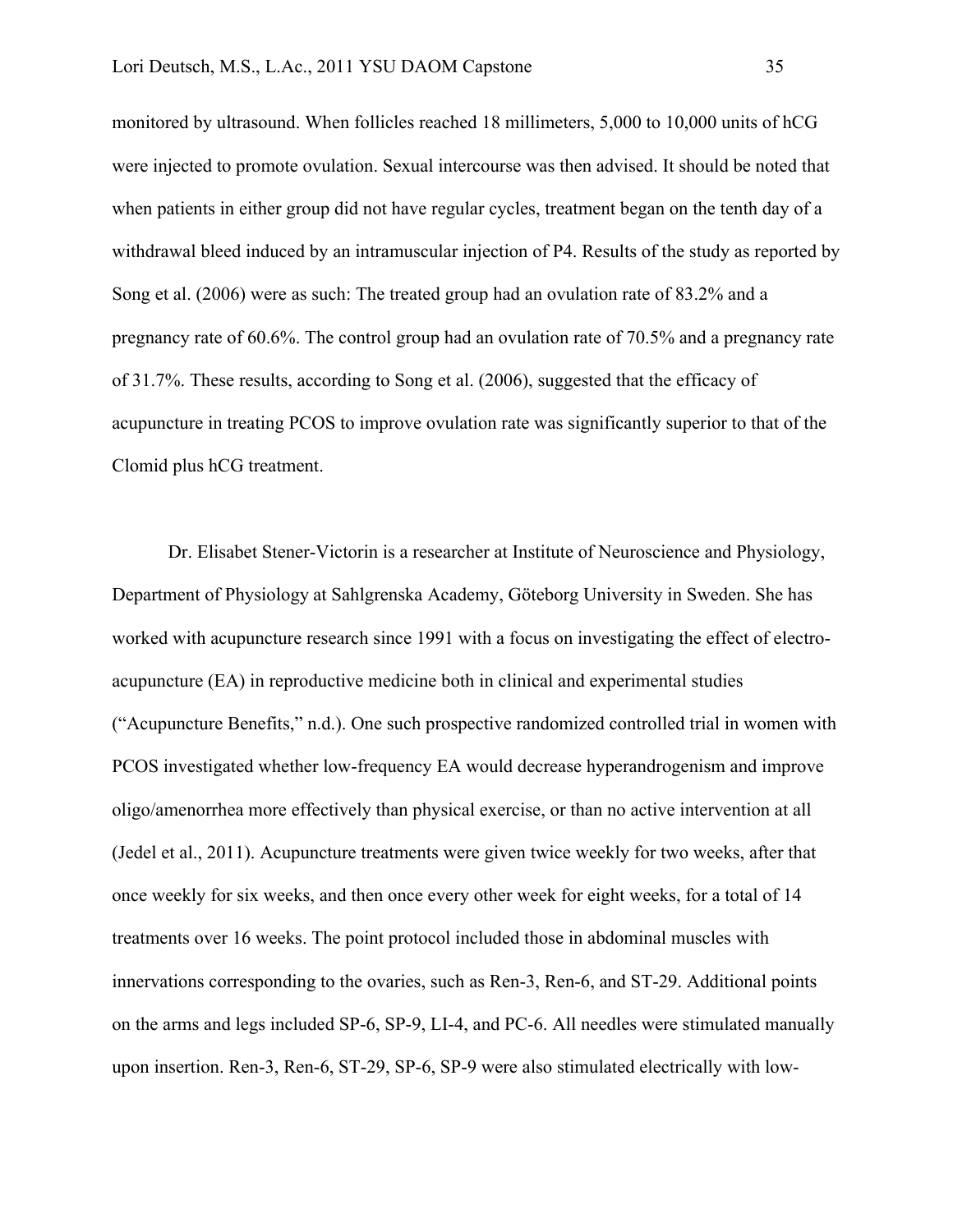monitored by ultrasound. When follicles reached 18 millimeters, 5,000 to 10,000 units of hCG were injected to promote ovulation. Sexual intercourse was then advised. It should be noted that when patients in either group did not have regular cycles, treatment began on the tenth day of a withdrawal bleed induced by an intramuscular injection of P4. Results of the study as reported by Song et al. (2006) were as such: The treated group had an ovulation rate of 83.2% and a pregnancy rate of 60.6%. The control group had an ovulation rate of 70.5% and a pregnancy rate of 31.7%. These results, according to Song et al. (2006), suggested that the efficacy of acupuncture in treating PCOS to improve ovulation rate was significantly superior to that of the Clomid plus hCG treatment.

Dr. Elisabet Stener-Victorin is a researcher at Institute of Neuroscience and Physiology, Department of Physiology at Sahlgrenska Academy, Göteborg University in Sweden. She has worked with acupuncture research since 1991 with a focus on investigating the effect of electroacupuncture (EA) in reproductive medicine both in clinical and experimental studies ("Acupuncture Benefits," n.d.). One such prospective randomized controlled trial in women with PCOS investigated whether low-frequency EA would decrease hyperandrogenism and improve oligo/amenorrhea more effectively than physical exercise, or than no active intervention at all (Jedel et al., 2011). Acupuncture treatments were given twice weekly for two weeks, after that once weekly for six weeks, and then once every other week for eight weeks, for a total of 14 treatments over 16 weeks. The point protocol included those in abdominal muscles with innervations corresponding to the ovaries, such as Ren-3, Ren-6, and ST-29. Additional points on the arms and legs included SP-6, SP-9, LI-4, and PC-6. All needles were stimulated manually upon insertion. Ren-3, Ren-6, ST-29, SP-6, SP-9 were also stimulated electrically with low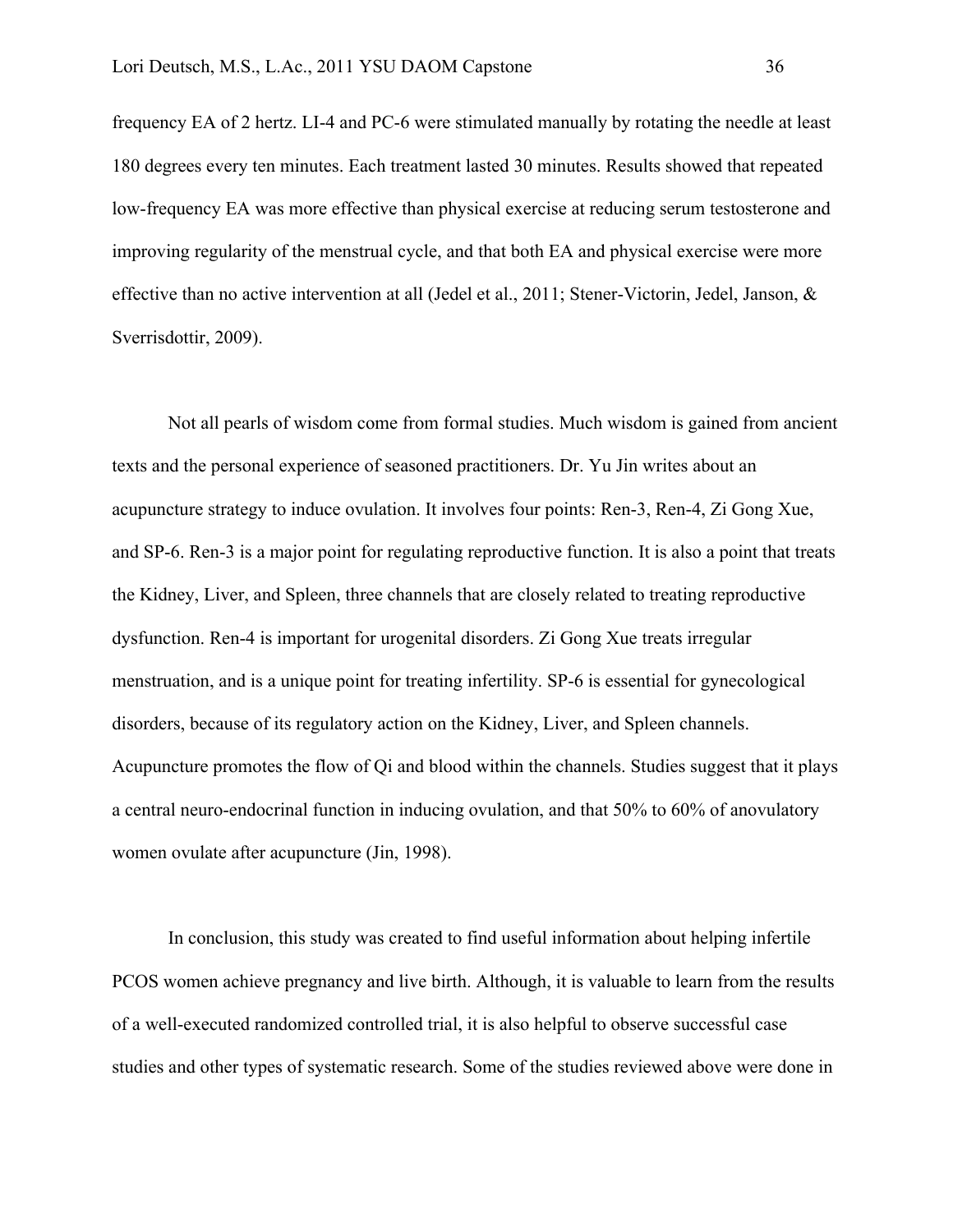frequency EA of 2 hertz. LI-4 and PC-6 were stimulated manually by rotating the needle at least 180 degrees every ten minutes. Each treatment lasted 30 minutes. Results showed that repeated low-frequency EA was more effective than physical exercise at reducing serum testosterone and improving regularity of the menstrual cycle, and that both EA and physical exercise were more effective than no active intervention at all (Jedel et al., 2011; Stener-Victorin, Jedel, Janson, & Sverrisdottir, 2009).

Not all pearls of wisdom come from formal studies. Much wisdom is gained from ancient texts and the personal experience of seasoned practitioners. Dr. Yu Jin writes about an acupuncture strategy to induce ovulation. It involves four points: Ren-3, Ren-4, Zi Gong Xue, and SP-6. Ren-3 is a major point for regulating reproductive function. It is also a point that treats the Kidney, Liver, and Spleen, three channels that are closely related to treating reproductive dysfunction. Ren-4 is important for urogenital disorders. Zi Gong Xue treats irregular menstruation, and is a unique point for treating infertility. SP-6 is essential for gynecological disorders, because of its regulatory action on the Kidney, Liver, and Spleen channels. Acupuncture promotes the flow of Qi and blood within the channels. Studies suggest that it plays a central neuro-endocrinal function in inducing ovulation, and that 50% to 60% of anovulatory women ovulate after acupuncture (Jin, 1998).

In conclusion, this study was created to find useful information about helping infertile PCOS women achieve pregnancy and live birth. Although, it is valuable to learn from the results of a well-executed randomized controlled trial, it is also helpful to observe successful case studies and other types of systematic research. Some of the studies reviewed above were done in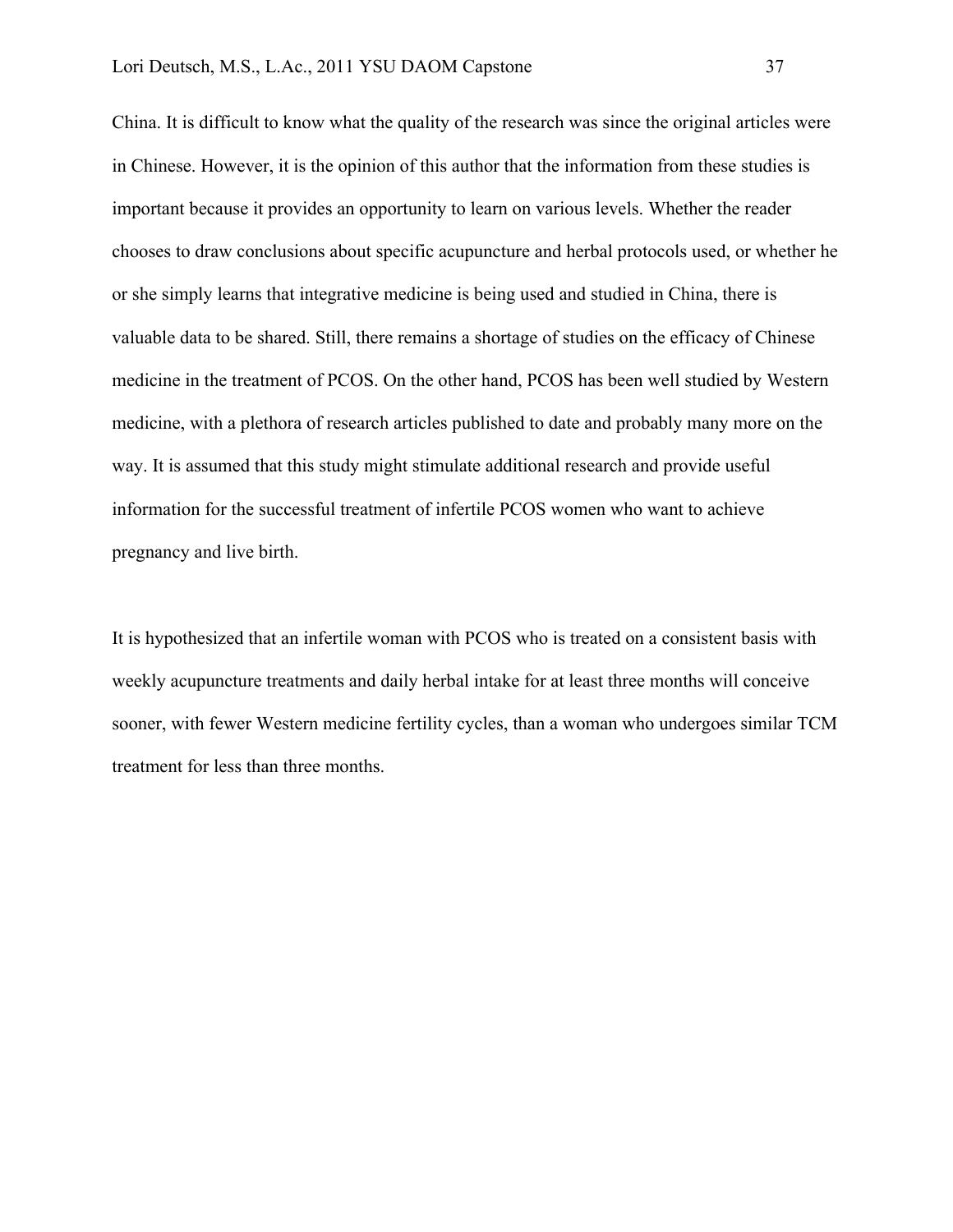China. It is difficult to know what the quality of the research was since the original articles were in Chinese. However, it is the opinion of this author that the information from these studies is important because it provides an opportunity to learn on various levels. Whether the reader chooses to draw conclusions about specific acupuncture and herbal protocols used, or whether he or she simply learns that integrative medicine is being used and studied in China, there is valuable data to be shared. Still, there remains a shortage of studies on the efficacy of Chinese medicine in the treatment of PCOS. On the other hand, PCOS has been well studied by Western medicine, with a plethora of research articles published to date and probably many more on the way. It is assumed that this study might stimulate additional research and provide useful information for the successful treatment of infertile PCOS women who want to achieve pregnancy and live birth.

It is hypothesized that an infertile woman with PCOS who is treated on a consistent basis with weekly acupuncture treatments and daily herbal intake for at least three months will conceive sooner, with fewer Western medicine fertility cycles, than a woman who undergoes similar TCM treatment for less than three months.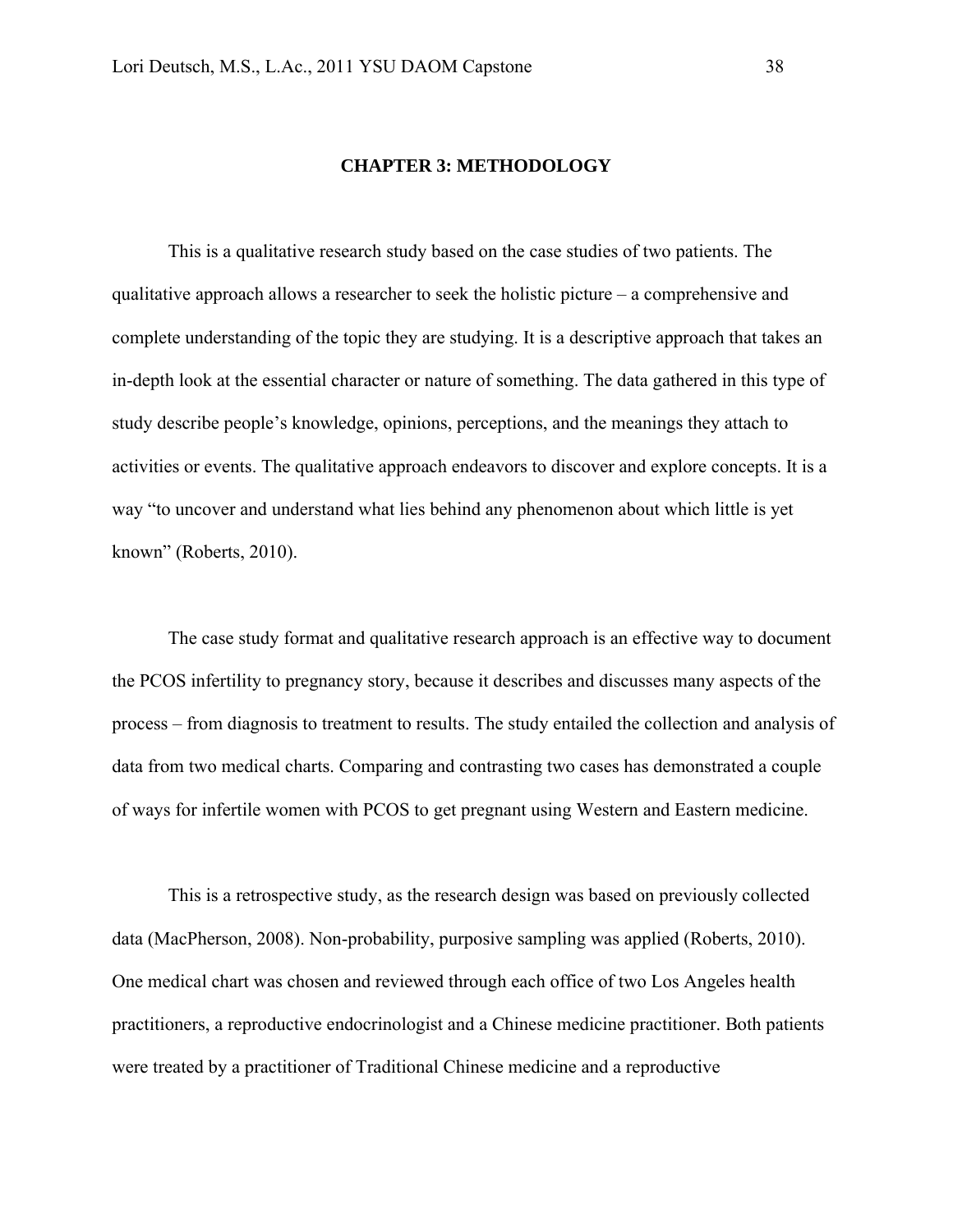#### **CHAPTER 3: METHODOLOGY**

This is a qualitative research study based on the case studies of two patients. The qualitative approach allows a researcher to seek the holistic picture – a comprehensive and complete understanding of the topic they are studying. It is a descriptive approach that takes an in-depth look at the essential character or nature of something. The data gathered in this type of study describe people's knowledge, opinions, perceptions, and the meanings they attach to activities or events. The qualitative approach endeavors to discover and explore concepts. It is a way "to uncover and understand what lies behind any phenomenon about which little is yet known" (Roberts, 2010).

The case study format and qualitative research approach is an effective way to document the PCOS infertility to pregnancy story, because it describes and discusses many aspects of the process – from diagnosis to treatment to results. The study entailed the collection and analysis of data from two medical charts. Comparing and contrasting two cases has demonstrated a couple of ways for infertile women with PCOS to get pregnant using Western and Eastern medicine.

This is a retrospective study, as the research design was based on previously collected data (MacPherson, 2008). Non-probability, purposive sampling was applied (Roberts, 2010). One medical chart was chosen and reviewed through each office of two Los Angeles health practitioners, a reproductive endocrinologist and a Chinese medicine practitioner. Both patients were treated by a practitioner of Traditional Chinese medicine and a reproductive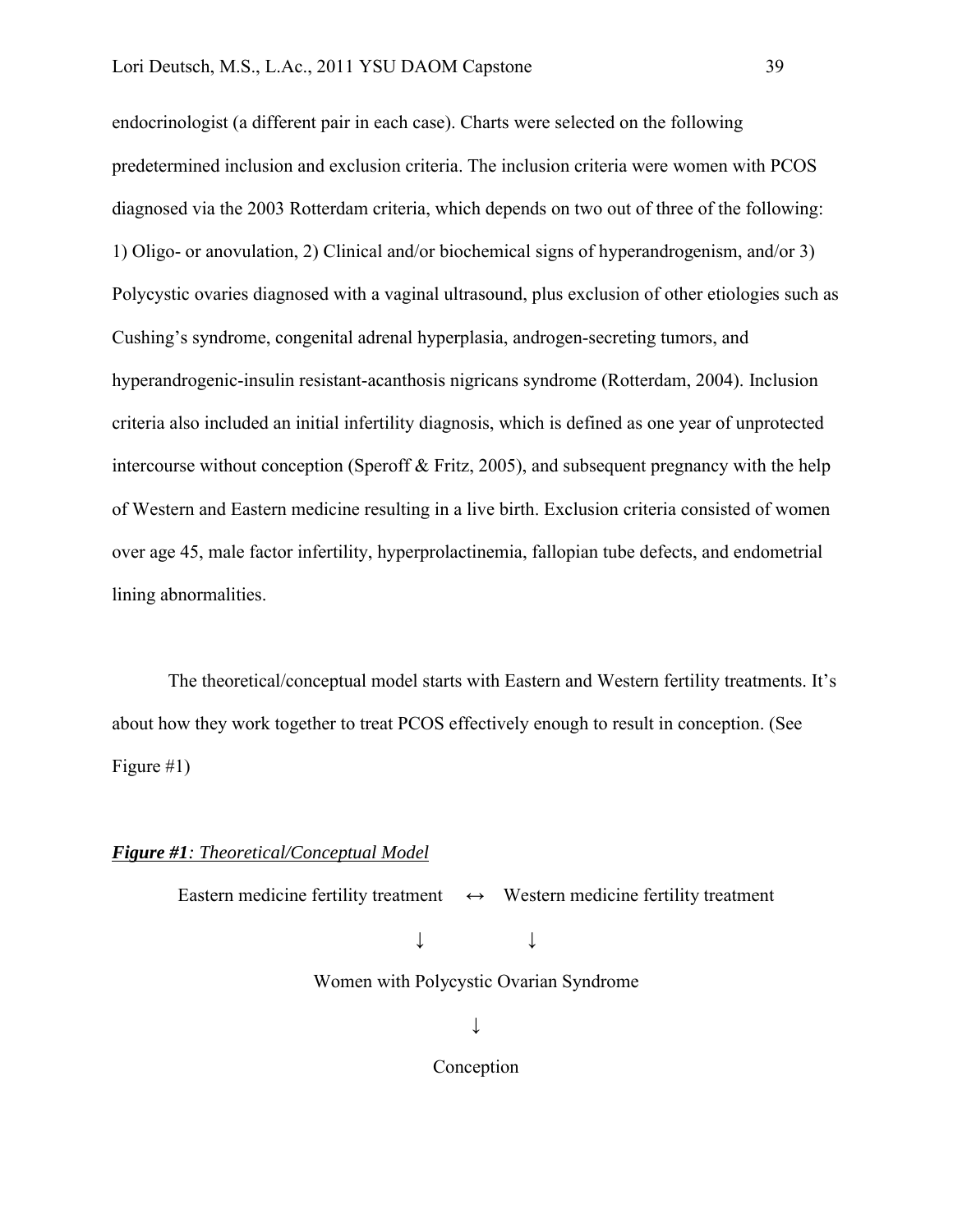endocrinologist (a different pair in each case). Charts were selected on the following predetermined inclusion and exclusion criteria. The inclusion criteria were women with PCOS diagnosed via the 2003 Rotterdam criteria, which depends on two out of three of the following: 1) Oligo- or anovulation, 2) Clinical and/or biochemical signs of hyperandrogenism, and/or 3) Polycystic ovaries diagnosed with a vaginal ultrasound, plus exclusion of other etiologies such as Cushing's syndrome, congenital adrenal hyperplasia, androgen-secreting tumors, and hyperandrogenic-insulin resistant-acanthosis nigricans syndrome (Rotterdam, 2004). Inclusion criteria also included an initial infertility diagnosis, which is defined as one year of unprotected intercourse without conception (Speroff & Fritz, 2005), and subsequent pregnancy with the help of Western and Eastern medicine resulting in a live birth. Exclusion criteria consisted of women over age 45, male factor infertility, hyperprolactinemia, fallopian tube defects, and endometrial lining abnormalities.

The theoretical/conceptual model starts with Eastern and Western fertility treatments. It's about how they work together to treat PCOS effectively enough to result in conception. (See Figure #1)

# *Figure #1: Theoretical/Conceptual Model*

Eastern medicine fertility treatment  $\leftrightarrow$  Western medicine fertility treatment

↓ ↓

Women with Polycystic Ovarian Syndrome

↓

Conception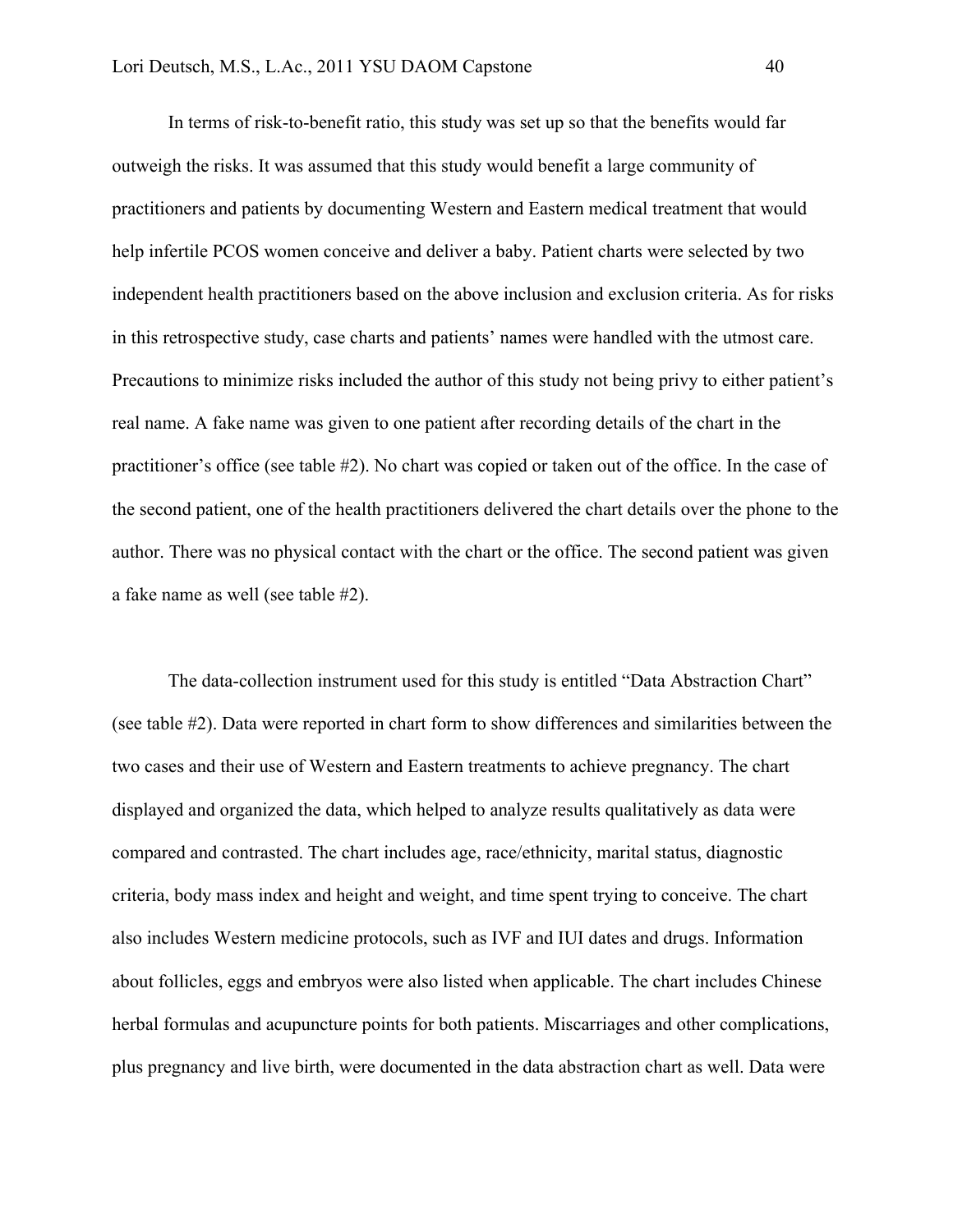In terms of risk-to-benefit ratio, this study was set up so that the benefits would far outweigh the risks. It was assumed that this study would benefit a large community of practitioners and patients by documenting Western and Eastern medical treatment that would help infertile PCOS women conceive and deliver a baby. Patient charts were selected by two independent health practitioners based on the above inclusion and exclusion criteria. As for risks in this retrospective study, case charts and patients' names were handled with the utmost care. Precautions to minimize risks included the author of this study not being privy to either patient's real name. A fake name was given to one patient after recording details of the chart in the practitioner's office (see table #2). No chart was copied or taken out of the office. In the case of the second patient, one of the health practitioners delivered the chart details over the phone to the author. There was no physical contact with the chart or the office. The second patient was given a fake name as well (see table #2).

The data-collection instrument used for this study is entitled "Data Abstraction Chart" (see table #2). Data were reported in chart form to show differences and similarities between the two cases and their use of Western and Eastern treatments to achieve pregnancy. The chart displayed and organized the data, which helped to analyze results qualitatively as data were compared and contrasted. The chart includes age, race/ethnicity, marital status, diagnostic criteria, body mass index and height and weight, and time spent trying to conceive. The chart also includes Western medicine protocols, such as IVF and IUI dates and drugs. Information about follicles, eggs and embryos were also listed when applicable. The chart includes Chinese herbal formulas and acupuncture points for both patients. Miscarriages and other complications, plus pregnancy and live birth, were documented in the data abstraction chart as well. Data were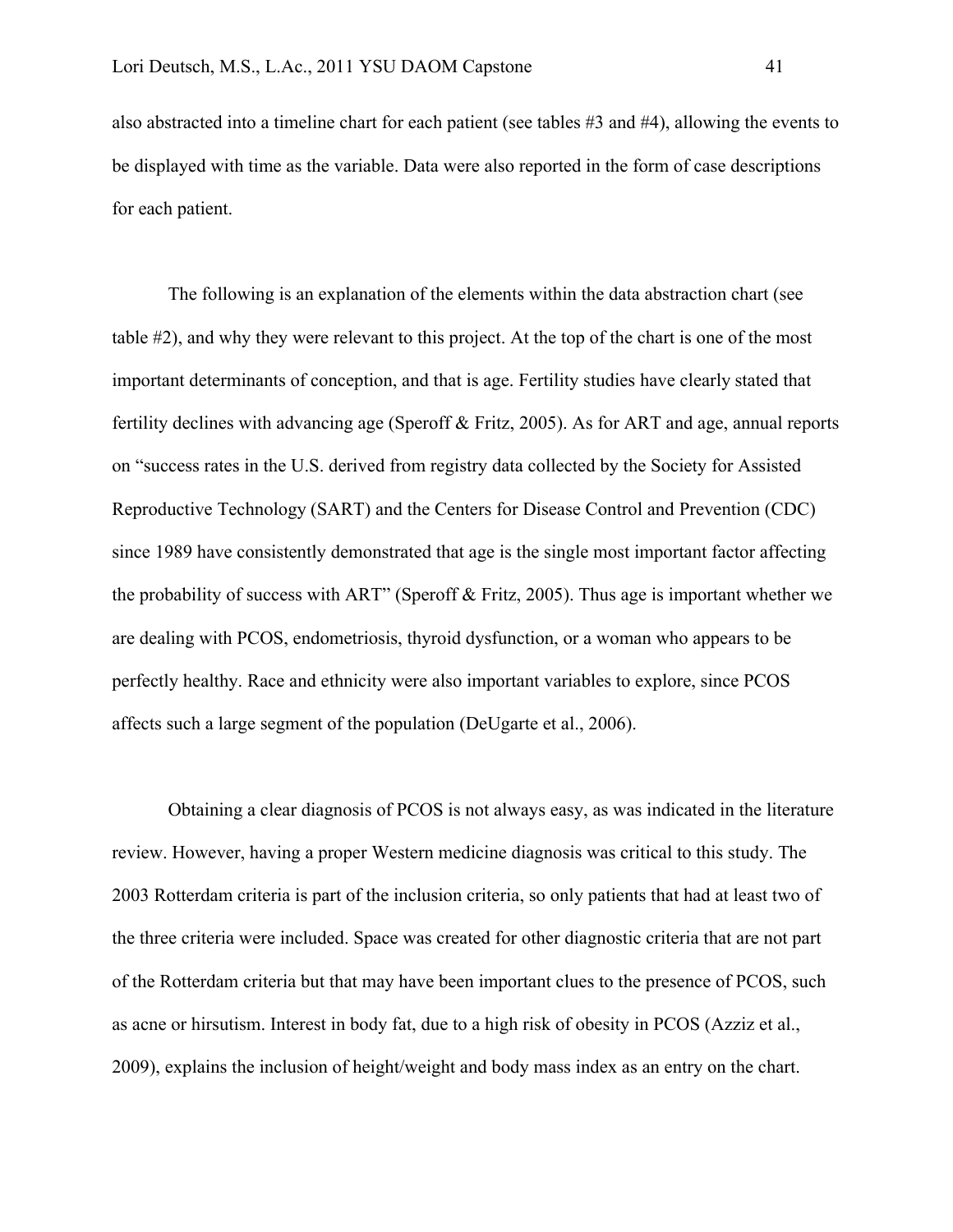also abstracted into a timeline chart for each patient (see tables #3 and #4), allowing the events to be displayed with time as the variable. Data were also reported in the form of case descriptions for each patient.

The following is an explanation of the elements within the data abstraction chart (see table #2), and why they were relevant to this project. At the top of the chart is one of the most important determinants of conception, and that is age. Fertility studies have clearly stated that fertility declines with advancing age (Speroff & Fritz, 2005). As for ART and age, annual reports on "success rates in the U.S. derived from registry data collected by the Society for Assisted Reproductive Technology (SART) and the Centers for Disease Control and Prevention (CDC) since 1989 have consistently demonstrated that age is the single most important factor affecting the probability of success with ART" (Speroff & Fritz, 2005). Thus age is important whether we are dealing with PCOS, endometriosis, thyroid dysfunction, or a woman who appears to be perfectly healthy. Race and ethnicity were also important variables to explore, since PCOS affects such a large segment of the population (DeUgarte et al., 2006).

Obtaining a clear diagnosis of PCOS is not always easy, as was indicated in the literature review. However, having a proper Western medicine diagnosis was critical to this study. The 2003 Rotterdam criteria is part of the inclusion criteria, so only patients that had at least two of the three criteria were included. Space was created for other diagnostic criteria that are not part of the Rotterdam criteria but that may have been important clues to the presence of PCOS, such as acne or hirsutism. Interest in body fat, due to a high risk of obesity in PCOS (Azziz et al., 2009), explains the inclusion of height/weight and body mass index as an entry on the chart.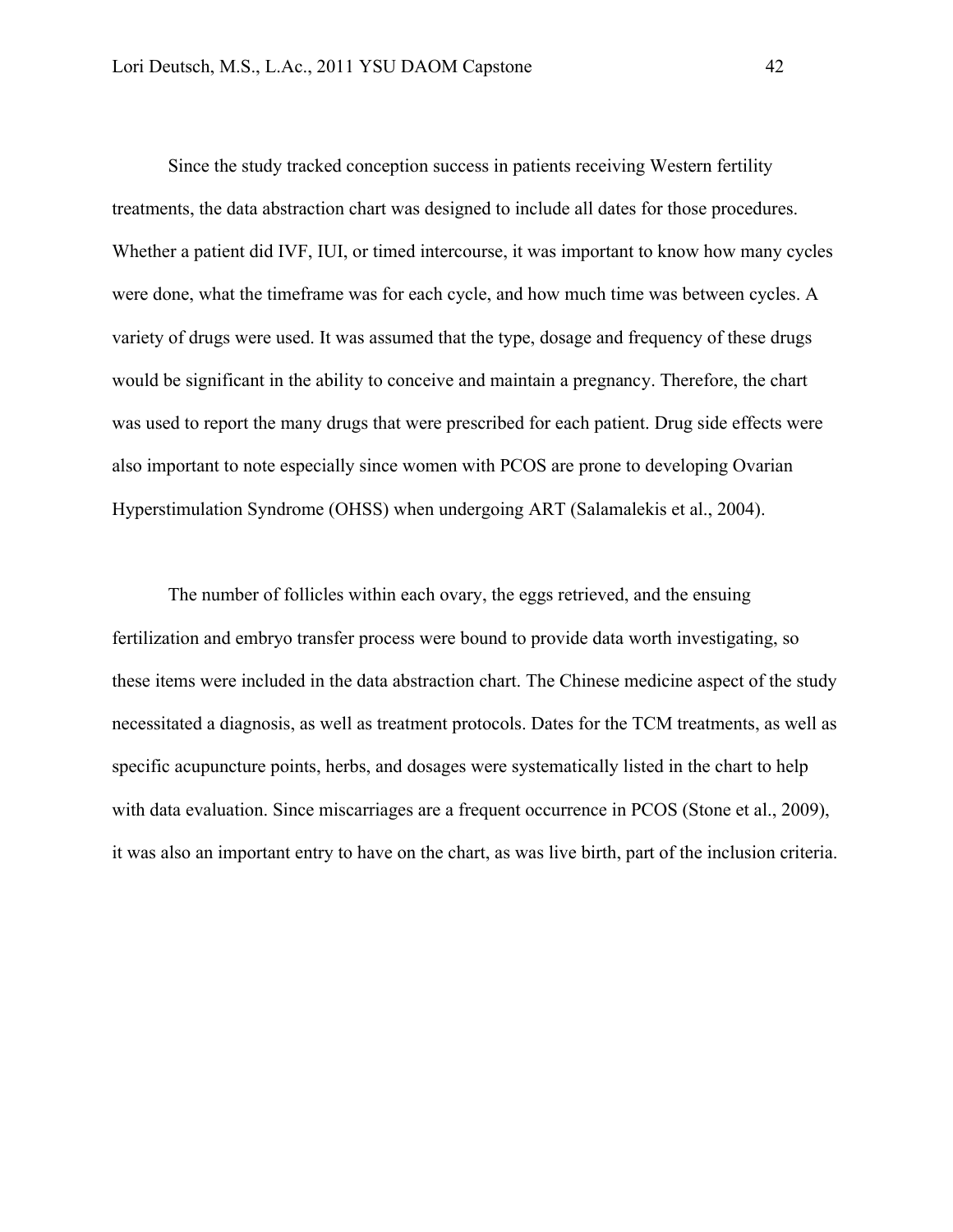Since the study tracked conception success in patients receiving Western fertility treatments, the data abstraction chart was designed to include all dates for those procedures. Whether a patient did IVF, IUI, or timed intercourse, it was important to know how many cycles were done, what the timeframe was for each cycle, and how much time was between cycles. A variety of drugs were used. It was assumed that the type, dosage and frequency of these drugs would be significant in the ability to conceive and maintain a pregnancy. Therefore, the chart was used to report the many drugs that were prescribed for each patient. Drug side effects were also important to note especially since women with PCOS are prone to developing Ovarian Hyperstimulation Syndrome (OHSS) when undergoing ART (Salamalekis et al., 2004).

The number of follicles within each ovary, the eggs retrieved, and the ensuing fertilization and embryo transfer process were bound to provide data worth investigating, so these items were included in the data abstraction chart. The Chinese medicine aspect of the study necessitated a diagnosis, as well as treatment protocols. Dates for the TCM treatments, as well as specific acupuncture points, herbs, and dosages were systematically listed in the chart to help with data evaluation. Since miscarriages are a frequent occurrence in PCOS (Stone et al., 2009), it was also an important entry to have on the chart, as was live birth, part of the inclusion criteria.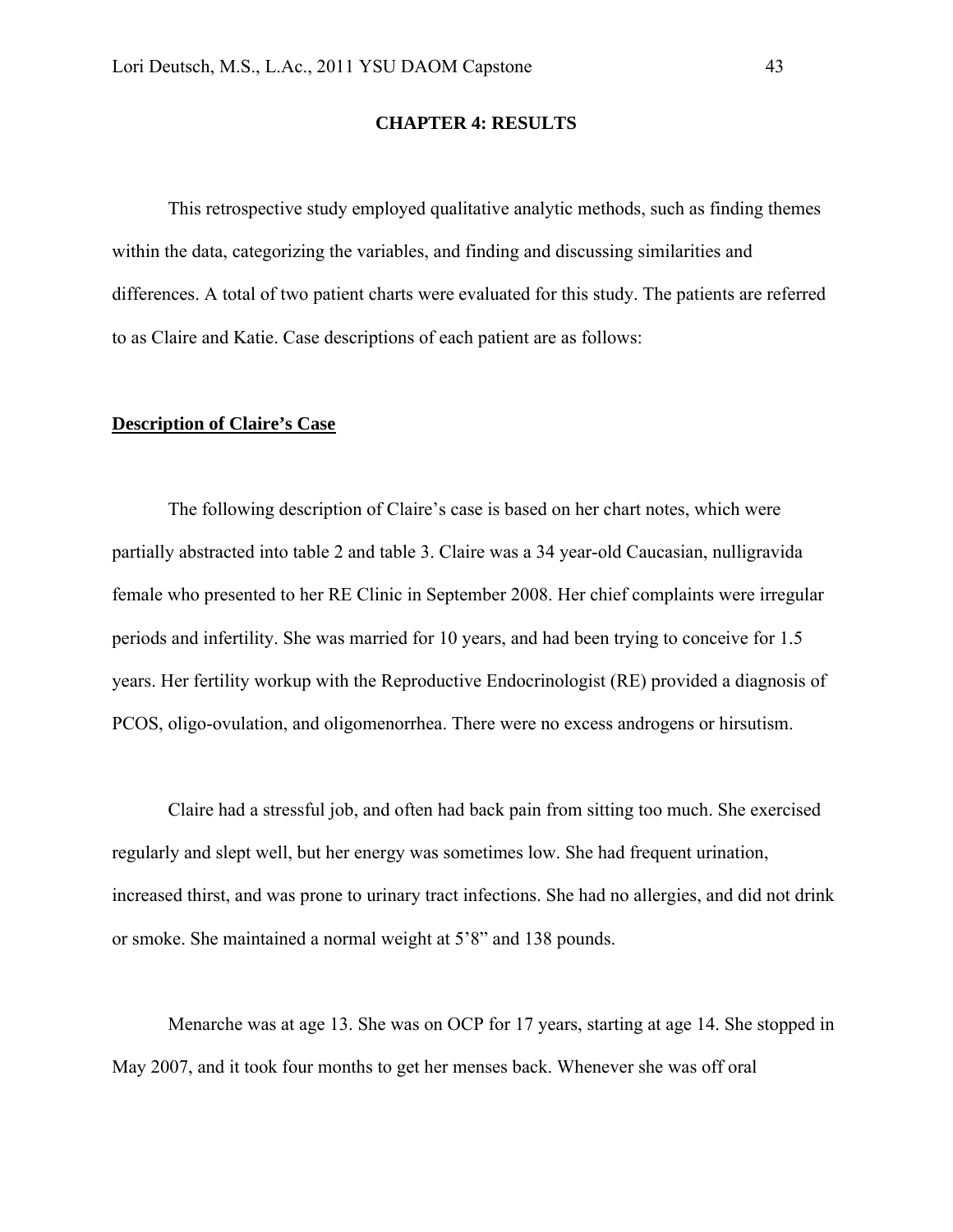# **CHAPTER 4: RESULTS**

This retrospective study employed qualitative analytic methods, such as finding themes within the data, categorizing the variables, and finding and discussing similarities and differences. A total of two patient charts were evaluated for this study. The patients are referred to as Claire and Katie. Case descriptions of each patient are as follows:

# **Description of Claire's Case**

The following description of Claire's case is based on her chart notes, which were partially abstracted into table 2 and table 3. Claire was a 34 year-old Caucasian, nulligravida female who presented to her RE Clinic in September 2008. Her chief complaints were irregular periods and infertility. She was married for 10 years, and had been trying to conceive for 1.5 years. Her fertility workup with the Reproductive Endocrinologist (RE) provided a diagnosis of PCOS, oligo-ovulation, and oligomenorrhea. There were no excess androgens or hirsutism.

Claire had a stressful job, and often had back pain from sitting too much. She exercised regularly and slept well, but her energy was sometimes low. She had frequent urination, increased thirst, and was prone to urinary tract infections. She had no allergies, and did not drink or smoke. She maintained a normal weight at 5'8" and 138 pounds.

Menarche was at age 13. She was on OCP for 17 years, starting at age 14. She stopped in May 2007, and it took four months to get her menses back. Whenever she was off oral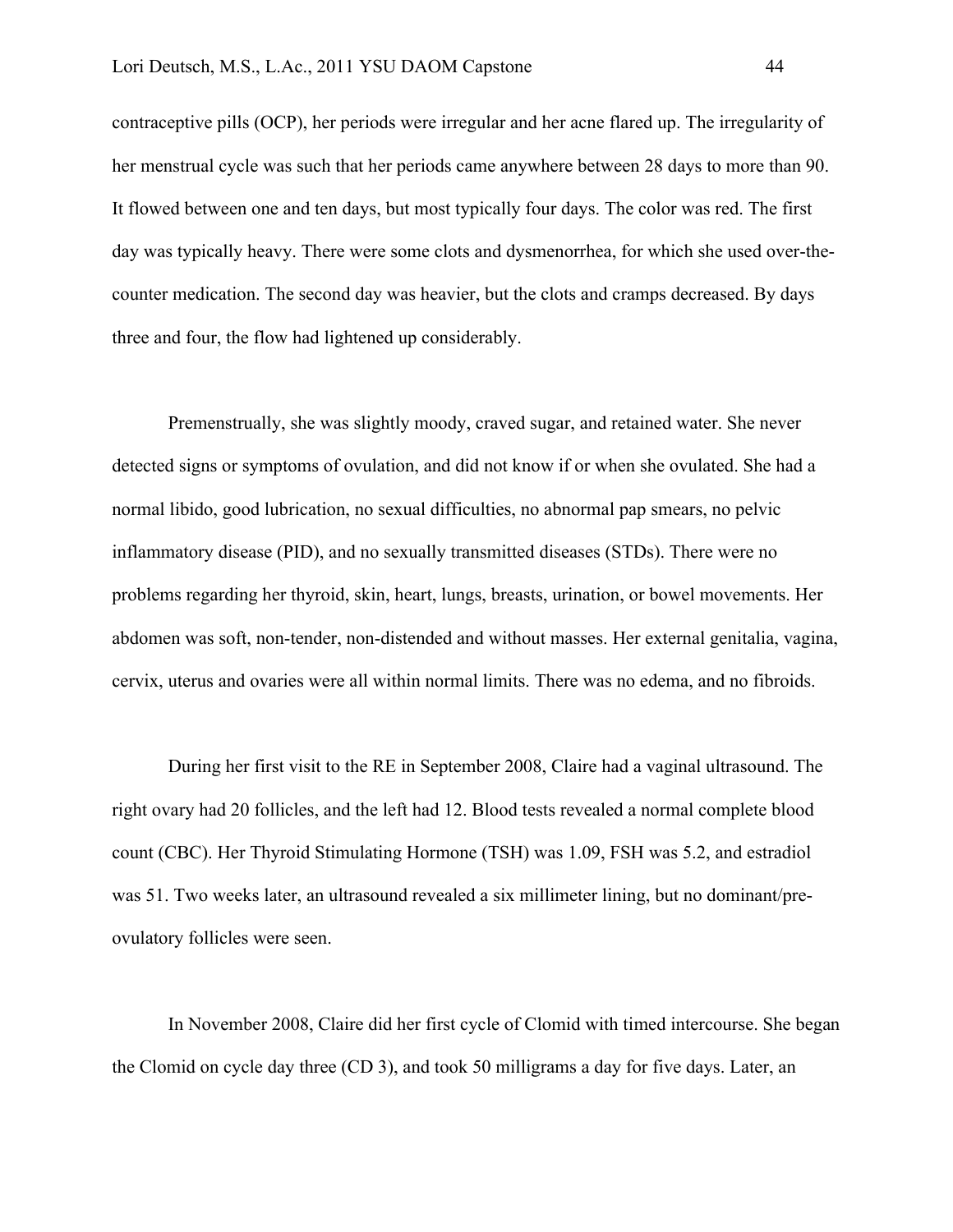contraceptive pills (OCP), her periods were irregular and her acne flared up. The irregularity of her menstrual cycle was such that her periods came anywhere between 28 days to more than 90. It flowed between one and ten days, but most typically four days. The color was red. The first day was typically heavy. There were some clots and dysmenorrhea, for which she used over-thecounter medication. The second day was heavier, but the clots and cramps decreased. By days three and four, the flow had lightened up considerably.

Premenstrually, she was slightly moody, craved sugar, and retained water. She never detected signs or symptoms of ovulation, and did not know if or when she ovulated. She had a normal libido, good lubrication, no sexual difficulties, no abnormal pap smears, no pelvic inflammatory disease (PID), and no sexually transmitted diseases (STDs). There were no problems regarding her thyroid, skin, heart, lungs, breasts, urination, or bowel movements. Her abdomen was soft, non-tender, non-distended and without masses. Her external genitalia, vagina, cervix, uterus and ovaries were all within normal limits. There was no edema, and no fibroids.

During her first visit to the RE in September 2008, Claire had a vaginal ultrasound. The right ovary had 20 follicles, and the left had 12. Blood tests revealed a normal complete blood count (CBC). Her Thyroid Stimulating Hormone (TSH) was 1.09, FSH was 5.2, and estradiol was 51. Two weeks later, an ultrasound revealed a six millimeter lining, but no dominant/preovulatory follicles were seen.

In November 2008, Claire did her first cycle of Clomid with timed intercourse. She began the Clomid on cycle day three (CD 3), and took 50 milligrams a day for five days. Later, an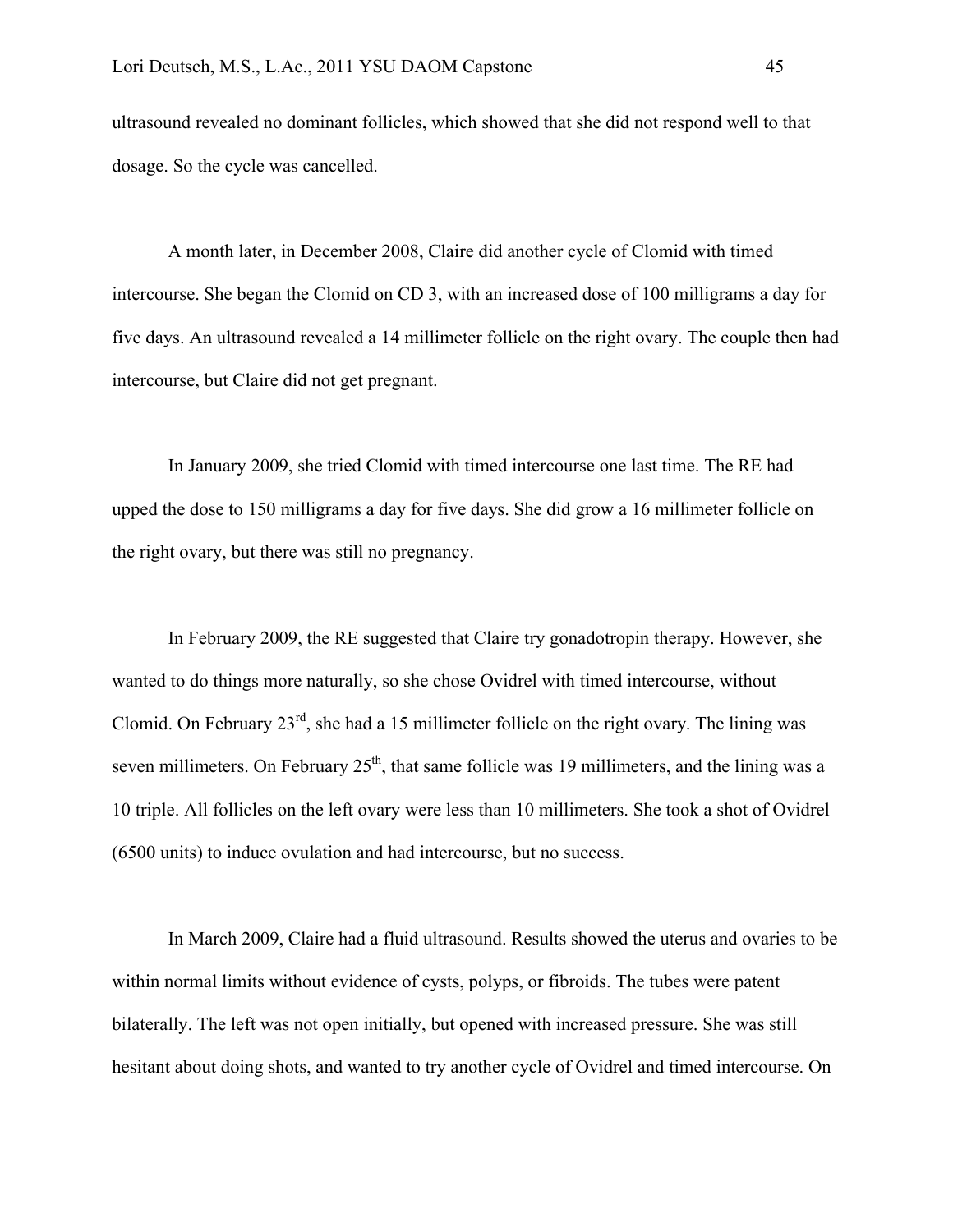ultrasound revealed no dominant follicles, which showed that she did not respond well to that dosage. So the cycle was cancelled.

A month later, in December 2008, Claire did another cycle of Clomid with timed intercourse. She began the Clomid on CD 3, with an increased dose of 100 milligrams a day for five days. An ultrasound revealed a 14 millimeter follicle on the right ovary. The couple then had intercourse, but Claire did not get pregnant.

In January 2009, she tried Clomid with timed intercourse one last time. The RE had upped the dose to 150 milligrams a day for five days. She did grow a 16 millimeter follicle on the right ovary, but there was still no pregnancy.

In February 2009, the RE suggested that Claire try gonadotropin therapy. However, she wanted to do things more naturally, so she chose Ovidrel with timed intercourse, without Clomid. On February  $23<sup>rd</sup>$ , she had a 15 millimeter follicle on the right ovary. The lining was seven millimeters. On February  $25<sup>th</sup>$ , that same follicle was 19 millimeters, and the lining was a 10 triple. All follicles on the left ovary were less than 10 millimeters. She took a shot of Ovidrel (6500 units) to induce ovulation and had intercourse, but no success.

In March 2009, Claire had a fluid ultrasound. Results showed the uterus and ovaries to be within normal limits without evidence of cysts, polyps, or fibroids. The tubes were patent bilaterally. The left was not open initially, but opened with increased pressure. She was still hesitant about doing shots, and wanted to try another cycle of Ovidrel and timed intercourse. On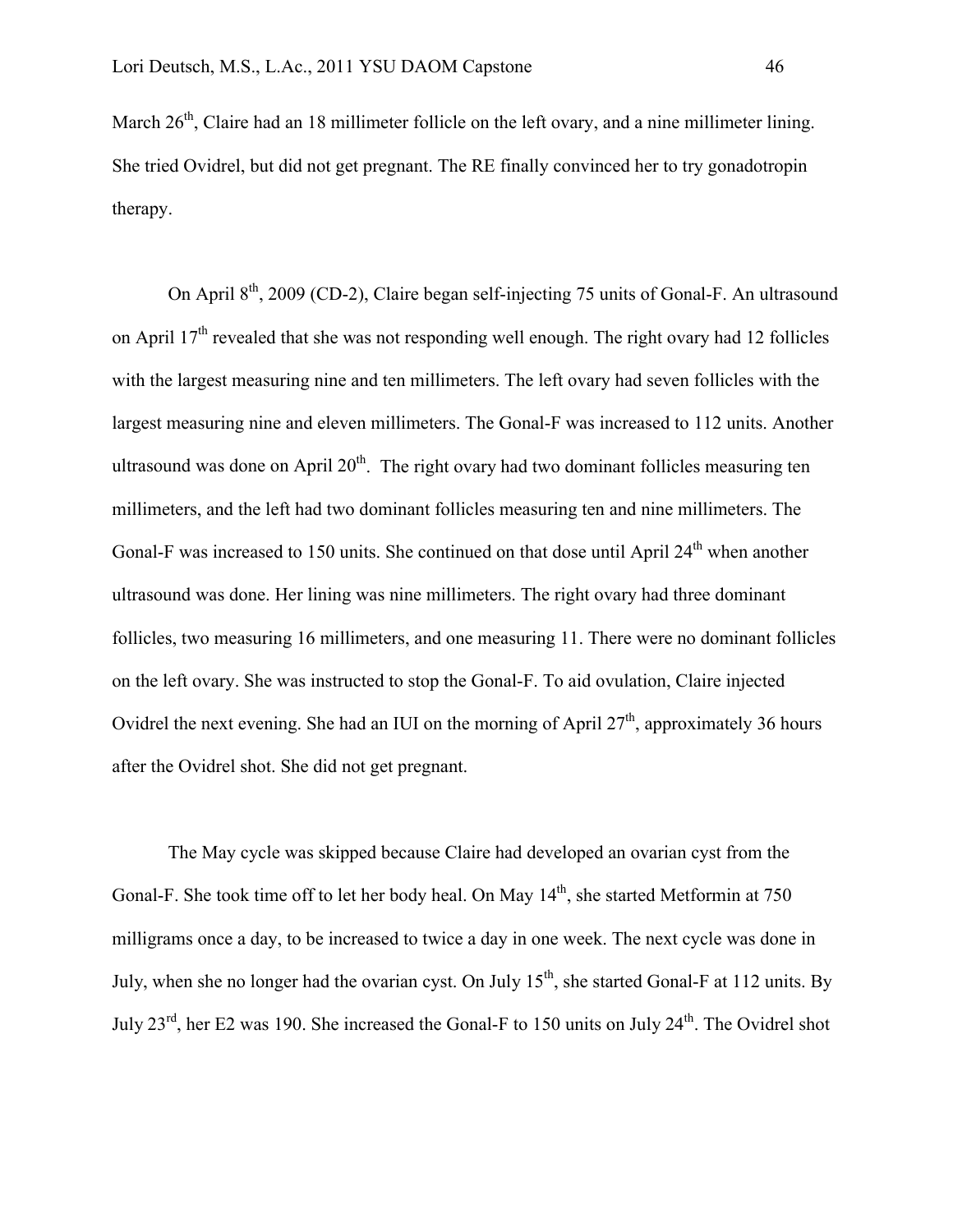March  $26<sup>th</sup>$ . Claire had an 18 millimeter follicle on the left ovary, and a nine millimeter lining. She tried Ovidrel, but did not get pregnant. The RE finally convinced her to try gonadotropin therapy.

On April 8<sup>th</sup>, 2009 (CD-2), Claire began self-injecting 75 units of Gonal-F. An ultrasound on April  $17<sup>th</sup>$  revealed that she was not responding well enough. The right ovary had 12 follicles with the largest measuring nine and ten millimeters. The left ovary had seven follicles with the largest measuring nine and eleven millimeters. The Gonal-F was increased to 112 units. Another ultrasound was done on April  $20<sup>th</sup>$ . The right ovary had two dominant follicles measuring ten millimeters, and the left had two dominant follicles measuring ten and nine millimeters. The Gonal-F was increased to 150 units. She continued on that dose until April 24<sup>th</sup> when another ultrasound was done. Her lining was nine millimeters. The right ovary had three dominant follicles, two measuring 16 millimeters, and one measuring 11. There were no dominant follicles on the left ovary. She was instructed to stop the Gonal-F. To aid ovulation, Claire injected Ovidrel the next evening. She had an IUI on the morning of April  $27<sup>th</sup>$ , approximately 36 hours after the Ovidrel shot. She did not get pregnant.

The May cycle was skipped because Claire had developed an ovarian cyst from the Gonal-F. She took time off to let her body heal. On May  $14<sup>th</sup>$ , she started Metformin at 750 milligrams once a day, to be increased to twice a day in one week. The next cycle was done in July, when she no longer had the ovarian cyst. On July  $15<sup>th</sup>$ , she started Gonal-F at 112 units. By July 23rd, her E2 was 190. She increased the Gonal-F to 150 units on July 24th. The Ovidrel shot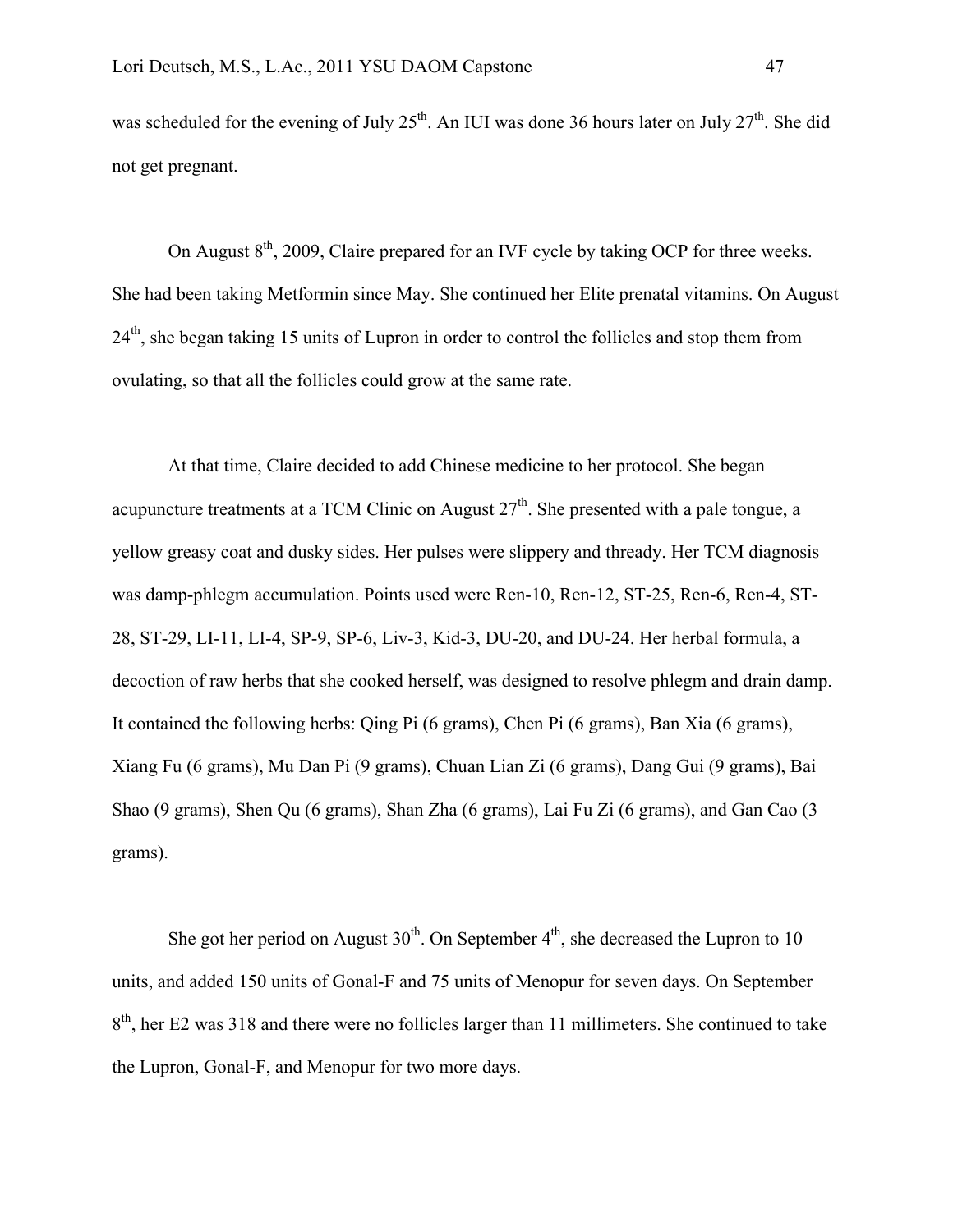was scheduled for the evening of July  $25<sup>th</sup>$ . An IUI was done 36 hours later on July  $27<sup>th</sup>$ . She did not get pregnant.

On August  $8<sup>th</sup>$ , 2009, Claire prepared for an IVF cycle by taking OCP for three weeks. She had been taking Metformin since May. She continued her Elite prenatal vitamins. On August  $24<sup>th</sup>$ , she began taking 15 units of Lupron in order to control the follicles and stop them from ovulating, so that all the follicles could grow at the same rate.

At that time, Claire decided to add Chinese medicine to her protocol. She began acupuncture treatments at a TCM Clinic on August  $27<sup>th</sup>$ . She presented with a pale tongue, a yellow greasy coat and dusky sides. Her pulses were slippery and thready. Her TCM diagnosis was damp-phlegm accumulation. Points used were Ren-10, Ren-12, ST-25, Ren-6, Ren-4, ST-28, ST-29, LI-11, LI-4, SP-9, SP-6, Liv-3, Kid-3, DU-20, and DU-24. Her herbal formula, a decoction of raw herbs that she cooked herself, was designed to resolve phlegm and drain damp. It contained the following herbs: Qing Pi (6 grams), Chen Pi (6 grams), Ban Xia (6 grams), Xiang Fu (6 grams), Mu Dan Pi (9 grams), Chuan Lian Zi (6 grams), Dang Gui (9 grams), Bai Shao (9 grams), Shen Qu (6 grams), Shan Zha (6 grams), Lai Fu Zi (6 grams), and Gan Cao (3 grams).

She got her period on August  $30<sup>th</sup>$ . On September  $4<sup>th</sup>$ , she decreased the Lupron to 10 units, and added 150 units of Gonal-F and 75 units of Menopur for seven days. On September 8<sup>th</sup>, her E2 was 318 and there were no follicles larger than 11 millimeters. She continued to take the Lupron, Gonal-F, and Menopur for two more days.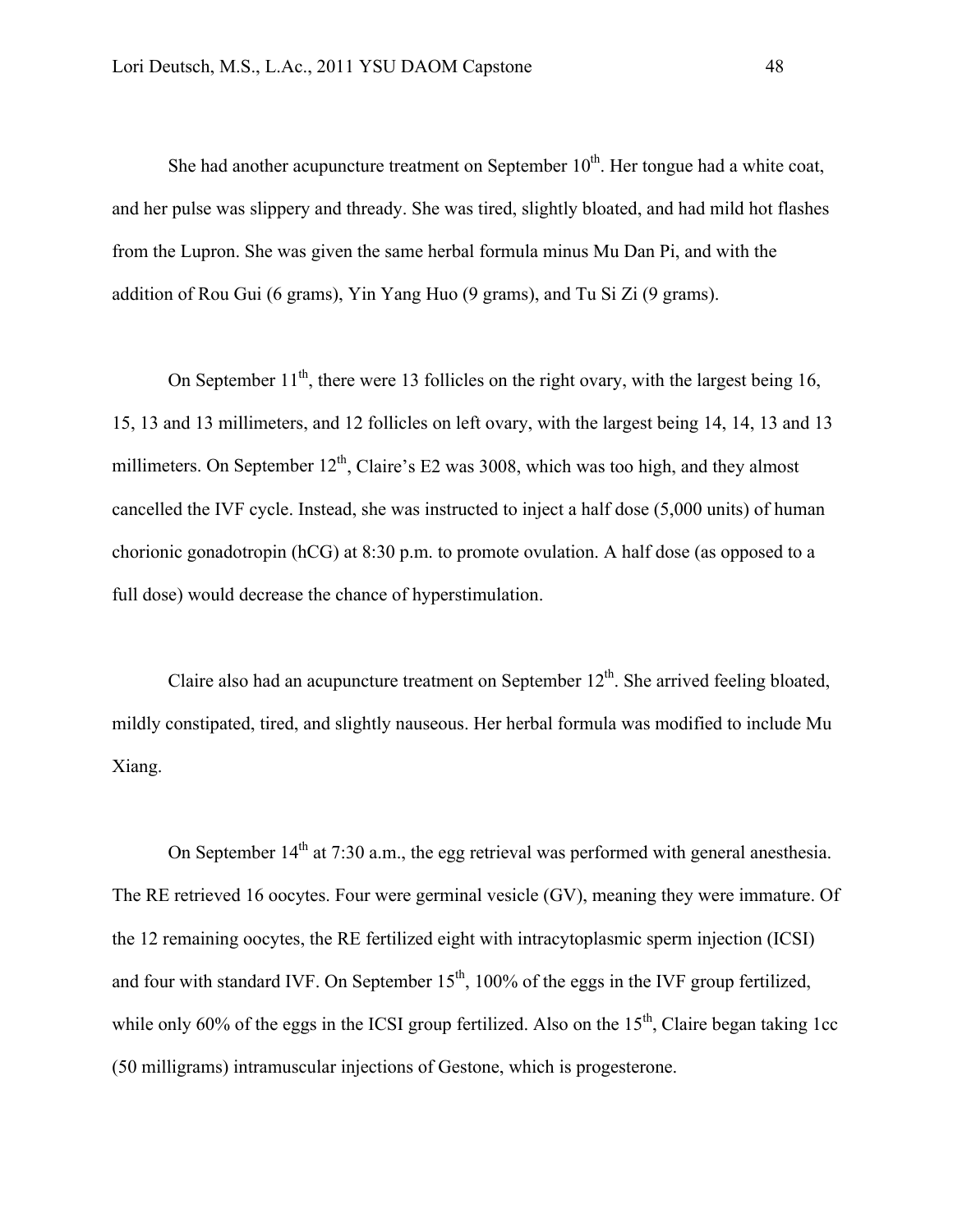She had another acupuncture treatment on September  $10<sup>th</sup>$ . Her tongue had a white coat, and her pulse was slippery and thready. She was tired, slightly bloated, and had mild hot flashes from the Lupron. She was given the same herbal formula minus Mu Dan Pi, and with the addition of Rou Gui (6 grams), Yin Yang Huo (9 grams), and Tu Si Zi (9 grams).

On September  $11<sup>th</sup>$ , there were 13 follicles on the right ovary, with the largest being 16, 15, 13 and 13 millimeters, and 12 follicles on left ovary, with the largest being 14, 14, 13 and 13 millimeters. On September  $12<sup>th</sup>$ , Claire's E2 was 3008, which was too high, and they almost cancelled the IVF cycle. Instead, she was instructed to inject a half dose (5,000 units) of human chorionic gonadotropin (hCG) at 8:30 p.m. to promote ovulation. A half dose (as opposed to a full dose) would decrease the chance of hyperstimulation.

Claire also had an acupuncture treatment on September  $12<sup>th</sup>$ . She arrived feeling bloated, mildly constipated, tired, and slightly nauseous. Her herbal formula was modified to include Mu Xiang.

On September  $14<sup>th</sup>$  at 7:30 a.m., the egg retrieval was performed with general anesthesia. The RE retrieved 16 oocytes. Four were germinal vesicle (GV), meaning they were immature. Of the 12 remaining oocytes, the RE fertilized eight with intracytoplasmic sperm injection (ICSI) and four with standard IVF. On September  $15<sup>th</sup>$ , 100% of the eggs in the IVF group fertilized, while only 60% of the eggs in the ICSI group fertilized. Also on the  $15<sup>th</sup>$ , Claire began taking 1cc (50 milligrams) intramuscular injections of Gestone, which is progesterone.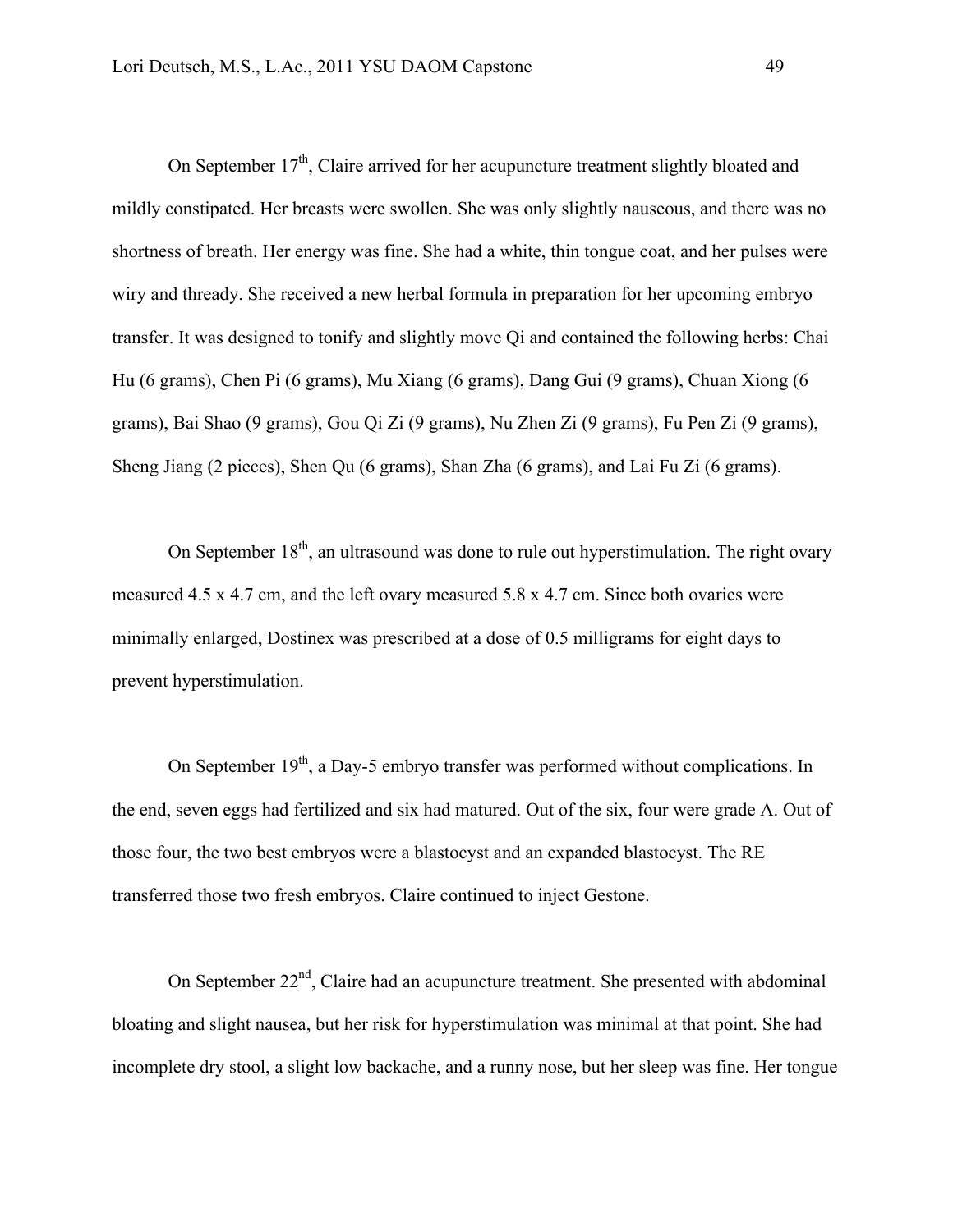On September  $17<sup>th</sup>$ , Claire arrived for her acupuncture treatment slightly bloated and mildly constipated. Her breasts were swollen. She was only slightly nauseous, and there was no shortness of breath. Her energy was fine. She had a white, thin tongue coat, and her pulses were wiry and thready. She received a new herbal formula in preparation for her upcoming embryo transfer. It was designed to tonify and slightly move Qi and contained the following herbs: Chai Hu (6 grams), Chen Pi (6 grams), Mu Xiang (6 grams), Dang Gui (9 grams), Chuan Xiong (6 grams), Bai Shao (9 grams), Gou Qi Zi (9 grams), Nu Zhen Zi (9 grams), Fu Pen Zi (9 grams), Sheng Jiang (2 pieces), Shen Qu (6 grams), Shan Zha (6 grams), and Lai Fu Zi (6 grams).

On September  $18<sup>th</sup>$ , an ultrasound was done to rule out hyperstimulation. The right ovary measured 4.5 x 4.7 cm, and the left ovary measured 5.8 x 4.7 cm. Since both ovaries were minimally enlarged, Dostinex was prescribed at a dose of 0.5 milligrams for eight days to prevent hyperstimulation.

On September  $19<sup>th</sup>$ , a Day-5 embryo transfer was performed without complications. In the end, seven eggs had fertilized and six had matured. Out of the six, four were grade A. Out of those four, the two best embryos were a blastocyst and an expanded blastocyst. The RE transferred those two fresh embryos. Claire continued to inject Gestone.

On September 22<sup>nd</sup>, Claire had an acupuncture treatment. She presented with abdominal bloating and slight nausea, but her risk for hyperstimulation was minimal at that point. She had incomplete dry stool, a slight low backache, and a runny nose, but her sleep was fine. Her tongue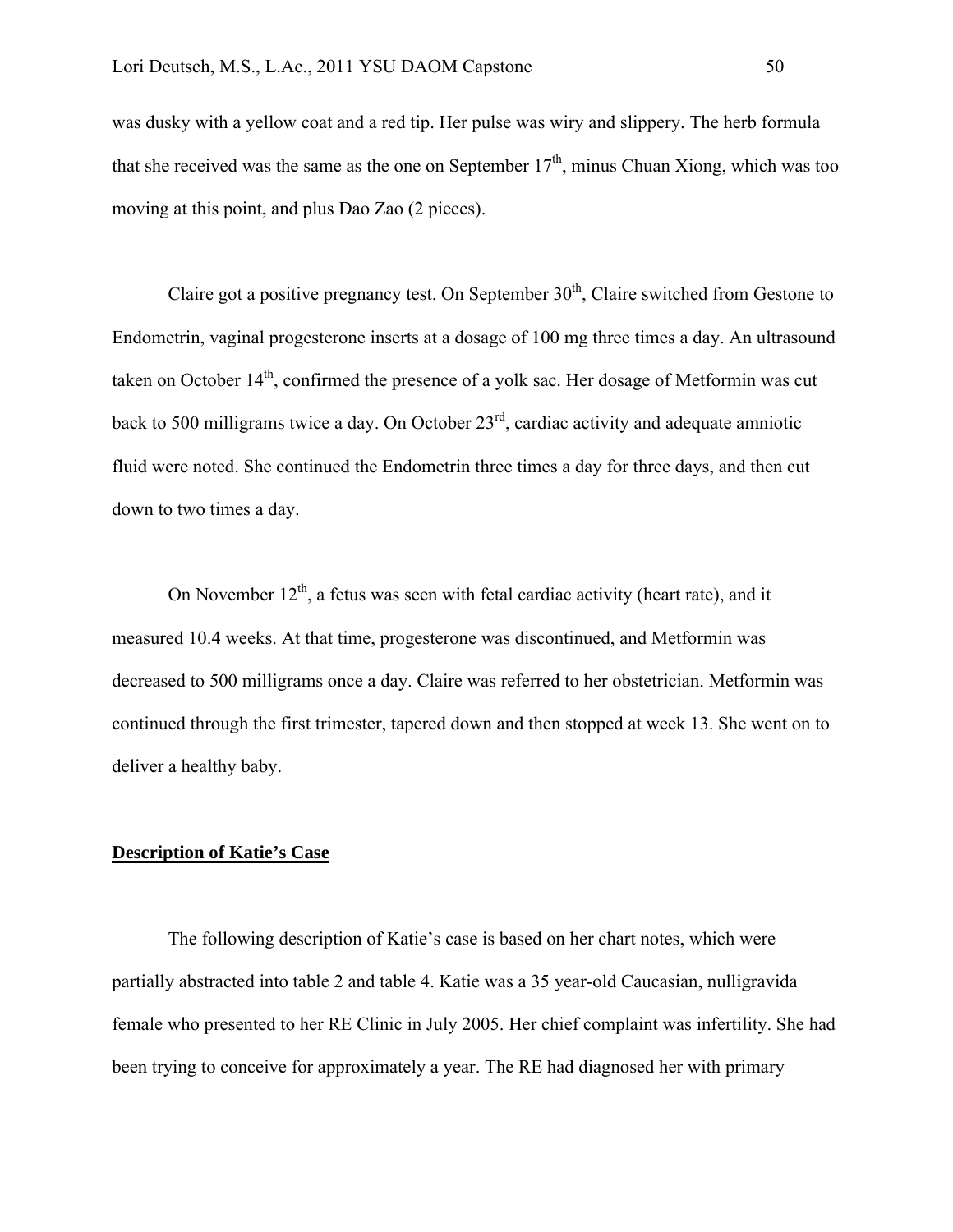was dusky with a yellow coat and a red tip. Her pulse was wiry and slippery. The herb formula that she received was the same as the one on September  $17<sup>th</sup>$ , minus Chuan Xiong, which was too moving at this point, and plus Dao Zao (2 pieces).

Claire got a positive pregnancy test. On September  $30<sup>th</sup>$ , Claire switched from Gestone to Endometrin, vaginal progesterone inserts at a dosage of 100 mg three times a day. An ultrasound taken on October  $14<sup>th</sup>$ , confirmed the presence of a yolk sac. Her dosage of Metformin was cut back to 500 milligrams twice a day. On October 23rd, cardiac activity and adequate amniotic fluid were noted. She continued the Endometrin three times a day for three days, and then cut down to two times a day.

On November  $12<sup>th</sup>$ , a fetus was seen with fetal cardiac activity (heart rate), and it measured 10.4 weeks. At that time, progesterone was discontinued, and Metformin was decreased to 500 milligrams once a day. Claire was referred to her obstetrician. Metformin was continued through the first trimester, tapered down and then stopped at week 13. She went on to deliver a healthy baby.

# **Description of Katie's Case**

The following description of Katie's case is based on her chart notes, which were partially abstracted into table 2 and table 4. Katie was a 35 year-old Caucasian, nulligravida female who presented to her RE Clinic in July 2005. Her chief complaint was infertility. She had been trying to conceive for approximately a year. The RE had diagnosed her with primary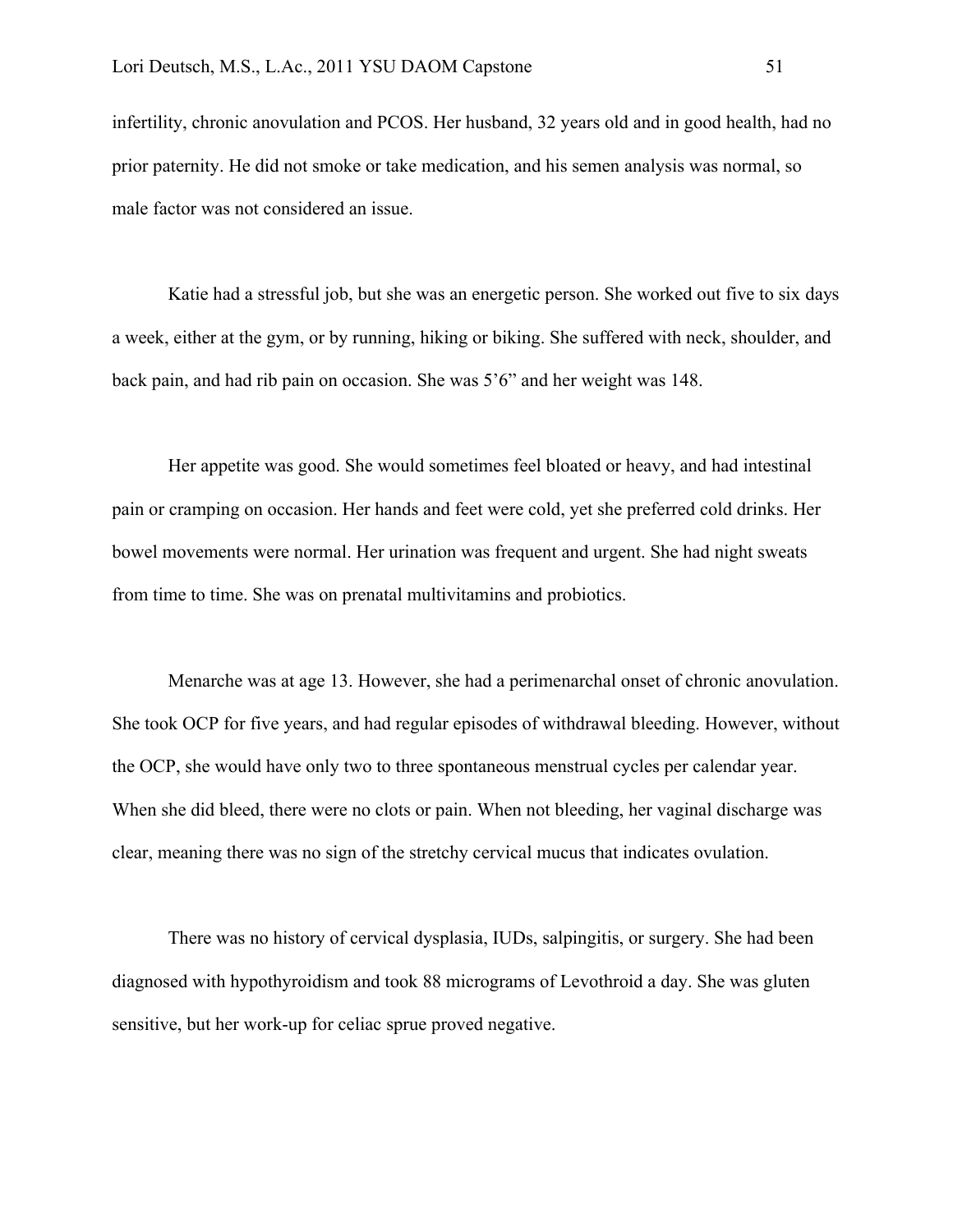infertility, chronic anovulation and PCOS. Her husband, 32 years old and in good health, had no prior paternity. He did not smoke or take medication, and his semen analysis was normal, so male factor was not considered an issue.

Katie had a stressful job, but she was an energetic person. She worked out five to six days a week, either at the gym, or by running, hiking or biking. She suffered with neck, shoulder, and back pain, and had rib pain on occasion. She was 5'6" and her weight was 148.

Her appetite was good. She would sometimes feel bloated or heavy, and had intestinal pain or cramping on occasion. Her hands and feet were cold, yet she preferred cold drinks. Her bowel movements were normal. Her urination was frequent and urgent. She had night sweats from time to time. She was on prenatal multivitamins and probiotics.

Menarche was at age 13. However, she had a perimenarchal onset of chronic anovulation. She took OCP for five years, and had regular episodes of withdrawal bleeding. However, without the OCP, she would have only two to three spontaneous menstrual cycles per calendar year. When she did bleed, there were no clots or pain. When not bleeding, her vaginal discharge was clear, meaning there was no sign of the stretchy cervical mucus that indicates ovulation.

There was no history of cervical dysplasia, IUDs, salpingitis, or surgery. She had been diagnosed with hypothyroidism and took 88 micrograms of Levothroid a day. She was gluten sensitive, but her work-up for celiac sprue proved negative.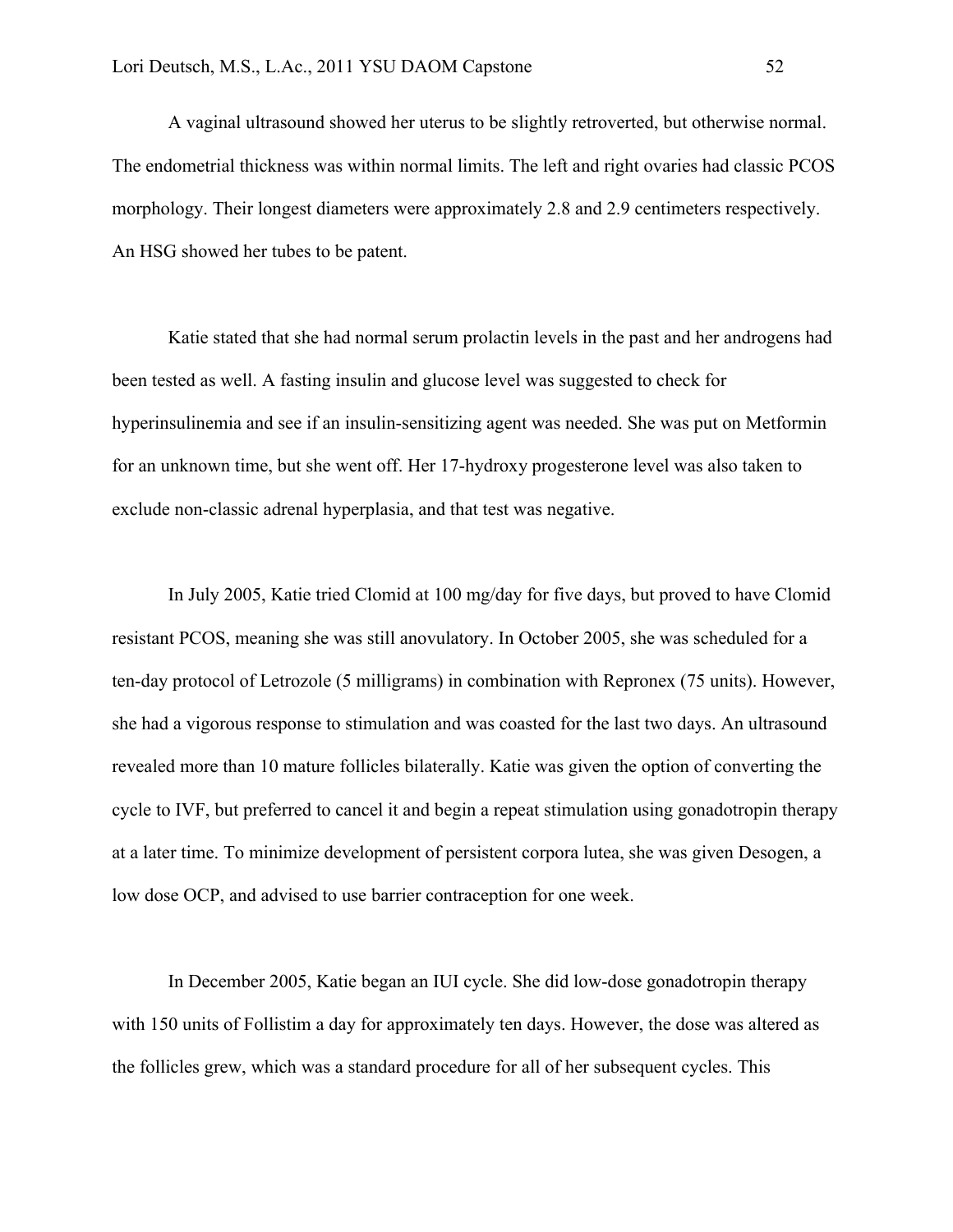A vaginal ultrasound showed her uterus to be slightly retroverted, but otherwise normal. The endometrial thickness was within normal limits. The left and right ovaries had classic PCOS morphology. Their longest diameters were approximately 2.8 and 2.9 centimeters respectively. An HSG showed her tubes to be patent.

Katie stated that she had normal serum prolactin levels in the past and her androgens had been tested as well. A fasting insulin and glucose level was suggested to check for hyperinsulinemia and see if an insulin-sensitizing agent was needed. She was put on Metformin for an unknown time, but she went off. Her 17-hydroxy progesterone level was also taken to exclude non-classic adrenal hyperplasia, and that test was negative.

In July 2005, Katie tried Clomid at 100 mg/day for five days, but proved to have Clomid resistant PCOS, meaning she was still anovulatory. In October 2005, she was scheduled for a ten-day protocol of Letrozole (5 milligrams) in combination with Repronex (75 units). However, she had a vigorous response to stimulation and was coasted for the last two days. An ultrasound revealed more than 10 mature follicles bilaterally. Katie was given the option of converting the cycle to IVF, but preferred to cancel it and begin a repeat stimulation using gonadotropin therapy at a later time. To minimize development of persistent corpora lutea, she was given Desogen, a low dose OCP, and advised to use barrier contraception for one week.

In December 2005, Katie began an IUI cycle. She did low-dose gonadotropin therapy with 150 units of Follistim a day for approximately ten days. However, the dose was altered as the follicles grew, which was a standard procedure for all of her subsequent cycles. This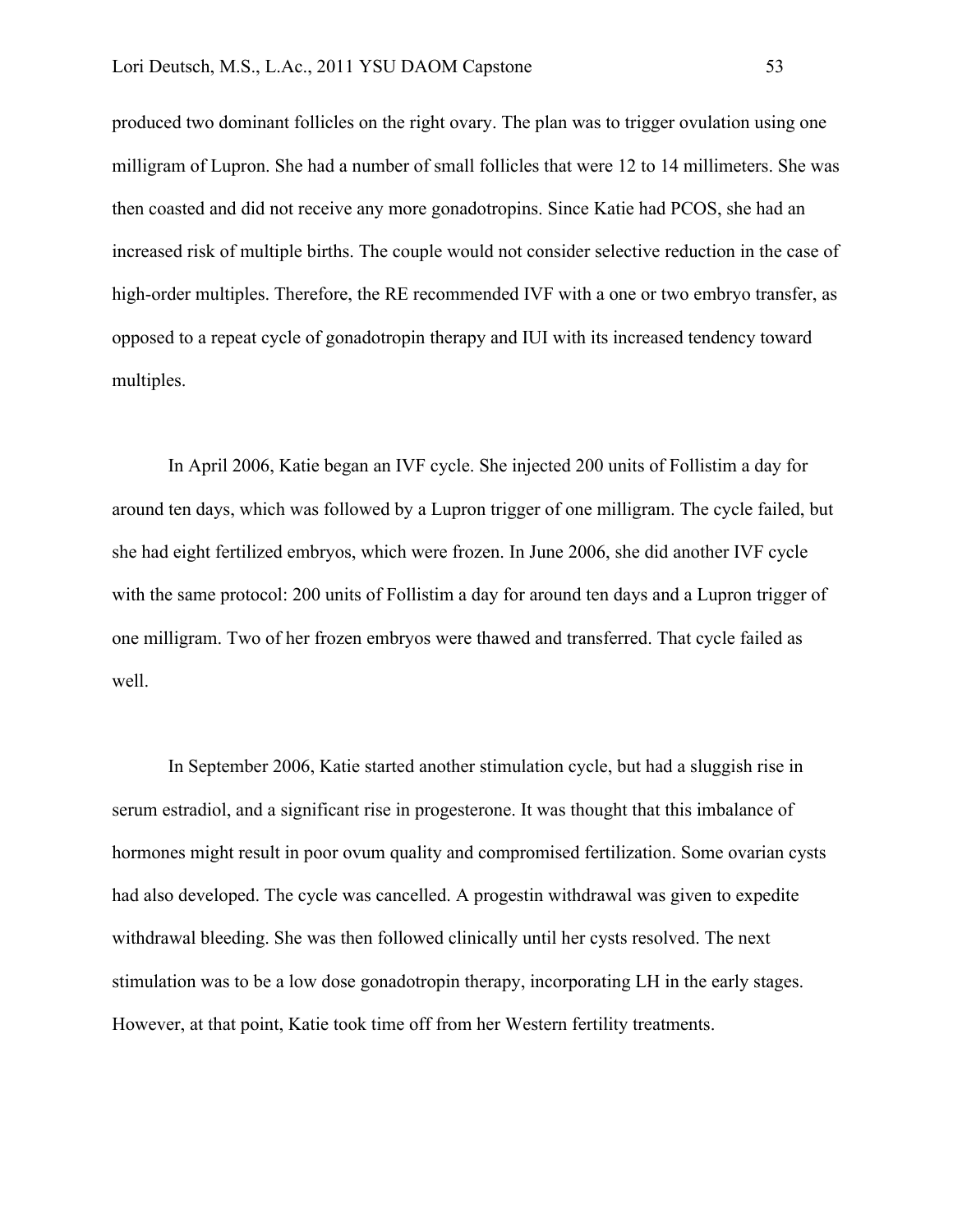produced two dominant follicles on the right ovary. The plan was to trigger ovulation using one milligram of Lupron. She had a number of small follicles that were 12 to 14 millimeters. She was then coasted and did not receive any more gonadotropins. Since Katie had PCOS, she had an increased risk of multiple births. The couple would not consider selective reduction in the case of high-order multiples. Therefore, the RE recommended IVF with a one or two embryo transfer, as opposed to a repeat cycle of gonadotropin therapy and IUI with its increased tendency toward multiples.

In April 2006, Katie began an IVF cycle. She injected 200 units of Follistim a day for around ten days, which was followed by a Lupron trigger of one milligram. The cycle failed, but she had eight fertilized embryos, which were frozen. In June 2006, she did another IVF cycle with the same protocol: 200 units of Follistim a day for around ten days and a Lupron trigger of one milligram. Two of her frozen embryos were thawed and transferred. That cycle failed as well.

In September 2006, Katie started another stimulation cycle, but had a sluggish rise in serum estradiol, and a significant rise in progesterone. It was thought that this imbalance of hormones might result in poor ovum quality and compromised fertilization. Some ovarian cysts had also developed. The cycle was cancelled. A progestin withdrawal was given to expedite withdrawal bleeding. She was then followed clinically until her cysts resolved. The next stimulation was to be a low dose gonadotropin therapy, incorporating LH in the early stages. However, at that point, Katie took time off from her Western fertility treatments.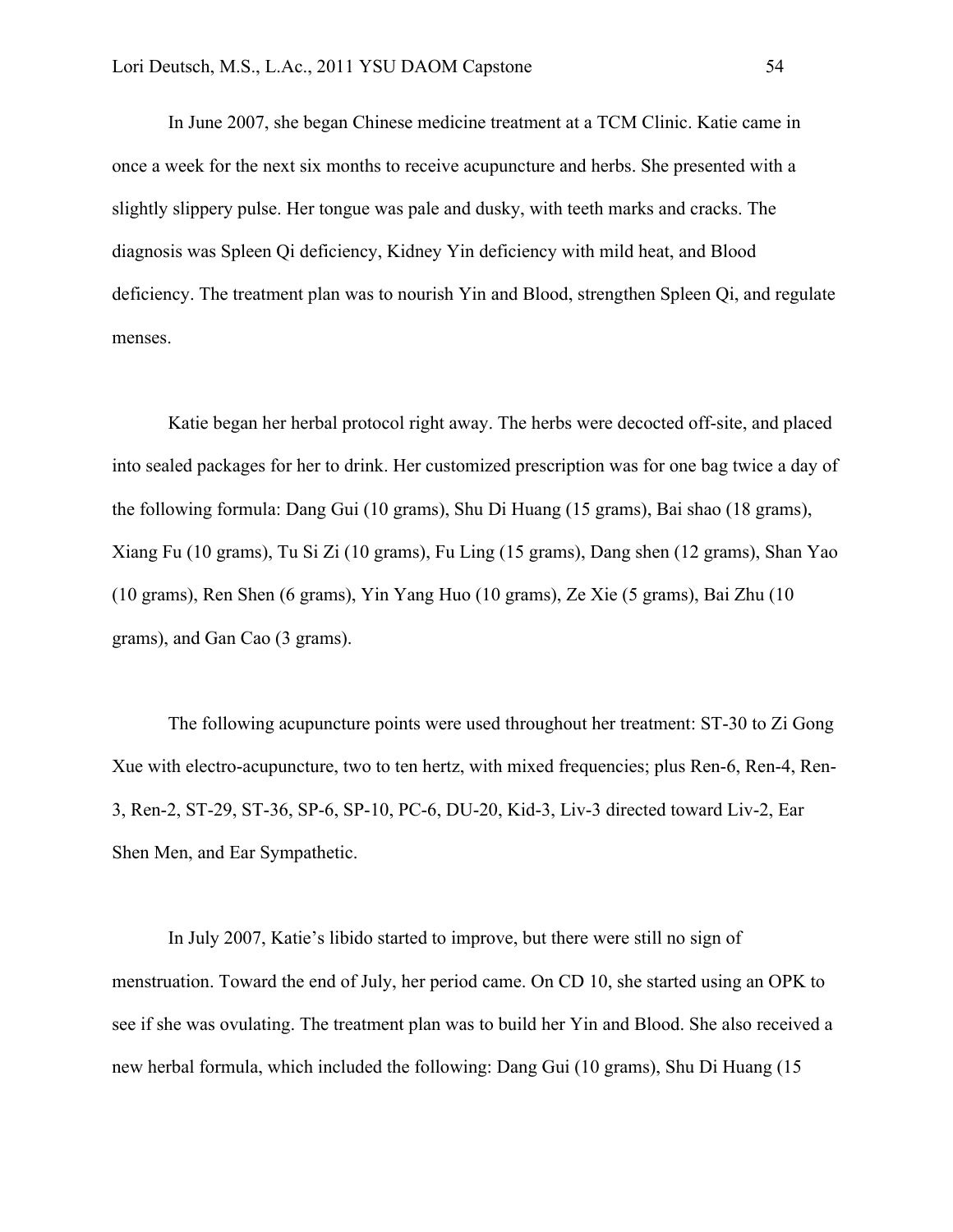In June 2007, she began Chinese medicine treatment at a TCM Clinic. Katie came in once a week for the next six months to receive acupuncture and herbs. She presented with a slightly slippery pulse. Her tongue was pale and dusky, with teeth marks and cracks. The diagnosis was Spleen Qi deficiency, Kidney Yin deficiency with mild heat, and Blood deficiency. The treatment plan was to nourish Yin and Blood, strengthen Spleen Qi, and regulate menses.

Katie began her herbal protocol right away. The herbs were decocted off-site, and placed into sealed packages for her to drink. Her customized prescription was for one bag twice a day of the following formula: Dang Gui (10 grams), Shu Di Huang (15 grams), Bai shao (18 grams), Xiang Fu (10 grams), Tu Si Zi (10 grams), Fu Ling (15 grams), Dang shen (12 grams), Shan Yao (10 grams), Ren Shen (6 grams), Yin Yang Huo (10 grams), Ze Xie (5 grams), Bai Zhu (10 grams), and Gan Cao (3 grams).

The following acupuncture points were used throughout her treatment: ST-30 to Zi Gong Xue with electro-acupuncture, two to ten hertz, with mixed frequencies; plus Ren-6, Ren-4, Ren-3, Ren-2, ST-29, ST-36, SP-6, SP-10, PC-6, DU-20, Kid-3, Liv-3 directed toward Liv-2, Ear Shen Men, and Ear Sympathetic.

In July 2007, Katie's libido started to improve, but there were still no sign of menstruation. Toward the end of July, her period came. On CD 10, she started using an OPK to see if she was ovulating. The treatment plan was to build her Yin and Blood. She also received a new herbal formula, which included the following: Dang Gui (10 grams), Shu Di Huang (15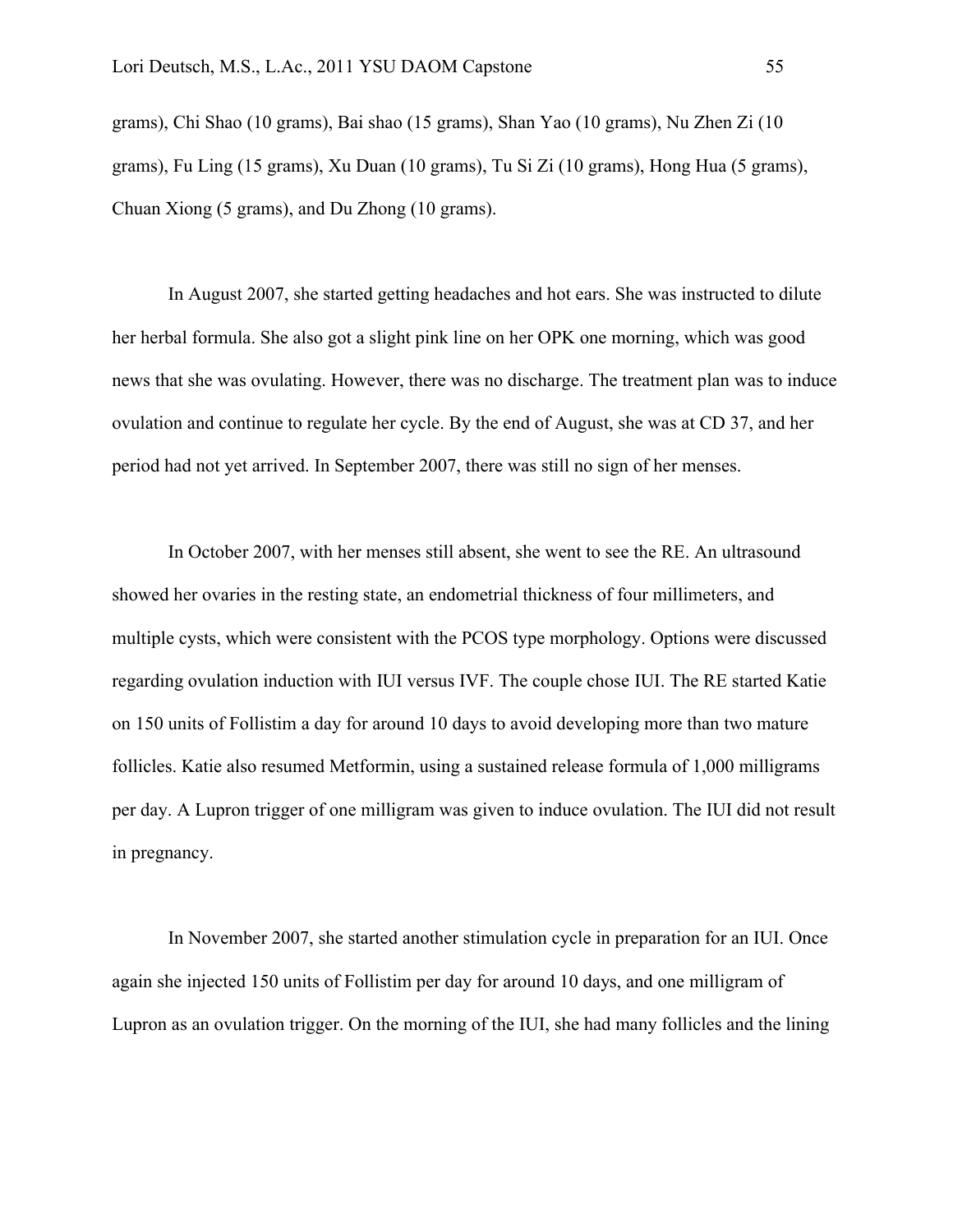grams), Chi Shao (10 grams), Bai shao (15 grams), Shan Yao (10 grams), Nu Zhen Zi (10 grams), Fu Ling (15 grams), Xu Duan (10 grams), Tu Si Zi (10 grams), Hong Hua (5 grams), Chuan Xiong (5 grams), and Du Zhong (10 grams).

In August 2007, she started getting headaches and hot ears. She was instructed to dilute her herbal formula. She also got a slight pink line on her OPK one morning, which was good news that she was ovulating. However, there was no discharge. The treatment plan was to induce ovulation and continue to regulate her cycle. By the end of August, she was at CD 37, and her period had not yet arrived. In September 2007, there was still no sign of her menses.

In October 2007, with her menses still absent, she went to see the RE. An ultrasound showed her ovaries in the resting state, an endometrial thickness of four millimeters, and multiple cysts, which were consistent with the PCOS type morphology. Options were discussed regarding ovulation induction with IUI versus IVF. The couple chose IUI. The RE started Katie on 150 units of Follistim a day for around 10 days to avoid developing more than two mature follicles. Katie also resumed Metformin, using a sustained release formula of 1,000 milligrams per day. A Lupron trigger of one milligram was given to induce ovulation. The IUI did not result in pregnancy.

In November 2007, she started another stimulation cycle in preparation for an IUI. Once again she injected 150 units of Follistim per day for around 10 days, and one milligram of Lupron as an ovulation trigger. On the morning of the IUI, she had many follicles and the lining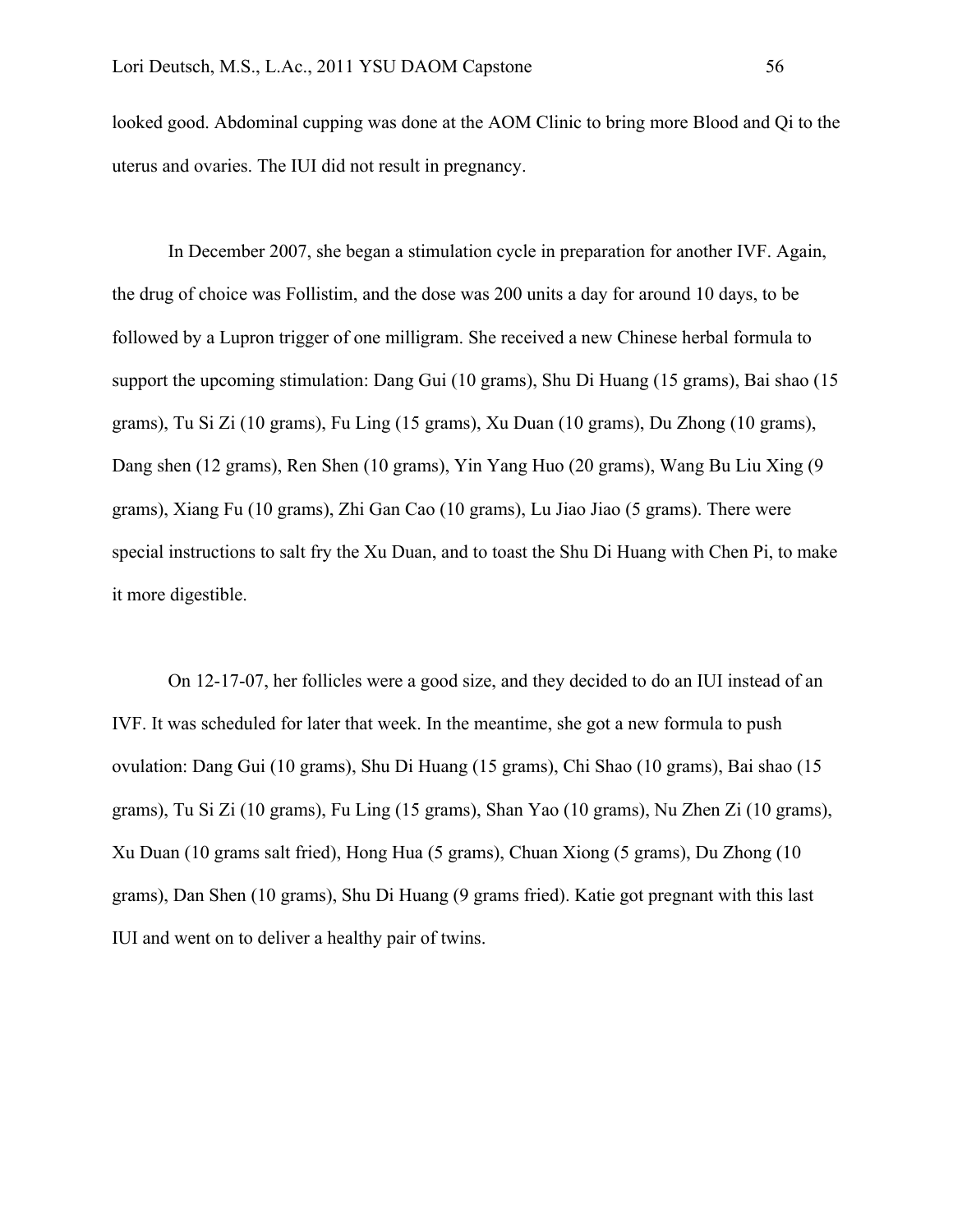looked good. Abdominal cupping was done at the AOM Clinic to bring more Blood and Qi to the uterus and ovaries. The IUI did not result in pregnancy.

In December 2007, she began a stimulation cycle in preparation for another IVF. Again, the drug of choice was Follistim, and the dose was 200 units a day for around 10 days, to be followed by a Lupron trigger of one milligram. She received a new Chinese herbal formula to support the upcoming stimulation: Dang Gui (10 grams), Shu Di Huang (15 grams), Bai shao (15 grams), Tu Si Zi (10 grams), Fu Ling (15 grams), Xu Duan (10 grams), Du Zhong (10 grams), Dang shen (12 grams), Ren Shen (10 grams), Yin Yang Huo (20 grams), Wang Bu Liu Xing (9 grams), Xiang Fu (10 grams), Zhi Gan Cao (10 grams), Lu Jiao Jiao (5 grams). There were special instructions to salt fry the Xu Duan, and to toast the Shu Di Huang with Chen Pi, to make it more digestible.

On 12-17-07, her follicles were a good size, and they decided to do an IUI instead of an IVF. It was scheduled for later that week. In the meantime, she got a new formula to push ovulation: Dang Gui (10 grams), Shu Di Huang (15 grams), Chi Shao (10 grams), Bai shao (15 grams), Tu Si Zi (10 grams), Fu Ling (15 grams), Shan Yao (10 grams), Nu Zhen Zi (10 grams), Xu Duan (10 grams salt fried), Hong Hua (5 grams), Chuan Xiong (5 grams), Du Zhong (10 grams), Dan Shen (10 grams), Shu Di Huang (9 grams fried). Katie got pregnant with this last IUI and went on to deliver a healthy pair of twins.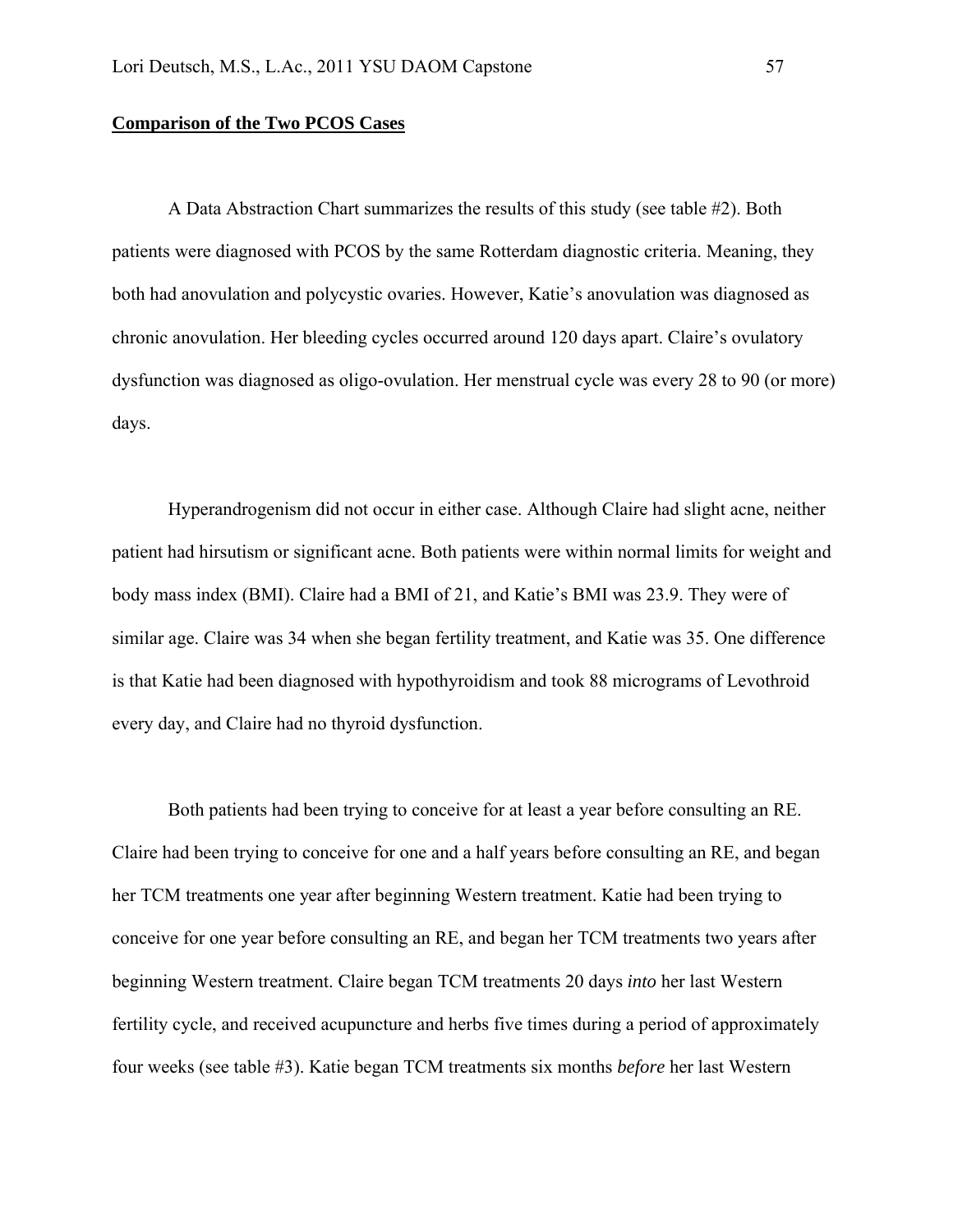#### **Comparison of the Two PCOS Cases**

A Data Abstraction Chart summarizes the results of this study (see table #2). Both patients were diagnosed with PCOS by the same Rotterdam diagnostic criteria. Meaning, they both had anovulation and polycystic ovaries. However, Katie's anovulation was diagnosed as chronic anovulation. Her bleeding cycles occurred around 120 days apart. Claire's ovulatory dysfunction was diagnosed as oligo-ovulation. Her menstrual cycle was every 28 to 90 (or more) days.

Hyperandrogenism did not occur in either case. Although Claire had slight acne, neither patient had hirsutism or significant acne. Both patients were within normal limits for weight and body mass index (BMI). Claire had a BMI of 21, and Katie's BMI was 23.9. They were of similar age. Claire was 34 when she began fertility treatment, and Katie was 35. One difference is that Katie had been diagnosed with hypothyroidism and took 88 micrograms of Levothroid every day, and Claire had no thyroid dysfunction.

Both patients had been trying to conceive for at least a year before consulting an RE. Claire had been trying to conceive for one and a half years before consulting an RE, and began her TCM treatments one year after beginning Western treatment. Katie had been trying to conceive for one year before consulting an RE, and began her TCM treatments two years after beginning Western treatment. Claire began TCM treatments 20 days *into* her last Western fertility cycle, and received acupuncture and herbs five times during a period of approximately four weeks (see table #3). Katie began TCM treatments six months *before* her last Western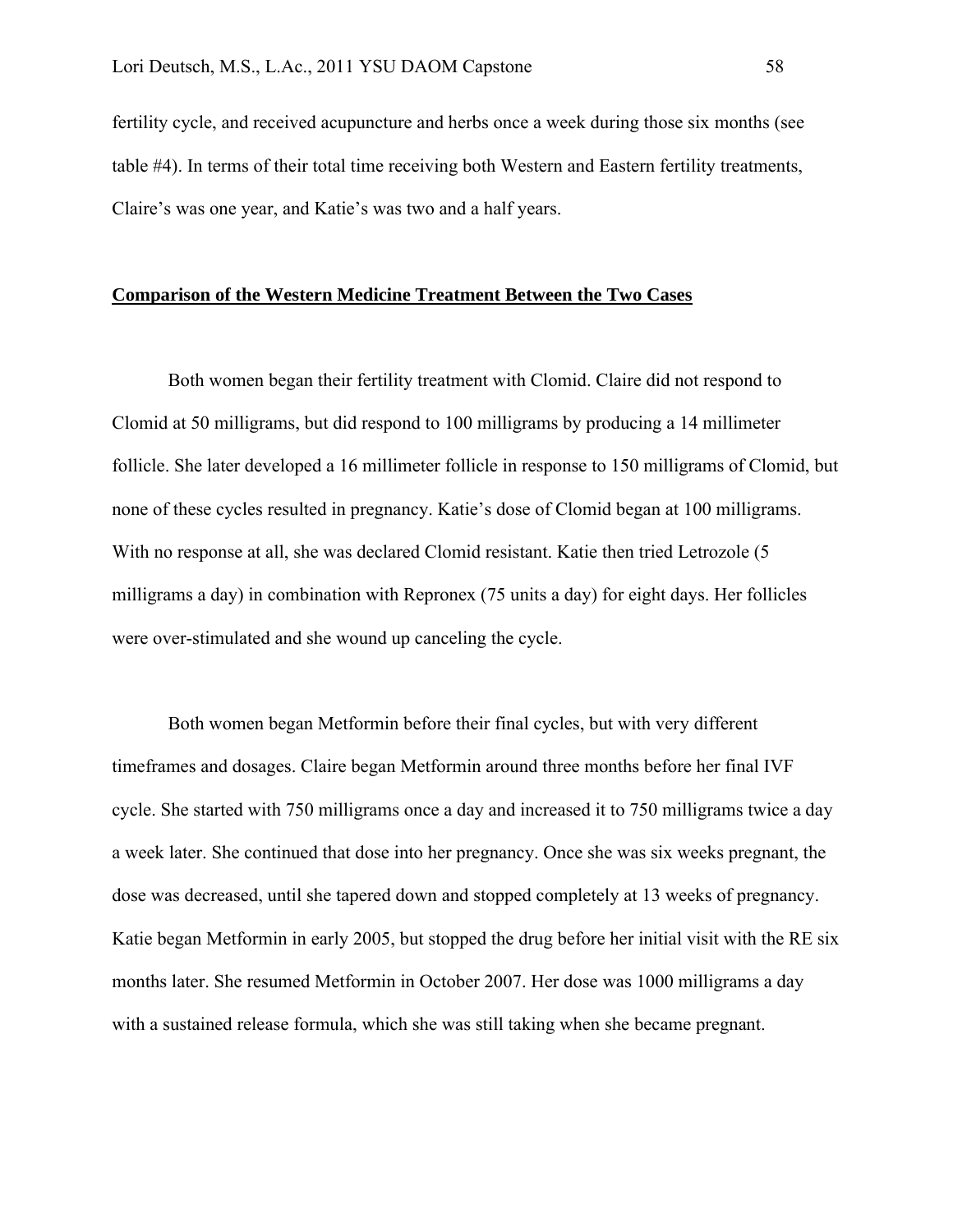fertility cycle, and received acupuncture and herbs once a week during those six months (see table #4). In terms of their total time receiving both Western and Eastern fertility treatments, Claire's was one year, and Katie's was two and a half years.

# **Comparison of the Western Medicine Treatment Between the Two Cases**

Both women began their fertility treatment with Clomid. Claire did not respond to Clomid at 50 milligrams, but did respond to 100 milligrams by producing a 14 millimeter follicle. She later developed a 16 millimeter follicle in response to 150 milligrams of Clomid, but none of these cycles resulted in pregnancy. Katie's dose of Clomid began at 100 milligrams. With no response at all, she was declared Clomid resistant. Katie then tried Letrozole (5 milligrams a day) in combination with Repronex (75 units a day) for eight days. Her follicles were over-stimulated and she wound up canceling the cycle.

Both women began Metformin before their final cycles, but with very different timeframes and dosages. Claire began Metformin around three months before her final IVF cycle. She started with 750 milligrams once a day and increased it to 750 milligrams twice a day a week later. She continued that dose into her pregnancy. Once she was six weeks pregnant, the dose was decreased, until she tapered down and stopped completely at 13 weeks of pregnancy. Katie began Metformin in early 2005, but stopped the drug before her initial visit with the RE six months later. She resumed Metformin in October 2007. Her dose was 1000 milligrams a day with a sustained release formula, which she was still taking when she became pregnant.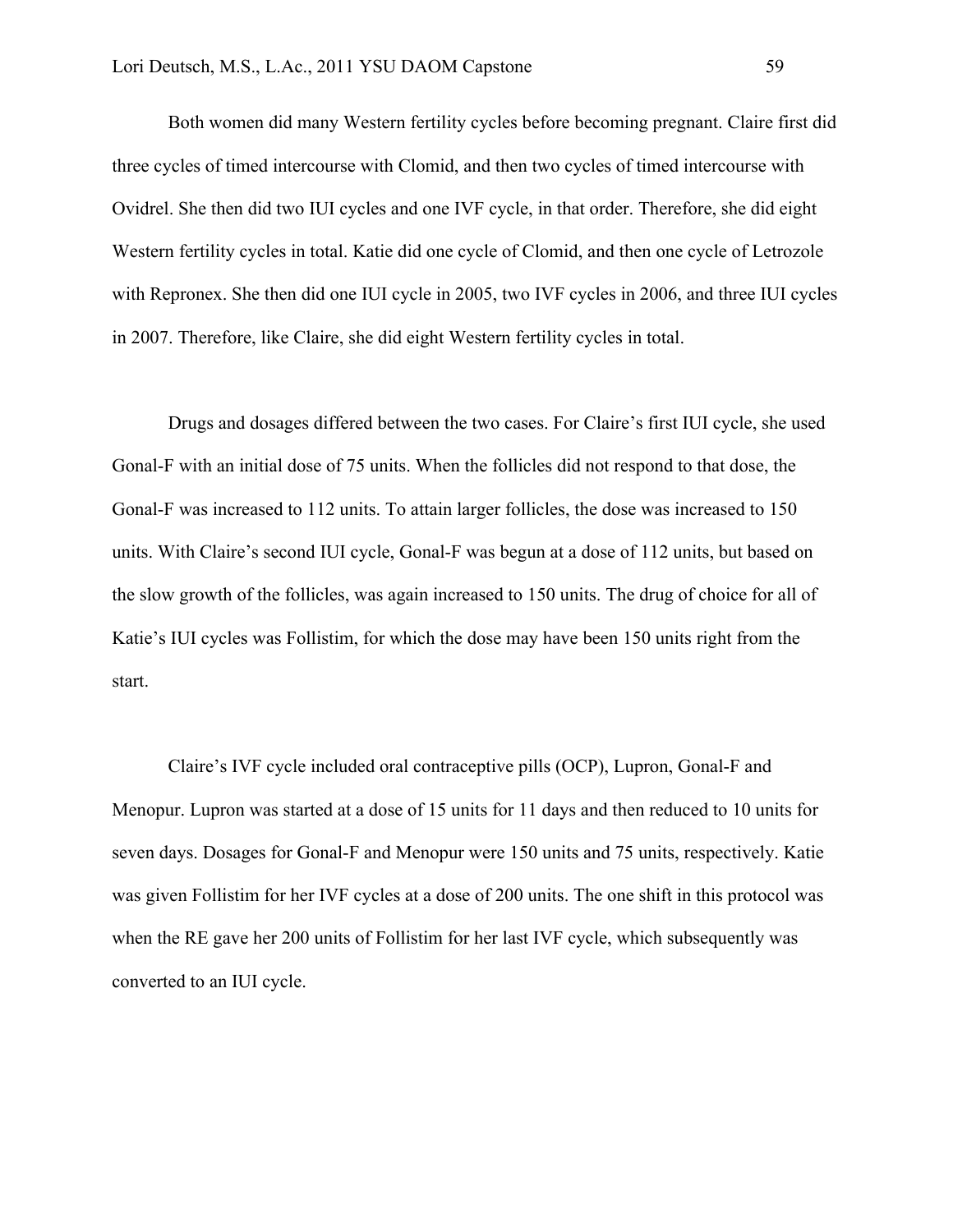Both women did many Western fertility cycles before becoming pregnant. Claire first did three cycles of timed intercourse with Clomid, and then two cycles of timed intercourse with Ovidrel. She then did two IUI cycles and one IVF cycle, in that order. Therefore, she did eight Western fertility cycles in total. Katie did one cycle of Clomid, and then one cycle of Letrozole with Repronex. She then did one IUI cycle in 2005, two IVF cycles in 2006, and three IUI cycles in 2007. Therefore, like Claire, she did eight Western fertility cycles in total.

Drugs and dosages differed between the two cases. For Claire's first IUI cycle, she used Gonal-F with an initial dose of 75 units. When the follicles did not respond to that dose, the Gonal-F was increased to 112 units. To attain larger follicles, the dose was increased to 150 units. With Claire's second IUI cycle, Gonal-F was begun at a dose of 112 units, but based on the slow growth of the follicles, was again increased to 150 units. The drug of choice for all of Katie's IUI cycles was Follistim, for which the dose may have been 150 units right from the start.

Claire's IVF cycle included oral contraceptive pills (OCP), Lupron, Gonal-F and Menopur. Lupron was started at a dose of 15 units for 11 days and then reduced to 10 units for seven days. Dosages for Gonal-F and Menopur were 150 units and 75 units, respectively. Katie was given Follistim for her IVF cycles at a dose of 200 units. The one shift in this protocol was when the RE gave her 200 units of Follistim for her last IVF cycle, which subsequently was converted to an IUI cycle.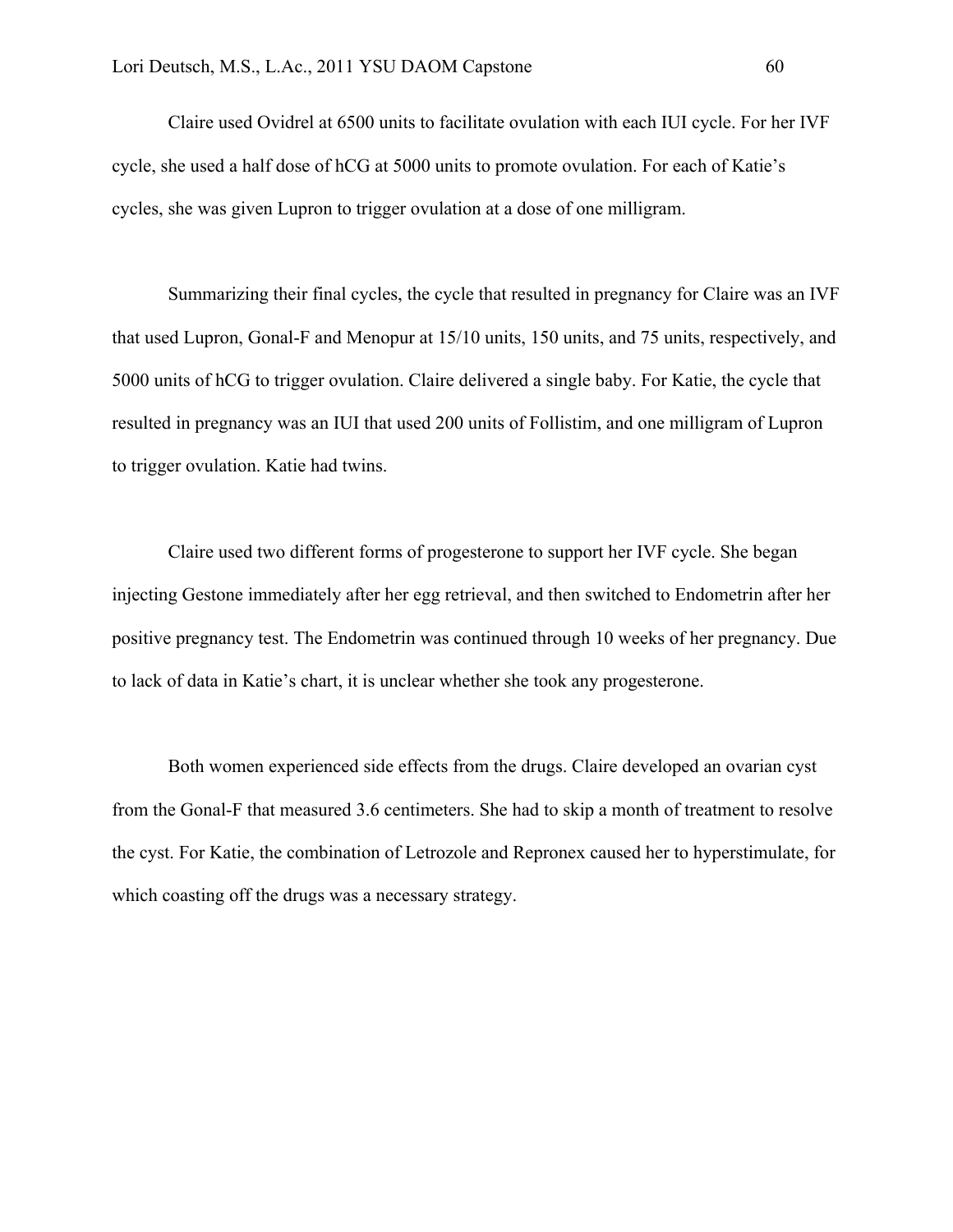Claire used Ovidrel at 6500 units to facilitate ovulation with each IUI cycle. For her IVF cycle, she used a half dose of hCG at 5000 units to promote ovulation. For each of Katie's cycles, she was given Lupron to trigger ovulation at a dose of one milligram.

Summarizing their final cycles, the cycle that resulted in pregnancy for Claire was an IVF that used Lupron, Gonal-F and Menopur at 15/10 units, 150 units, and 75 units, respectively, and 5000 units of hCG to trigger ovulation. Claire delivered a single baby. For Katie, the cycle that resulted in pregnancy was an IUI that used 200 units of Follistim, and one milligram of Lupron to trigger ovulation. Katie had twins.

Claire used two different forms of progesterone to support her IVF cycle. She began injecting Gestone immediately after her egg retrieval, and then switched to Endometrin after her positive pregnancy test. The Endometrin was continued through 10 weeks of her pregnancy. Due to lack of data in Katie's chart, it is unclear whether she took any progesterone.

Both women experienced side effects from the drugs. Claire developed an ovarian cyst from the Gonal-F that measured 3.6 centimeters. She had to skip a month of treatment to resolve the cyst. For Katie, the combination of Letrozole and Repronex caused her to hyperstimulate, for which coasting off the drugs was a necessary strategy.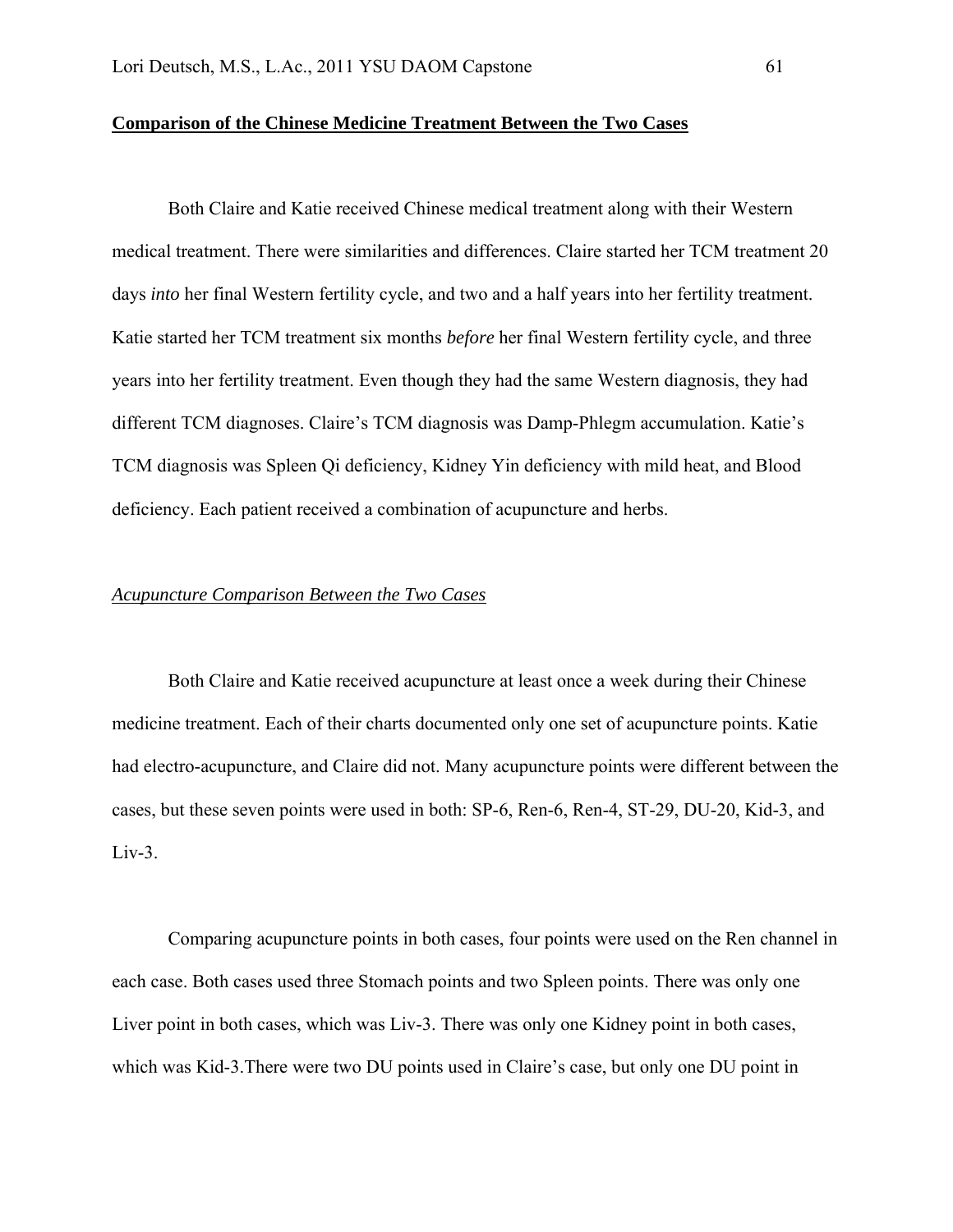#### **Comparison of the Chinese Medicine Treatment Between the Two Cases**

Both Claire and Katie received Chinese medical treatment along with their Western medical treatment. There were similarities and differences. Claire started her TCM treatment 20 days *into* her final Western fertility cycle, and two and a half years into her fertility treatment. Katie started her TCM treatment six months *before* her final Western fertility cycle, and three years into her fertility treatment. Even though they had the same Western diagnosis, they had different TCM diagnoses. Claire's TCM diagnosis was Damp-Phlegm accumulation. Katie's TCM diagnosis was Spleen Qi deficiency, Kidney Yin deficiency with mild heat, and Blood deficiency. Each patient received a combination of acupuncture and herbs.

# *Acupuncture Comparison Between the Two Cases*

Both Claire and Katie received acupuncture at least once a week during their Chinese medicine treatment. Each of their charts documented only one set of acupuncture points. Katie had electro-acupuncture, and Claire did not. Many acupuncture points were different between the cases, but these seven points were used in both: SP-6, Ren-6, Ren-4, ST-29, DU-20, Kid-3, and  $Liv-3$ .

Comparing acupuncture points in both cases, four points were used on the Ren channel in each case. Both cases used three Stomach points and two Spleen points. There was only one Liver point in both cases, which was Liv-3. There was only one Kidney point in both cases, which was Kid-3.There were two DU points used in Claire's case, but only one DU point in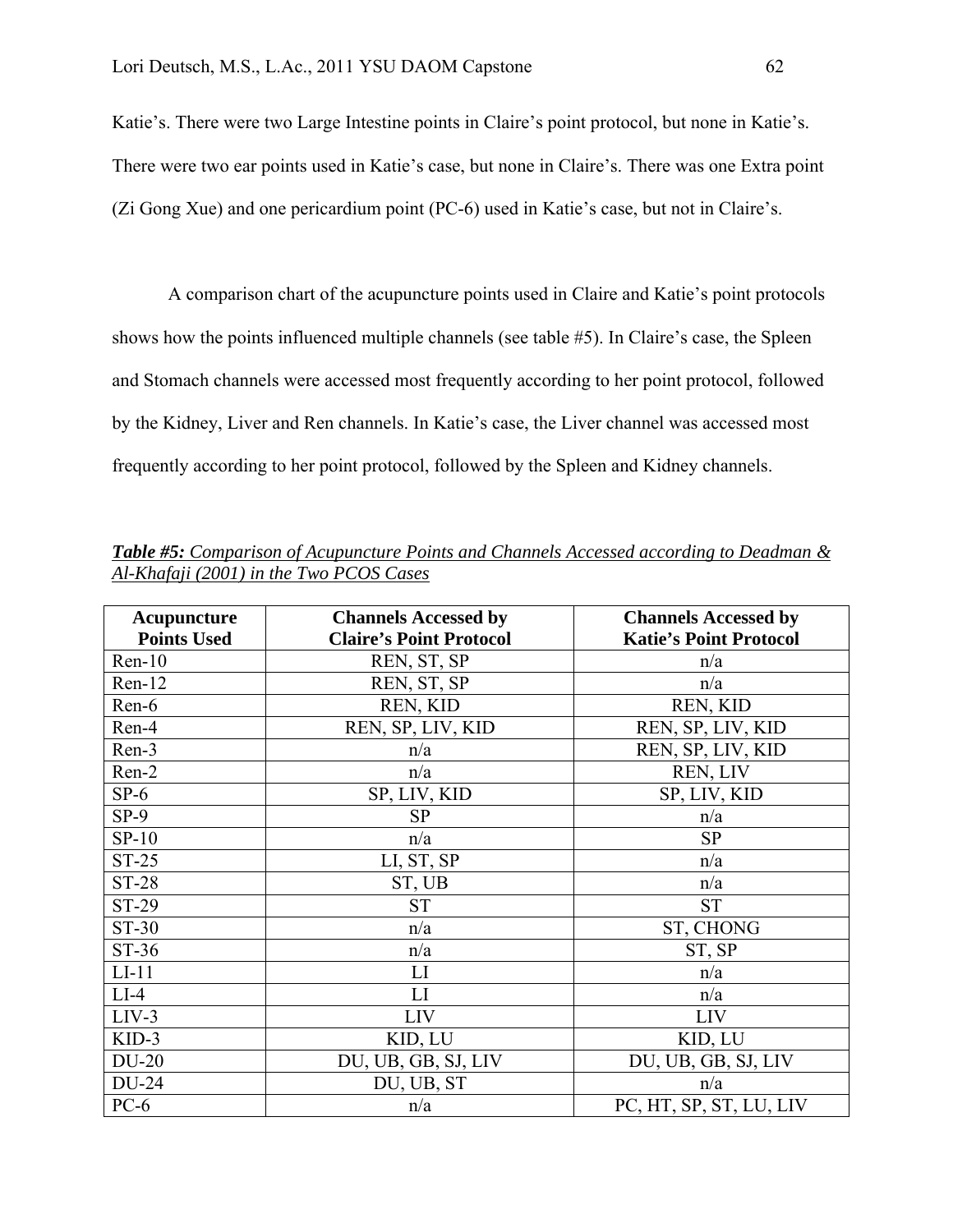Katie's. There were two Large Intestine points in Claire's point protocol, but none in Katie's. There were two ear points used in Katie's case, but none in Claire's. There was one Extra point (Zi Gong Xue) and one pericardium point (PC-6) used in Katie's case, but not in Claire's.

A comparison chart of the acupuncture points used in Claire and Katie's point protocols shows how the points influenced multiple channels (see table #5). In Claire's case, the Spleen and Stomach channels were accessed most frequently according to her point protocol, followed by the Kidney, Liver and Ren channels. In Katie's case, the Liver channel was accessed most frequently according to her point protocol, followed by the Spleen and Kidney channels.

| Acupuncture        | <b>Channels Accessed by</b>    | <b>Channels Accessed by</b>   |
|--------------------|--------------------------------|-------------------------------|
| <b>Points Used</b> | <b>Claire's Point Protocol</b> | <b>Katie's Point Protocol</b> |
| $Ren-10$           | REN, ST, SP                    | n/a                           |
| Ren-12             | REN, ST, SP                    | n/a                           |
| Ren-6              | REN, KID                       | REN, KID                      |
| Ren-4              | REN, SP, LIV, KID              | REN, SP, LIV, KID             |
| Ren-3              | n/a                            | REN, SP, LIV, KID             |
| Ren-2              | n/a                            | REN, LIV                      |
| $SP-6$             | SP, LIV, KID                   | SP, LIV, KID                  |
| $SP-9$             | <b>SP</b>                      | n/a                           |
| $SP-10$            | n/a                            | <b>SP</b>                     |
| <b>ST-25</b>       | LI, ST, SP                     | n/a                           |
| <b>ST-28</b>       | ST, UB                         | n/a                           |
| ST-29              | <b>ST</b>                      | <b>ST</b>                     |
| ST-30              | n/a                            | ST, CHONG                     |
| ST-36              | n/a                            | ST, SP                        |
| $LI-11$            | LI                             | n/a                           |
| $LI-4$             | LI                             | n/a                           |
| $LIV-3$            | <b>LIV</b>                     | <b>LIV</b>                    |
| $KID-3$            | KID, LU                        | KID, LU                       |
| <b>DU-20</b>       | DU, UB, GB, SJ, LIV            | DU, UB, GB, SJ, LIV           |
| DU-24              | DU, UB, ST                     | n/a                           |
| $PC-6$             | n/a                            | PC, HT, SP, ST, LU, LIV       |

*Table #5: Comparison of Acupuncture Points and Channels Accessed according to Deadman & Al-Khafaji (2001) in the Two PCOS Cases*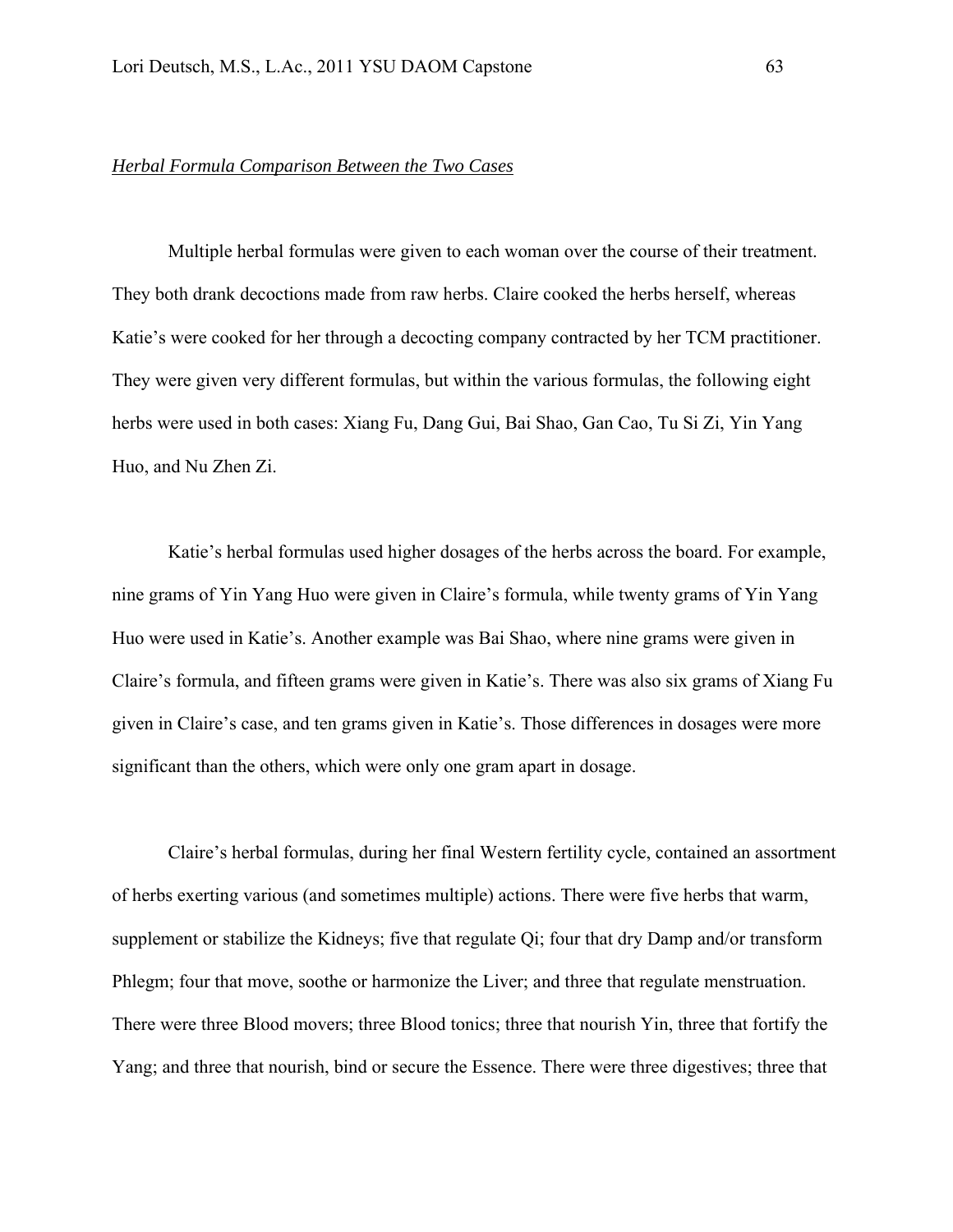#### *Herbal Formula Comparison Between the Two Cases*

Multiple herbal formulas were given to each woman over the course of their treatment. They both drank decoctions made from raw herbs. Claire cooked the herbs herself, whereas Katie's were cooked for her through a decocting company contracted by her TCM practitioner. They were given very different formulas, but within the various formulas, the following eight herbs were used in both cases: Xiang Fu, Dang Gui, Bai Shao, Gan Cao, Tu Si Zi, Yin Yang Huo, and Nu Zhen Zi.

Katie's herbal formulas used higher dosages of the herbs across the board. For example, nine grams of Yin Yang Huo were given in Claire's formula, while twenty grams of Yin Yang Huo were used in Katie's. Another example was Bai Shao, where nine grams were given in Claire's formula, and fifteen grams were given in Katie's. There was also six grams of Xiang Fu given in Claire's case, and ten grams given in Katie's. Those differences in dosages were more significant than the others, which were only one gram apart in dosage.

Claire's herbal formulas, during her final Western fertility cycle, contained an assortment of herbs exerting various (and sometimes multiple) actions. There were five herbs that warm, supplement or stabilize the Kidneys; five that regulate Qi; four that dry Damp and/or transform Phlegm; four that move, soothe or harmonize the Liver; and three that regulate menstruation. There were three Blood movers; three Blood tonics; three that nourish Yin, three that fortify the Yang; and three that nourish, bind or secure the Essence. There were three digestives; three that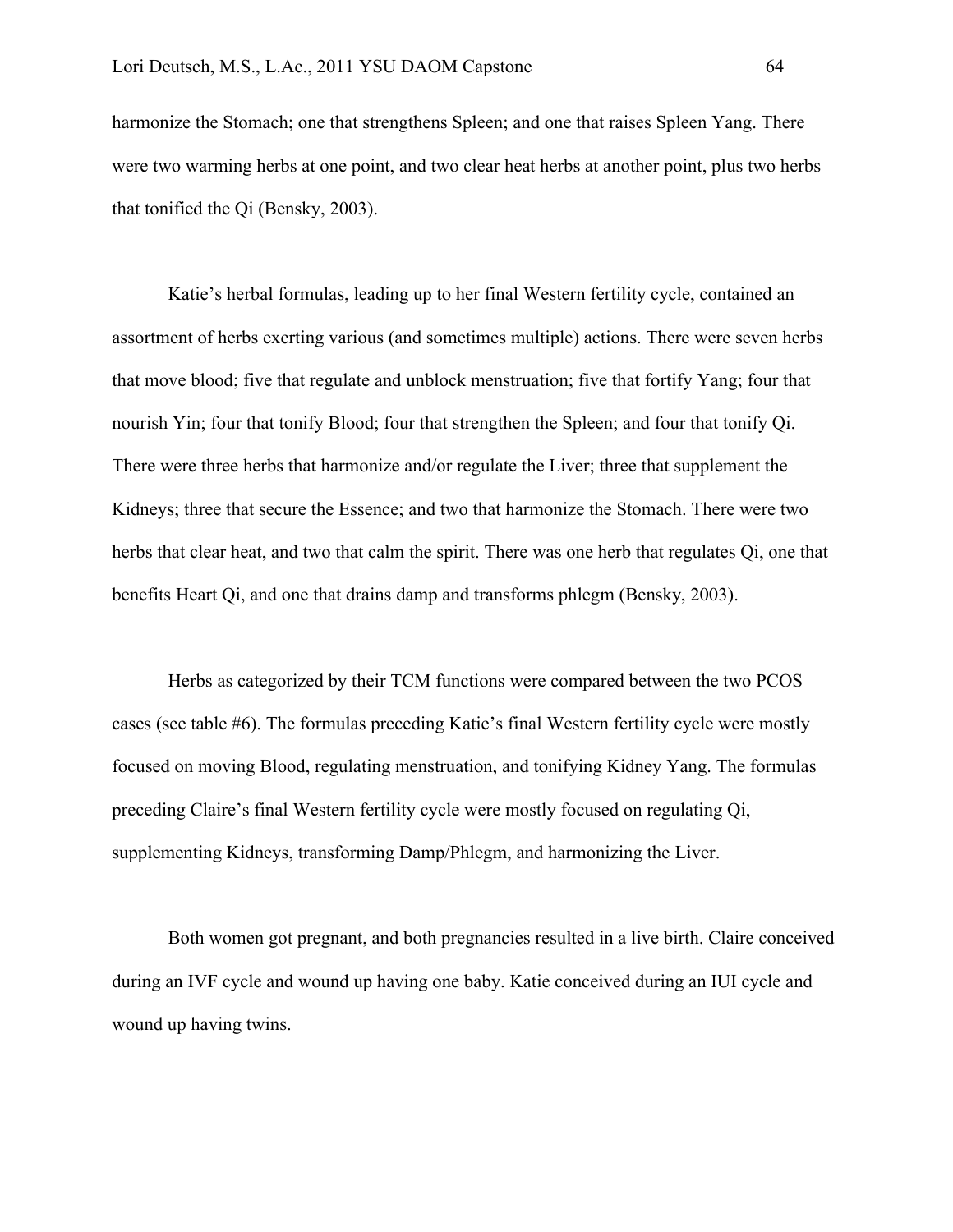harmonize the Stomach; one that strengthens Spleen; and one that raises Spleen Yang. There were two warming herbs at one point, and two clear heat herbs at another point, plus two herbs that tonified the Qi (Bensky, 2003).

Katie's herbal formulas, leading up to her final Western fertility cycle, contained an assortment of herbs exerting various (and sometimes multiple) actions. There were seven herbs that move blood; five that regulate and unblock menstruation; five that fortify Yang; four that nourish Yin; four that tonify Blood; four that strengthen the Spleen; and four that tonify Qi. There were three herbs that harmonize and/or regulate the Liver; three that supplement the Kidneys; three that secure the Essence; and two that harmonize the Stomach. There were two herbs that clear heat, and two that calm the spirit. There was one herb that regulates Qi, one that benefits Heart Qi, and one that drains damp and transforms phlegm (Bensky, 2003).

Herbs as categorized by their TCM functions were compared between the two PCOS cases (see table #6). The formulas preceding Katie's final Western fertility cycle were mostly focused on moving Blood, regulating menstruation, and tonifying Kidney Yang. The formulas preceding Claire's final Western fertility cycle were mostly focused on regulating Qi, supplementing Kidneys, transforming Damp/Phlegm, and harmonizing the Liver.

Both women got pregnant, and both pregnancies resulted in a live birth. Claire conceived during an IVF cycle and wound up having one baby. Katie conceived during an IUI cycle and wound up having twins.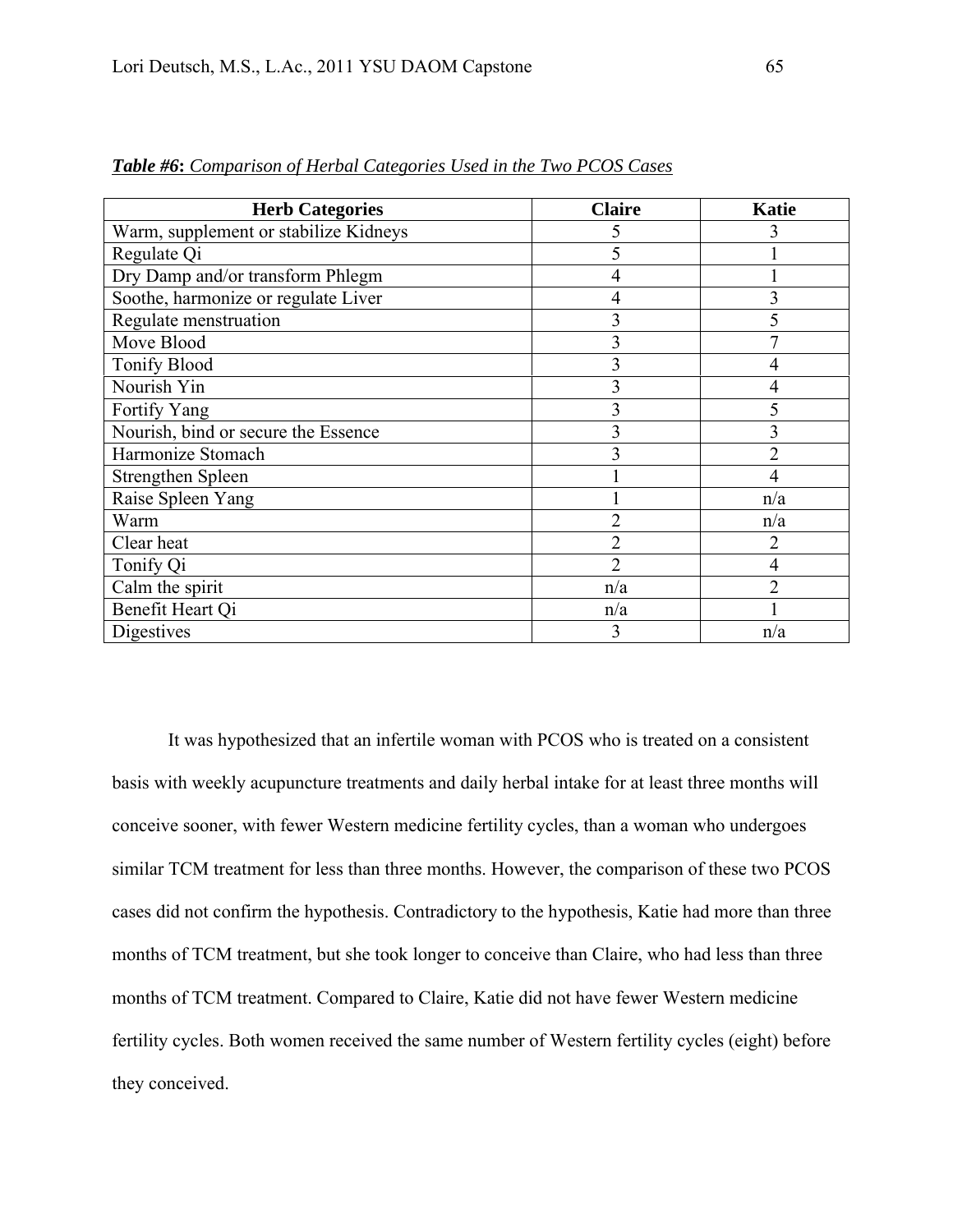| <b>Herb Categories</b>                | <b>Claire</b>  | Katie          |
|---------------------------------------|----------------|----------------|
| Warm, supplement or stabilize Kidneys | 5              |                |
| Regulate Qi                           | 5              |                |
| Dry Damp and/or transform Phlegm      | 4              |                |
| Soothe, harmonize or regulate Liver   | 4              |                |
| Regulate menstruation                 | 3              |                |
| Move Blood                            | 3              |                |
| <b>Tonify Blood</b>                   | 3              |                |
| Nourish Yin                           | 3              | 4              |
| Fortify Yang                          | 3              | 5              |
| Nourish, bind or secure the Essence   | 3              |                |
| Harmonize Stomach                     | 3              | $\overline{2}$ |
| Strengthen Spleen                     |                |                |
| Raise Spleen Yang                     |                | n/a            |
| Warm                                  | $\overline{2}$ | n/a            |
| Clear heat                            | $\overline{2}$ | 2              |
| Tonify Qi                             | $\overline{2}$ | 4              |
| Calm the spirit                       | n/a            |                |
| Benefit Heart Qi                      | n/a            |                |
| Digestives                            | 3              | n/a            |

*Table #6***:** *Comparison of Herbal Categories Used in the Two PCOS Cases*

It was hypothesized that an infertile woman with PCOS who is treated on a consistent basis with weekly acupuncture treatments and daily herbal intake for at least three months will conceive sooner, with fewer Western medicine fertility cycles, than a woman who undergoes similar TCM treatment for less than three months. However, the comparison of these two PCOS cases did not confirm the hypothesis. Contradictory to the hypothesis, Katie had more than three months of TCM treatment, but she took longer to conceive than Claire, who had less than three months of TCM treatment. Compared to Claire, Katie did not have fewer Western medicine fertility cycles. Both women received the same number of Western fertility cycles (eight) before they conceived.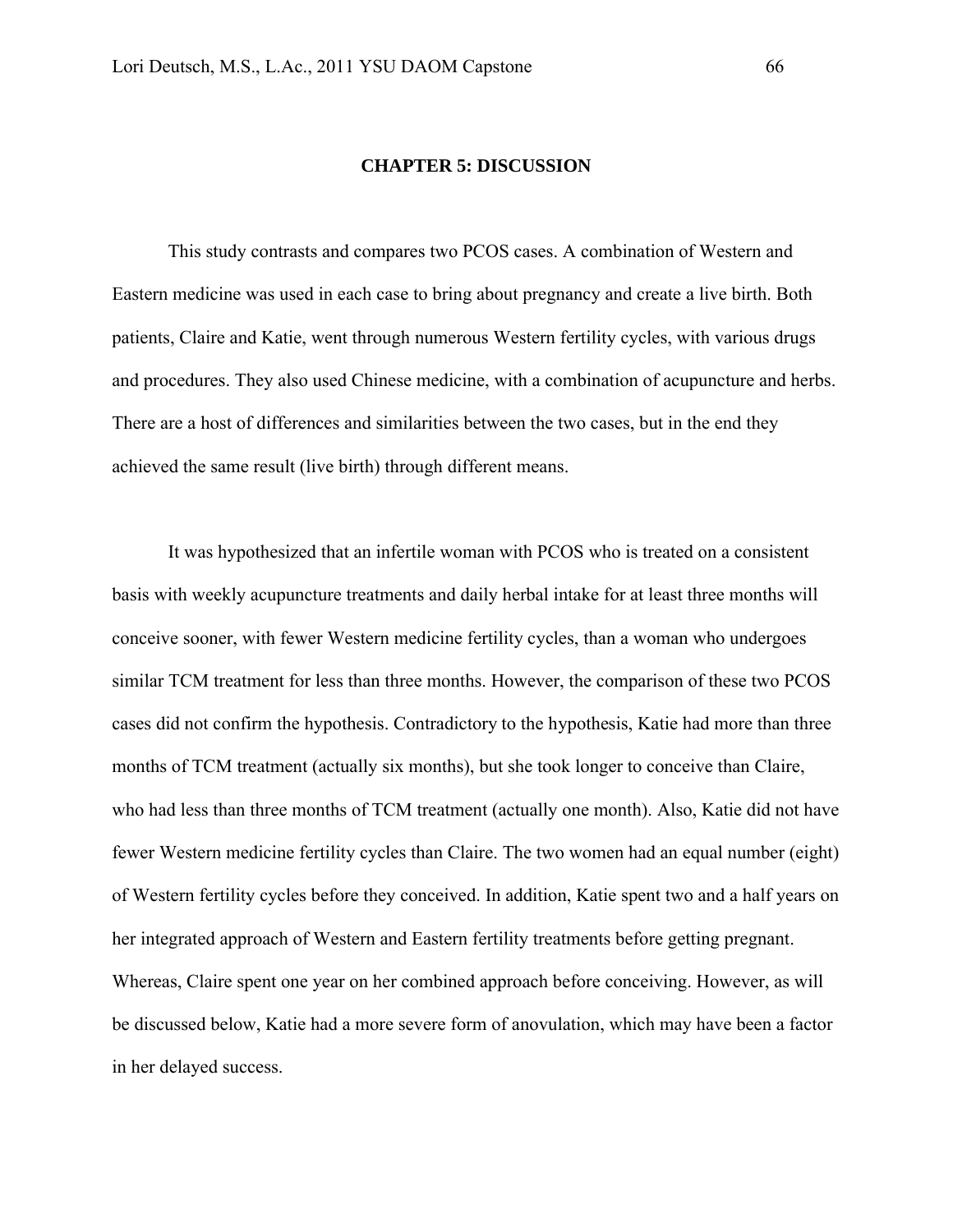#### **CHAPTER 5: DISCUSSION**

This study contrasts and compares two PCOS cases. A combination of Western and Eastern medicine was used in each case to bring about pregnancy and create a live birth. Both patients, Claire and Katie, went through numerous Western fertility cycles, with various drugs and procedures. They also used Chinese medicine, with a combination of acupuncture and herbs. There are a host of differences and similarities between the two cases, but in the end they achieved the same result (live birth) through different means.

It was hypothesized that an infertile woman with PCOS who is treated on a consistent basis with weekly acupuncture treatments and daily herbal intake for at least three months will conceive sooner, with fewer Western medicine fertility cycles, than a woman who undergoes similar TCM treatment for less than three months. However, the comparison of these two PCOS cases did not confirm the hypothesis. Contradictory to the hypothesis, Katie had more than three months of TCM treatment (actually six months), but she took longer to conceive than Claire, who had less than three months of TCM treatment (actually one month). Also, Katie did not have fewer Western medicine fertility cycles than Claire. The two women had an equal number (eight) of Western fertility cycles before they conceived. In addition, Katie spent two and a half years on her integrated approach of Western and Eastern fertility treatments before getting pregnant. Whereas, Claire spent one year on her combined approach before conceiving. However, as will be discussed below, Katie had a more severe form of anovulation, which may have been a factor in her delayed success.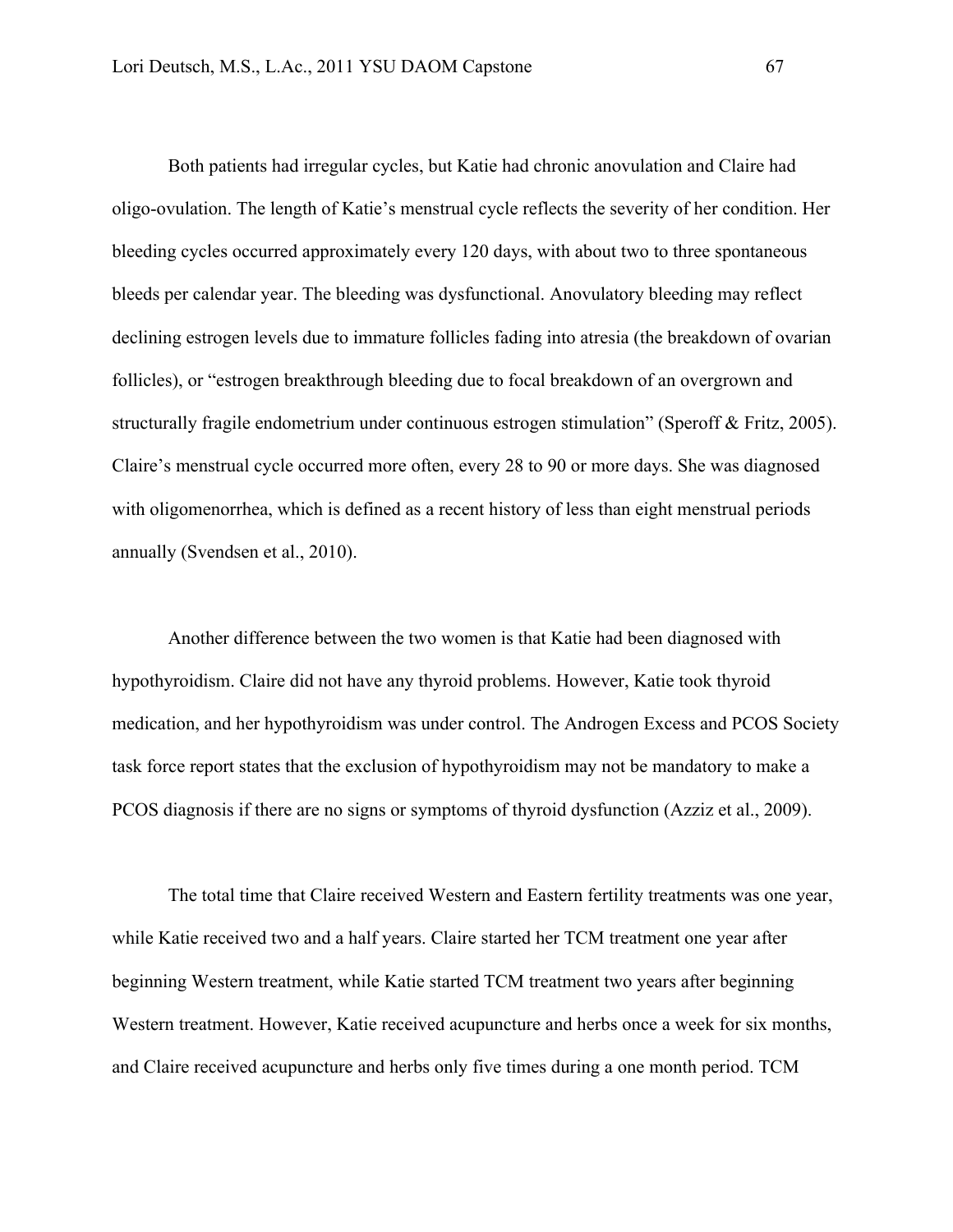Both patients had irregular cycles, but Katie had chronic anovulation and Claire had oligo-ovulation. The length of Katie's menstrual cycle reflects the severity of her condition. Her bleeding cycles occurred approximately every 120 days, with about two to three spontaneous bleeds per calendar year. The bleeding was dysfunctional. Anovulatory bleeding may reflect declining estrogen levels due to immature follicles fading into atresia (the breakdown of ovarian follicles), or "estrogen breakthrough bleeding due to focal breakdown of an overgrown and structurally fragile endometrium under continuous estrogen stimulation" (Speroff & Fritz, 2005). Claire's menstrual cycle occurred more often, every 28 to 90 or more days. She was diagnosed with oligomenorrhea, which is defined as a recent history of less than eight menstrual periods annually (Svendsen et al., 2010).

Another difference between the two women is that Katie had been diagnosed with hypothyroidism. Claire did not have any thyroid problems. However, Katie took thyroid medication, and her hypothyroidism was under control. The Androgen Excess and PCOS Society task force report states that the exclusion of hypothyroidism may not be mandatory to make a PCOS diagnosis if there are no signs or symptoms of thyroid dysfunction (Azziz et al., 2009).

The total time that Claire received Western and Eastern fertility treatments was one year, while Katie received two and a half years. Claire started her TCM treatment one year after beginning Western treatment, while Katie started TCM treatment two years after beginning Western treatment. However, Katie received acupuncture and herbs once a week for six months, and Claire received acupuncture and herbs only five times during a one month period. TCM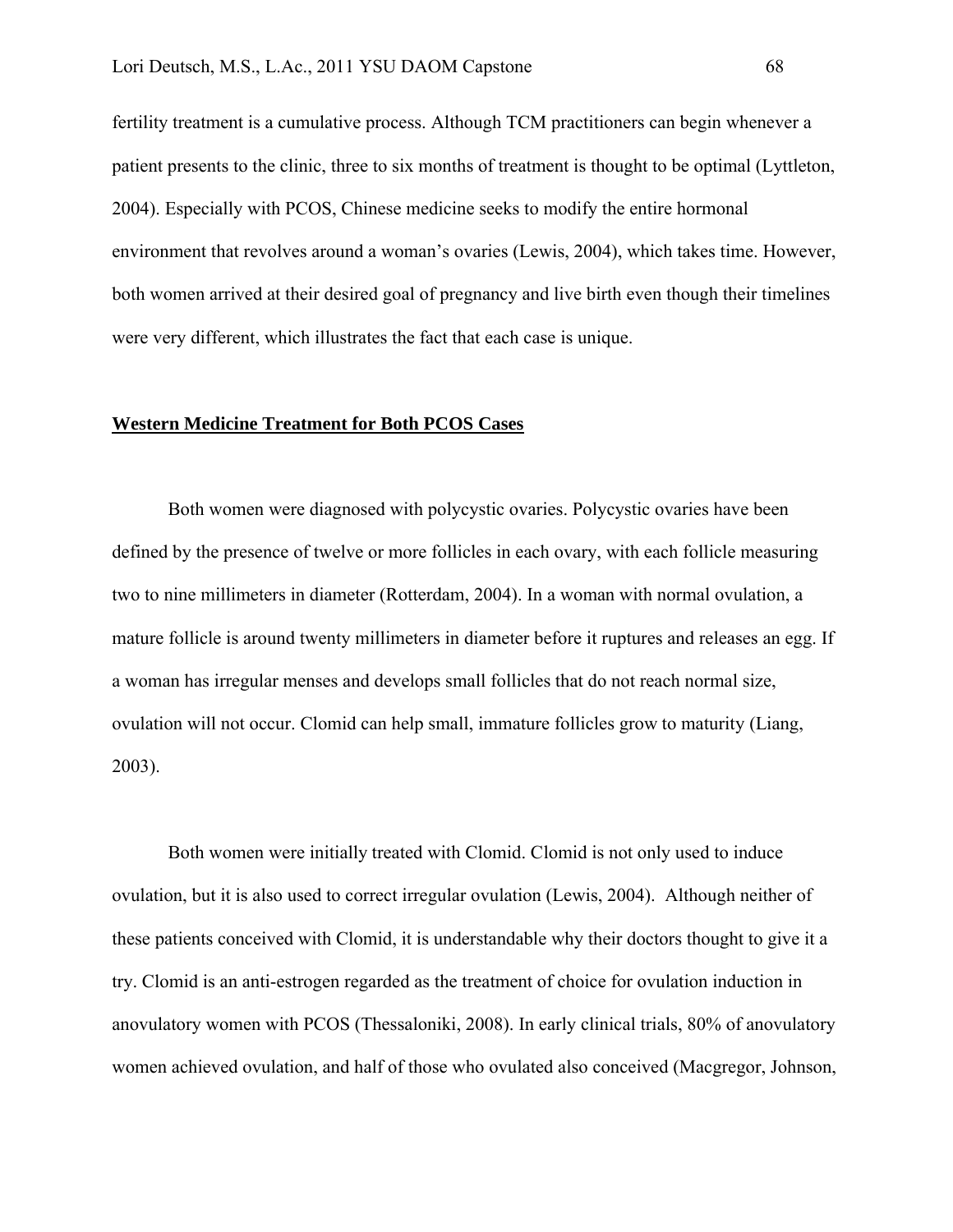fertility treatment is a cumulative process. Although TCM practitioners can begin whenever a patient presents to the clinic, three to six months of treatment is thought to be optimal (Lyttleton, 2004). Especially with PCOS, Chinese medicine seeks to modify the entire hormonal environment that revolves around a woman's ovaries (Lewis, 2004), which takes time. However, both women arrived at their desired goal of pregnancy and live birth even though their timelines were very different, which illustrates the fact that each case is unique.

# **Western Medicine Treatment for Both PCOS Cases**

Both women were diagnosed with polycystic ovaries. Polycystic ovaries have been defined by the presence of twelve or more follicles in each ovary, with each follicle measuring two to nine millimeters in diameter (Rotterdam, 2004). In a woman with normal ovulation, a mature follicle is around twenty millimeters in diameter before it ruptures and releases an egg. If a woman has irregular menses and develops small follicles that do not reach normal size, ovulation will not occur. Clomid can help small, immature follicles grow to maturity (Liang, 2003).

Both women were initially treated with Clomid. Clomid is not only used to induce ovulation, but it is also used to correct irregular ovulation (Lewis, 2004). Although neither of these patients conceived with Clomid, it is understandable why their doctors thought to give it a try. Clomid is an anti-estrogen regarded as the treatment of choice for ovulation induction in anovulatory women with PCOS (Thessaloniki, 2008). In early clinical trials, 80% of anovulatory women achieved ovulation, and half of those who ovulated also conceived (Macgregor, Johnson,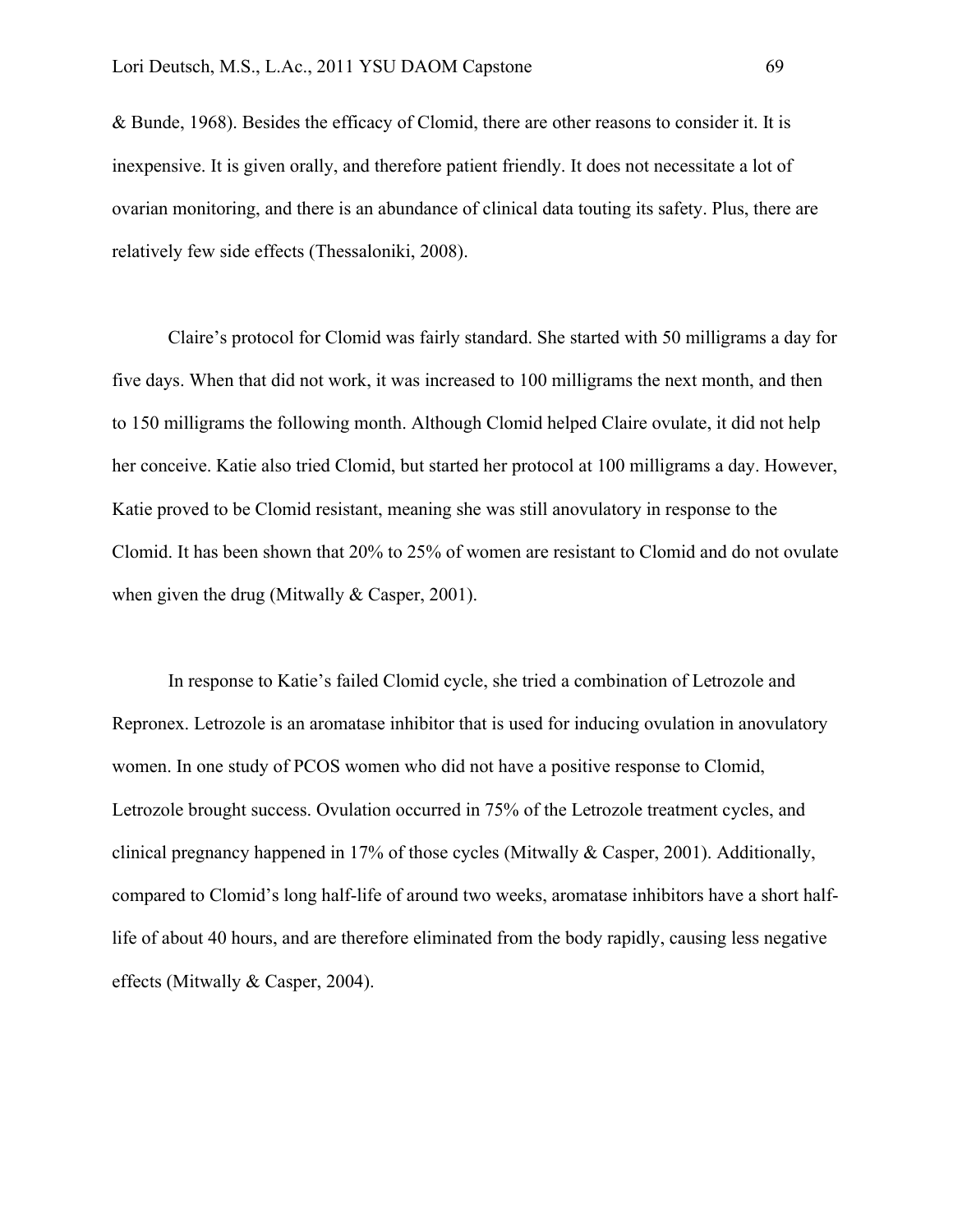& Bunde, 1968). Besides the efficacy of Clomid, there are other reasons to consider it. It is inexpensive. It is given orally, and therefore patient friendly. It does not necessitate a lot of ovarian monitoring, and there is an abundance of clinical data touting its safety. Plus, there are relatively few side effects (Thessaloniki, 2008).

Claire's protocol for Clomid was fairly standard. She started with 50 milligrams a day for five days. When that did not work, it was increased to 100 milligrams the next month, and then to 150 milligrams the following month. Although Clomid helped Claire ovulate, it did not help her conceive. Katie also tried Clomid, but started her protocol at 100 milligrams a day. However, Katie proved to be Clomid resistant, meaning she was still anovulatory in response to the Clomid. It has been shown that 20% to 25% of women are resistant to Clomid and do not ovulate when given the drug (Mitwally & Casper, 2001).

In response to Katie's failed Clomid cycle, she tried a combination of Letrozole and Repronex. Letrozole is an aromatase inhibitor that is used for inducing ovulation in anovulatory women. In one study of PCOS women who did not have a positive response to Clomid, Letrozole brought success. Ovulation occurred in 75% of the Letrozole treatment cycles, and clinical pregnancy happened in 17% of those cycles (Mitwally & Casper, 2001). Additionally, compared to Clomid's long half-life of around two weeks, aromatase inhibitors have a short halflife of about 40 hours, and are therefore eliminated from the body rapidly, causing less negative effects (Mitwally & Casper, 2004).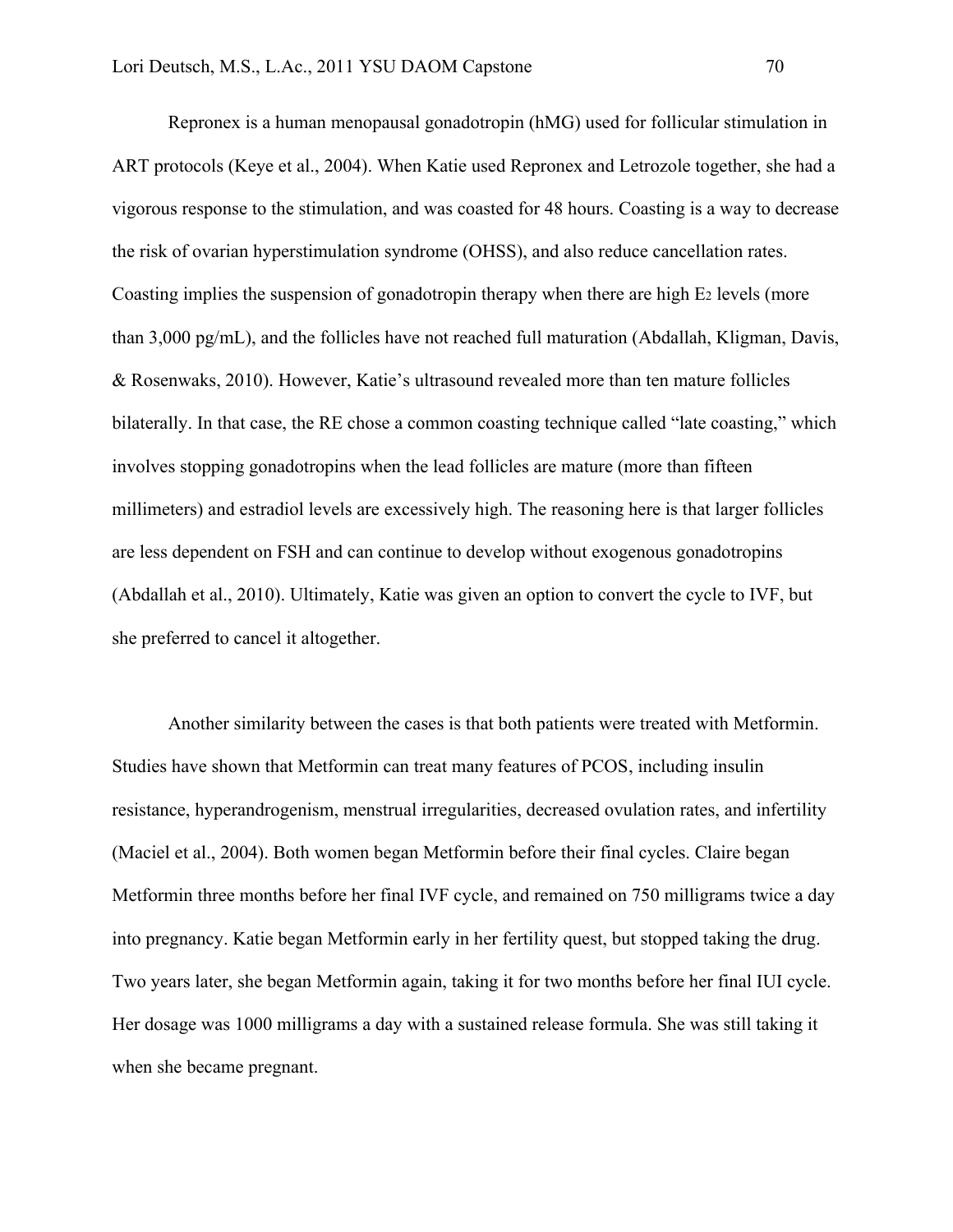Repronex is a human menopausal gonadotropin (hMG) used for follicular stimulation in ART protocols (Keye et al., 2004). When Katie used Repronex and Letrozole together, she had a vigorous response to the stimulation, and was coasted for 48 hours. Coasting is a way to decrease the risk of ovarian hyperstimulation syndrome (OHSS), and also reduce cancellation rates. Coasting implies the suspension of gonadotropin therapy when there are high E2 levels (more than 3,000 pg/mL), and the follicles have not reached full maturation (Abdallah, Kligman, Davis, & Rosenwaks, 2010). However, Katie's ultrasound revealed more than ten mature follicles bilaterally. In that case, the RE chose a common coasting technique called "late coasting," which involves stopping gonadotropins when the lead follicles are mature (more than fifteen millimeters) and estradiol levels are excessively high. The reasoning here is that larger follicles are less dependent on FSH and can continue to develop without exogenous gonadotropins (Abdallah et al., 2010). Ultimately, Katie was given an option to convert the cycle to IVF, but she preferred to cancel it altogether.

Another similarity between the cases is that both patients were treated with Metformin. Studies have shown that Metformin can treat many features of PCOS, including insulin resistance, hyperandrogenism, menstrual irregularities, decreased ovulation rates, and infertility (Maciel et al., 2004). Both women began Metformin before their final cycles. Claire began Metformin three months before her final IVF cycle, and remained on 750 milligrams twice a day into pregnancy. Katie began Metformin early in her fertility quest, but stopped taking the drug. Two years later, she began Metformin again, taking it for two months before her final IUI cycle. Her dosage was 1000 milligrams a day with a sustained release formula. She was still taking it when she became pregnant.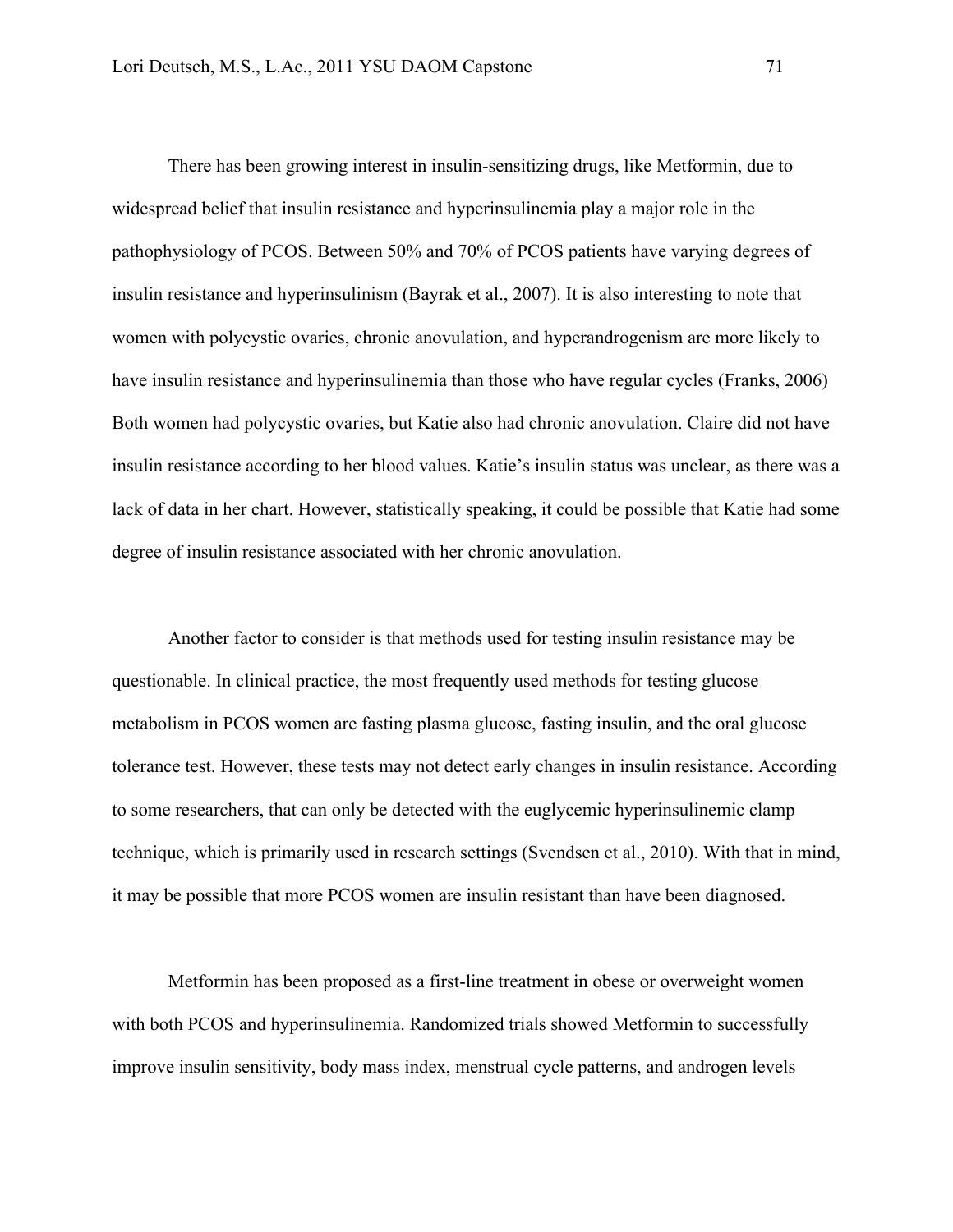There has been growing interest in insulin-sensitizing drugs, like Metformin, due to widespread belief that insulin resistance and hyperinsulinemia play a major role in the pathophysiology of PCOS. Between 50% and 70% of PCOS patients have varying degrees of insulin resistance and hyperinsulinism (Bayrak et al., 2007). It is also interesting to note that women with polycystic ovaries, chronic anovulation, and hyperandrogenism are more likely to have insulin resistance and hyperinsulinemia than those who have regular cycles (Franks, 2006) Both women had polycystic ovaries, but Katie also had chronic anovulation. Claire did not have insulin resistance according to her blood values. Katie's insulin status was unclear, as there was a lack of data in her chart. However, statistically speaking, it could be possible that Katie had some degree of insulin resistance associated with her chronic anovulation.

Another factor to consider is that methods used for testing insulin resistance may be questionable. In clinical practice, the most frequently used methods for testing glucose metabolism in PCOS women are fasting plasma glucose, fasting insulin, and the oral glucose tolerance test. However, these tests may not detect early changes in insulin resistance. According to some researchers, that can only be detected with the euglycemic hyperinsulinemic clamp technique, which is primarily used in research settings (Svendsen et al., 2010). With that in mind, it may be possible that more PCOS women are insulin resistant than have been diagnosed.

Metformin has been proposed as a first-line treatment in obese or overweight women with both PCOS and hyperinsulinemia. Randomized trials showed Metformin to successfully improve insulin sensitivity, body mass index, menstrual cycle patterns, and androgen levels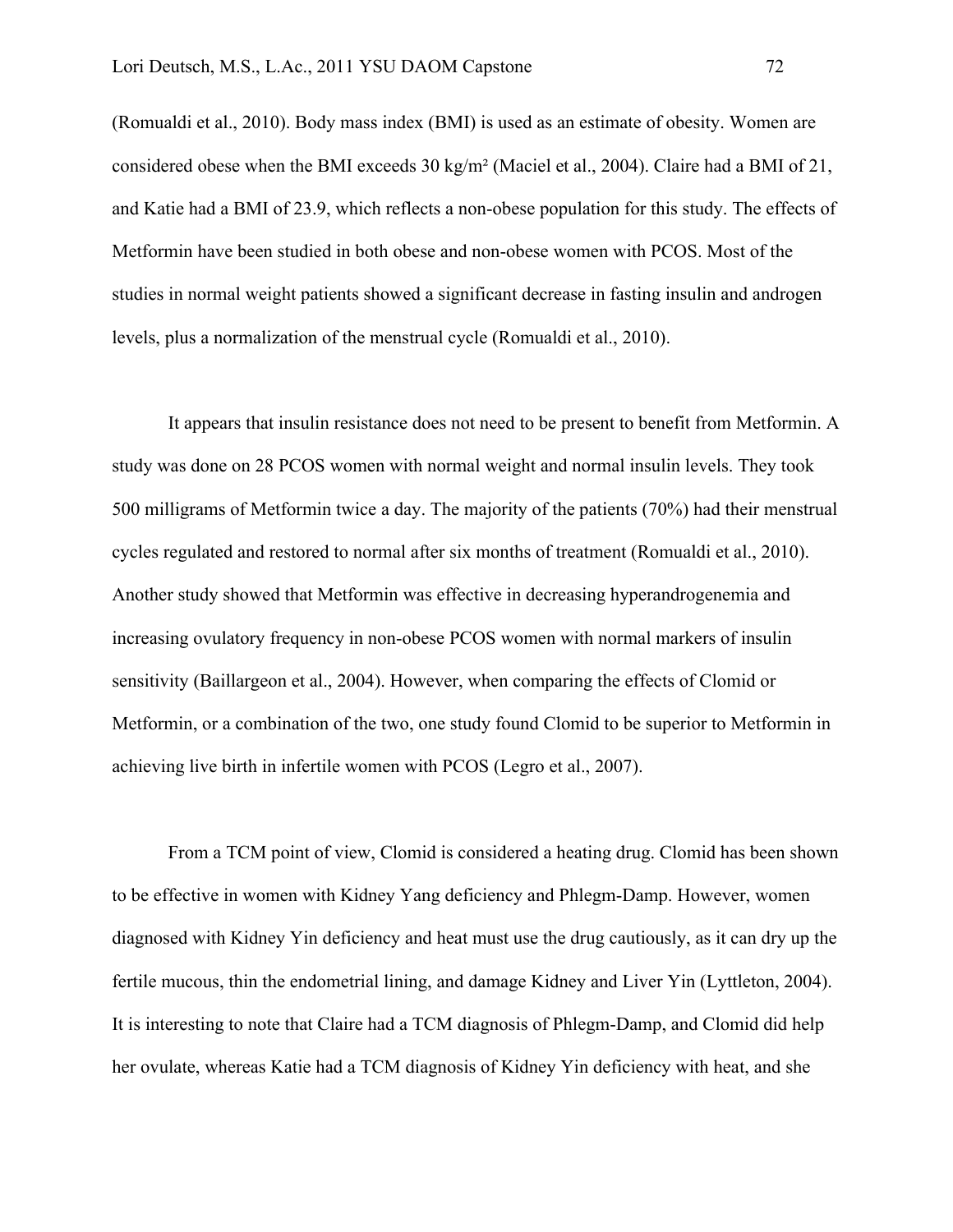(Romualdi et al., 2010). Body mass index (BMI) is used as an estimate of obesity. Women are considered obese when the BMI exceeds 30 kg/m² (Maciel et al., 2004). Claire had a BMI of 21, and Katie had a BMI of 23.9, which reflects a non-obese population for this study. The effects of Metformin have been studied in both obese and non-obese women with PCOS. Most of the studies in normal weight patients showed a significant decrease in fasting insulin and androgen levels, plus a normalization of the menstrual cycle (Romualdi et al., 2010).

It appears that insulin resistance does not need to be present to benefit from Metformin. A study was done on 28 PCOS women with normal weight and normal insulin levels. They took 500 milligrams of Metformin twice a day. The majority of the patients (70%) had their menstrual cycles regulated and restored to normal after six months of treatment (Romualdi et al., 2010). Another study showed that Metformin was effective in decreasing hyperandrogenemia and increasing ovulatory frequency in non-obese PCOS women with normal markers of insulin sensitivity (Baillargeon et al., 2004). However, when comparing the effects of Clomid or Metformin, or a combination of the two, one study found Clomid to be superior to Metformin in achieving live birth in infertile women with PCOS (Legro et al., 2007).

From a TCM point of view, Clomid is considered a heating drug. Clomid has been shown to be effective in women with Kidney Yang deficiency and Phlegm-Damp. However, women diagnosed with Kidney Yin deficiency and heat must use the drug cautiously, as it can dry up the fertile mucous, thin the endometrial lining, and damage Kidney and Liver Yin (Lyttleton, 2004). It is interesting to note that Claire had a TCM diagnosis of Phlegm-Damp, and Clomid did help her ovulate, whereas Katie had a TCM diagnosis of Kidney Yin deficiency with heat, and she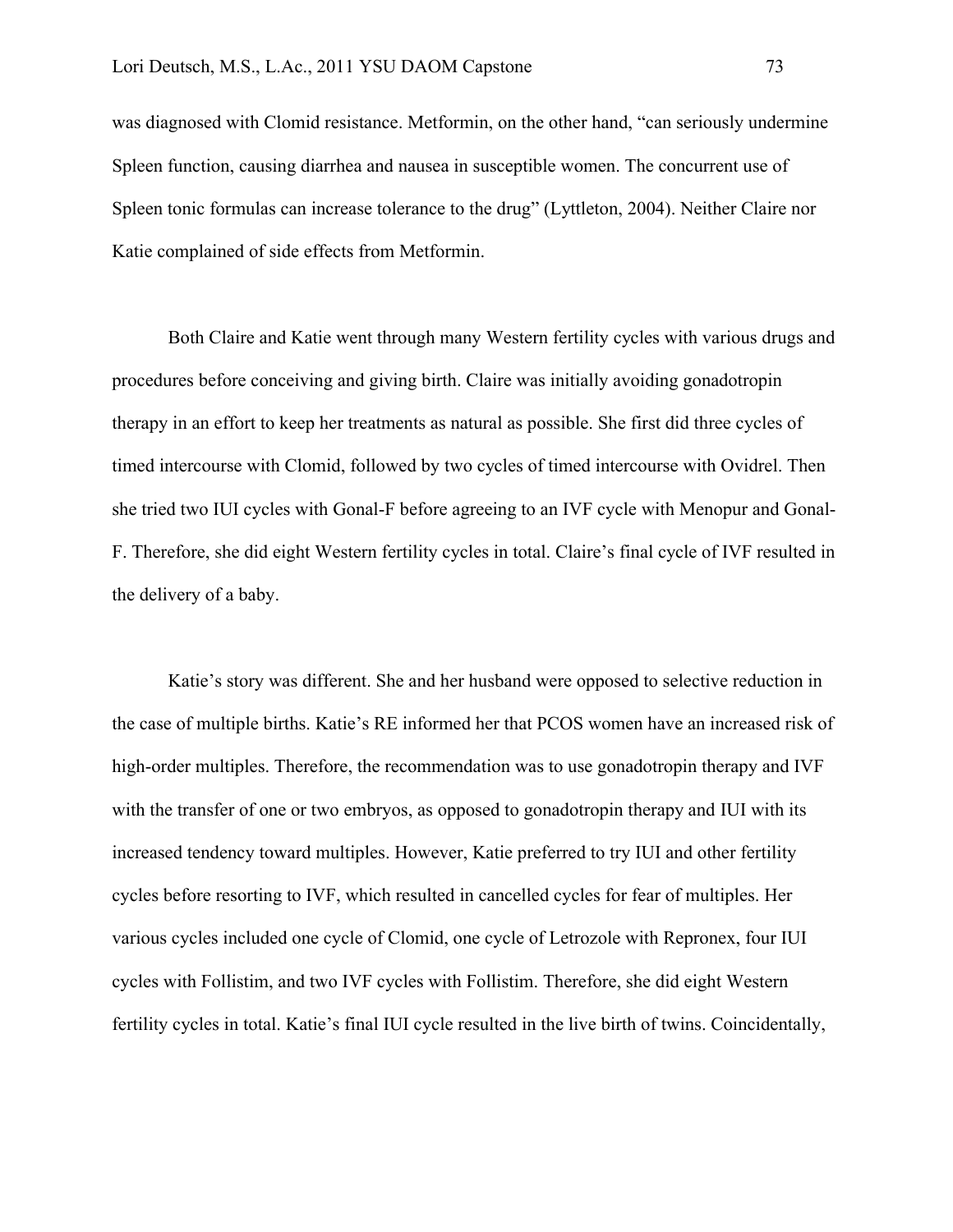was diagnosed with Clomid resistance. Metformin, on the other hand, "can seriously undermine Spleen function, causing diarrhea and nausea in susceptible women. The concurrent use of Spleen tonic formulas can increase tolerance to the drug" (Lyttleton, 2004). Neither Claire nor Katie complained of side effects from Metformin.

Both Claire and Katie went through many Western fertility cycles with various drugs and procedures before conceiving and giving birth. Claire was initially avoiding gonadotropin therapy in an effort to keep her treatments as natural as possible. She first did three cycles of timed intercourse with Clomid, followed by two cycles of timed intercourse with Ovidrel. Then she tried two IUI cycles with Gonal-F before agreeing to an IVF cycle with Menopur and Gonal-F. Therefore, she did eight Western fertility cycles in total. Claire's final cycle of IVF resulted in the delivery of a baby.

Katie's story was different. She and her husband were opposed to selective reduction in the case of multiple births. Katie's RE informed her that PCOS women have an increased risk of high-order multiples. Therefore, the recommendation was to use gonadotropin therapy and IVF with the transfer of one or two embryos, as opposed to gonadotropin therapy and IUI with its increased tendency toward multiples. However, Katie preferred to try IUI and other fertility cycles before resorting to IVF, which resulted in cancelled cycles for fear of multiples. Her various cycles included one cycle of Clomid, one cycle of Letrozole with Repronex, four IUI cycles with Follistim, and two IVF cycles with Follistim. Therefore, she did eight Western fertility cycles in total. Katie's final IUI cycle resulted in the live birth of twins. Coincidentally,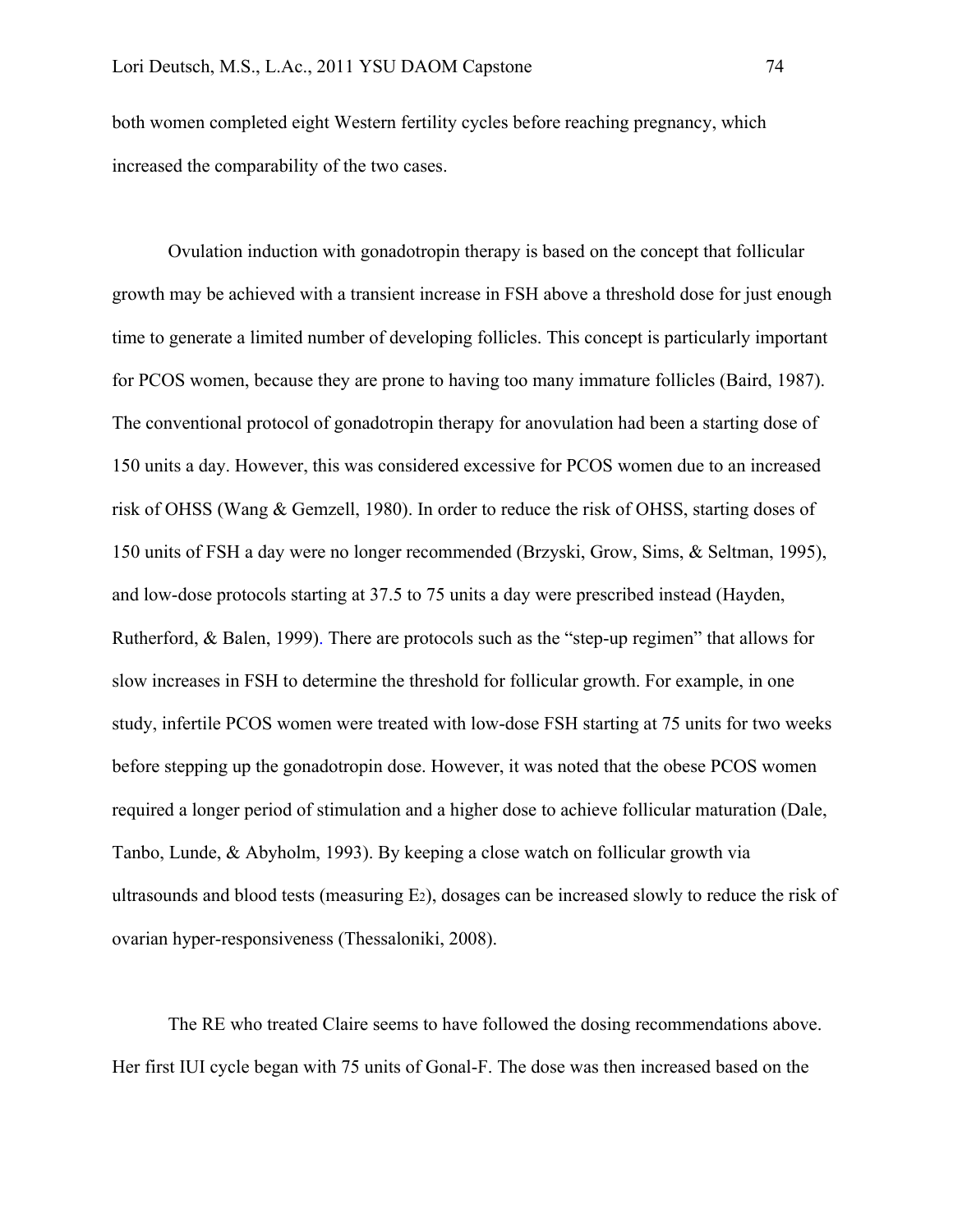both women completed eight Western fertility cycles before reaching pregnancy, which increased the comparability of the two cases.

Ovulation induction with gonadotropin therapy is based on the concept that follicular growth may be achieved with a transient increase in FSH above a threshold dose for just enough time to generate a limited number of developing follicles. This concept is particularly important for PCOS women, because they are prone to having too many immature follicles (Baird, 1987). The conventional protocol of gonadotropin therapy for anovulation had been a starting dose of 150 units a day. However, this was considered excessive for PCOS women due to an increased risk of OHSS (Wang & Gemzell, 1980). In order to reduce the risk of OHSS, starting doses of 150 units of FSH a day were no longer recommended (Brzyski, Grow, Sims, & Seltman, 1995), and low-dose protocols starting at 37.5 to 75 units a day were prescribed instead (Hayden, Rutherford, & Balen, 1999). There are protocols such as the "step-up regimen" that allows for slow increases in FSH to determine the threshold for follicular growth. For example, in one study, infertile PCOS women were treated with low-dose FSH starting at 75 units for two weeks before stepping up the gonadotropin dose. However, it was noted that the obese PCOS women required a longer period of stimulation and a higher dose to achieve follicular maturation (Dale, Tanbo, Lunde, & Abyholm, 1993). By keeping a close watch on follicular growth via ultrasounds and blood tests (measuring E2), dosages can be increased slowly to reduce the risk of ovarian hyper-responsiveness (Thessaloniki, 2008).

The RE who treated Claire seems to have followed the dosing recommendations above. Her first IUI cycle began with 75 units of Gonal-F. The dose was then increased based on the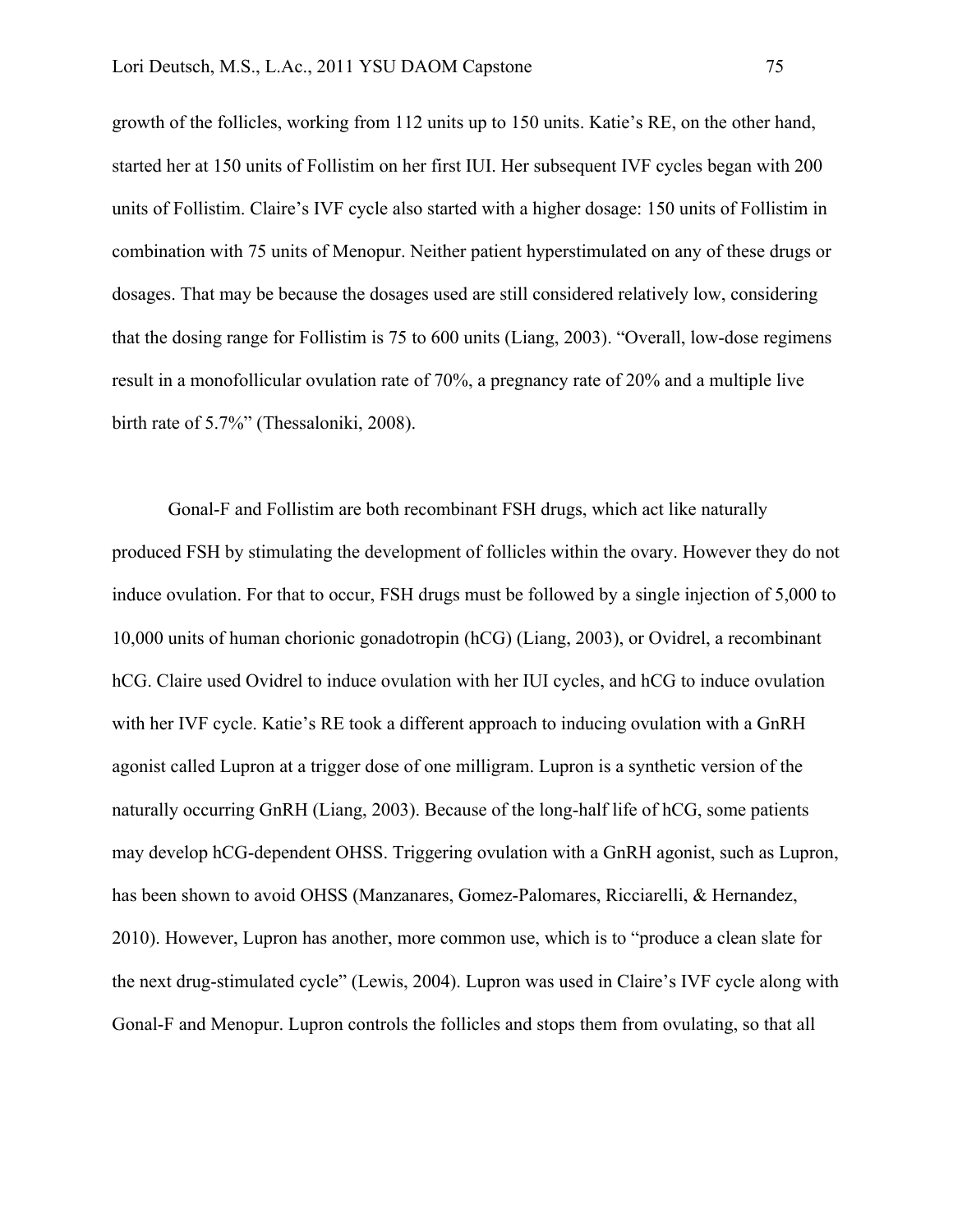growth of the follicles, working from 112 units up to 150 units. Katie's RE, on the other hand, started her at 150 units of Follistim on her first IUI. Her subsequent IVF cycles began with 200 units of Follistim. Claire's IVF cycle also started with a higher dosage: 150 units of Follistim in combination with 75 units of Menopur. Neither patient hyperstimulated on any of these drugs or dosages. That may be because the dosages used are still considered relatively low, considering that the dosing range for Follistim is 75 to 600 units (Liang, 2003). "Overall, low-dose regimens result in a monofollicular ovulation rate of 70%, a pregnancy rate of 20% and a multiple live birth rate of 5.7%" (Thessaloniki, 2008).

Gonal-F and Follistim are both recombinant FSH drugs, which act like naturally produced FSH by stimulating the development of follicles within the ovary. However they do not induce ovulation. For that to occur, FSH drugs must be followed by a single injection of 5,000 to 10,000 units of human chorionic gonadotropin (hCG) (Liang, 2003), or Ovidrel, a recombinant hCG. Claire used Ovidrel to induce ovulation with her IUI cycles, and hCG to induce ovulation with her IVF cycle. Katie's RE took a different approach to inducing ovulation with a GnRH agonist called Lupron at a trigger dose of one milligram. Lupron is a synthetic version of the naturally occurring GnRH (Liang, 2003). Because of the long-half life of hCG, some patients may develop hCG-dependent OHSS. Triggering ovulation with a GnRH agonist, such as Lupron, has been shown to avoid OHSS (Manzanares, Gomez-Palomares, Ricciarelli, & Hernandez, 2010). However, Lupron has another, more common use, which is to "produce a clean slate for the next drug-stimulated cycle" (Lewis, 2004). Lupron was used in Claire's IVF cycle along with Gonal-F and Menopur. Lupron controls the follicles and stops them from ovulating, so that all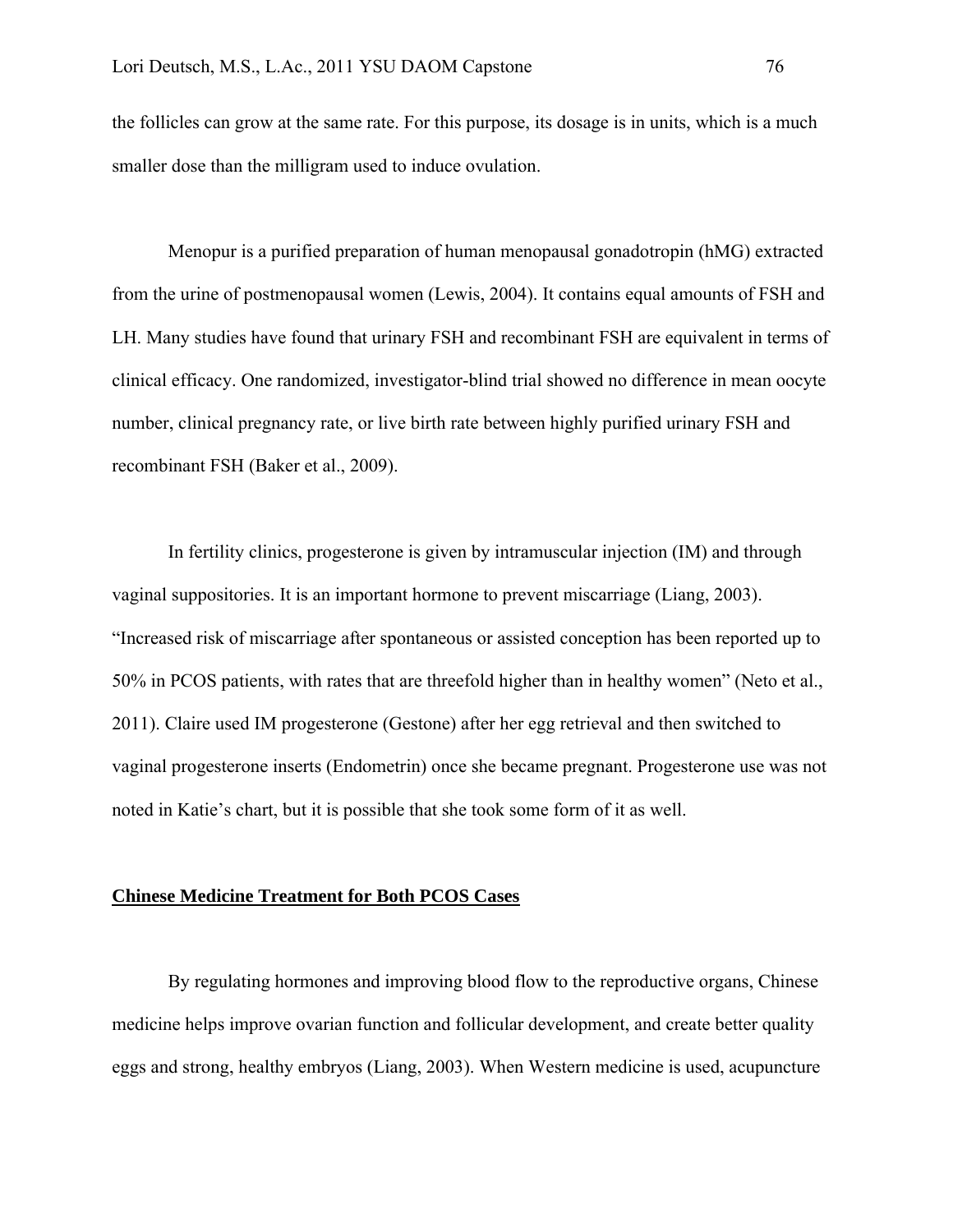the follicles can grow at the same rate. For this purpose, its dosage is in units, which is a much smaller dose than the milligram used to induce ovulation.

Menopur is a purified preparation of human menopausal gonadotropin (hMG) extracted from the urine of postmenopausal women (Lewis, 2004). It contains equal amounts of FSH and LH. Many studies have found that urinary FSH and recombinant FSH are equivalent in terms of clinical efficacy. One randomized, investigator-blind trial showed no difference in mean oocyte number, clinical pregnancy rate, or live birth rate between highly purified urinary FSH and recombinant FSH (Baker et al., 2009).

In fertility clinics, progesterone is given by intramuscular injection (IM) and through vaginal suppositories. It is an important hormone to prevent miscarriage (Liang, 2003). "Increased risk of miscarriage after spontaneous or assisted conception has been reported up to 50% in PCOS patients, with rates that are threefold higher than in healthy women" (Neto et al., 2011). Claire used IM progesterone (Gestone) after her egg retrieval and then switched to vaginal progesterone inserts (Endometrin) once she became pregnant. Progesterone use was not noted in Katie's chart, but it is possible that she took some form of it as well.

#### **Chinese Medicine Treatment for Both PCOS Cases**

By regulating hormones and improving blood flow to the reproductive organs, Chinese medicine helps improve ovarian function and follicular development, and create better quality eggs and strong, healthy embryos (Liang, 2003). When Western medicine is used, acupuncture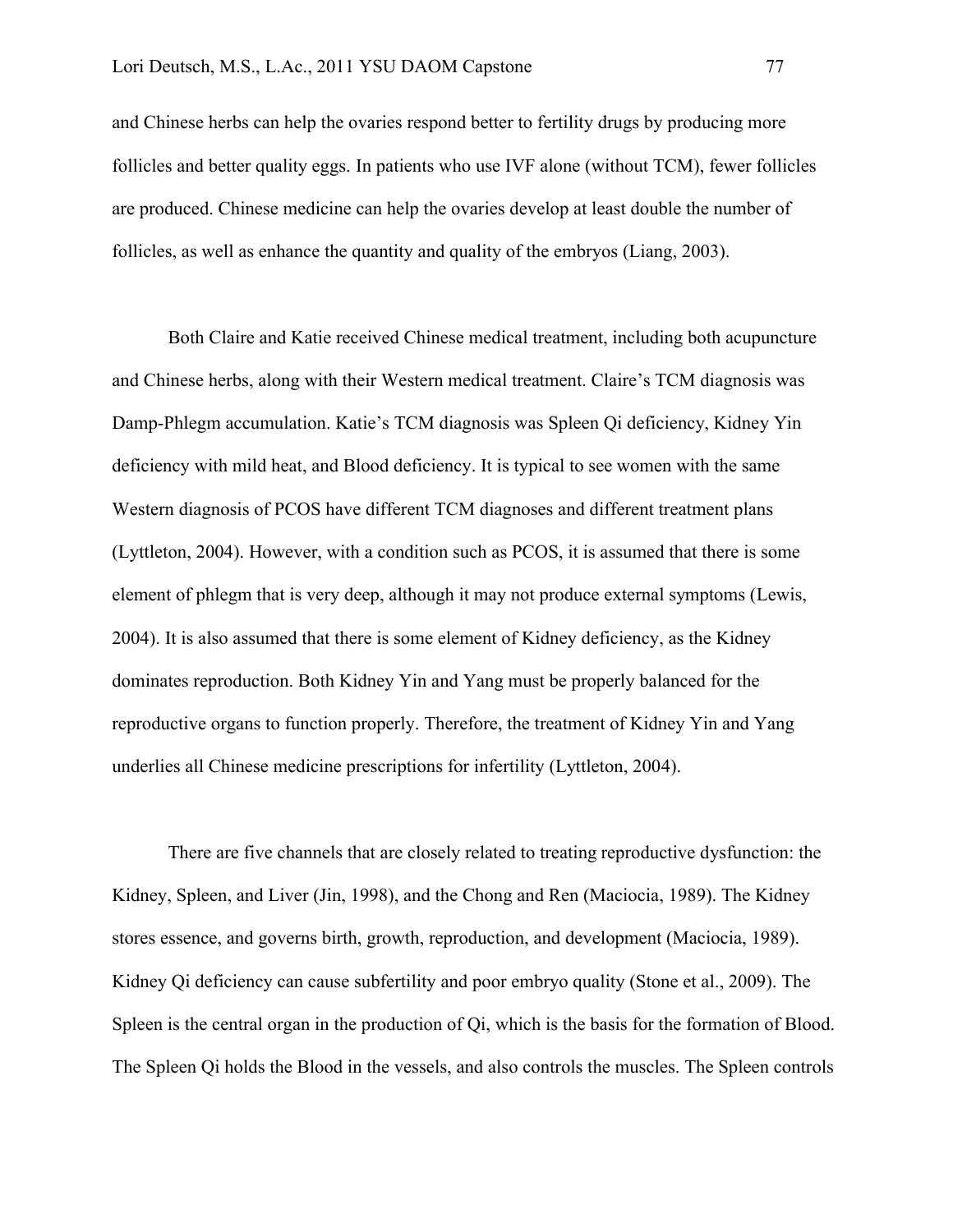and Chinese herbs can help the ovaries respond better to fertility drugs by producing more follicles and better quality eggs. In patients who use IVF alone (without TCM), fewer follicles are produced. Chinese medicine can help the ovaries develop at least double the number of follicles, as well as enhance the quantity and quality of the embryos (Liang, 2003).

Both Claire and Katie received Chinese medical treatment, including both acupuncture and Chinese herbs, along with their Western medical treatment. Claire's TCM diagnosis was Damp-Phlegm accumulation. Katie's TCM diagnosis was Spleen Qi deficiency, Kidney Yin deficiency with mild heat, and Blood deficiency. It is typical to see women with the same Western diagnosis of PCOS have different TCM diagnoses and different treatment plans (Lyttleton, 2004). However, with a condition such as PCOS, it is assumed that there is some element of phlegm that is very deep, although it may not produce external symptoms (Lewis, 2004). It is also assumed that there is some element of Kidney deficiency, as the Kidney dominates reproduction. Both Kidney Yin and Yang must be properly balanced for the reproductive organs to function properly. Therefore, the treatment of Kidney Yin and Yang underlies all Chinese medicine prescriptions for infertility (Lyttleton, 2004).

There are five channels that are closely related to treating reproductive dysfunction: the Kidney, Spleen, and Liver (Jin, 1998), and the Chong and Ren (Maciocia, 1989). The Kidney stores essence, and governs birth, growth, reproduction, and development (Maciocia, 1989). Kidney Qi deficiency can cause subfertility and poor embryo quality (Stone et al., 2009). The Spleen is the central organ in the production of Qi, which is the basis for the formation of Blood. The Spleen Qi holds the Blood in the vessels, and also controls the muscles. The Spleen controls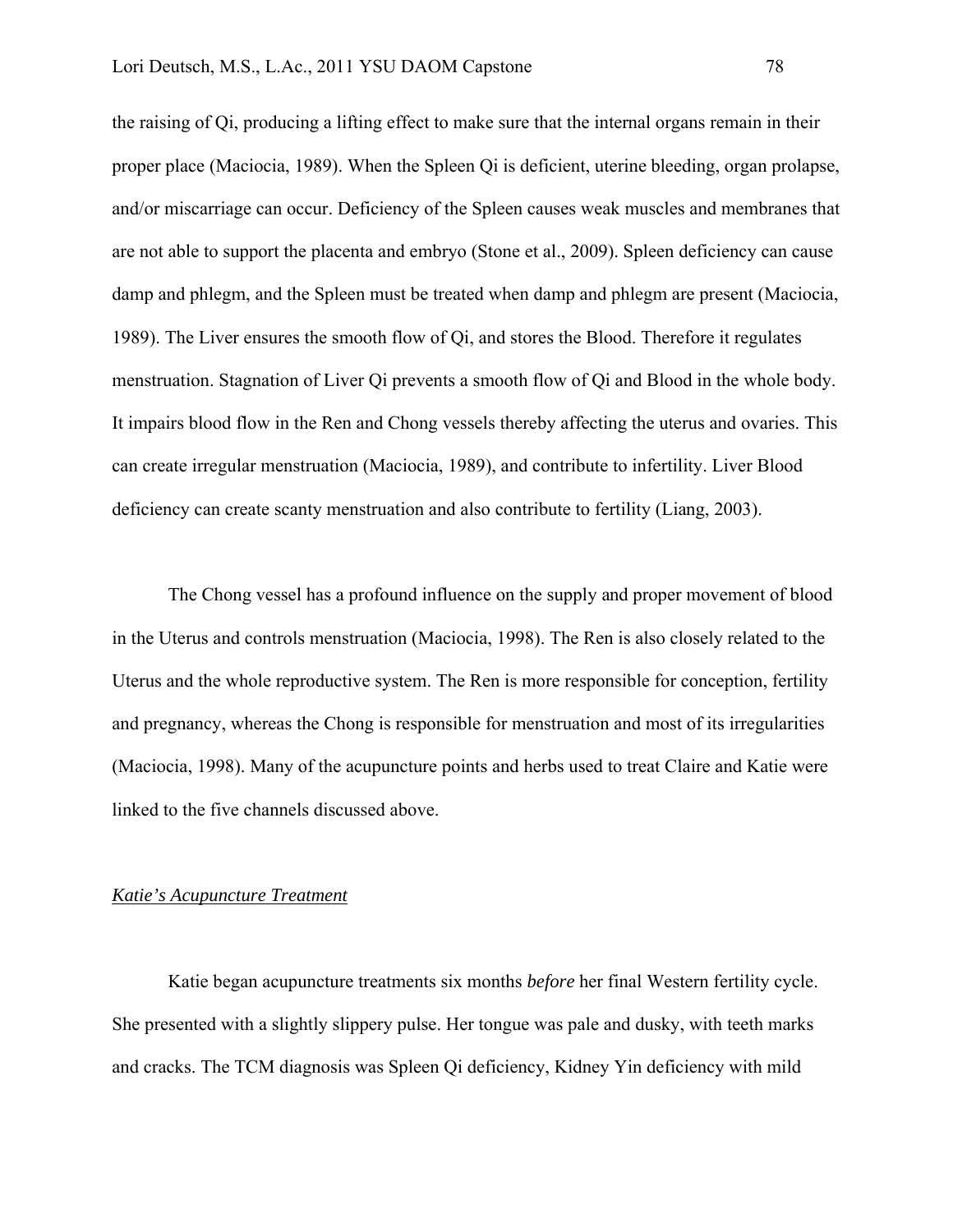the raising of Qi, producing a lifting effect to make sure that the internal organs remain in their proper place (Maciocia, 1989). When the Spleen Qi is deficient, uterine bleeding, organ prolapse, and/or miscarriage can occur. Deficiency of the Spleen causes weak muscles and membranes that are not able to support the placenta and embryo (Stone et al., 2009). Spleen deficiency can cause damp and phlegm, and the Spleen must be treated when damp and phlegm are present (Maciocia, 1989). The Liver ensures the smooth flow of Qi, and stores the Blood. Therefore it regulates menstruation. Stagnation of Liver Qi prevents a smooth flow of Qi and Blood in the whole body. It impairs blood flow in the Ren and Chong vessels thereby affecting the uterus and ovaries. This can create irregular menstruation (Maciocia, 1989), and contribute to infertility. Liver Blood deficiency can create scanty menstruation and also contribute to fertility (Liang, 2003).

The Chong vessel has a profound influence on the supply and proper movement of blood in the Uterus and controls menstruation (Maciocia, 1998). The Ren is also closely related to the Uterus and the whole reproductive system. The Ren is more responsible for conception, fertility and pregnancy, whereas the Chong is responsible for menstruation and most of its irregularities (Maciocia, 1998). Many of the acupuncture points and herbs used to treat Claire and Katie were linked to the five channels discussed above.

#### *Katie's Acupuncture Treatment*

Katie began acupuncture treatments six months *before* her final Western fertility cycle. She presented with a slightly slippery pulse. Her tongue was pale and dusky, with teeth marks and cracks. The TCM diagnosis was Spleen Qi deficiency, Kidney Yin deficiency with mild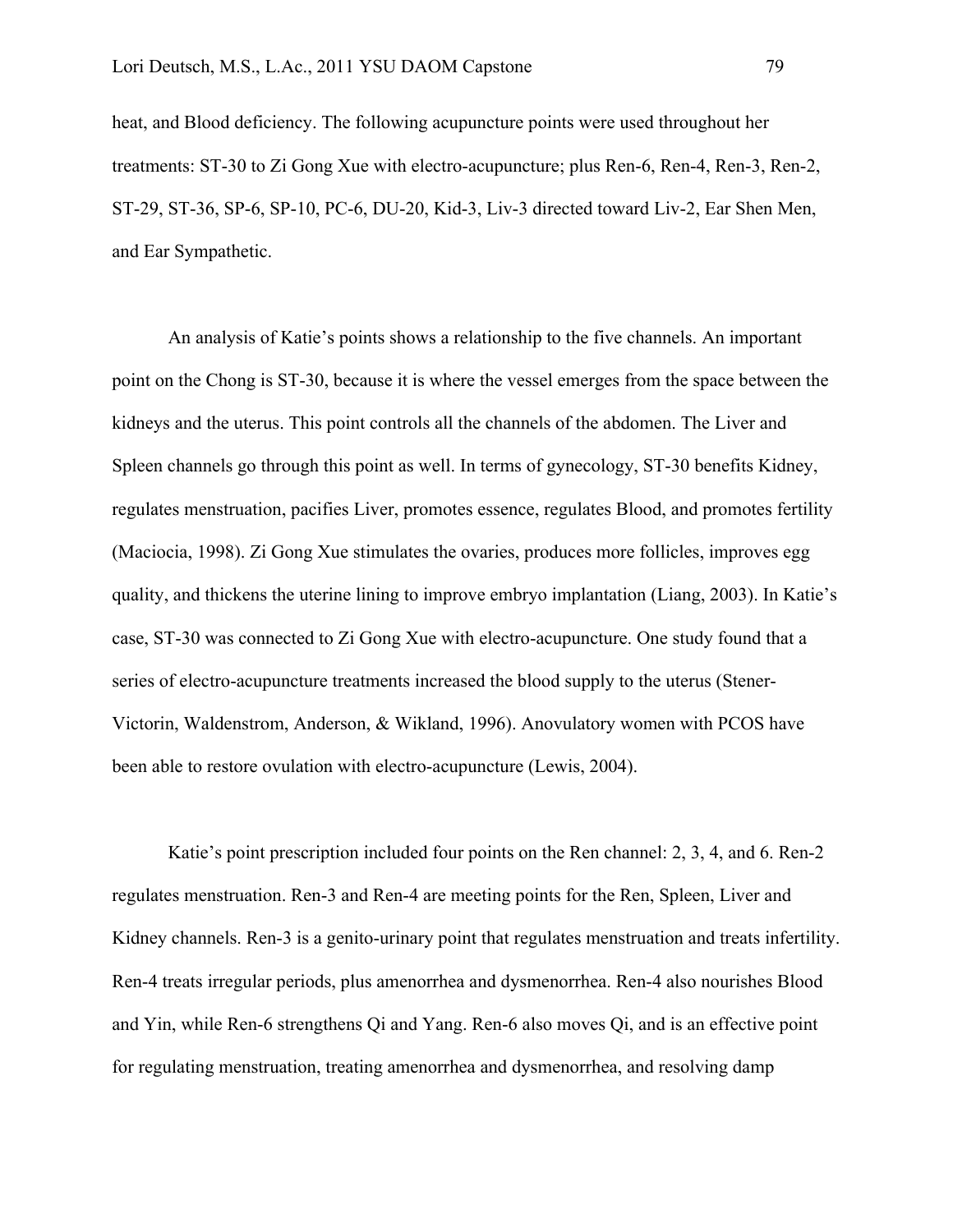heat, and Blood deficiency. The following acupuncture points were used throughout her treatments: ST-30 to Zi Gong Xue with electro-acupuncture; plus Ren-6, Ren-4, Ren-3, Ren-2, ST-29, ST-36, SP-6, SP-10, PC-6, DU-20, Kid-3, Liv-3 directed toward Liv-2, Ear Shen Men, and Ear Sympathetic.

An analysis of Katie's points shows a relationship to the five channels. An important point on the Chong is ST-30, because it is where the vessel emerges from the space between the kidneys and the uterus. This point controls all the channels of the abdomen. The Liver and Spleen channels go through this point as well. In terms of gynecology, ST-30 benefits Kidney, regulates menstruation, pacifies Liver, promotes essence, regulates Blood, and promotes fertility (Maciocia, 1998). Zi Gong Xue stimulates the ovaries, produces more follicles, improves egg quality, and thickens the uterine lining to improve embryo implantation (Liang, 2003). In Katie's case, ST-30 was connected to Zi Gong Xue with electro-acupuncture. One study found that a series of electro-acupuncture treatments increased the blood supply to the uterus (Stener-Victorin, Waldenstrom, Anderson, & Wikland, 1996). Anovulatory women with PCOS have been able to restore ovulation with electro-acupuncture (Lewis, 2004).

Katie's point prescription included four points on the Ren channel: 2, 3, 4, and 6. Ren-2 regulates menstruation. Ren-3 and Ren-4 are meeting points for the Ren, Spleen, Liver and Kidney channels. Ren-3 is a genito-urinary point that regulates menstruation and treats infertility. Ren-4 treats irregular periods, plus amenorrhea and dysmenorrhea. Ren-4 also nourishes Blood and Yin, while Ren-6 strengthens Qi and Yang. Ren-6 also moves Qi, and is an effective point for regulating menstruation, treating amenorrhea and dysmenorrhea, and resolving damp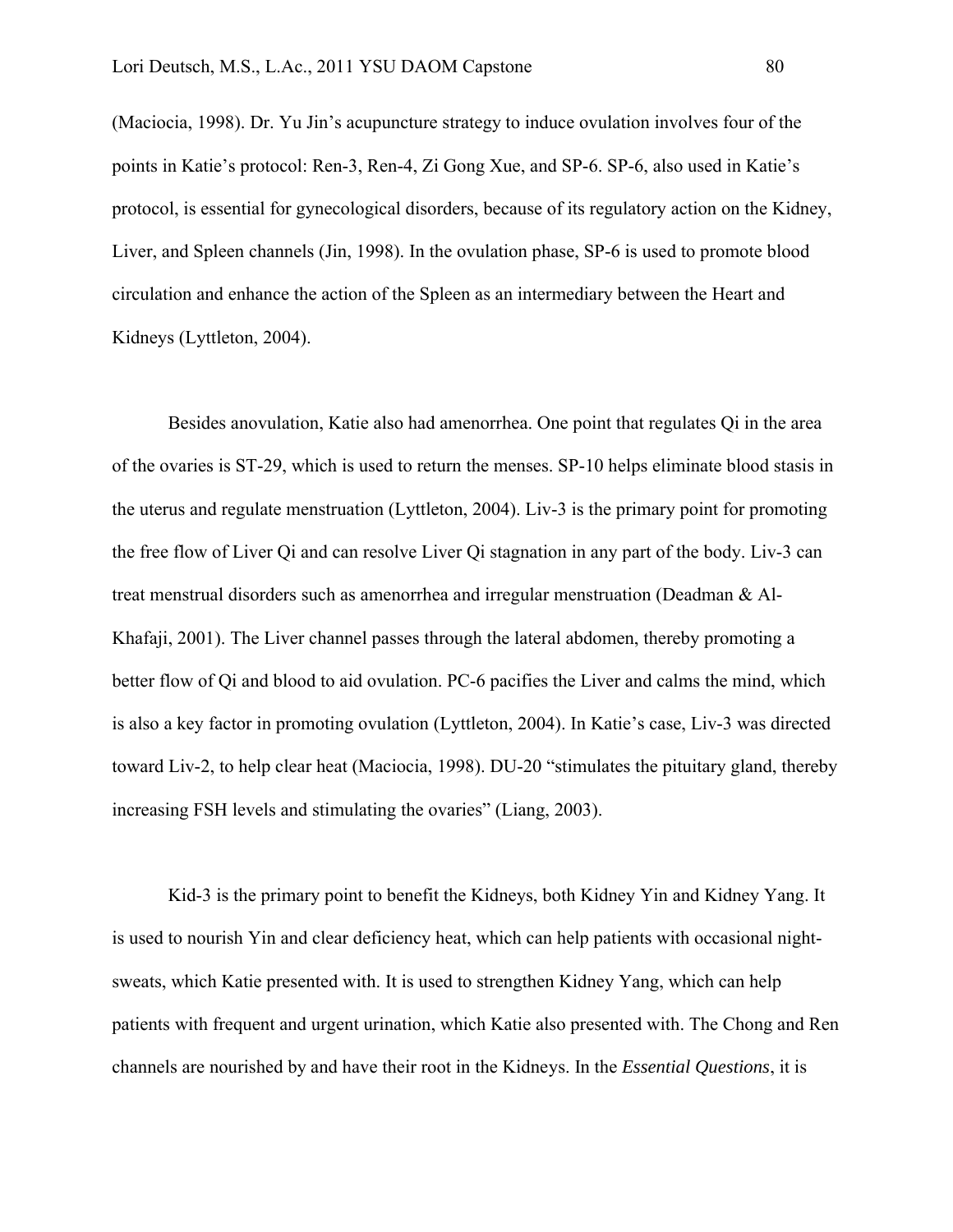(Maciocia, 1998). Dr. Yu Jin's acupuncture strategy to induce ovulation involves four of the points in Katie's protocol: Ren-3, Ren-4, Zi Gong Xue, and SP-6. SP-6, also used in Katie's protocol, is essential for gynecological disorders, because of its regulatory action on the Kidney, Liver, and Spleen channels (Jin, 1998). In the ovulation phase, SP-6 is used to promote blood circulation and enhance the action of the Spleen as an intermediary between the Heart and Kidneys (Lyttleton, 2004).

Besides anovulation, Katie also had amenorrhea. One point that regulates Qi in the area of the ovaries is ST-29, which is used to return the menses. SP-10 helps eliminate blood stasis in the uterus and regulate menstruation (Lyttleton, 2004). Liv-3 is the primary point for promoting the free flow of Liver Qi and can resolve Liver Qi stagnation in any part of the body. Liv-3 can treat menstrual disorders such as amenorrhea and irregular menstruation (Deadman & Al-Khafaji, 2001). The Liver channel passes through the lateral abdomen, thereby promoting a better flow of Qi and blood to aid ovulation. PC-6 pacifies the Liver and calms the mind, which is also a key factor in promoting ovulation (Lyttleton, 2004). In Katie's case, Liv-3 was directed toward Liv-2, to help clear heat (Maciocia, 1998). DU-20 "stimulates the pituitary gland, thereby increasing FSH levels and stimulating the ovaries" (Liang, 2003).

Kid-3 is the primary point to benefit the Kidneys, both Kidney Yin and Kidney Yang. It is used to nourish Yin and clear deficiency heat, which can help patients with occasional nightsweats, which Katie presented with. It is used to strengthen Kidney Yang, which can help patients with frequent and urgent urination, which Katie also presented with. The Chong and Ren channels are nourished by and have their root in the Kidneys. In the *Essential Questions*, it is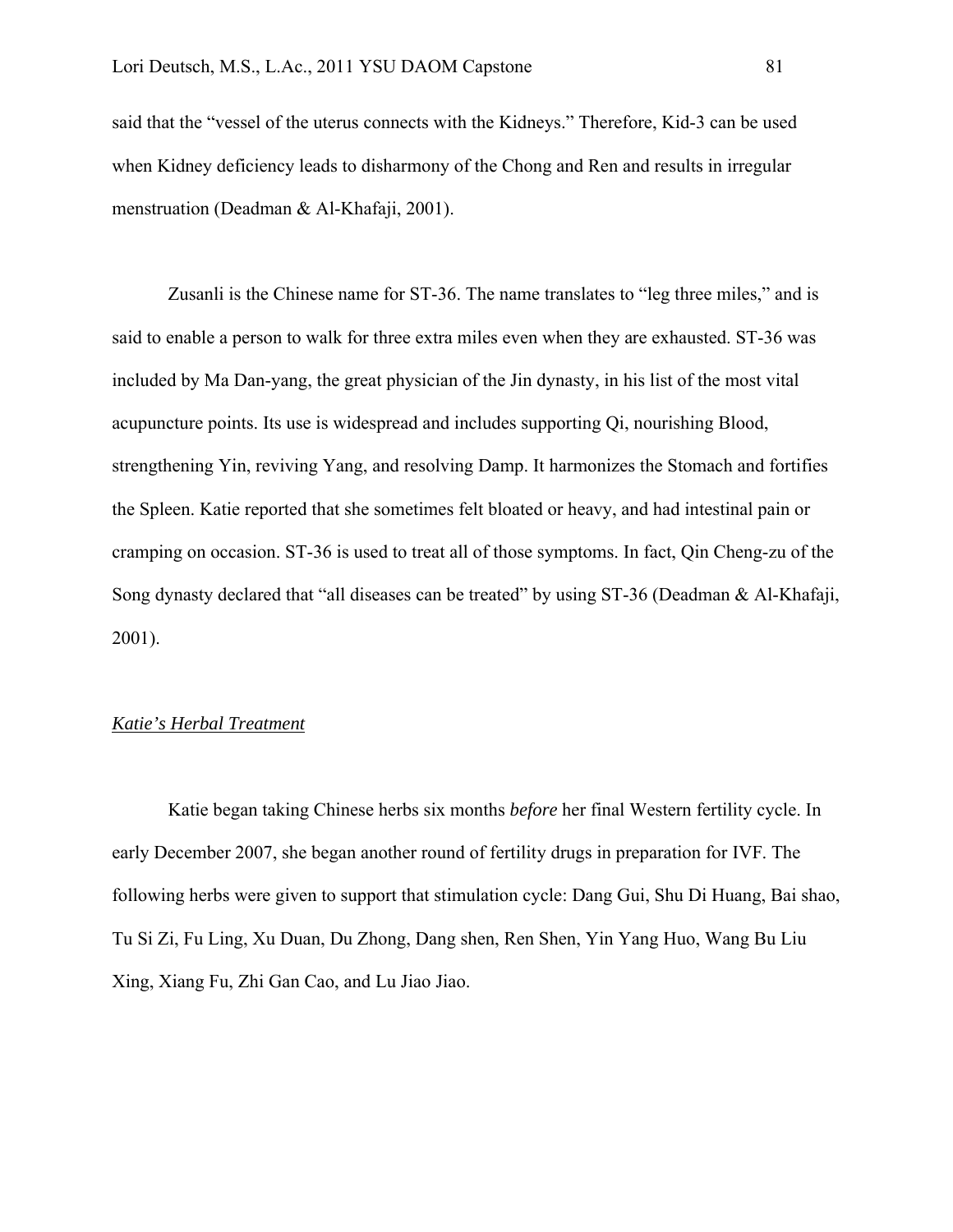said that the "vessel of the uterus connects with the Kidneys." Therefore, Kid-3 can be used when Kidney deficiency leads to disharmony of the Chong and Ren and results in irregular menstruation (Deadman & Al-Khafaji, 2001).

Zusanli is the Chinese name for ST-36. The name translates to "leg three miles," and is said to enable a person to walk for three extra miles even when they are exhausted. ST-36 was included by Ma Dan-yang, the great physician of the Jin dynasty, in his list of the most vital acupuncture points. Its use is widespread and includes supporting Qi, nourishing Blood, strengthening Yin, reviving Yang, and resolving Damp. It harmonizes the Stomach and fortifies the Spleen. Katie reported that she sometimes felt bloated or heavy, and had intestinal pain or cramping on occasion. ST-36 is used to treat all of those symptoms. In fact, Qin Cheng-zu of the Song dynasty declared that "all diseases can be treated" by using ST-36 (Deadman & Al-Khafaji, 2001).

## *Katie's Herbal Treatment*

Katie began taking Chinese herbs six months *before* her final Western fertility cycle. In early December 2007, she began another round of fertility drugs in preparation for IVF. The following herbs were given to support that stimulation cycle: Dang Gui, Shu Di Huang, Bai shao, Tu Si Zi, Fu Ling, Xu Duan, Du Zhong, Dang shen, Ren Shen, Yin Yang Huo, Wang Bu Liu Xing, Xiang Fu, Zhi Gan Cao, and Lu Jiao Jiao.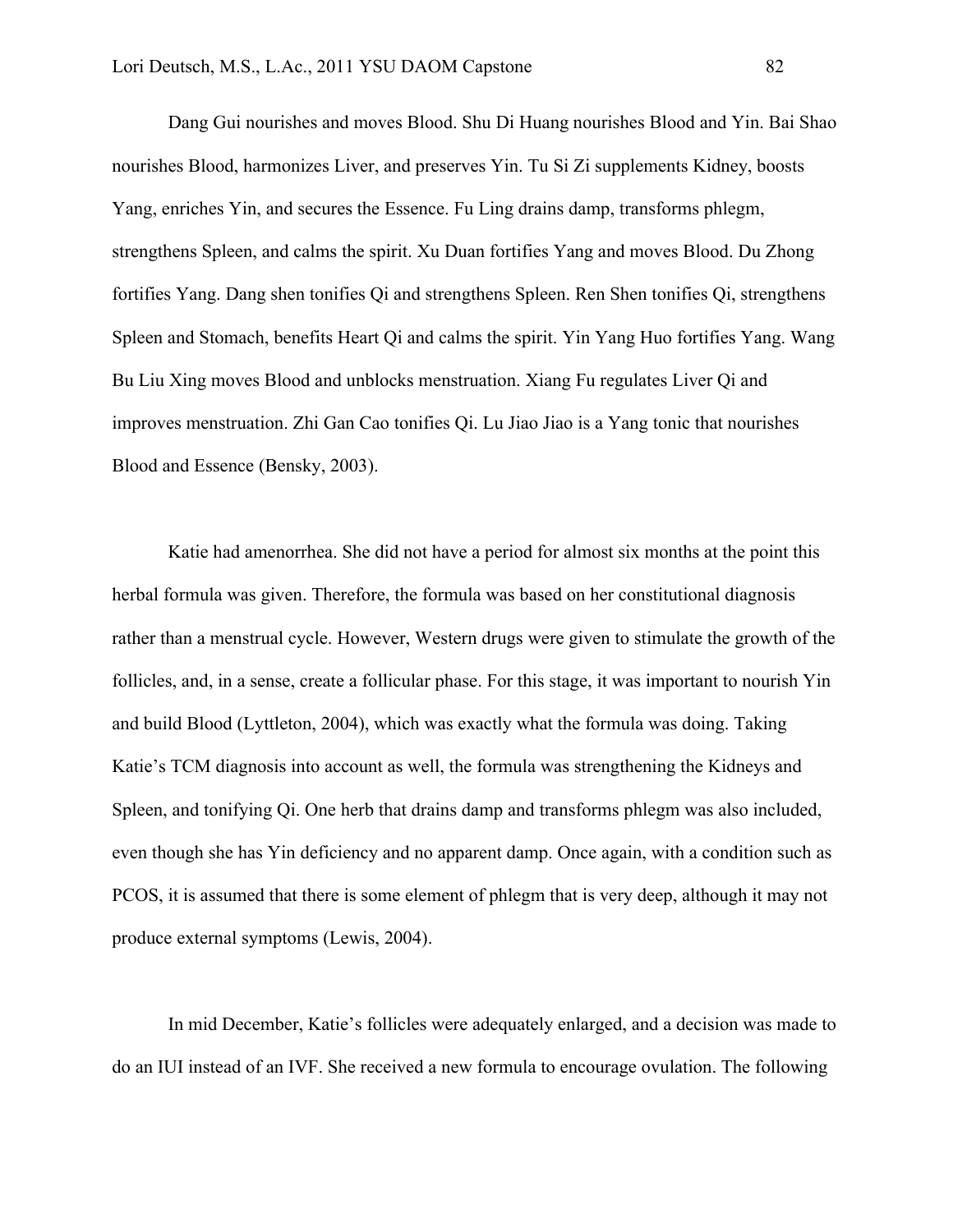Dang Gui nourishes and moves Blood. Shu Di Huang nourishes Blood and Yin. Bai Shao nourishes Blood, harmonizes Liver, and preserves Yin. Tu Si Zi supplements Kidney, boosts Yang, enriches Yin, and secures the Essence. Fu Ling drains damp, transforms phlegm, strengthens Spleen, and calms the spirit. Xu Duan fortifies Yang and moves Blood. Du Zhong fortifies Yang. Dang shen tonifies Qi and strengthens Spleen. Ren Shen tonifies Qi, strengthens Spleen and Stomach, benefits Heart Qi and calms the spirit. Yin Yang Huo fortifies Yang. Wang Bu Liu Xing moves Blood and unblocks menstruation. Xiang Fu regulates Liver Qi and improves menstruation. Zhi Gan Cao tonifies Qi. Lu Jiao Jiao is a Yang tonic that nourishes Blood and Essence (Bensky, 2003).

Katie had amenorrhea. She did not have a period for almost six months at the point this herbal formula was given. Therefore, the formula was based on her constitutional diagnosis rather than a menstrual cycle. However, Western drugs were given to stimulate the growth of the follicles, and, in a sense, create a follicular phase. For this stage, it was important to nourish Yin and build Blood (Lyttleton, 2004), which was exactly what the formula was doing. Taking Katie's TCM diagnosis into account as well, the formula was strengthening the Kidneys and Spleen, and tonifying Qi. One herb that drains damp and transforms phlegm was also included, even though she has Yin deficiency and no apparent damp. Once again, with a condition such as PCOS, it is assumed that there is some element of phlegm that is very deep, although it may not produce external symptoms (Lewis, 2004).

In mid December, Katie's follicles were adequately enlarged, and a decision was made to do an IUI instead of an IVF. She received a new formula to encourage ovulation. The following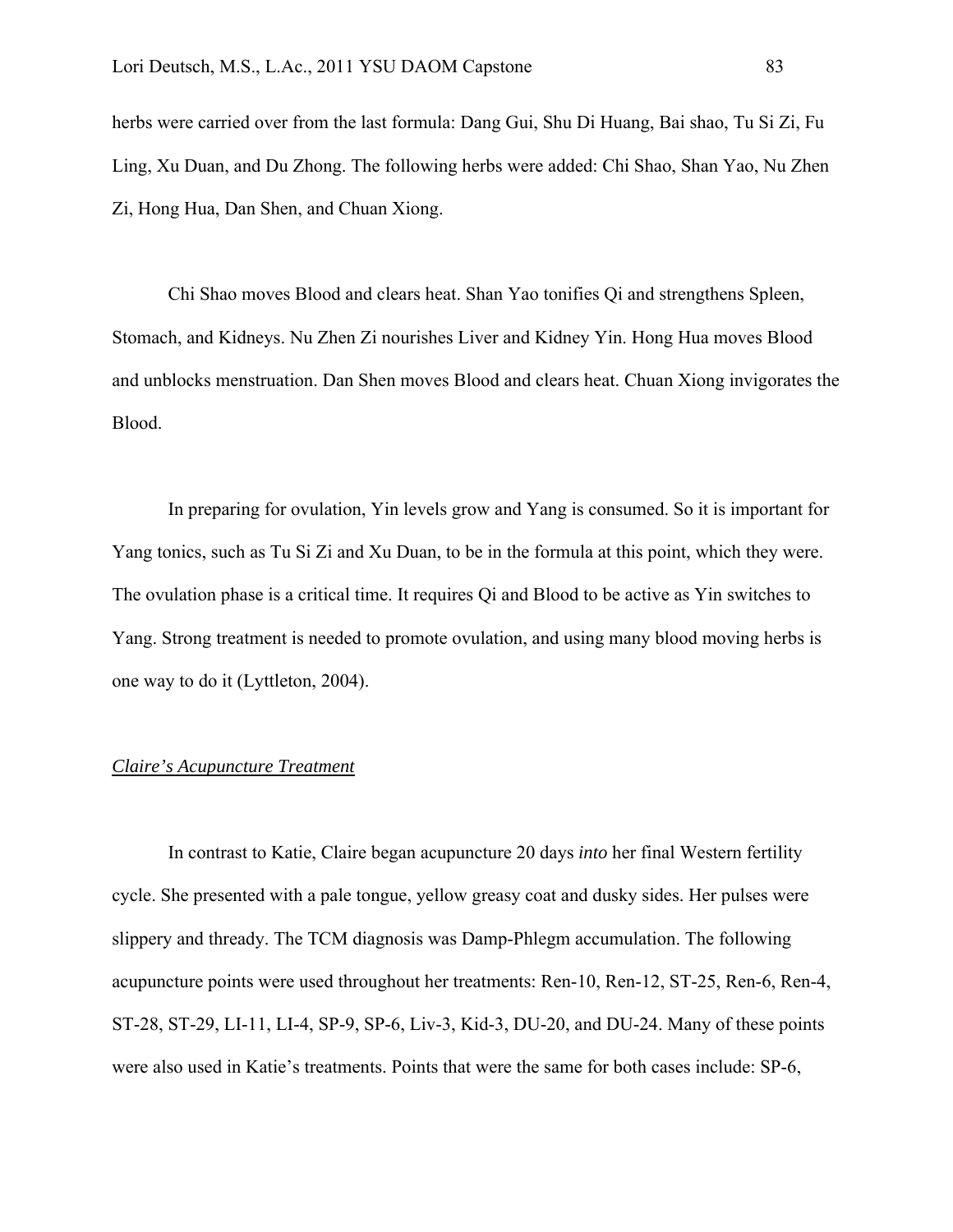herbs were carried over from the last formula: Dang Gui, Shu Di Huang, Bai shao, Tu Si Zi, Fu Ling, Xu Duan, and Du Zhong. The following herbs were added: Chi Shao, Shan Yao, Nu Zhen Zi, Hong Hua, Dan Shen, and Chuan Xiong.

Chi Shao moves Blood and clears heat. Shan Yao tonifies Qi and strengthens Spleen, Stomach, and Kidneys. Nu Zhen Zi nourishes Liver and Kidney Yin. Hong Hua moves Blood and unblocks menstruation. Dan Shen moves Blood and clears heat. Chuan Xiong invigorates the Blood.

In preparing for ovulation, Yin levels grow and Yang is consumed. So it is important for Yang tonics, such as Tu Si Zi and Xu Duan, to be in the formula at this point, which they were. The ovulation phase is a critical time. It requires Qi and Blood to be active as Yin switches to Yang. Strong treatment is needed to promote ovulation, and using many blood moving herbs is one way to do it (Lyttleton, 2004).

## *Claire's Acupuncture Treatment*

In contrast to Katie, Claire began acupuncture 20 days *into* her final Western fertility cycle. She presented with a pale tongue, yellow greasy coat and dusky sides. Her pulses were slippery and thready. The TCM diagnosis was Damp-Phlegm accumulation. The following acupuncture points were used throughout her treatments: Ren-10, Ren-12, ST-25, Ren-6, Ren-4, ST-28, ST-29, LI-11, LI-4, SP-9, SP-6, Liv-3, Kid-3, DU-20, and DU-24. Many of these points were also used in Katie's treatments. Points that were the same for both cases include: SP-6,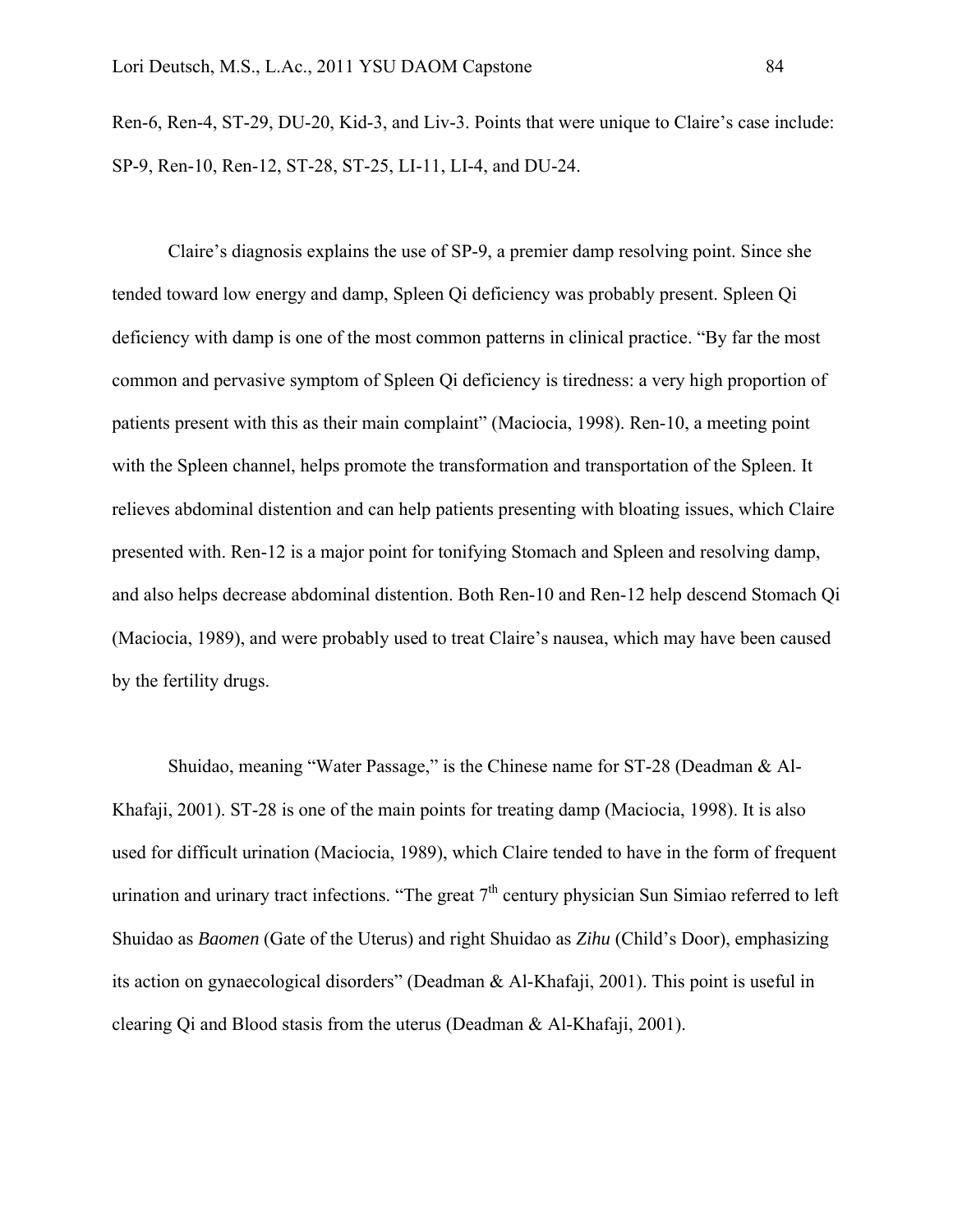Ren-6, Ren-4, ST-29, DU-20, Kid-3, and Liv-3. Points that were unique to Claire's case include: SP-9, Ren-10, Ren-12, ST-28, ST-25, LI-11, LI-4, and DU-24.

Claire's diagnosis explains the use of SP-9, a premier damp resolving point. Since she tended toward low energy and damp, Spleen Qi deficiency was probably present. Spleen Qi deficiency with damp is one of the most common patterns in clinical practice. "By far the most common and pervasive symptom of Spleen Qi deficiency is tiredness: a very high proportion of patients present with this as their main complaint" (Maciocia, 1998). Ren-10, a meeting point with the Spleen channel, helps promote the transformation and transportation of the Spleen. It relieves abdominal distention and can help patients presenting with bloating issues, which Claire presented with. Ren-12 is a major point for tonifying Stomach and Spleen and resolving damp, and also helps decrease abdominal distention. Both Ren-10 and Ren-12 help descend Stomach Qi (Maciocia, 1989), and were probably used to treat Claire's nausea, which may have been caused by the fertility drugs.

Shuidao, meaning "Water Passage," is the Chinese name for ST-28 (Deadman & Al-Khafaji, 2001). ST-28 is one of the main points for treating damp (Maciocia, 1998). It is also used for difficult urination (Maciocia, 1989), which Claire tended to have in the form of frequent urination and urinary tract infections. "The great  $7<sup>th</sup>$  century physician Sun Simiao referred to left Shuidao as *Baomen* (Gate of the Uterus) and right Shuidao as *Zihu* (Child's Door), emphasizing its action on gynaecological disorders" (Deadman & Al-Khafaji, 2001). This point is useful in clearing Qi and Blood stasis from the uterus (Deadman & Al-Khafaji, 2001).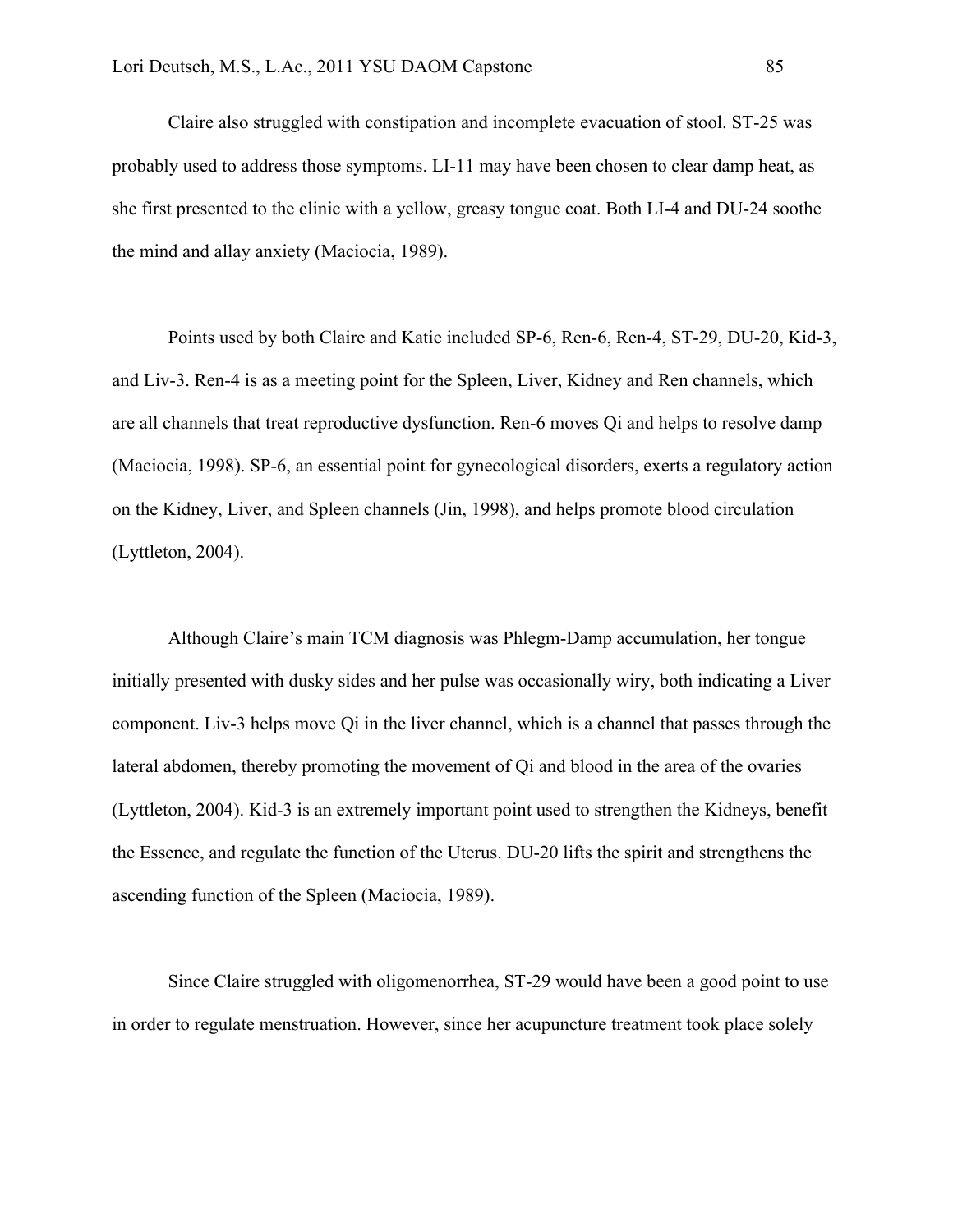Claire also struggled with constipation and incomplete evacuation of stool. ST-25 was probably used to address those symptoms. LI-11 may have been chosen to clear damp heat, as she first presented to the clinic with a yellow, greasy tongue coat. Both LI-4 and DU-24 soothe the mind and allay anxiety (Maciocia, 1989).

Points used by both Claire and Katie included SP-6, Ren-6, Ren-4, ST-29, DU-20, Kid-3, and Liv-3. Ren-4 is as a meeting point for the Spleen, Liver, Kidney and Ren channels, which are all channels that treat reproductive dysfunction. Ren-6 moves Qi and helps to resolve damp (Maciocia, 1998). SP-6, an essential point for gynecological disorders, exerts a regulatory action on the Kidney, Liver, and Spleen channels (Jin, 1998), and helps promote blood circulation (Lyttleton, 2004).

Although Claire's main TCM diagnosis was Phlegm-Damp accumulation, her tongue initially presented with dusky sides and her pulse was occasionally wiry, both indicating a Liver component. Liv-3 helps move Qi in the liver channel, which is a channel that passes through the lateral abdomen, thereby promoting the movement of Qi and blood in the area of the ovaries (Lyttleton, 2004). Kid-3 is an extremely important point used to strengthen the Kidneys, benefit the Essence, and regulate the function of the Uterus. DU-20 lifts the spirit and strengthens the ascending function of the Spleen (Maciocia, 1989).

Since Claire struggled with oligomenorrhea, ST-29 would have been a good point to use in order to regulate menstruation. However, since her acupuncture treatment took place solely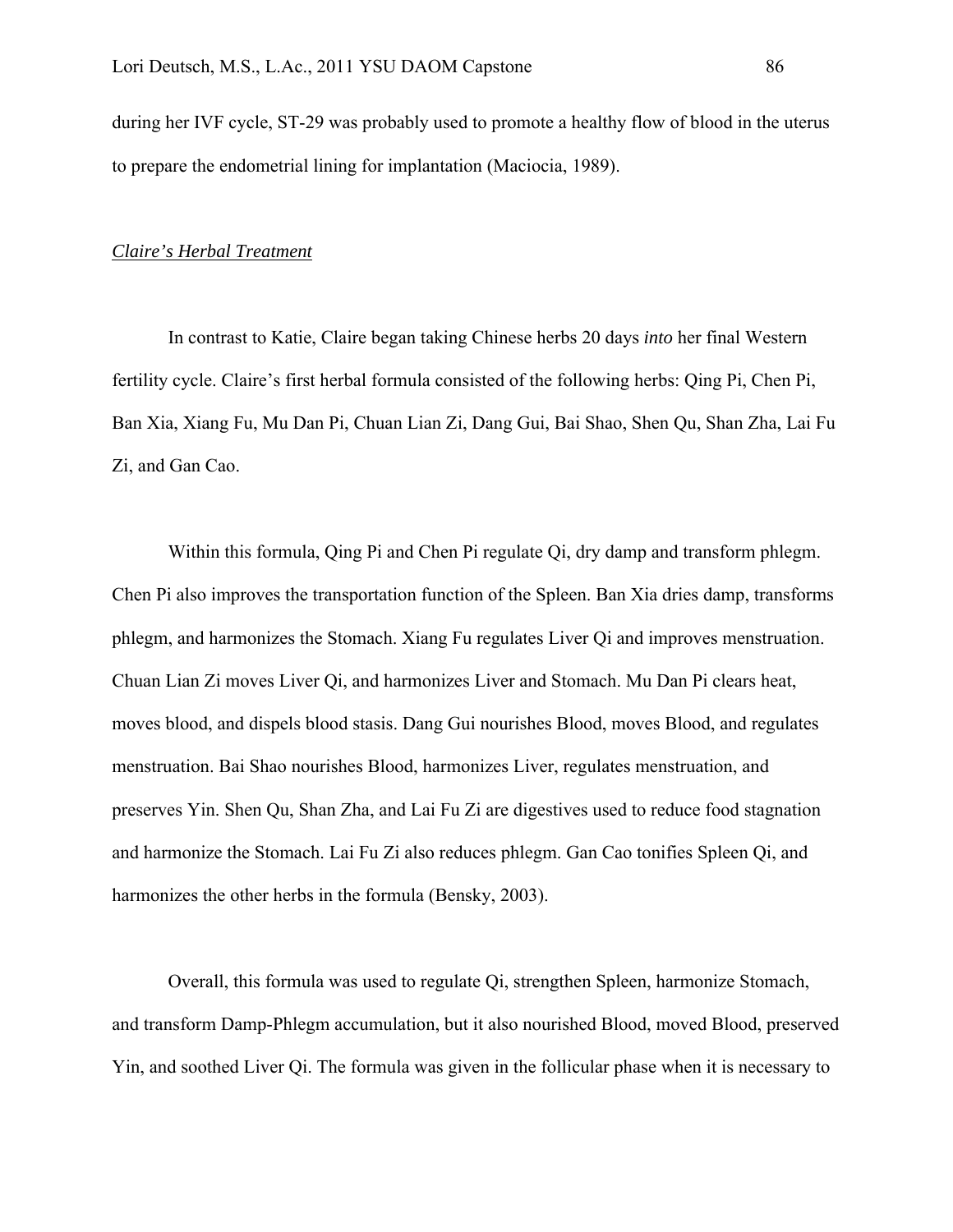during her IVF cycle, ST-29 was probably used to promote a healthy flow of blood in the uterus to prepare the endometrial lining for implantation (Maciocia, 1989).

#### *Claire's Herbal Treatment*

In contrast to Katie, Claire began taking Chinese herbs 20 days *into* her final Western fertility cycle. Claire's first herbal formula consisted of the following herbs: Qing Pi, Chen Pi, Ban Xia, Xiang Fu, Mu Dan Pi, Chuan Lian Zi, Dang Gui, Bai Shao, Shen Qu, Shan Zha, Lai Fu Zi, and Gan Cao.

Within this formula, Qing Pi and Chen Pi regulate Qi, dry damp and transform phlegm. Chen Pi also improves the transportation function of the Spleen. Ban Xia dries damp, transforms phlegm, and harmonizes the Stomach. Xiang Fu regulates Liver Qi and improves menstruation. Chuan Lian Zi moves Liver Qi, and harmonizes Liver and Stomach. Mu Dan Pi clears heat, moves blood, and dispels blood stasis. Dang Gui nourishes Blood, moves Blood, and regulates menstruation. Bai Shao nourishes Blood, harmonizes Liver, regulates menstruation, and preserves Yin. Shen Qu, Shan Zha, and Lai Fu Zi are digestives used to reduce food stagnation and harmonize the Stomach. Lai Fu Zi also reduces phlegm. Gan Cao tonifies Spleen Qi, and harmonizes the other herbs in the formula (Bensky, 2003).

Overall, this formula was used to regulate Qi, strengthen Spleen, harmonize Stomach, and transform Damp-Phlegm accumulation, but it also nourished Blood, moved Blood, preserved Yin, and soothed Liver Qi. The formula was given in the follicular phase when it is necessary to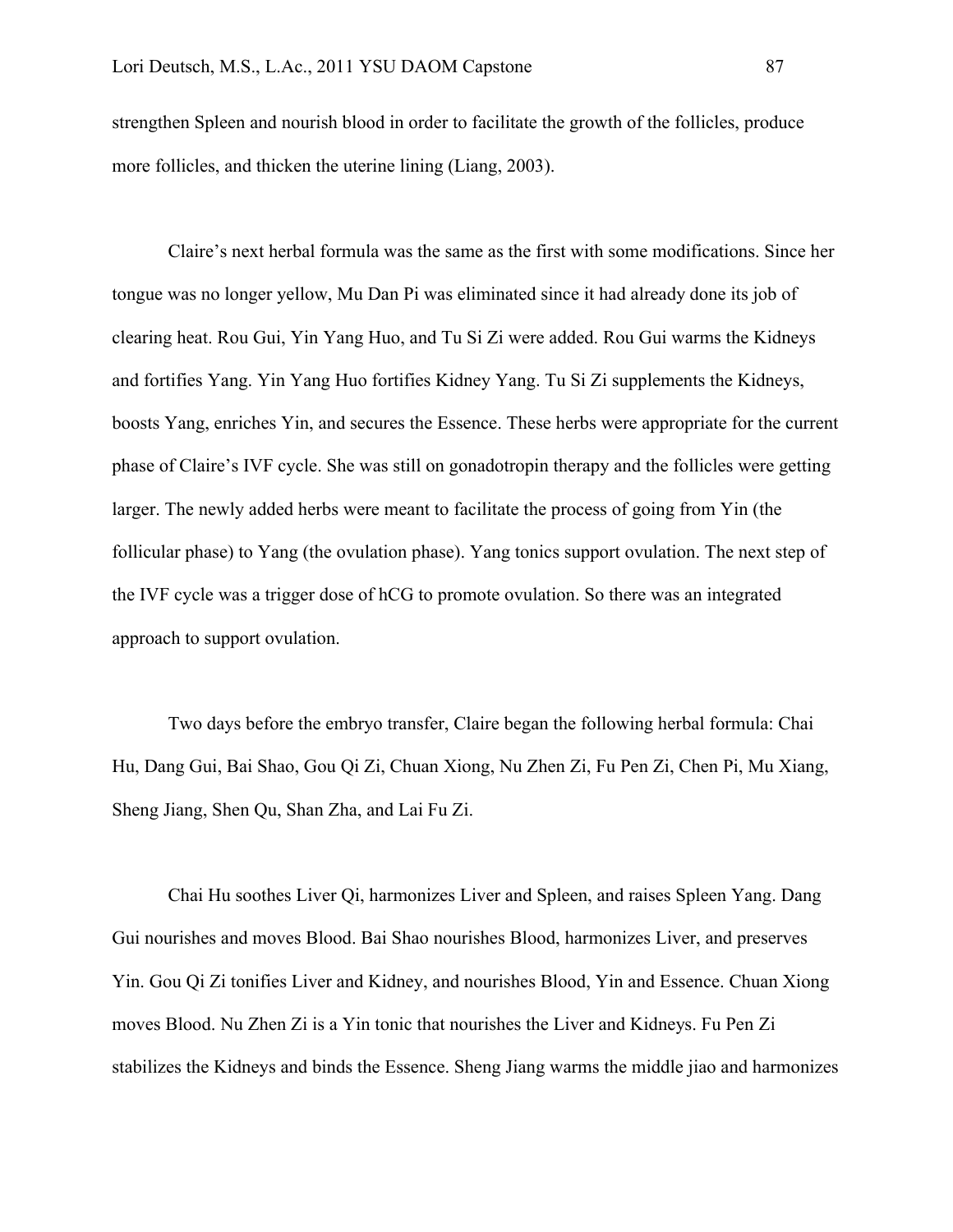strengthen Spleen and nourish blood in order to facilitate the growth of the follicles, produce more follicles, and thicken the uterine lining (Liang, 2003).

Claire's next herbal formula was the same as the first with some modifications. Since her tongue was no longer yellow, Mu Dan Pi was eliminated since it had already done its job of clearing heat. Rou Gui, Yin Yang Huo, and Tu Si Zi were added. Rou Gui warms the Kidneys and fortifies Yang. Yin Yang Huo fortifies Kidney Yang. Tu Si Zi supplements the Kidneys, boosts Yang, enriches Yin, and secures the Essence. These herbs were appropriate for the current phase of Claire's IVF cycle. She was still on gonadotropin therapy and the follicles were getting larger. The newly added herbs were meant to facilitate the process of going from Yin (the follicular phase) to Yang (the ovulation phase). Yang tonics support ovulation. The next step of the IVF cycle was a trigger dose of hCG to promote ovulation. So there was an integrated approach to support ovulation.

Two days before the embryo transfer, Claire began the following herbal formula: Chai Hu, Dang Gui, Bai Shao, Gou Qi Zi, Chuan Xiong, Nu Zhen Zi, Fu Pen Zi, Chen Pi, Mu Xiang, Sheng Jiang, Shen Qu, Shan Zha, and Lai Fu Zi.

Chai Hu soothes Liver Qi, harmonizes Liver and Spleen, and raises Spleen Yang. Dang Gui nourishes and moves Blood. Bai Shao nourishes Blood, harmonizes Liver, and preserves Yin. Gou Qi Zi tonifies Liver and Kidney, and nourishes Blood, Yin and Essence. Chuan Xiong moves Blood. Nu Zhen Zi is a Yin tonic that nourishes the Liver and Kidneys. Fu Pen Zi stabilizes the Kidneys and binds the Essence. Sheng Jiang warms the middle jiao and harmonizes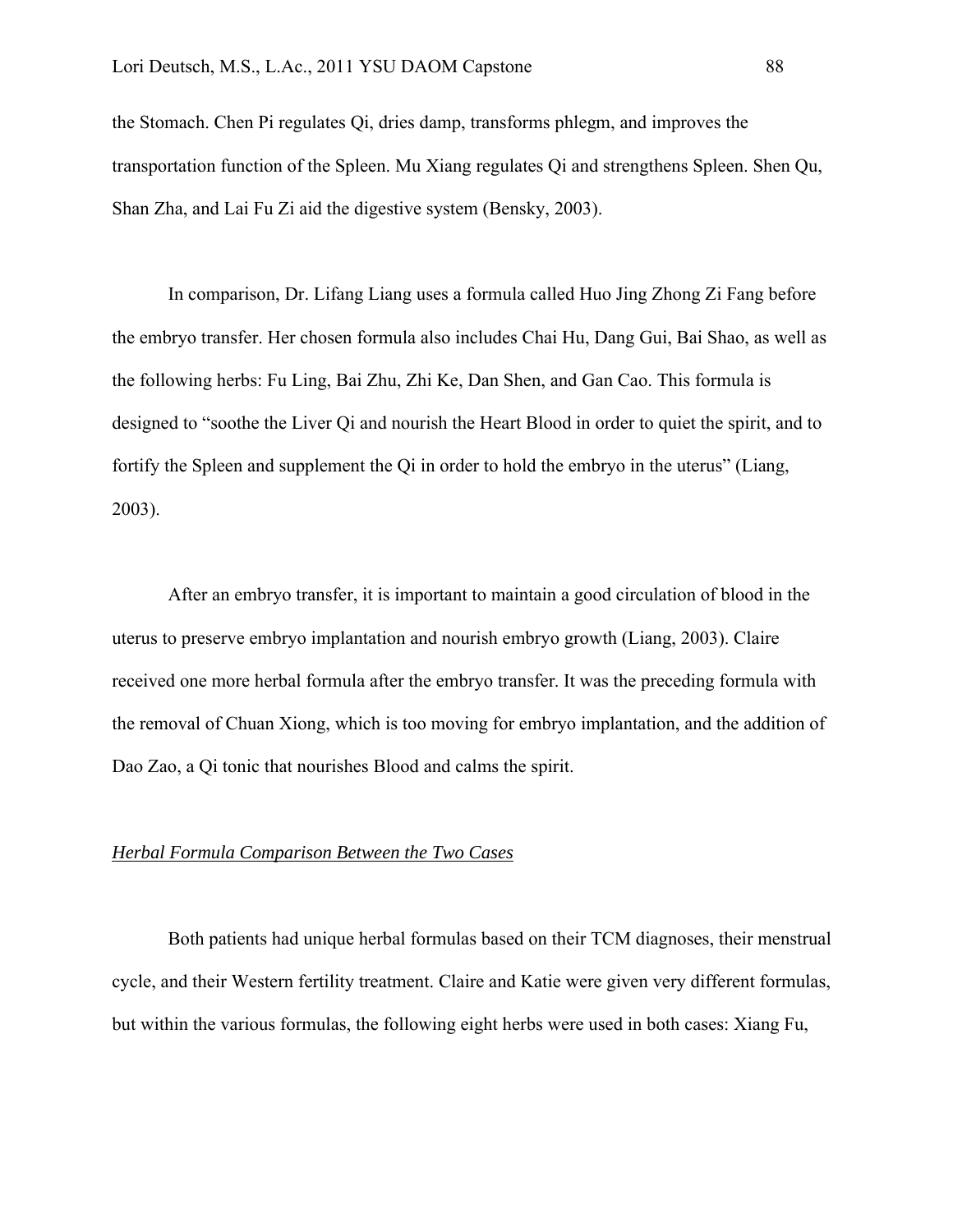the Stomach. Chen Pi regulates Qi, dries damp, transforms phlegm, and improves the transportation function of the Spleen. Mu Xiang regulates Qi and strengthens Spleen. Shen Qu, Shan Zha, and Lai Fu Zi aid the digestive system (Bensky, 2003).

In comparison, Dr. Lifang Liang uses a formula called Huo Jing Zhong Zi Fang before the embryo transfer. Her chosen formula also includes Chai Hu, Dang Gui, Bai Shao, as well as the following herbs: Fu Ling, Bai Zhu, Zhi Ke, Dan Shen, and Gan Cao. This formula is designed to "soothe the Liver Qi and nourish the Heart Blood in order to quiet the spirit, and to fortify the Spleen and supplement the Qi in order to hold the embryo in the uterus" (Liang, 2003).

After an embryo transfer, it is important to maintain a good circulation of blood in the uterus to preserve embryo implantation and nourish embryo growth (Liang, 2003). Claire received one more herbal formula after the embryo transfer. It was the preceding formula with the removal of Chuan Xiong, which is too moving for embryo implantation, and the addition of Dao Zao, a Qi tonic that nourishes Blood and calms the spirit.

## *Herbal Formula Comparison Between the Two Cases*

Both patients had unique herbal formulas based on their TCM diagnoses, their menstrual cycle, and their Western fertility treatment. Claire and Katie were given very different formulas, but within the various formulas, the following eight herbs were used in both cases: Xiang Fu,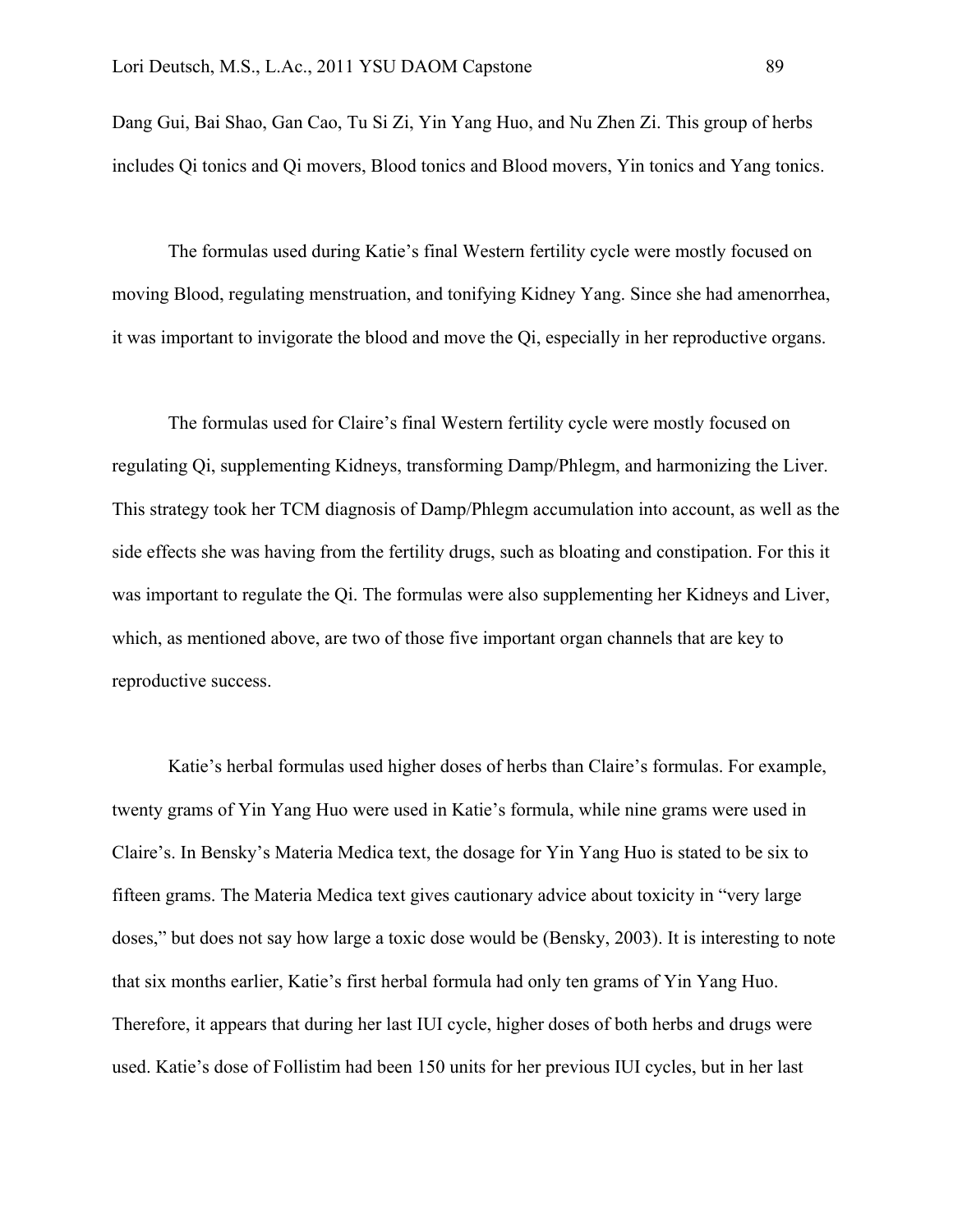Dang Gui, Bai Shao, Gan Cao, Tu Si Zi, Yin Yang Huo, and Nu Zhen Zi. This group of herbs includes Qi tonics and Qi movers, Blood tonics and Blood movers, Yin tonics and Yang tonics.

The formulas used during Katie's final Western fertility cycle were mostly focused on moving Blood, regulating menstruation, and tonifying Kidney Yang. Since she had amenorrhea, it was important to invigorate the blood and move the Qi, especially in her reproductive organs.

The formulas used for Claire's final Western fertility cycle were mostly focused on regulating Qi, supplementing Kidneys, transforming Damp/Phlegm, and harmonizing the Liver. This strategy took her TCM diagnosis of Damp/Phlegm accumulation into account, as well as the side effects she was having from the fertility drugs, such as bloating and constipation. For this it was important to regulate the Qi. The formulas were also supplementing her Kidneys and Liver, which, as mentioned above, are two of those five important organ channels that are key to reproductive success.

Katie's herbal formulas used higher doses of herbs than Claire's formulas. For example, twenty grams of Yin Yang Huo were used in Katie's formula, while nine grams were used in Claire's. In Bensky's Materia Medica text, the dosage for Yin Yang Huo is stated to be six to fifteen grams. The Materia Medica text gives cautionary advice about toxicity in "very large doses," but does not say how large a toxic dose would be (Bensky, 2003). It is interesting to note that six months earlier, Katie's first herbal formula had only ten grams of Yin Yang Huo. Therefore, it appears that during her last IUI cycle, higher doses of both herbs and drugs were used. Katie's dose of Follistim had been 150 units for her previous IUI cycles, but in her last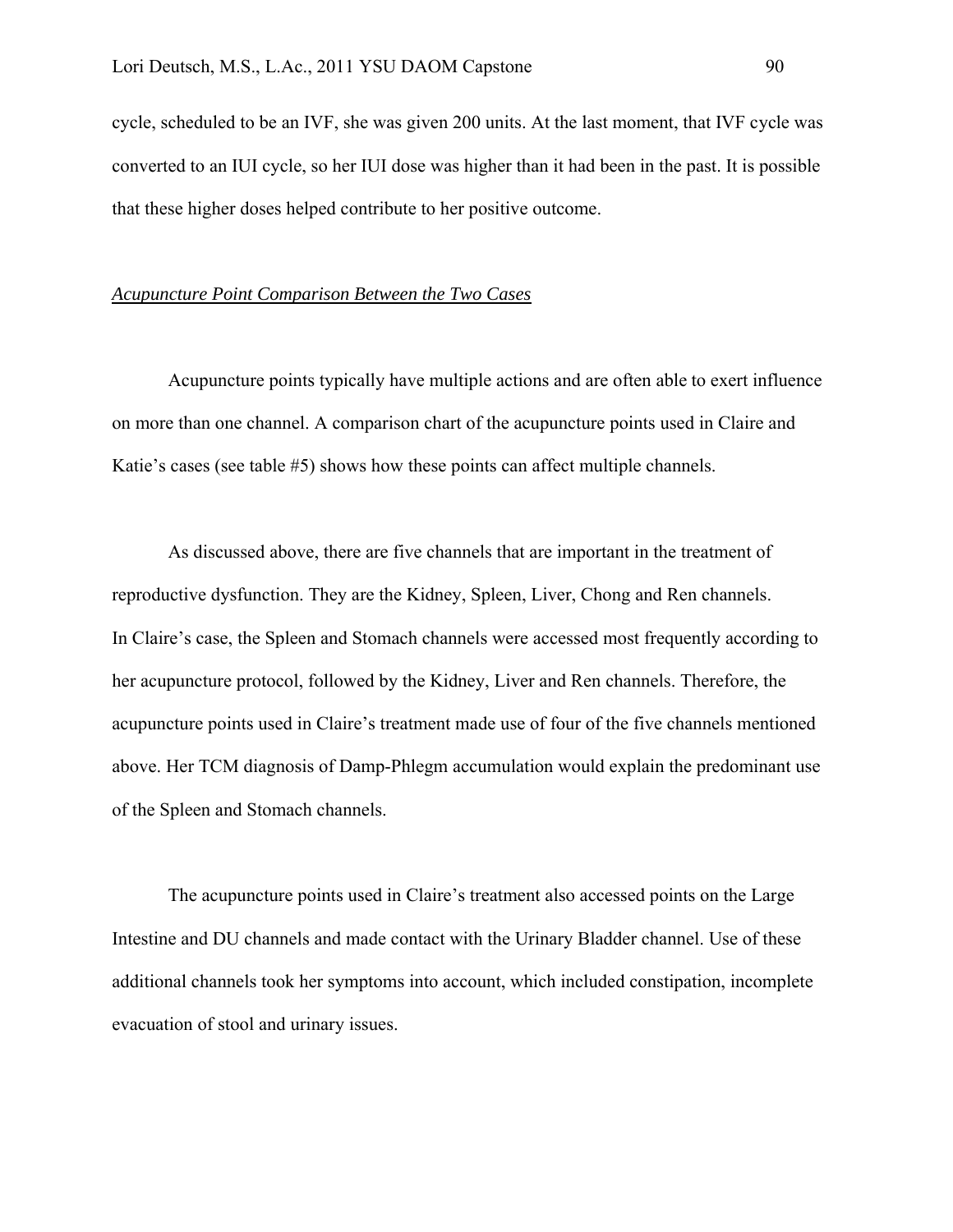cycle, scheduled to be an IVF, she was given 200 units. At the last moment, that IVF cycle was converted to an IUI cycle, so her IUI dose was higher than it had been in the past. It is possible that these higher doses helped contribute to her positive outcome.

### *Acupuncture Point Comparison Between the Two Cases*

Acupuncture points typically have multiple actions and are often able to exert influence on more than one channel. A comparison chart of the acupuncture points used in Claire and Katie's cases (see table #5) shows how these points can affect multiple channels.

As discussed above, there are five channels that are important in the treatment of reproductive dysfunction. They are the Kidney, Spleen, Liver, Chong and Ren channels. In Claire's case, the Spleen and Stomach channels were accessed most frequently according to her acupuncture protocol, followed by the Kidney, Liver and Ren channels. Therefore, the acupuncture points used in Claire's treatment made use of four of the five channels mentioned above. Her TCM diagnosis of Damp-Phlegm accumulation would explain the predominant use of the Spleen and Stomach channels.

The acupuncture points used in Claire's treatment also accessed points on the Large Intestine and DU channels and made contact with the Urinary Bladder channel. Use of these additional channels took her symptoms into account, which included constipation, incomplete evacuation of stool and urinary issues.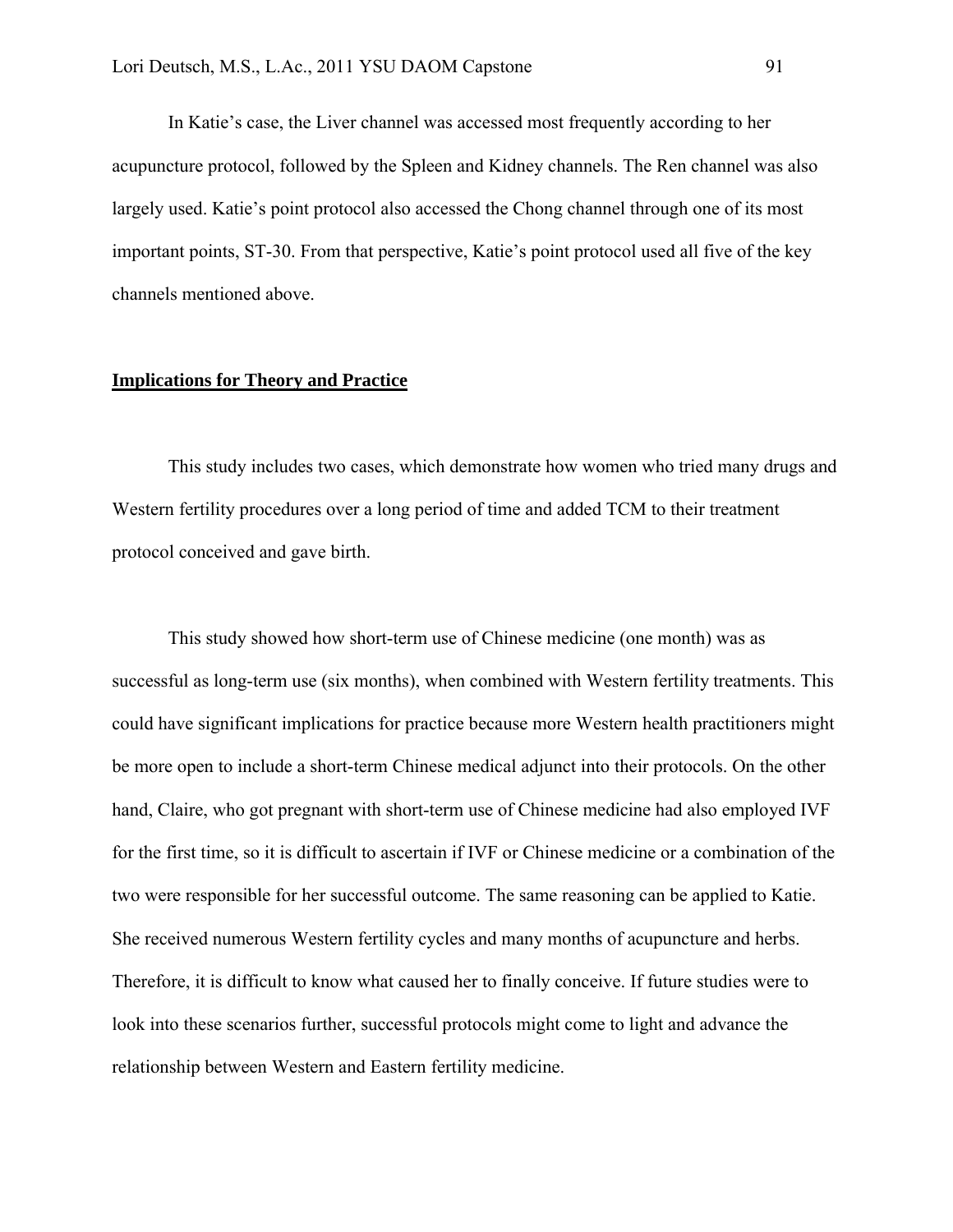In Katie's case, the Liver channel was accessed most frequently according to her acupuncture protocol, followed by the Spleen and Kidney channels. The Ren channel was also largely used. Katie's point protocol also accessed the Chong channel through one of its most important points, ST-30. From that perspective, Katie's point protocol used all five of the key channels mentioned above.

### **Implications for Theory and Practice**

This study includes two cases, which demonstrate how women who tried many drugs and Western fertility procedures over a long period of time and added TCM to their treatment protocol conceived and gave birth.

This study showed how short-term use of Chinese medicine (one month) was as successful as long-term use (six months), when combined with Western fertility treatments. This could have significant implications for practice because more Western health practitioners might be more open to include a short-term Chinese medical adjunct into their protocols. On the other hand, Claire, who got pregnant with short-term use of Chinese medicine had also employed IVF for the first time, so it is difficult to ascertain if IVF or Chinese medicine or a combination of the two were responsible for her successful outcome. The same reasoning can be applied to Katie. She received numerous Western fertility cycles and many months of acupuncture and herbs. Therefore, it is difficult to know what caused her to finally conceive. If future studies were to look into these scenarios further, successful protocols might come to light and advance the relationship between Western and Eastern fertility medicine.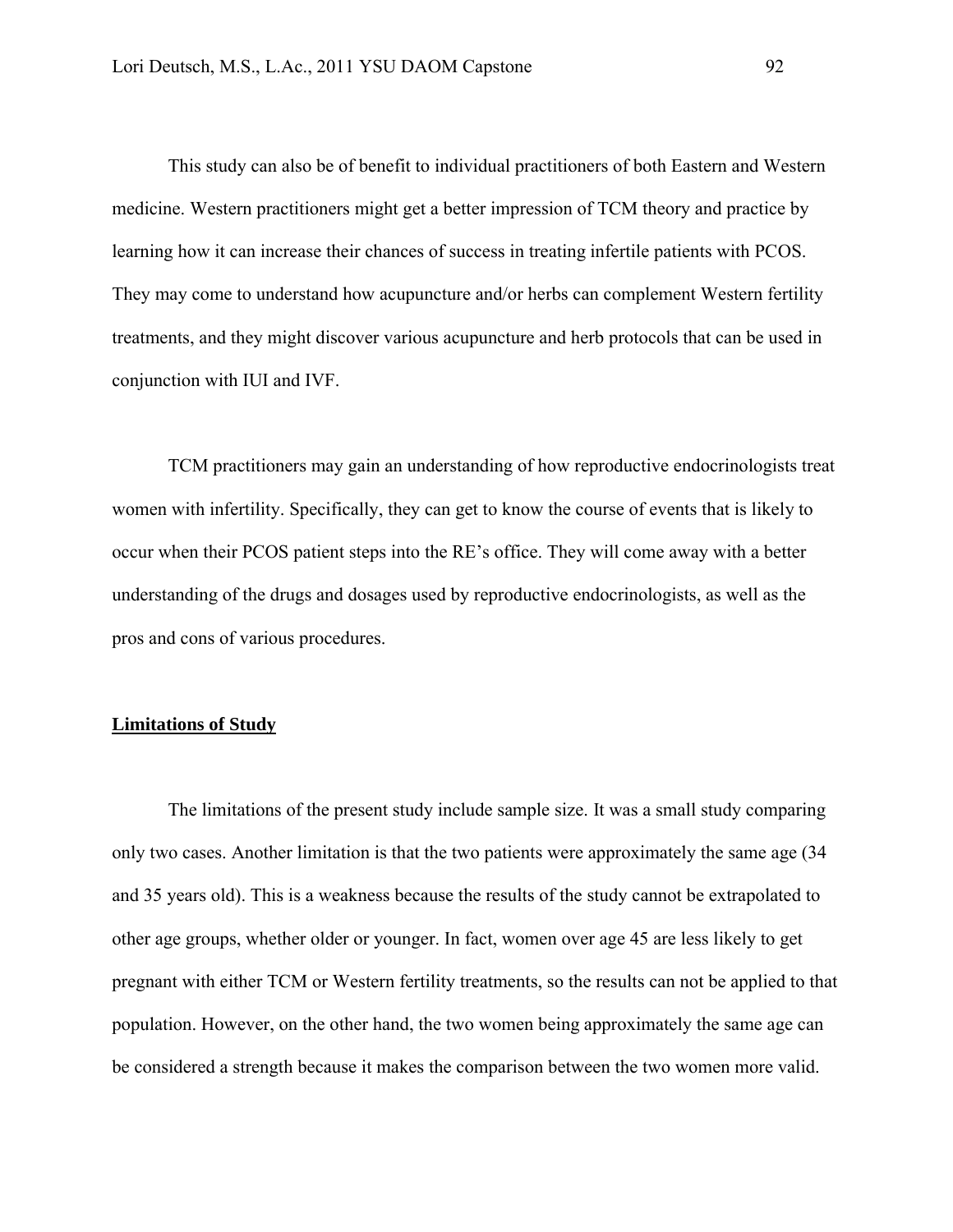This study can also be of benefit to individual practitioners of both Eastern and Western medicine. Western practitioners might get a better impression of TCM theory and practice by learning how it can increase their chances of success in treating infertile patients with PCOS. They may come to understand how acupuncture and/or herbs can complement Western fertility treatments, and they might discover various acupuncture and herb protocols that can be used in conjunction with IUI and IVF.

TCM practitioners may gain an understanding of how reproductive endocrinologists treat women with infertility. Specifically, they can get to know the course of events that is likely to occur when their PCOS patient steps into the RE's office. They will come away with a better understanding of the drugs and dosages used by reproductive endocrinologists, as well as the pros and cons of various procedures.

## **Limitations of Study**

The limitations of the present study include sample size. It was a small study comparing only two cases. Another limitation is that the two patients were approximately the same age (34 and 35 years old). This is a weakness because the results of the study cannot be extrapolated to other age groups, whether older or younger. In fact, women over age 45 are less likely to get pregnant with either TCM or Western fertility treatments, so the results can not be applied to that population. However, on the other hand, the two women being approximately the same age can be considered a strength because it makes the comparison between the two women more valid.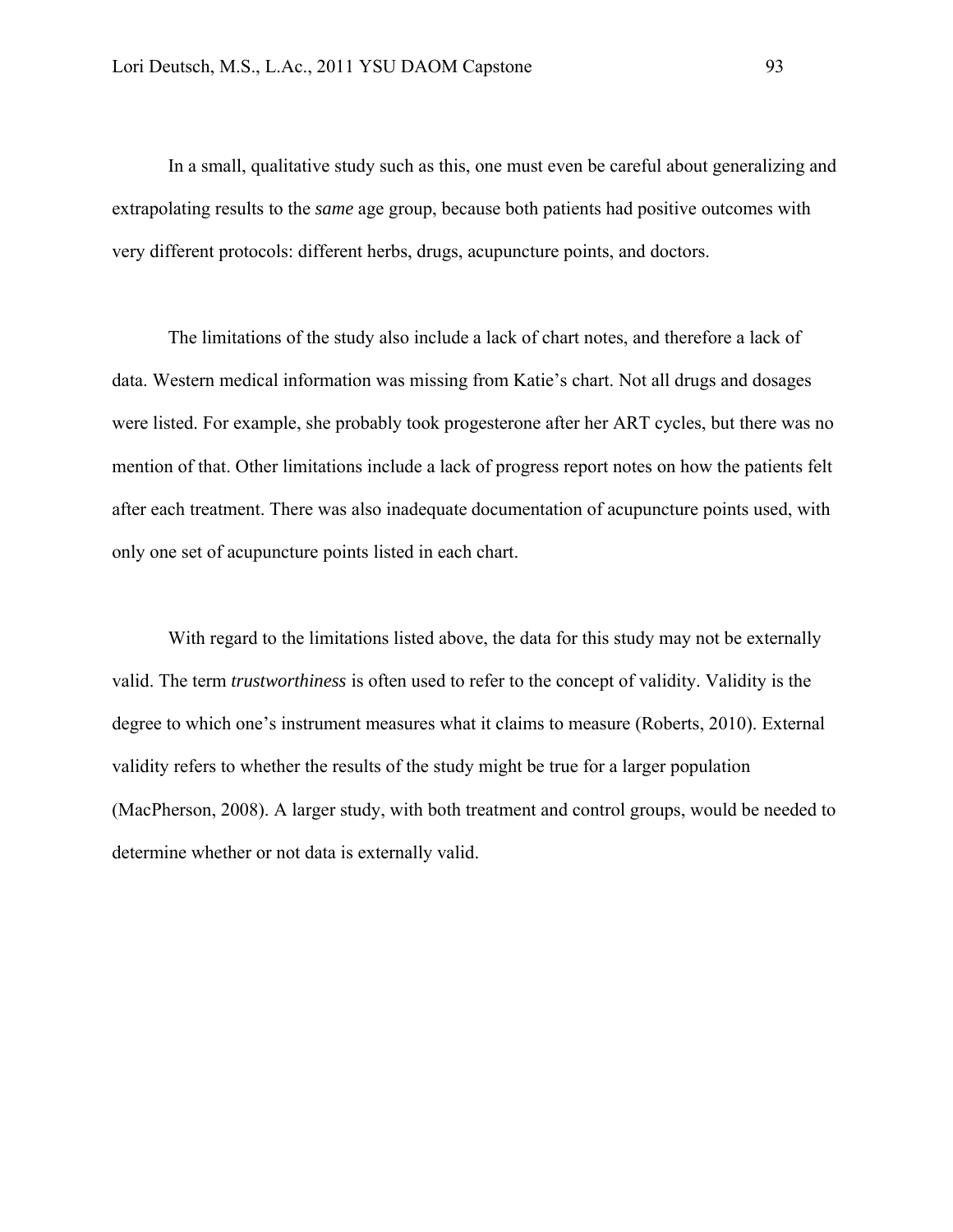In a small, qualitative study such as this, one must even be careful about generalizing and extrapolating results to the *same* age group, because both patients had positive outcomes with very different protocols: different herbs, drugs, acupuncture points, and doctors.

The limitations of the study also include a lack of chart notes, and therefore a lack of data. Western medical information was missing from Katie's chart. Not all drugs and dosages were listed. For example, she probably took progesterone after her ART cycles, but there was no mention of that. Other limitations include a lack of progress report notes on how the patients felt after each treatment. There was also inadequate documentation of acupuncture points used, with only one set of acupuncture points listed in each chart.

With regard to the limitations listed above, the data for this study may not be externally valid. The term *trustworthiness* is often used to refer to the concept of validity. Validity is the degree to which one's instrument measures what it claims to measure (Roberts, 2010). External validity refers to whether the results of the study might be true for a larger population (MacPherson, 2008). A larger study, with both treatment and control groups, would be needed to determine whether or not data is externally valid.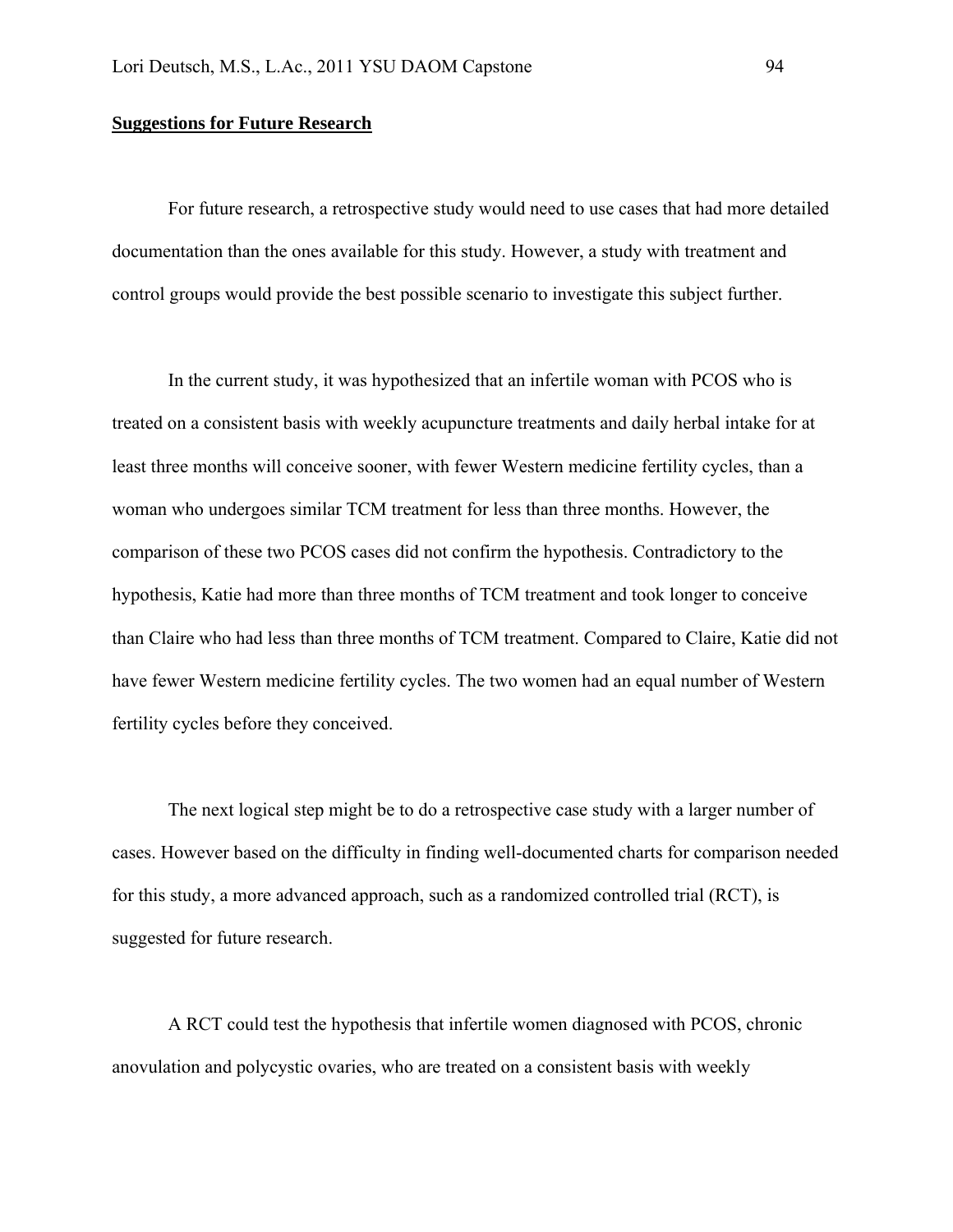### **Suggestions for Future Research**

For future research, a retrospective study would need to use cases that had more detailed documentation than the ones available for this study. However, a study with treatment and control groups would provide the best possible scenario to investigate this subject further.

In the current study, it was hypothesized that an infertile woman with PCOS who is treated on a consistent basis with weekly acupuncture treatments and daily herbal intake for at least three months will conceive sooner, with fewer Western medicine fertility cycles, than a woman who undergoes similar TCM treatment for less than three months. However, the comparison of these two PCOS cases did not confirm the hypothesis. Contradictory to the hypothesis, Katie had more than three months of TCM treatment and took longer to conceive than Claire who had less than three months of TCM treatment. Compared to Claire, Katie did not have fewer Western medicine fertility cycles. The two women had an equal number of Western fertility cycles before they conceived.

The next logical step might be to do a retrospective case study with a larger number of cases. However based on the difficulty in finding well-documented charts for comparison needed for this study, a more advanced approach, such as a randomized controlled trial (RCT), is suggested for future research.

A RCT could test the hypothesis that infertile women diagnosed with PCOS, chronic anovulation and polycystic ovaries, who are treated on a consistent basis with weekly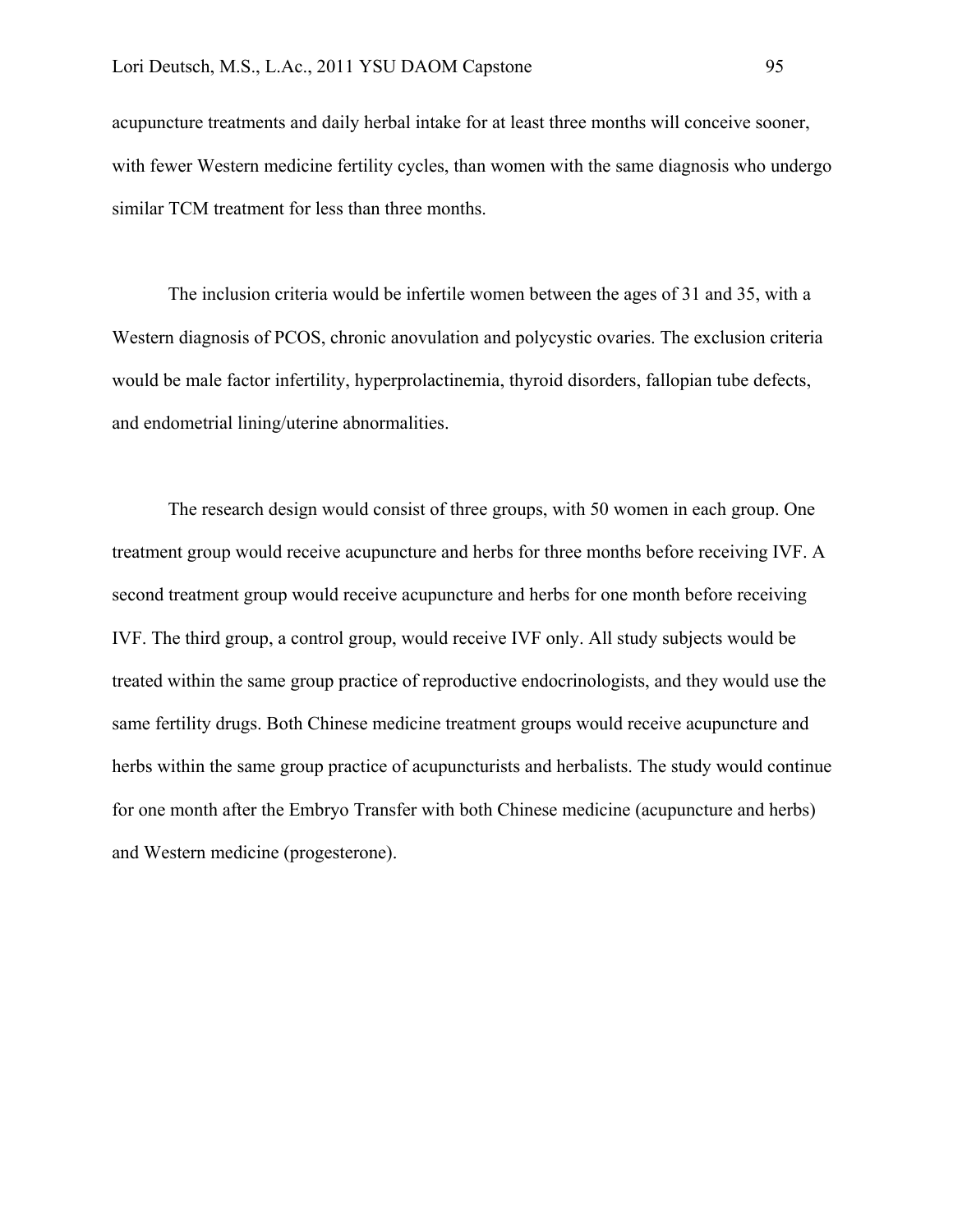acupuncture treatments and daily herbal intake for at least three months will conceive sooner, with fewer Western medicine fertility cycles, than women with the same diagnosis who undergo similar TCM treatment for less than three months.

The inclusion criteria would be infertile women between the ages of 31 and 35, with a Western diagnosis of PCOS, chronic anovulation and polycystic ovaries. The exclusion criteria would be male factor infertility, hyperprolactinemia, thyroid disorders, fallopian tube defects, and endometrial lining/uterine abnormalities.

The research design would consist of three groups, with 50 women in each group. One treatment group would receive acupuncture and herbs for three months before receiving IVF. A second treatment group would receive acupuncture and herbs for one month before receiving IVF. The third group, a control group, would receive IVF only. All study subjects would be treated within the same group practice of reproductive endocrinologists, and they would use the same fertility drugs. Both Chinese medicine treatment groups would receive acupuncture and herbs within the same group practice of acupuncturists and herbalists. The study would continue for one month after the Embryo Transfer with both Chinese medicine (acupuncture and herbs) and Western medicine (progesterone).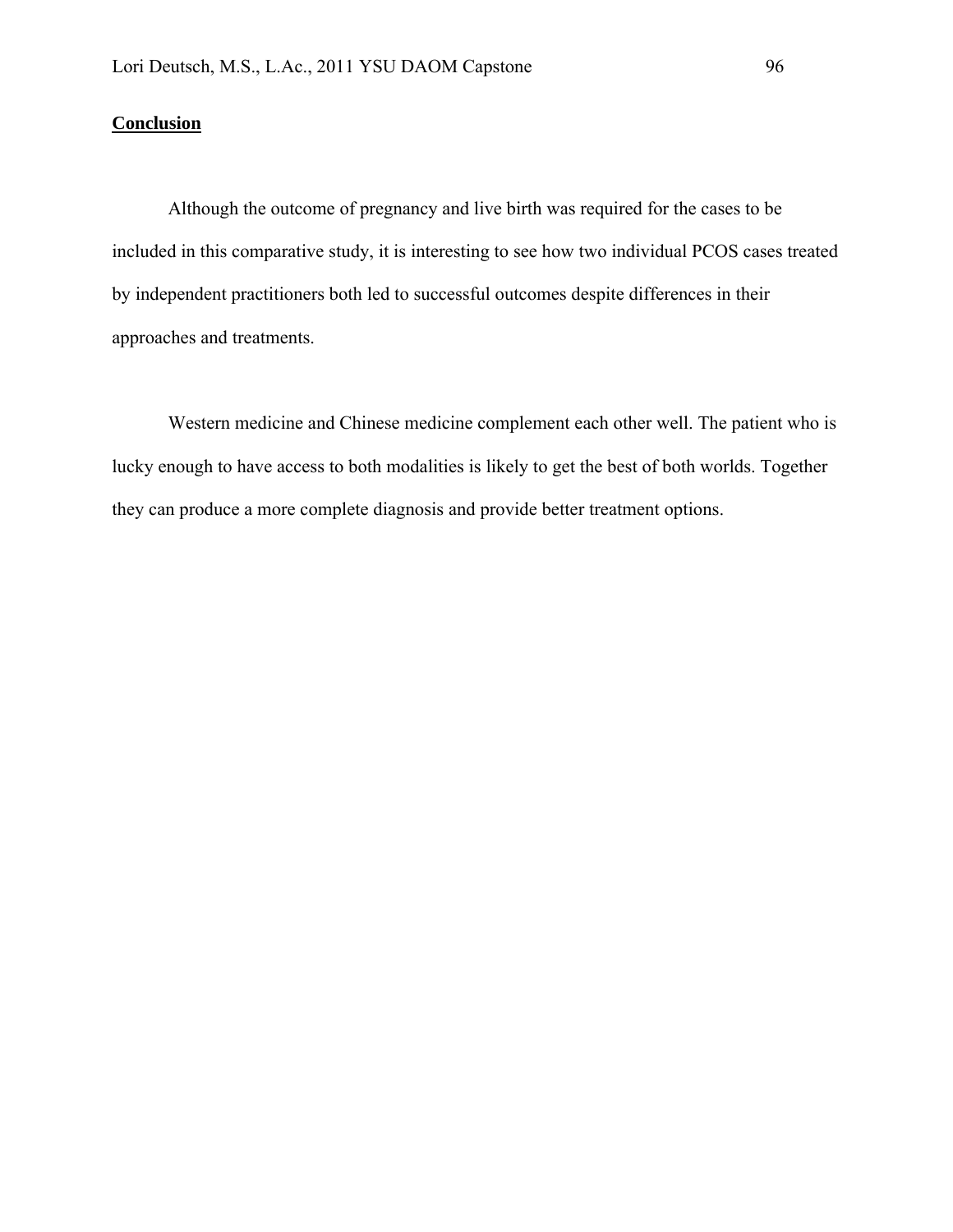# **Conclusion**

Although the outcome of pregnancy and live birth was required for the cases to be included in this comparative study, it is interesting to see how two individual PCOS cases treated by independent practitioners both led to successful outcomes despite differences in their approaches and treatments.

Western medicine and Chinese medicine complement each other well. The patient who is lucky enough to have access to both modalities is likely to get the best of both worlds. Together they can produce a more complete diagnosis and provide better treatment options.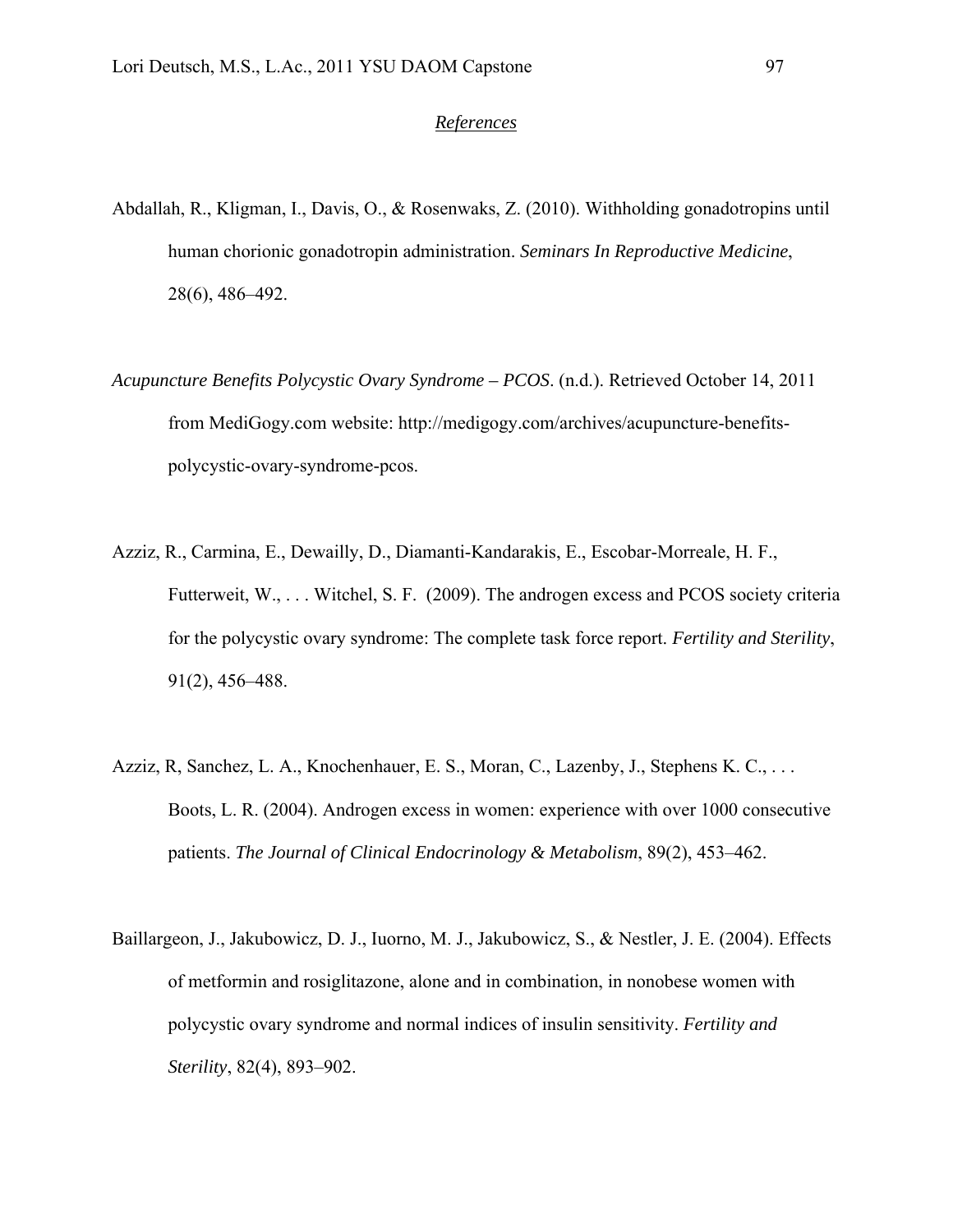# *References*

- Abdallah, R., Kligman, I., Davis, O., & Rosenwaks, Z. (2010). Withholding gonadotropins until human chorionic gonadotropin administration. *Seminars In Reproductive Medicine*, 28(6), 486–492.
- *Acupuncture Benefits Polycystic Ovary Syndrome PCOS*. (n.d.). Retrieved October 14, 2011 from MediGogy.com website: http://medigogy.com/archives/acupuncture-benefitspolycystic-ovary-syndrome-pcos.
- Azziz, R., Carmina, E., Dewailly, D., Diamanti-Kandarakis, E., Escobar-Morreale, H. F., Futterweit, W., ... Witchel, S. F. (2009). The androgen excess and PCOS society criteria for the polycystic ovary syndrome: The complete task force report. *Fertility and Sterility*, 91(2), 456–488.
- Azziz, R, Sanchez, L. A., Knochenhauer, E. S., Moran, C., Lazenby, J., Stephens K. C., . . . Boots, L. R. (2004). Androgen excess in women: experience with over 1000 consecutive patients. *The Journal of Clinical Endocrinology & Metabolism*, 89(2), 453–462.
- Baillargeon, J., Jakubowicz, D. J., Iuorno, M. J., Jakubowicz, S., & Nestler, J. E. (2004). Effects of metformin and rosiglitazone, alone and in combination, in nonobese women with polycystic ovary syndrome and normal indices of insulin sensitivity. *Fertility and Sterility*, 82(4), 893–902.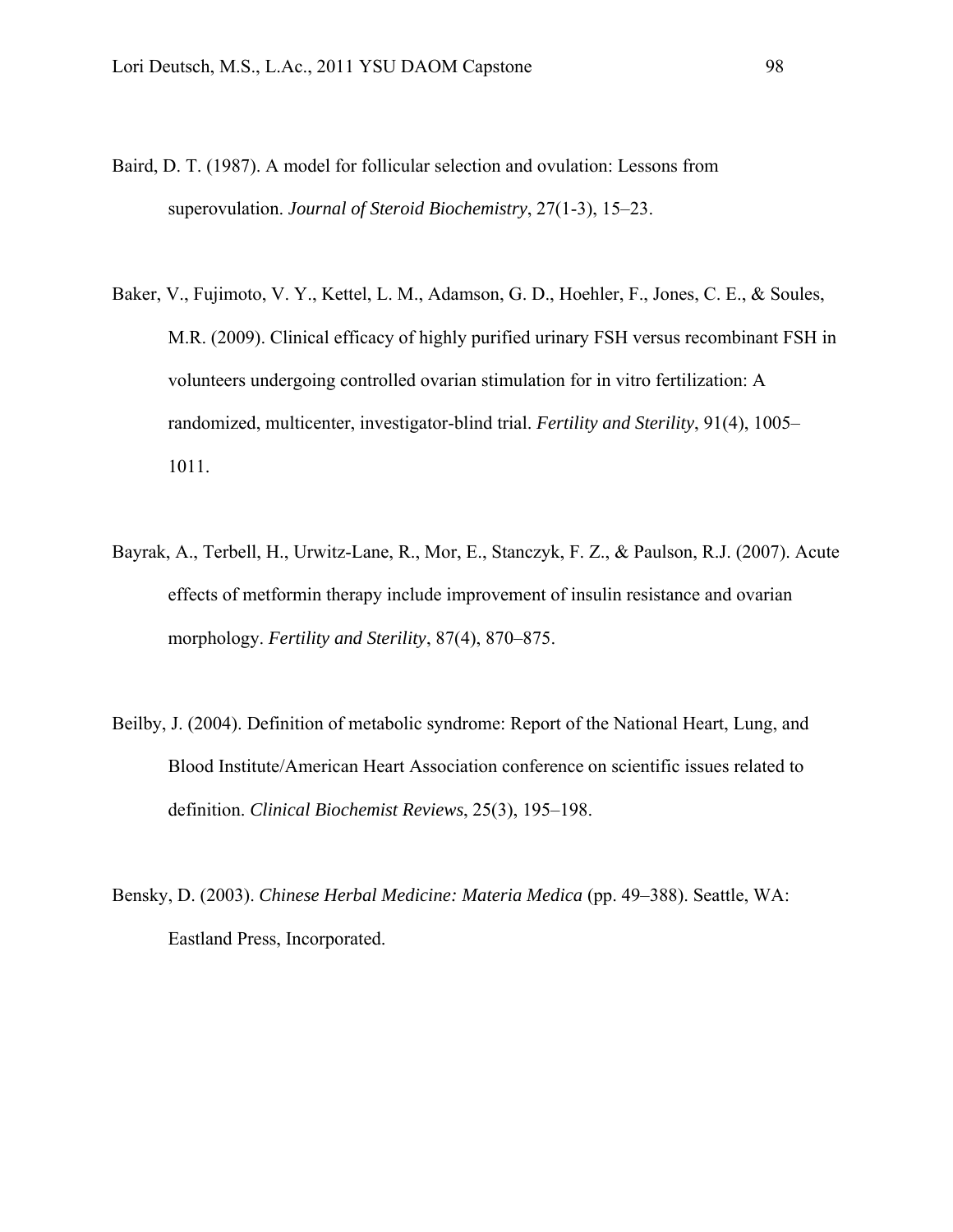- Baird, D. T. (1987). A model for follicular selection and ovulation: Lessons from superovulation. *Journal of Steroid Biochemistry*, 27(1-3), 15–23.
- Baker, V., Fujimoto, V. Y., Kettel, L. M., Adamson, G. D., Hoehler, F., Jones, C. E., & Soules, M.R. (2009). Clinical efficacy of highly purified urinary FSH versus recombinant FSH in volunteers undergoing controlled ovarian stimulation for in vitro fertilization: A randomized, multicenter, investigator-blind trial. *Fertility and Sterility*, 91(4), 1005– 1011.
- Bayrak, A., Terbell, H., Urwitz-Lane, R., Mor, E., Stanczyk, F. Z., & Paulson, R.J. (2007). Acute effects of metformin therapy include improvement of insulin resistance and ovarian morphology. *Fertility and Sterility*, 87(4), 870–875.
- Beilby, J. (2004). Definition of metabolic syndrome: Report of the National Heart, Lung, and Blood Institute/American Heart Association conference on scientific issues related to definition. *Clinical Biochemist Reviews*, 25(3), 195–198.
- Bensky, D. (2003). *Chinese Herbal Medicine: Materia Medica* (pp. 49–388). Seattle, WA: Eastland Press, Incorporated.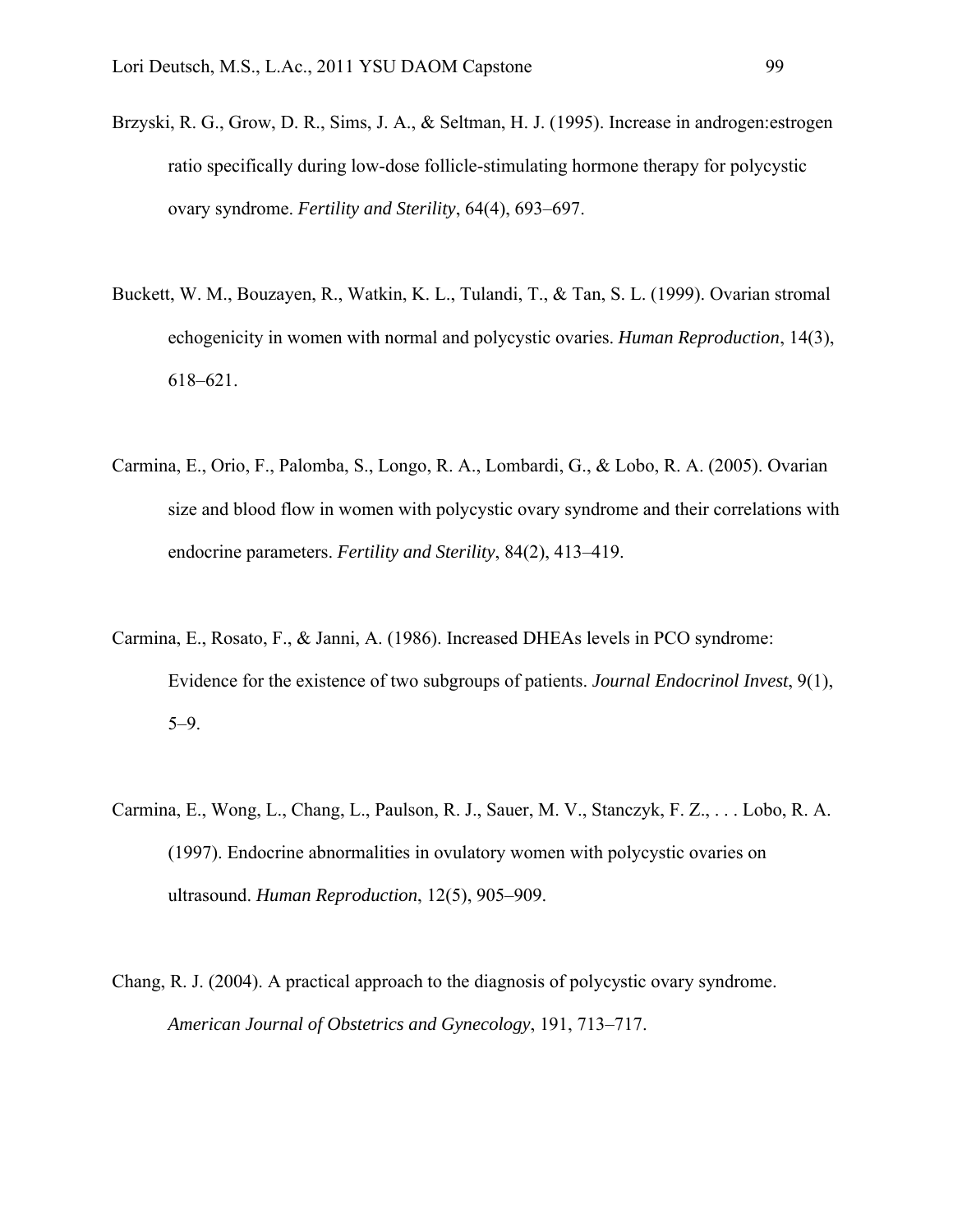- Brzyski, R. G., Grow, D. R., Sims, J. A., & Seltman, H. J. (1995). Increase in androgen:estrogen ratio specifically during low-dose follicle-stimulating hormone therapy for polycystic ovary syndrome. *Fertility and Sterility*, 64(4), 693–697.
- Buckett, W. M., Bouzayen, R., Watkin, K. L., Tulandi, T., & Tan, S. L. (1999). Ovarian stromal echogenicity in women with normal and polycystic ovaries. *Human Reproduction*, 14(3), 618–621.
- Carmina, E., Orio, F., Palomba, S., Longo, R. A., Lombardi, G., & Lobo, R. A. (2005). Ovarian size and blood flow in women with polycystic ovary syndrome and their correlations with endocrine parameters. *Fertility and Sterility*, 84(2), 413–419.
- Carmina, E., Rosato, F., & Janni, A. (1986). Increased DHEAs levels in PCO syndrome: Evidence for the existence of two subgroups of patients. *Journal Endocrinol Invest*, 9(1), 5–9.
- Carmina, E., Wong, L., Chang, L., Paulson, R. J., Sauer, M. V., Stanczyk, F. Z., . . . Lobo, R. A. (1997). Endocrine abnormalities in ovulatory women with polycystic ovaries on ultrasound. *Human Reproduction*, 12(5), 905–909.
- Chang, R. J. (2004). A practical approach to the diagnosis of polycystic ovary syndrome. *American Journal of Obstetrics and Gynecology*, 191, 713–717.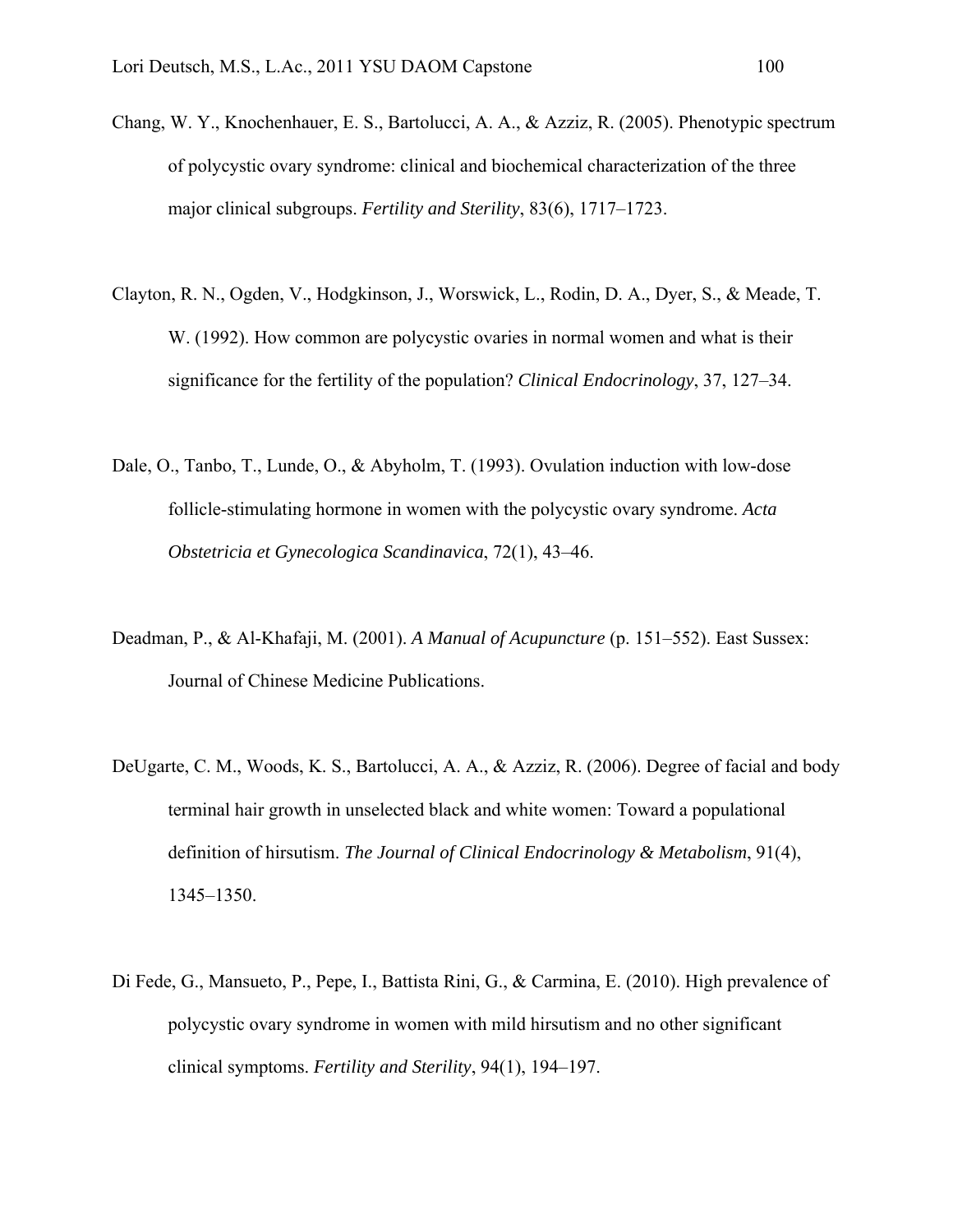- Chang, W. Y., Knochenhauer, E. S., Bartolucci, A. A., & Azziz, R. (2005). Phenotypic spectrum of polycystic ovary syndrome: clinical and biochemical characterization of the three major clinical subgroups. *Fertility and Sterility*, 83(6), 1717–1723.
- Clayton, R. N., Ogden, V., Hodgkinson, J., Worswick, L., Rodin, D. A., Dyer, S., & Meade, T. W. (1992). How common are polycystic ovaries in normal women and what is their significance for the fertility of the population? *Clinical Endocrinology*, 37, 127–34.
- Dale, O., Tanbo, T., Lunde, O., & Abyholm, T. (1993). Ovulation induction with low-dose follicle-stimulating hormone in women with the polycystic ovary syndrome. *Acta Obstetricia et Gynecologica Scandinavica*, 72(1), 43–46.
- Deadman, P., & Al-Khafaji, M. (2001). *A Manual of Acupuncture* (p. 151–552). East Sussex: Journal of Chinese Medicine Publications.
- DeUgarte, C. M., Woods, K. S., Bartolucci, A. A., & Azziz, R. (2006). Degree of facial and body terminal hair growth in unselected black and white women: Toward a populational definition of hirsutism. *The Journal of Clinical Endocrinology & Metabolism*, 91(4), 1345–1350.
- Di Fede, G., Mansueto, P., Pepe, I., Battista Rini, G., & Carmina, E. (2010). High prevalence of polycystic ovary syndrome in women with mild hirsutism and no other significant clinical symptoms. *Fertility and Sterility*, 94(1), 194–197.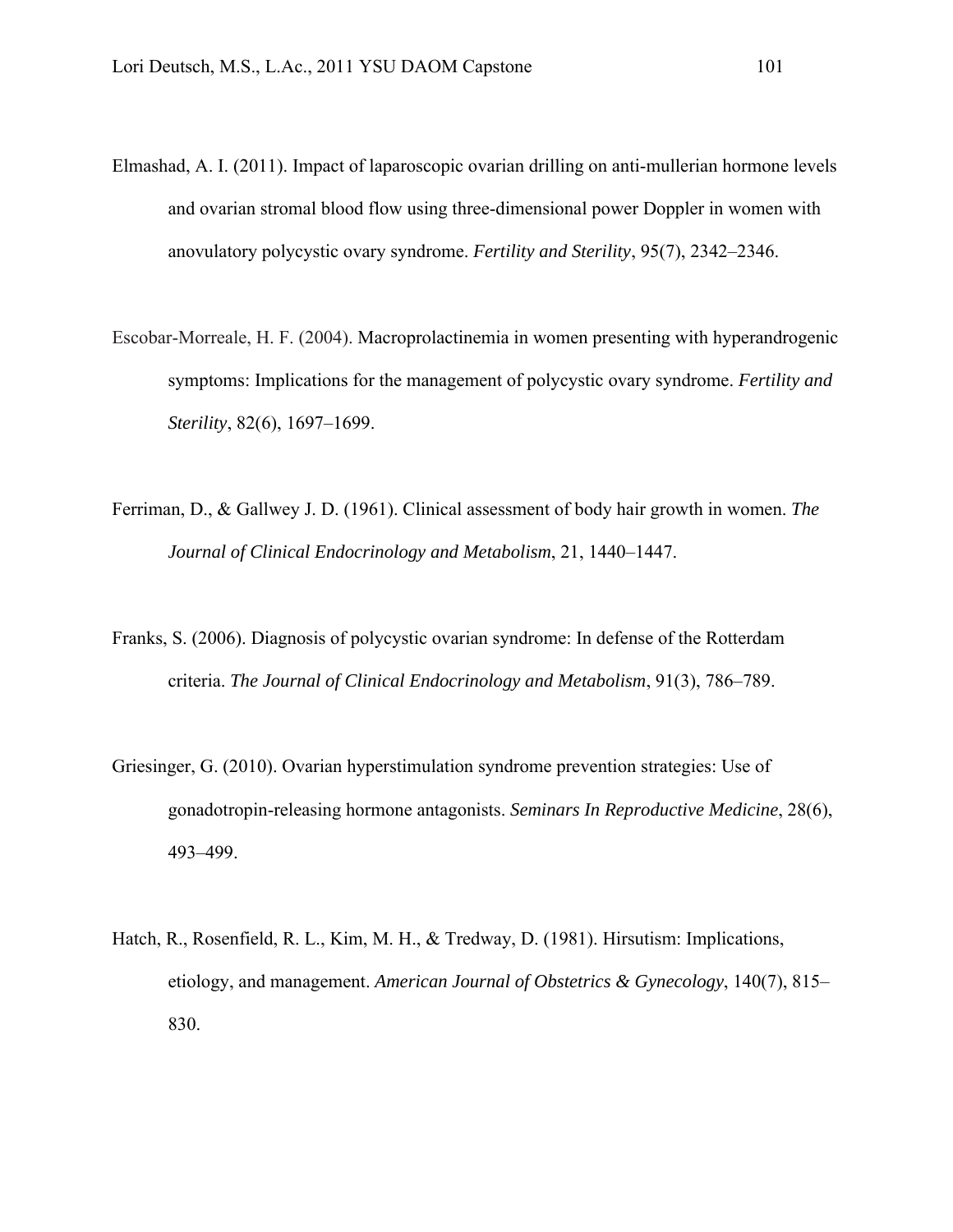- Elmashad, A. I. (2011). Impact of laparoscopic ovarian drilling on anti-mullerian hormone levels and ovarian stromal blood flow using three-dimensional power Doppler in women with anovulatory polycystic ovary syndrome. *Fertility and Sterility*, 95(7), 2342–2346.
- Escobar-Morreale, H. F. (2004). Macroprolactinemia in women presenting with hyperandrogenic symptoms: Implications for the management of polycystic ovary syndrome. *Fertility and Sterility*, 82(6), 1697–1699.
- Ferriman, D., & Gallwey J. D. (1961). Clinical assessment of body hair growth in women. *The Journal of Clinical Endocrinology and Metabolism*, 21, 1440–1447.
- Franks, S. (2006). Diagnosis of polycystic ovarian syndrome: In defense of the Rotterdam criteria. *The Journal of Clinical Endocrinology and Metabolism*, 91(3), 786–789.
- Griesinger, G. (2010). Ovarian hyperstimulation syndrome prevention strategies: Use of gonadotropin-releasing hormone antagonists. *Seminars In Reproductive Medicine*, 28(6), 493–499.
- Hatch, R., Rosenfield, R. L., Kim, M. H., & Tredway, D. (1981). Hirsutism: Implications, etiology, and management. *American Journal of Obstetrics & Gynecology*, 140(7), 815– 830.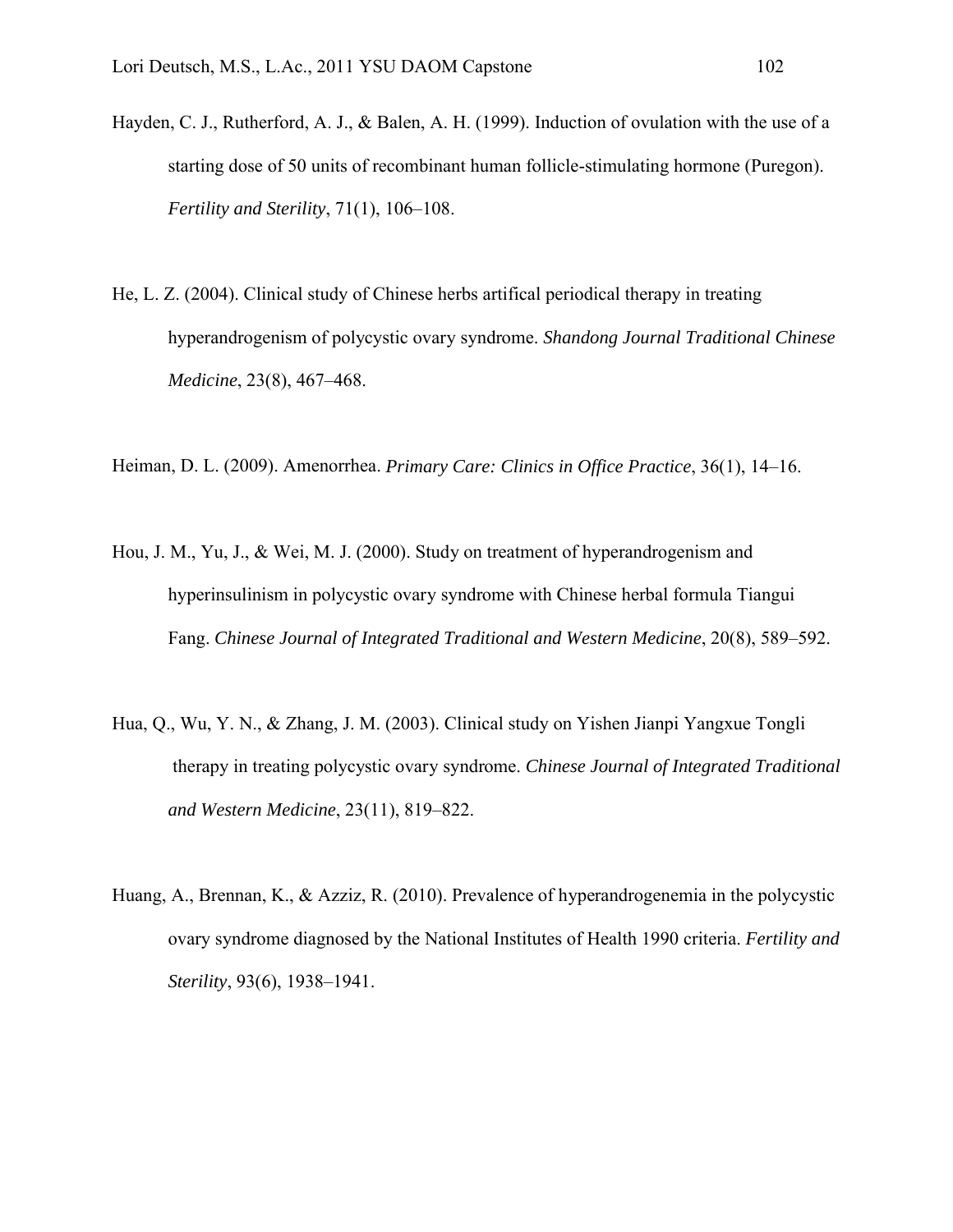- Hayden, C. J., Rutherford, A. J., & Balen, A. H. (1999). Induction of ovulation with the use of a starting dose of 50 units of recombinant human follicle-stimulating hormone (Puregon). *Fertility and Sterility*, 71(1), 106–108.
- He, L. Z. (2004). Clinical study of Chinese herbs artifical periodical therapy in treating hyperandrogenism of polycystic ovary syndrome. *Shandong Journal Traditional Chinese Medicine*, 23(8), 467–468.
- Heiman, D. L. (2009). Amenorrhea. *Primary Care: Clinics in Office Practice*, 36(1), 14–16.
- Hou, J. M., Yu, J., & Wei, M. J. (2000). Study on treatment of hyperandrogenism and hyperinsulinism in polycystic ovary syndrome with Chinese herbal formula Tiangui Fang. *Chinese Journal of Integrated Traditional and Western Medicine*, 20(8), 589–592.
- Hua, Q., Wu, Y. N., & Zhang, J. M. (2003). Clinical study on Yishen Jianpi Yangxue Tongli therapy in treating polycystic ovary syndrome. *Chinese Journal of Integrated Traditional and Western Medicine*, 23(11), 819–822.
- Huang, A., Brennan, K., & Azziz, R. (2010). Prevalence of hyperandrogenemia in the polycystic ovary syndrome diagnosed by the National Institutes of Health 1990 criteria. *Fertility and Sterility*, 93(6), 1938–1941.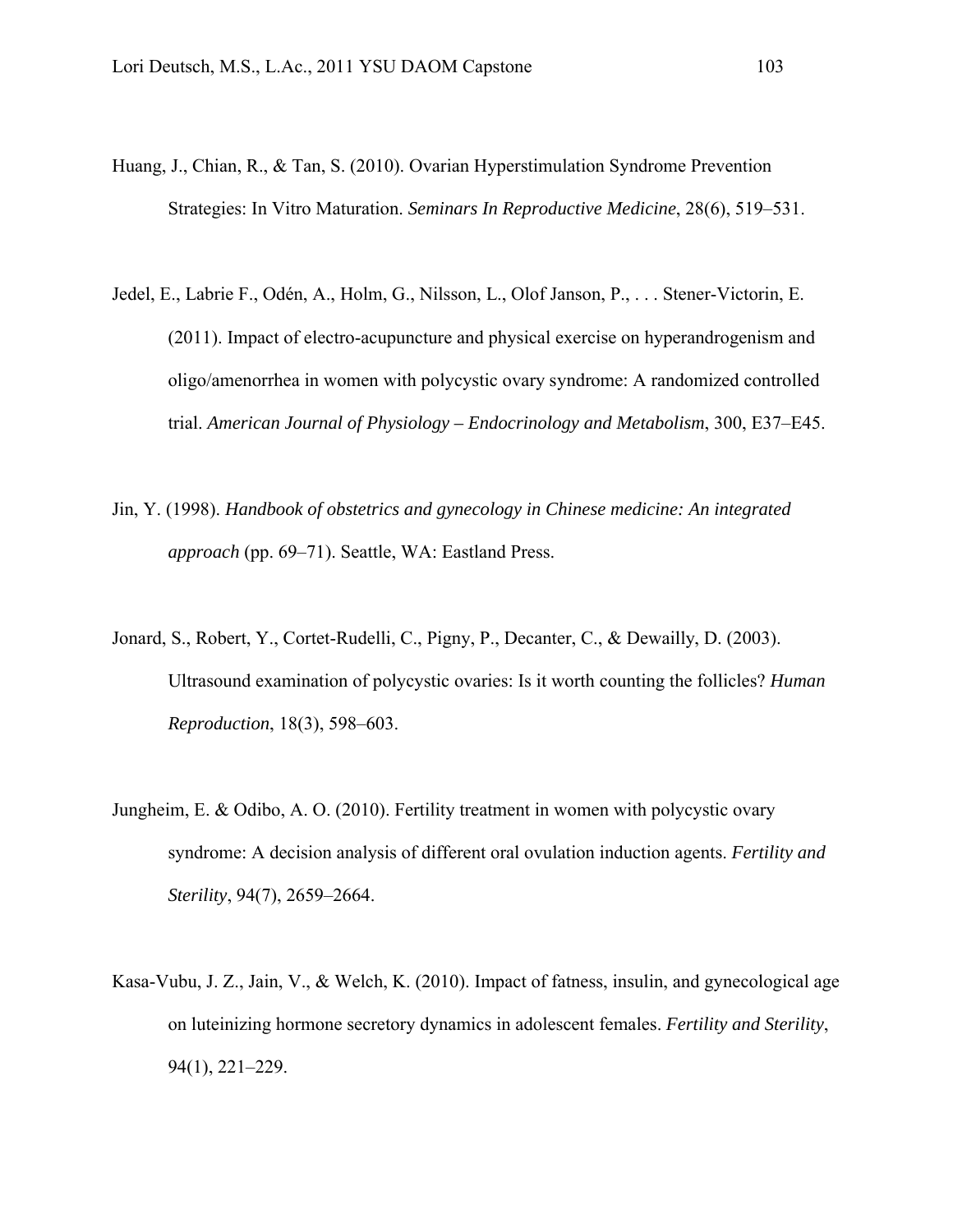- Huang, J., Chian, R., & Tan, S. (2010). Ovarian Hyperstimulation Syndrome Prevention Strategies: In Vitro Maturation. *Seminars In Reproductive Medicine*, 28(6), 519–531.
- Jedel, E., Labrie F., Odén, A., Holm, G., Nilsson, L., Olof Janson, P., . . . Stener-Victorin, E. (2011). Impact of electro-acupuncture and physical exercise on hyperandrogenism and oligo/amenorrhea in women with polycystic ovary syndrome: A randomized controlled trial. *American Journal of Physiology – Endocrinology and Metabolism*, 300, E37–E45.
- Jin, Y. (1998). *Handbook of obstetrics and gynecology in Chinese medicine: An integrated approach* (pp. 69–71). Seattle, WA: Eastland Press.
- Jonard, S., Robert, Y., Cortet-Rudelli, C., Pigny, P., Decanter, C., & Dewailly, D. (2003). Ultrasound examination of polycystic ovaries: Is it worth counting the follicles? *Human Reproduction*, 18(3), 598–603.
- Jungheim, E. & Odibo, A. O. (2010). Fertility treatment in women with polycystic ovary syndrome: A decision analysis of different oral ovulation induction agents. *Fertility and Sterility*, 94(7), 2659–2664.
- Kasa-Vubu, J. Z., Jain, V., & Welch, K. (2010). Impact of fatness, insulin, and gynecological age on luteinizing hormone secretory dynamics in adolescent females. *Fertility and Sterility*, 94(1), 221–229.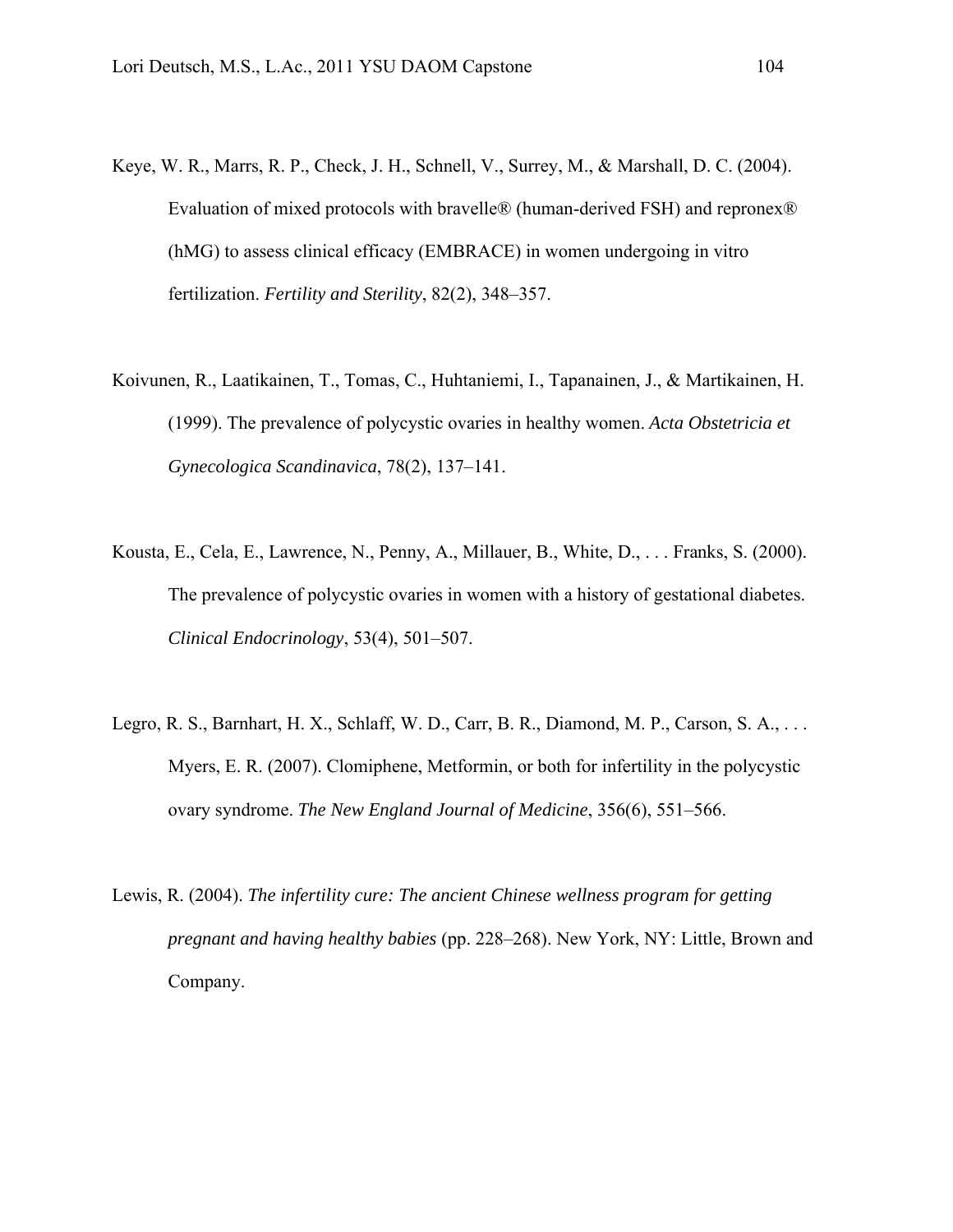- Keye, W. R., Marrs, R. P., Check, J. H., Schnell, V., Surrey, M., & Marshall, D. C. (2004). Evaluation of mixed protocols with bravelle® (human-derived FSH) and repronex® (hMG) to assess clinical efficacy (EMBRACE) in women undergoing in vitro fertilization. *Fertility and Sterility*, 82(2), 348–357.
- Koivunen, R., Laatikainen, T., Tomas, C., Huhtaniemi, I., Tapanainen, J., & Martikainen, H. (1999). The prevalence of polycystic ovaries in healthy women. *Acta Obstetricia et Gynecologica Scandinavica*, 78(2), 137–141.
- Kousta, E., Cela, E., Lawrence, N., Penny, A., Millauer, B., White, D., . . . Franks, S. (2000). The prevalence of polycystic ovaries in women with a history of gestational diabetes. *Clinical Endocrinology*, 53(4), 501–507.
- Legro, R. S., Barnhart, H. X., Schlaff, W. D., Carr, B. R., Diamond, M. P., Carson, S. A., . . . Myers, E. R. (2007). Clomiphene, Metformin, or both for infertility in the polycystic ovary syndrome. *The New England Journal of Medicine*, 356(6), 551–566.
- Lewis, R. (2004). *The infertility cure: The ancient Chinese wellness program for getting pregnant and having healthy babies* (pp. 228–268). New York, NY: Little, Brown and Company.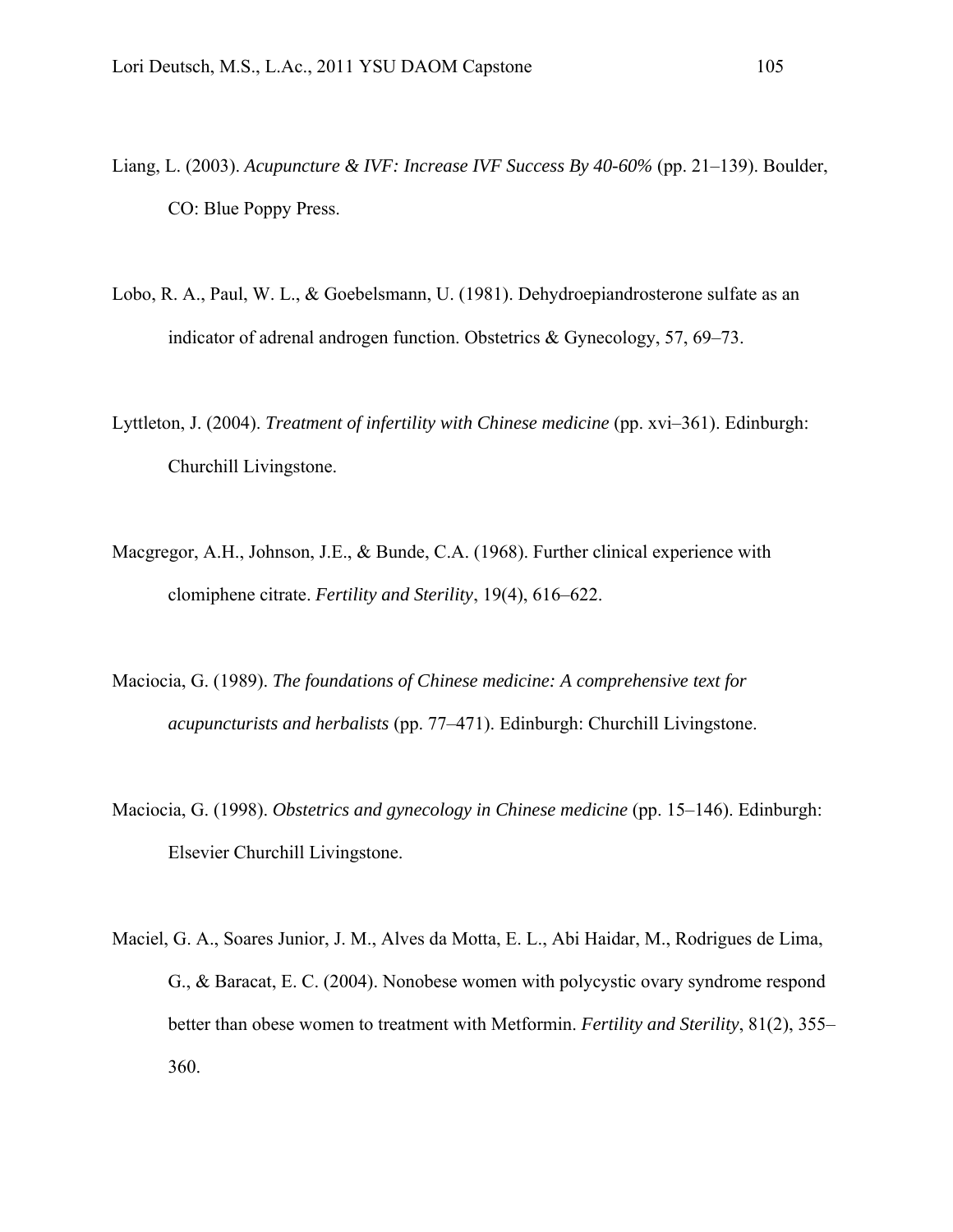- Liang, L. (2003). *Acupuncture & IVF: Increase IVF Success By 40-60%* (pp. 21–139). Boulder, CO: Blue Poppy Press.
- Lobo, R. A., Paul, W. L., & Goebelsmann, U. (1981). Dehydroepiandrosterone sulfate as an indicator of adrenal androgen function. Obstetrics & Gynecology, 57, 69–73.
- Lyttleton, J. (2004). *Treatment of infertility with Chinese medicine* (pp. xvi–361). Edinburgh: Churchill Livingstone.
- Macgregor, A.H., Johnson, J.E., & Bunde, C.A. (1968). Further clinical experience with clomiphene citrate. *Fertility and Sterility*, 19(4), 616–622.
- Maciocia, G. (1989). *The foundations of Chinese medicine: A comprehensive text for acupuncturists and herbalists* (pp. 77–471). Edinburgh: Churchill Livingstone.
- Maciocia, G. (1998). *Obstetrics and gynecology in Chinese medicine* (pp. 15–146). Edinburgh: Elsevier Churchill Livingstone.
- Maciel, G. A., Soares Junior, J. M., Alves da Motta, E. L., Abi Haidar, M., Rodrigues de Lima, G., & Baracat, E. C. (2004). Nonobese women with polycystic ovary syndrome respond better than obese women to treatment with Metformin. *Fertility and Sterility*, 81(2), 355– 360.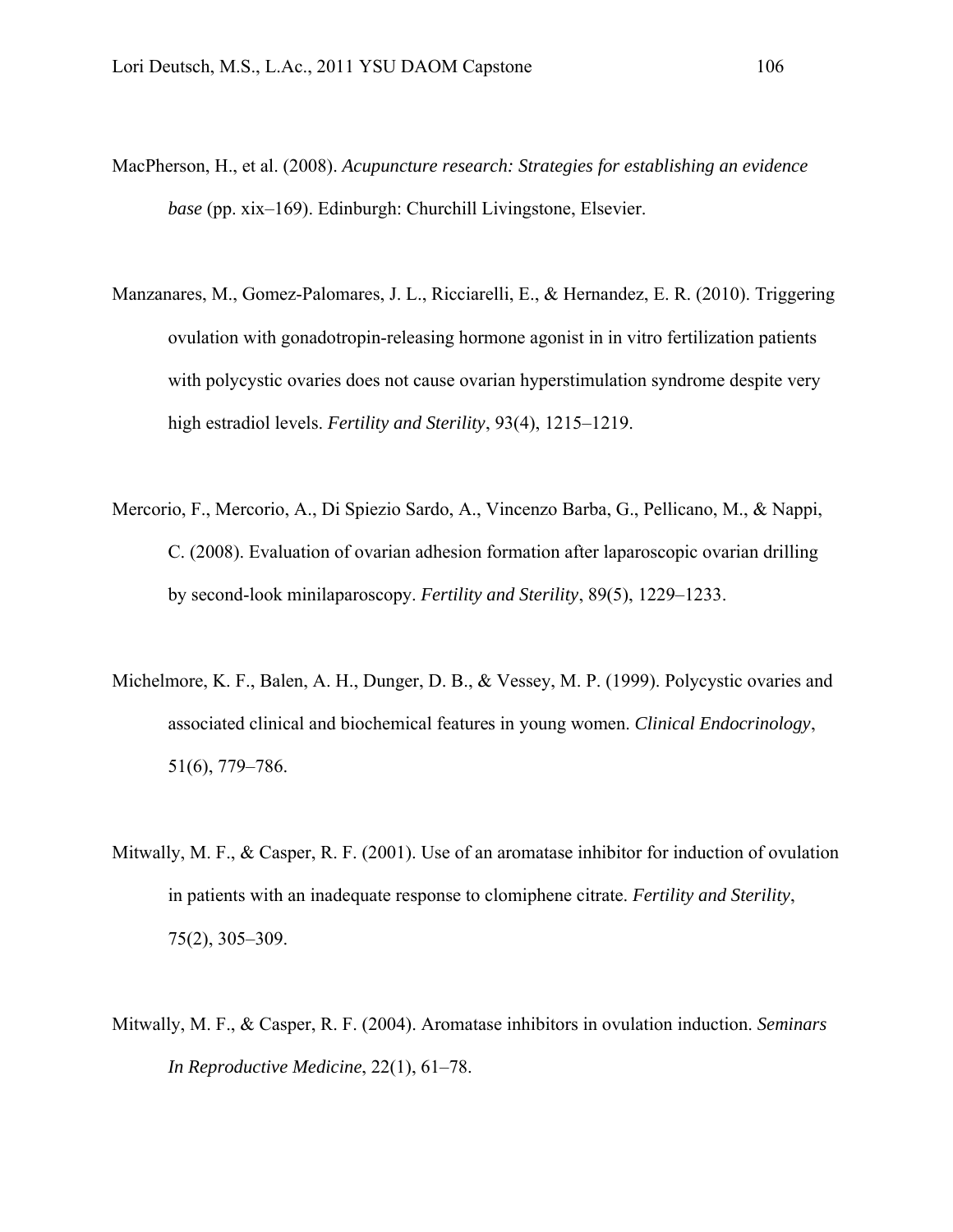- MacPherson, H., et al. (2008). *Acupuncture research: Strategies for establishing an evidence base* (pp. xix–169). Edinburgh: Churchill Livingstone, Elsevier.
- Manzanares, M., Gomez-Palomares, J. L., Ricciarelli, E., & Hernandez, E. R. (2010). Triggering ovulation with gonadotropin-releasing hormone agonist in in vitro fertilization patients with polycystic ovaries does not cause ovarian hyperstimulation syndrome despite very high estradiol levels. *Fertility and Sterility*, 93(4), 1215–1219.
- Mercorio, F., Mercorio, A., Di Spiezio Sardo, A., Vincenzo Barba, G., Pellicano, M., & Nappi, C. (2008). Evaluation of ovarian adhesion formation after laparoscopic ovarian drilling by second-look minilaparoscopy. *Fertility and Sterility*, 89(5), 1229–1233.
- Michelmore, K. F., Balen, A. H., Dunger, D. B., & Vessey, M. P. (1999). Polycystic ovaries and associated clinical and biochemical features in young women. *Clinical Endocrinology*, 51(6), 779–786.
- Mitwally, M. F., & Casper, R. F. (2001). Use of an aromatase inhibitor for induction of ovulation in patients with an inadequate response to clomiphene citrate. *Fertility and Sterility*, 75(2), 305–309.
- Mitwally, M. F., & Casper, R. F. (2004). Aromatase inhibitors in ovulation induction. *Seminars In Reproductive Medicine*, 22(1), 61–78.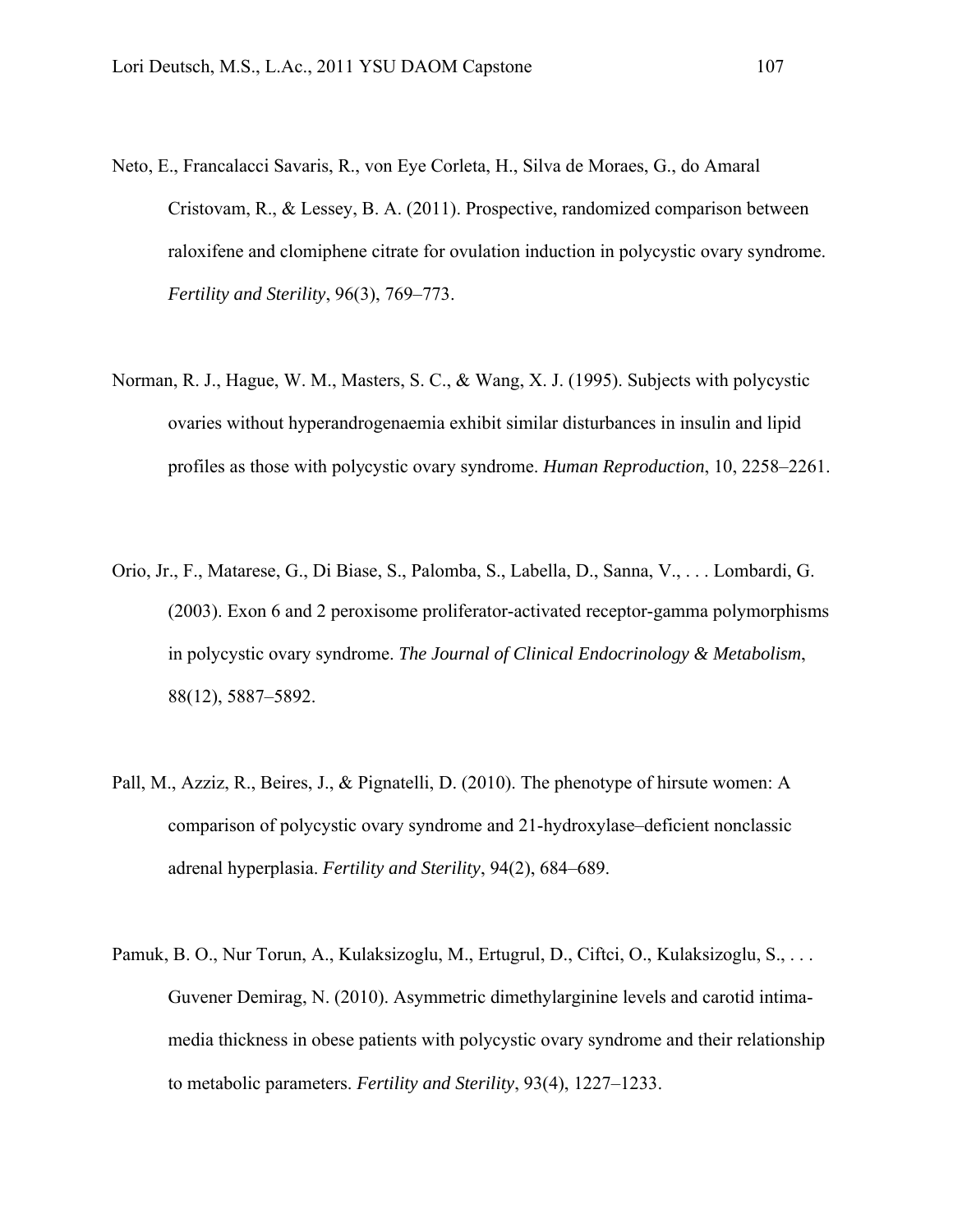- Neto, E., Francalacci Savaris, R., von Eye Corleta, H., Silva de Moraes, G., do Amaral Cristovam, R., & Lessey, B. A. (2011). Prospective, randomized comparison between raloxifene and clomiphene citrate for ovulation induction in polycystic ovary syndrome. *Fertility and Sterility*, 96(3), 769–773.
- Norman, R. J., Hague, W. M., Masters, S. C., & Wang, X. J. (1995). Subjects with polycystic ovaries without hyperandrogenaemia exhibit similar disturbances in insulin and lipid profiles as those with polycystic ovary syndrome. *Human Reproduction*, 10, 2258–2261.
- Orio, Jr., F., Matarese, G., Di Biase, S., Palomba, S., Labella, D., Sanna, V., . . . Lombardi, G. (2003). Exon 6 and 2 peroxisome proliferator-activated receptor-gamma polymorphisms in polycystic ovary syndrome. *The Journal of Clinical Endocrinology & Metabolism*, 88(12), 5887–5892.
- Pall, M., Azziz, R., Beires, J., & Pignatelli, D. (2010). The phenotype of hirsute women: A comparison of polycystic ovary syndrome and 21-hydroxylase–deficient nonclassic adrenal hyperplasia. *Fertility and Sterility*, 94(2), 684–689.
- Pamuk, B. O., Nur Torun, A., Kulaksizoglu, M., Ertugrul, D., Ciftci, O., Kulaksizoglu, S., ... Guvener Demirag, N. (2010). Asymmetric dimethylarginine levels and carotid intimamedia thickness in obese patients with polycystic ovary syndrome and their relationship to metabolic parameters. *Fertility and Sterility*, 93(4), 1227–1233.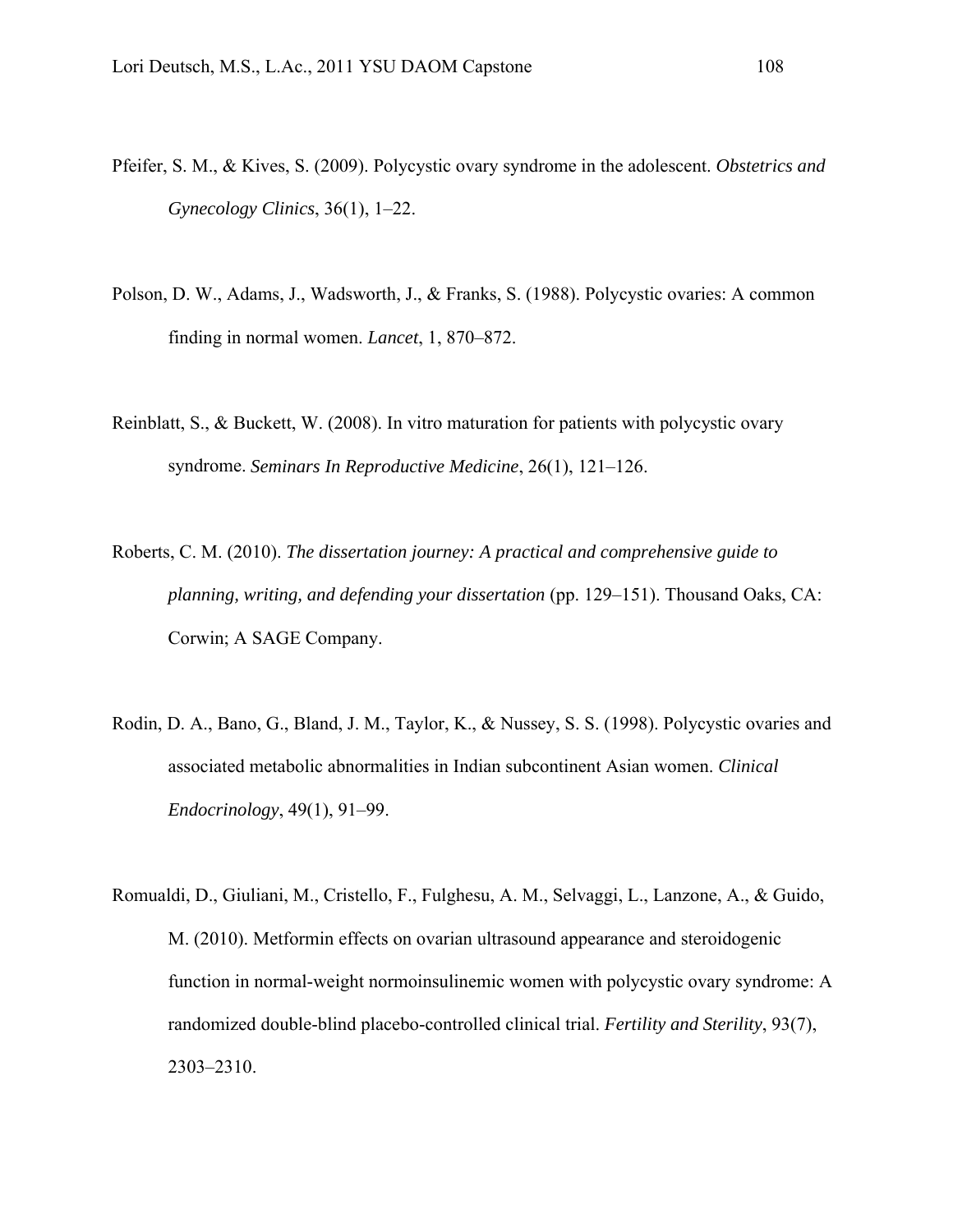- Pfeifer, S. M., & Kives, S. (2009). Polycystic ovary syndrome in the adolescent. *Obstetrics and Gynecology Clinics*, 36(1), 1–22.
- Polson, D. W., Adams, J., Wadsworth, J., & Franks, S. (1988). Polycystic ovaries: A common finding in normal women. *Lancet*, 1, 870–872.
- Reinblatt, S., & Buckett, W. (2008). In vitro maturation for patients with polycystic ovary syndrome. *Seminars In Reproductive Medicine*, 26(1), 121–126.
- Roberts, C. M. (2010). *The dissertation journey: A practical and comprehensive guide to planning, writing, and defending your dissertation* (pp. 129–151). Thousand Oaks, CA: Corwin; A SAGE Company.
- Rodin, D. A., Bano, G., Bland, J. M., Taylor, K., & Nussey, S. S. (1998). Polycystic ovaries and associated metabolic abnormalities in Indian subcontinent Asian women. *Clinical Endocrinology*, 49(1), 91–99.
- Romualdi, D., Giuliani, M., Cristello, F., Fulghesu, A. M., Selvaggi, L., Lanzone, A., & Guido, M. (2010). Metformin effects on ovarian ultrasound appearance and steroidogenic function in normal-weight normoinsulinemic women with polycystic ovary syndrome: A randomized double-blind placebo-controlled clinical trial. *Fertility and Sterility*, 93(7), 2303–2310.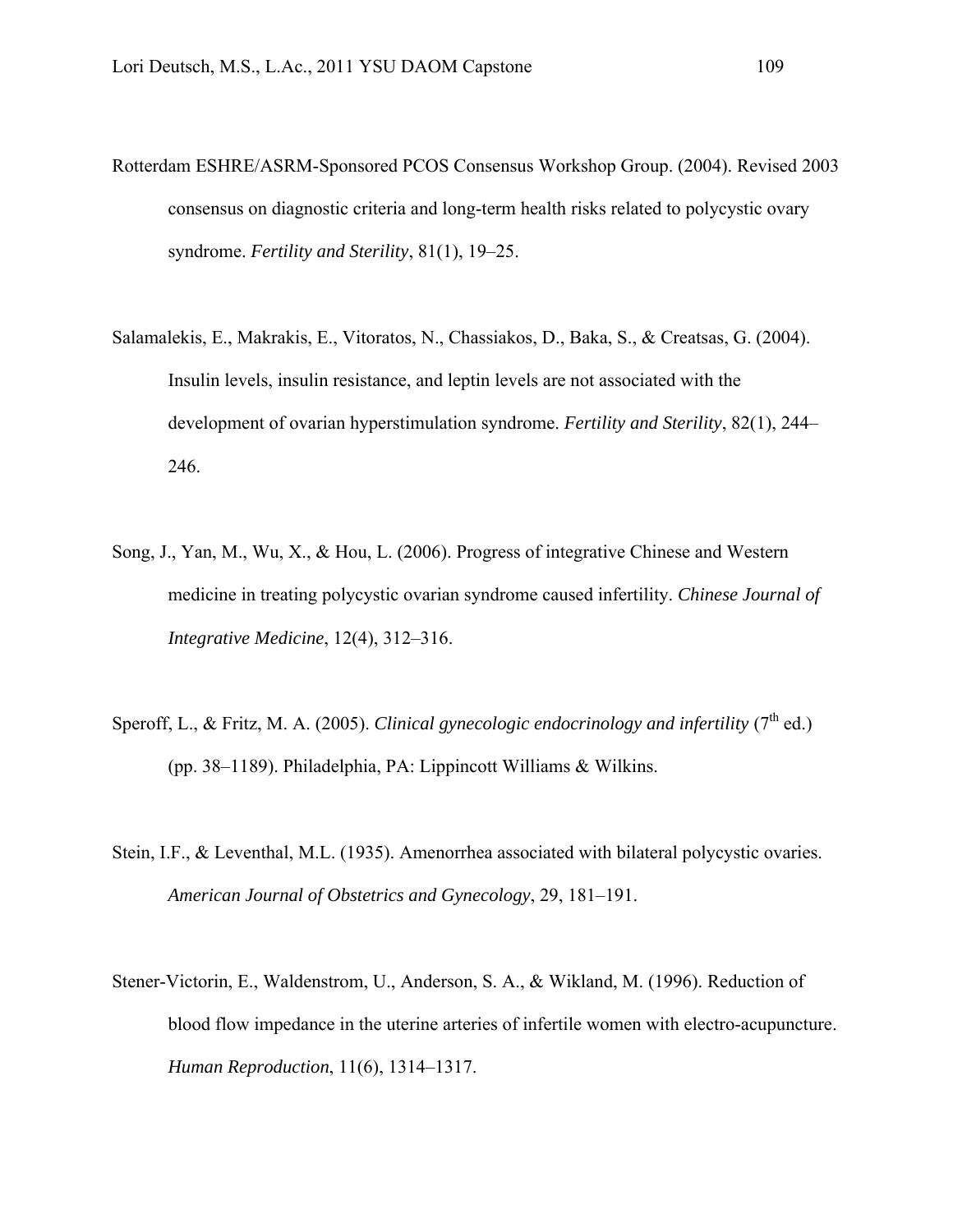- Rotterdam ESHRE/ASRM-Sponsored PCOS Consensus Workshop Group. (2004). Revised 2003 consensus on diagnostic criteria and long-term health risks related to polycystic ovary syndrome. *Fertility and Sterility*, 81(1), 19–25.
- Salamalekis, E., Makrakis, E., Vitoratos, N., Chassiakos, D., Baka, S., & Creatsas, G. (2004). Insulin levels, insulin resistance, and leptin levels are not associated with the development of ovarian hyperstimulation syndrome. *Fertility and Sterility*, 82(1), 244– 246.
- Song, J., Yan, M., Wu, X., & Hou, L. (2006). Progress of integrative Chinese and Western medicine in treating polycystic ovarian syndrome caused infertility. *Chinese Journal of Integrative Medicine*, 12(4), 312–316.
- Speroff, L., & Fritz, M. A. (2005). *Clinical gynecologic endocrinology and infertility* ( $7<sup>th</sup>$  ed.) (pp. 38–1189). Philadelphia, PA: Lippincott Williams & Wilkins.
- Stein, I.F., & Leventhal, M.L. (1935). Amenorrhea associated with bilateral polycystic ovaries. *American Journal of Obstetrics and Gynecology*, 29, 181–191.
- Stener-Victorin, E., Waldenstrom, U., Anderson, S. A., & Wikland, M. (1996). Reduction of blood flow impedance in the uterine arteries of infertile women with electro-acupuncture. *Human Reproduction*, 11(6), 1314–1317.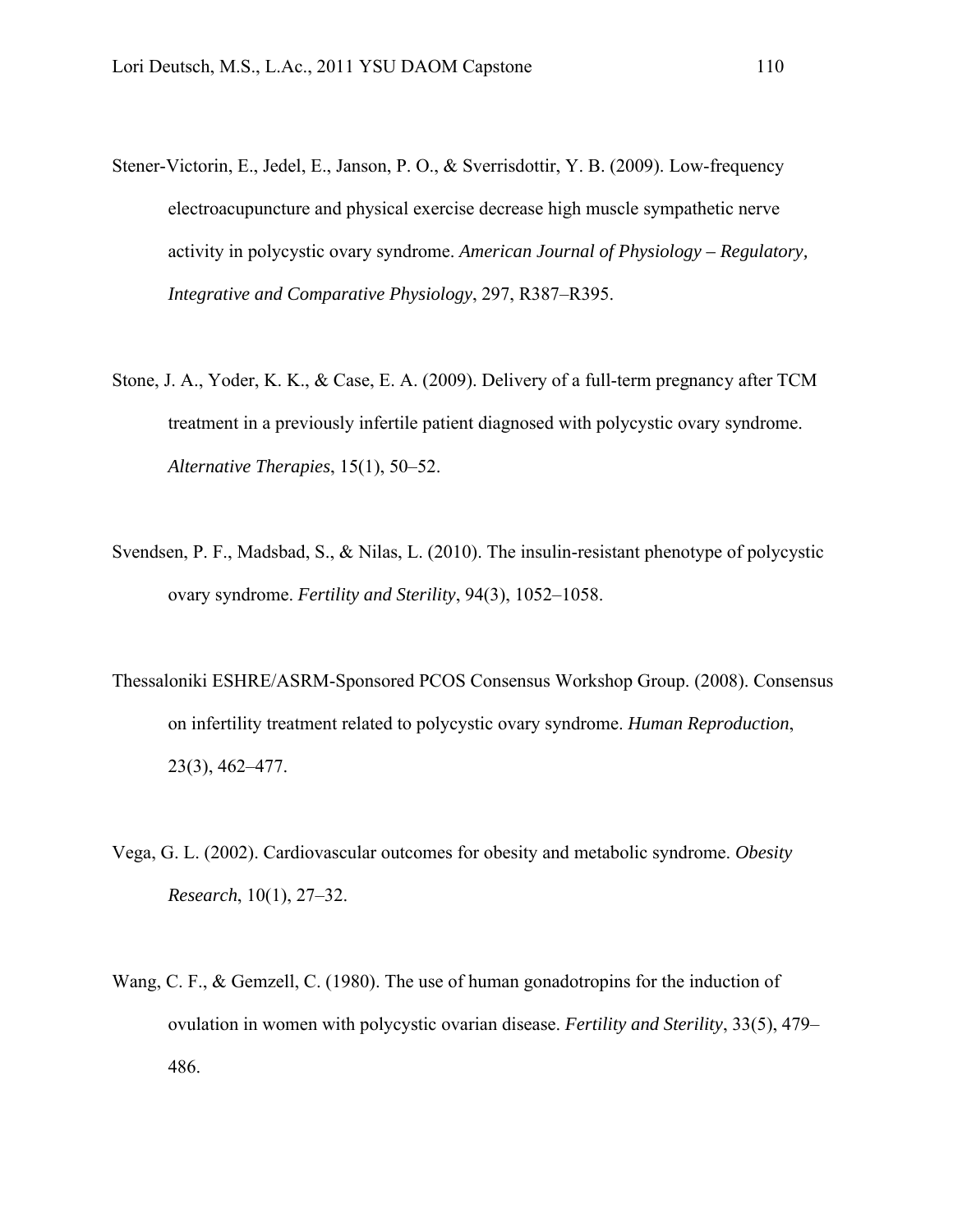- Stener-Victorin, E., Jedel, E., Janson, P. O., & Sverrisdottir, Y. B. (2009). Low-frequency electroacupuncture and physical exercise decrease high muscle sympathetic nerve activity in polycystic ovary syndrome. *American Journal of Physiology – Regulatory, Integrative and Comparative Physiology*, 297, R387–R395.
- Stone, J. A., Yoder, K. K., & Case, E. A. (2009). Delivery of a full-term pregnancy after TCM treatment in a previously infertile patient diagnosed with polycystic ovary syndrome. *Alternative Therapies*, 15(1), 50–52.
- Svendsen, P. F., Madsbad, S., & Nilas, L. (2010). The insulin-resistant phenotype of polycystic ovary syndrome. *Fertility and Sterility*, 94(3), 1052–1058.
- Thessaloniki ESHRE/ASRM-Sponsored PCOS Consensus Workshop Group. (2008). Consensus on infertility treatment related to polycystic ovary syndrome. *Human Reproduction*, 23(3), 462–477.
- Vega, G. L. (2002). Cardiovascular outcomes for obesity and metabolic syndrome. *Obesity Research*, 10(1), 27–32.
- Wang, C. F., & Gemzell, C. (1980). The use of human gonadotropins for the induction of ovulation in women with polycystic ovarian disease. *Fertility and Sterility*, 33(5), 479– 486.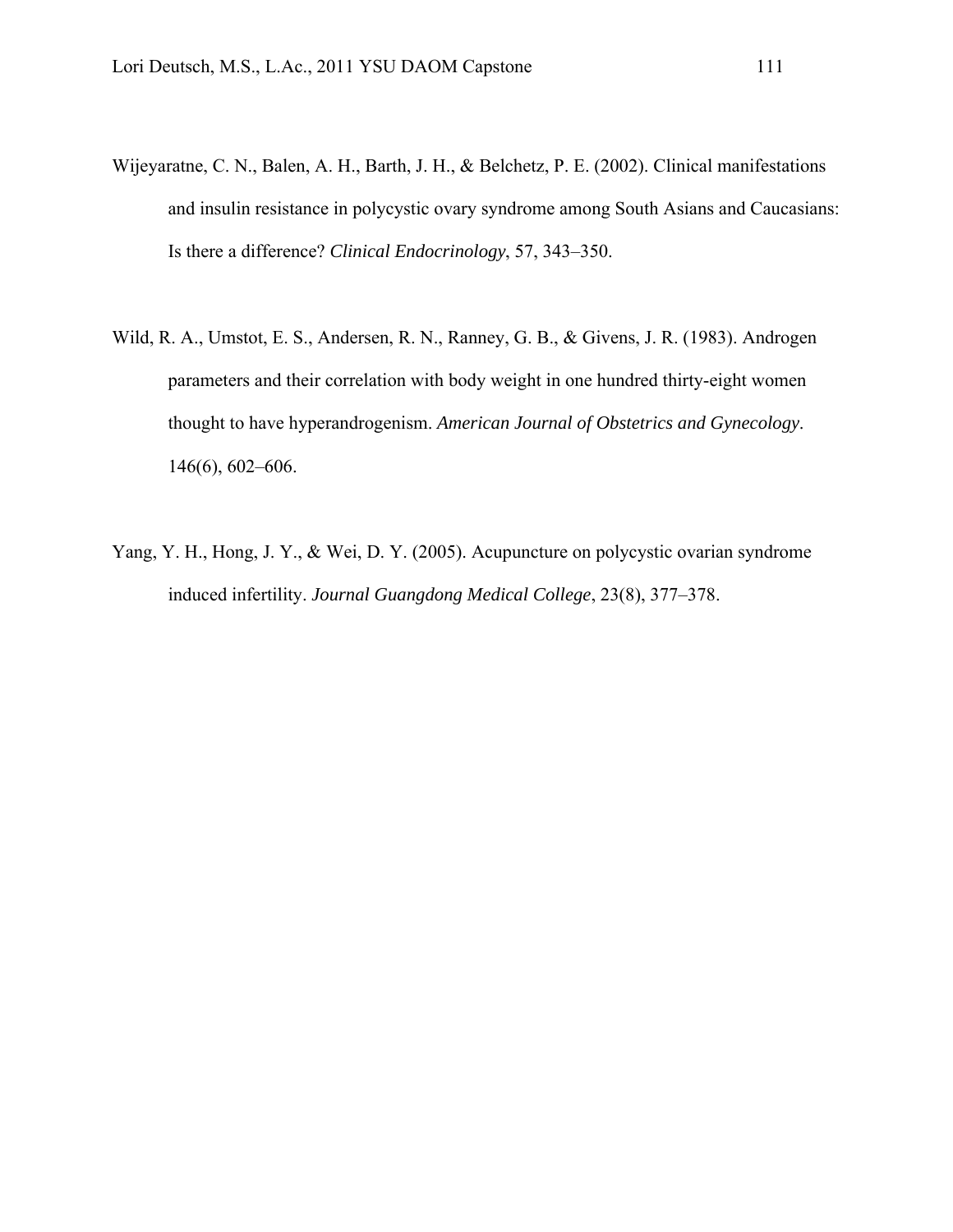- Wijeyaratne, C. N., Balen, A. H., Barth, J. H., & Belchetz, P. E. (2002). Clinical manifestations and insulin resistance in polycystic ovary syndrome among South Asians and Caucasians: Is there a difference? *Clinical Endocrinology*, 57, 343–350.
- Wild, R. A., Umstot, E. S., Andersen, R. N., Ranney, G. B., & Givens, J. R. (1983). Androgen parameters and their correlation with body weight in one hundred thirty-eight women thought to have hyperandrogenism. *American Journal of Obstetrics and Gynecology*. 146(6), 602–606.
- Yang, Y. H., Hong, J. Y., & Wei, D. Y. (2005). Acupuncture on polycystic ovarian syndrome induced infertility. *Journal Guangdong Medical College*, 23(8), 377–378.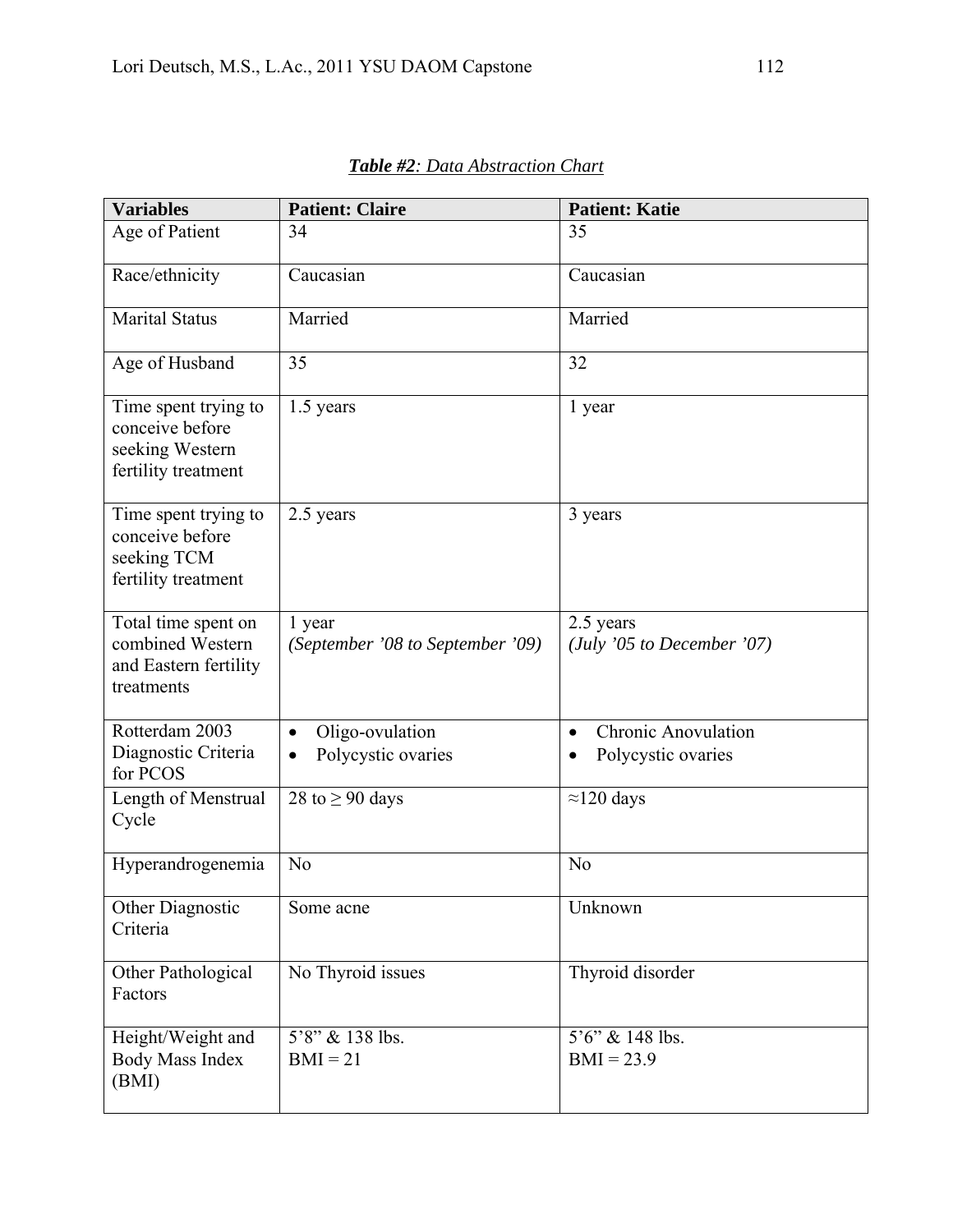| <b>Variables</b>                                                                  | <b>Patient: Claire</b>                                  | <b>Patient: Katie</b>                                         |  |  |
|-----------------------------------------------------------------------------------|---------------------------------------------------------|---------------------------------------------------------------|--|--|
| Age of Patient                                                                    | 34                                                      | 35                                                            |  |  |
| Race/ethnicity                                                                    | Caucasian                                               | Caucasian                                                     |  |  |
| <b>Marital Status</b>                                                             | Married                                                 | Married                                                       |  |  |
| Age of Husband                                                                    | 35                                                      | 32                                                            |  |  |
| Time spent trying to<br>conceive before<br>seeking Western<br>fertility treatment | 1.5 years                                               | 1 year                                                        |  |  |
| Time spent trying to<br>conceive before<br>seeking TCM<br>fertility treatment     | 2.5 years                                               | 3 years                                                       |  |  |
| Total time spent on<br>combined Western<br>and Eastern fertility<br>treatments    | 1 year<br>(September '08 to September '09)              | 2.5 years<br>(July '05 to December '07)                       |  |  |
| Rotterdam 2003<br>Diagnostic Criteria<br>for PCOS                                 | Oligo-ovulation<br>$\bullet$<br>Polycystic ovaries<br>٠ | <b>Chronic Anovulation</b><br>$\bullet$<br>Polycystic ovaries |  |  |
| Length of Menstrual<br>Cycle                                                      | 28 to $\geq$ 90 days                                    | $\approx$ 120 days                                            |  |  |
| Hyperandrogenemia                                                                 | N <sub>o</sub>                                          | N <sub>o</sub>                                                |  |  |
| Other Diagnostic<br>Criteria                                                      | Some acne                                               | Unknown                                                       |  |  |
| Other Pathological<br>Factors                                                     | No Thyroid issues                                       | Thyroid disorder                                              |  |  |
| Height/Weight and<br><b>Body Mass Index</b><br>(BMI)                              | 5'8" & 138 lbs.<br>$BMI = 21$                           | 5'6" & 148 lbs.<br>$BMI = 23.9$                               |  |  |

*Table #2: Data Abstraction Chart*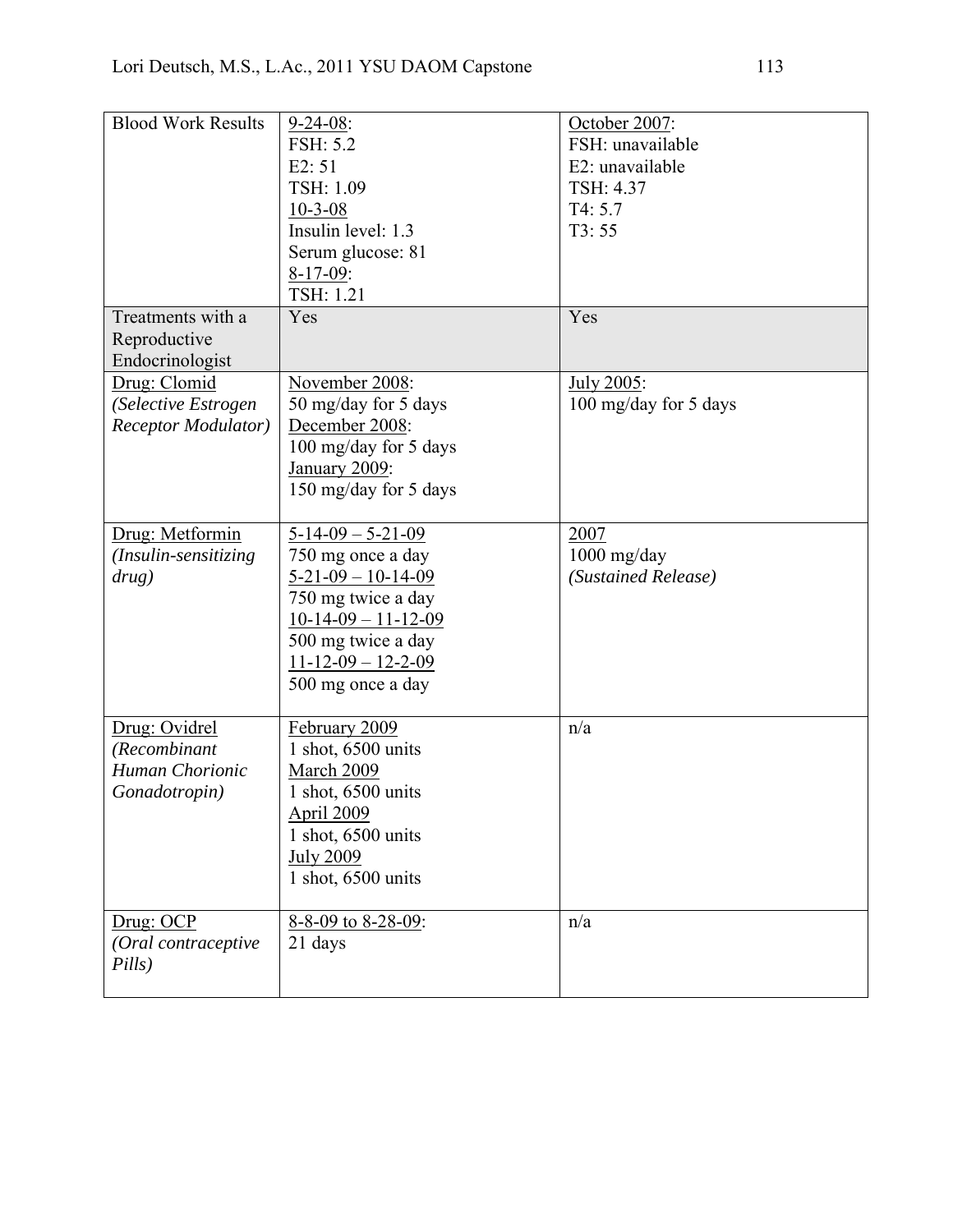| <b>Blood Work Results</b>                                          | $9 - 24 - 08$ :<br>FSH: 5.2<br>E2:51<br>TSH: 1.09<br>$10 - 3 - 08$<br>Insulin level: 1.3<br>Serum glucose: 81<br>$8 - 17 - 09$ :<br>TSH: 1.21                                                              | October 2007:<br>FSH: unavailable<br>E2: unavailable<br>TSH: 4.37<br>T4: 5.7<br>T3:55 |
|--------------------------------------------------------------------|------------------------------------------------------------------------------------------------------------------------------------------------------------------------------------------------------------|---------------------------------------------------------------------------------------|
| Treatments with a<br>Reproductive<br>Endocrinologist               | Yes                                                                                                                                                                                                        | Yes                                                                                   |
| Drug: Clomid<br>(Selective Estrogen<br><b>Receptor Modulator</b> ) | November 2008:<br>50 mg/day for 5 days<br>December 2008:<br>100 mg/day for 5 days<br>January 2009:<br>150 mg/day for 5 days                                                                                | July 2005:<br>100 mg/day for 5 days                                                   |
| Drug: Metformin<br>(Insulin-sensitizing)<br>drug)                  | $5 - 14 - 09 - 5 - 21 - 09$<br>750 mg once a day<br>$5 - 21 - 09 - 10 - 14 - 09$<br>750 mg twice a day<br>$10-14-09 - 11-12-09$<br>500 mg twice a day<br>$11 - 12 - 09 - 12 - 2 - 09$<br>500 mg once a day | 2007<br>1000 mg/day<br>(Sustained Release)                                            |
| Drug: Ovidrel<br>(Recombinant<br>Human Chorionic<br>Gonadotropin)  | February 2009<br>1 shot, 6500 units<br>March 2009<br>1 shot, 6500 units<br><b>April 2009</b><br>1 shot, 6500 units<br><b>July 2009</b><br>1 shot, 6500 units                                               | n/a                                                                                   |
| Drug: OCP<br>(Oral contraceptive<br>Pills)                         | 8-8-09 to 8-28-09:<br>21 days                                                                                                                                                                              | n/a                                                                                   |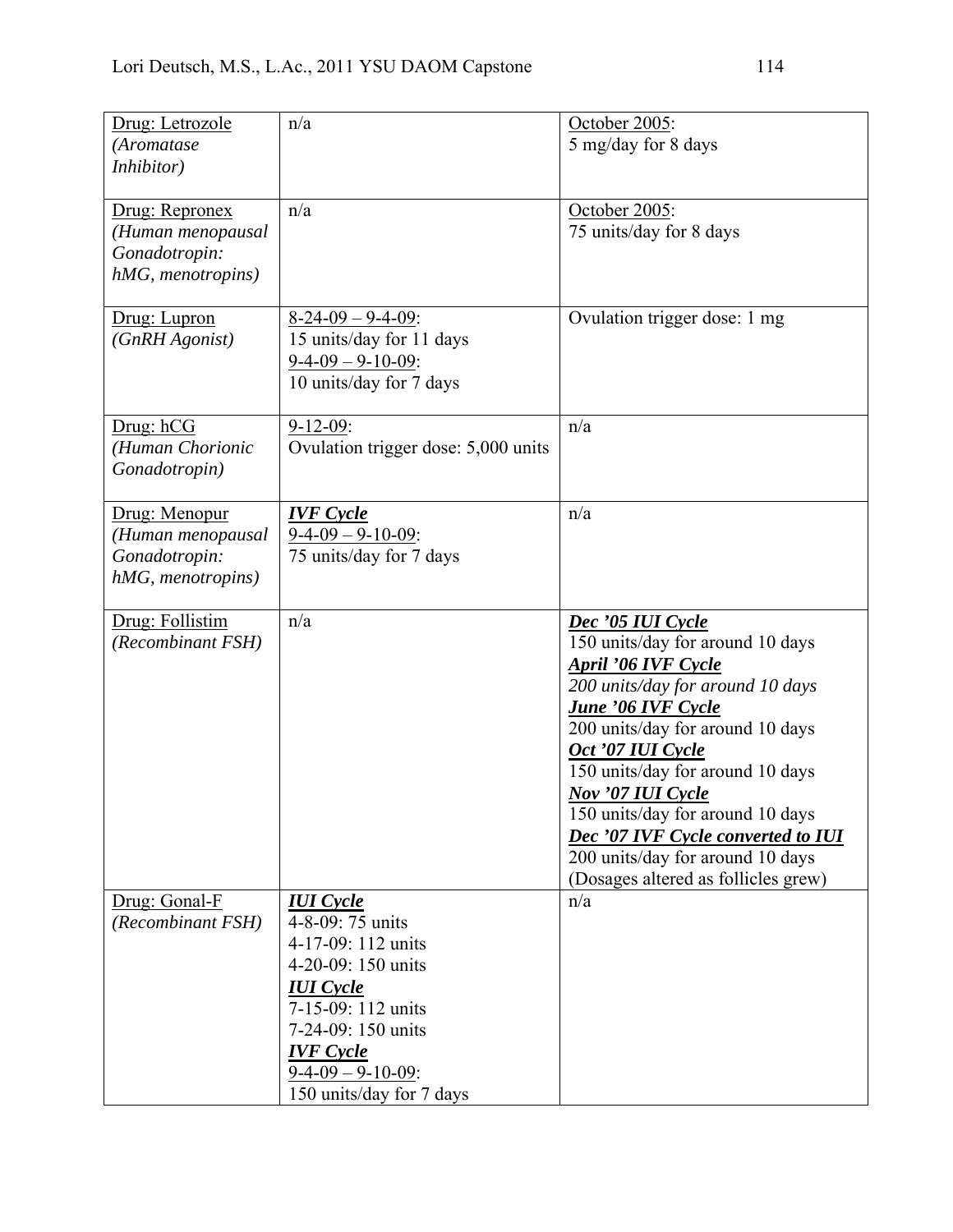| Drug: Letrozole   | n/a                                              | October 2005:                                                           |
|-------------------|--------------------------------------------------|-------------------------------------------------------------------------|
| (Aromatase        |                                                  | 5 mg/day for 8 days                                                     |
| Inhibitor)        |                                                  |                                                                         |
| Drug: Repronex    | n/a                                              | October 2005:                                                           |
| (Human menopausal |                                                  | 75 units/day for 8 days                                                 |
| Gonadotropin:     |                                                  |                                                                         |
| hMG, menotropins) |                                                  |                                                                         |
|                   |                                                  |                                                                         |
| Drug: Lupron      | $8-24-09 - 9-4-09$ :                             | Ovulation trigger dose: 1 mg                                            |
| (GnRH Agonist)    | 15 units/day for 11 days<br>$9-4-09 - 9-10-09$ : |                                                                         |
|                   | 10 units/day for 7 days                          |                                                                         |
|                   |                                                  |                                                                         |
| Drug: hCG         | $9 - 12 - 09$ :                                  | n/a                                                                     |
| (Human Chorionic  | Ovulation trigger dose: 5,000 units              |                                                                         |
| Gonadotropin)     |                                                  |                                                                         |
| Drug: Menopur     | <b>IVF</b> Cycle                                 | n/a                                                                     |
| (Human menopausal | $9-4-09 - 9-10-09$ :                             |                                                                         |
| Gonadotropin:     | 75 units/day for 7 days                          |                                                                         |
| hMG, menotropins) |                                                  |                                                                         |
|                   |                                                  |                                                                         |
| Drug: Follistim   | n/a                                              | Dec '05 IUI Cycle                                                       |
| (Recombinant FSH) |                                                  | 150 units/day for around 10 days                                        |
|                   |                                                  |                                                                         |
|                   |                                                  | <b>April '06 IVF Cycle</b>                                              |
|                   |                                                  | 200 units/day for around 10 days                                        |
|                   |                                                  | <b>June '06 IVF Cycle</b><br>200 units/day for around 10 days           |
|                   |                                                  | Oct '07 IUI Cycle                                                       |
|                   |                                                  | 150 units/day for around 10 days                                        |
|                   |                                                  | Nov '07 IUI Cycle                                                       |
|                   |                                                  | 150 units/day for around 10 days                                        |
|                   |                                                  | Dec '07 IVF Cycle converted to IUI                                      |
|                   |                                                  | 200 units/day for around 10 days<br>(Dosages altered as follicles grew) |
| Drug: Gonal-F     | <b>IUI</b> Cycle                                 | n/a                                                                     |
| (Recombinant FSH) | 4-8-09: 75 units                                 |                                                                         |
|                   | 4-17-09: 112 units                               |                                                                         |
|                   | 4-20-09: 150 units                               |                                                                         |
|                   | <b>IUI</b> Cycle                                 |                                                                         |
|                   | 7-15-09: 112 units                               |                                                                         |
|                   | 7-24-09: 150 units<br><b>IVF</b> Cycle           |                                                                         |
|                   | $9-4-09 - 9-10-09$ :                             |                                                                         |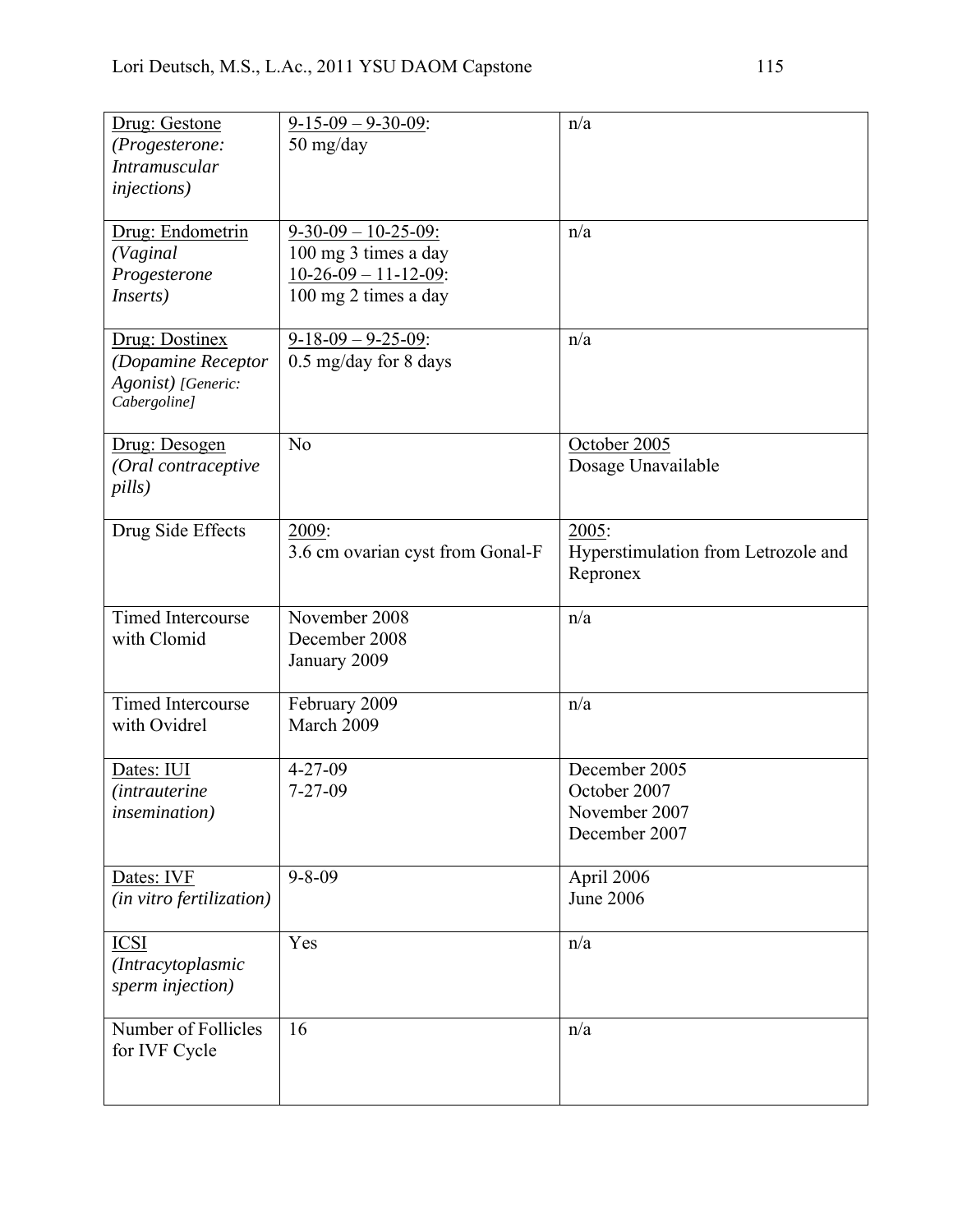| Drug: Gestone            | $9-15-09-9-30-09$ :              | n/a                                 |
|--------------------------|----------------------------------|-------------------------------------|
| (Progesterone:           | 50 mg/day                        |                                     |
| <b>Intramuscular</b>     |                                  |                                     |
| <i>injections</i> )      |                                  |                                     |
|                          |                                  |                                     |
| Drug: Endometrin         | $9 - 30 - 09 - 10 - 25 - 09$ :   | n/a                                 |
| (Vaginal                 | 100 mg 3 times a day             |                                     |
| Progesterone             | $10-26-09-11-12-09$ :            |                                     |
| <i>Inserts</i> )         | 100 mg 2 times a day             |                                     |
|                          |                                  |                                     |
| Drug: Dostinex           | $9-18-09 - 9-25-09$ :            | n/a                                 |
| (Dopamine Receptor       | $0.5$ mg/day for 8 days          |                                     |
| Agonist) [Generic:       |                                  |                                     |
| Cabergoline]             |                                  |                                     |
|                          |                                  |                                     |
| Drug: Desogen            | N <sub>o</sub>                   | October 2005                        |
| (Oral contraceptive      |                                  | Dosage Unavailable                  |
| pills)                   |                                  |                                     |
|                          |                                  |                                     |
| Drug Side Effects        | 2009:                            | 2005:                               |
|                          | 3.6 cm ovarian cyst from Gonal-F | Hyperstimulation from Letrozole and |
|                          |                                  | Repronex                            |
|                          |                                  |                                     |
| <b>Timed Intercourse</b> | November 2008                    | n/a                                 |
| with Clomid              | December 2008                    |                                     |
|                          | January 2009                     |                                     |
|                          |                                  |                                     |
| <b>Timed Intercourse</b> | February 2009                    | n/a                                 |
| with Ovidrel             | March 2009                       |                                     |
|                          |                                  |                                     |
| Dates: IUI               | $4 - 27 - 09$                    | December 2005                       |
| <i>(intrauterine)</i>    | $7 - 27 - 09$                    | October 2007                        |
| <i>insemination</i> )    |                                  | November 2007                       |
|                          |                                  | December 2007                       |
|                          |                                  |                                     |
| Dates: IVF               | $9 - 8 - 09$                     | April 2006                          |
| (in vitro fertilization) |                                  | <b>June 2006</b>                    |
|                          |                                  |                                     |
|                          |                                  |                                     |
|                          |                                  |                                     |
| <b>ICSI</b>              | Yes                              | n/a                                 |
| (Intracytoplasmic        |                                  |                                     |
| sperm injection)         |                                  |                                     |
|                          |                                  |                                     |
| Number of Follicles      | 16                               | n/a                                 |
| for IVF Cycle            |                                  |                                     |
|                          |                                  |                                     |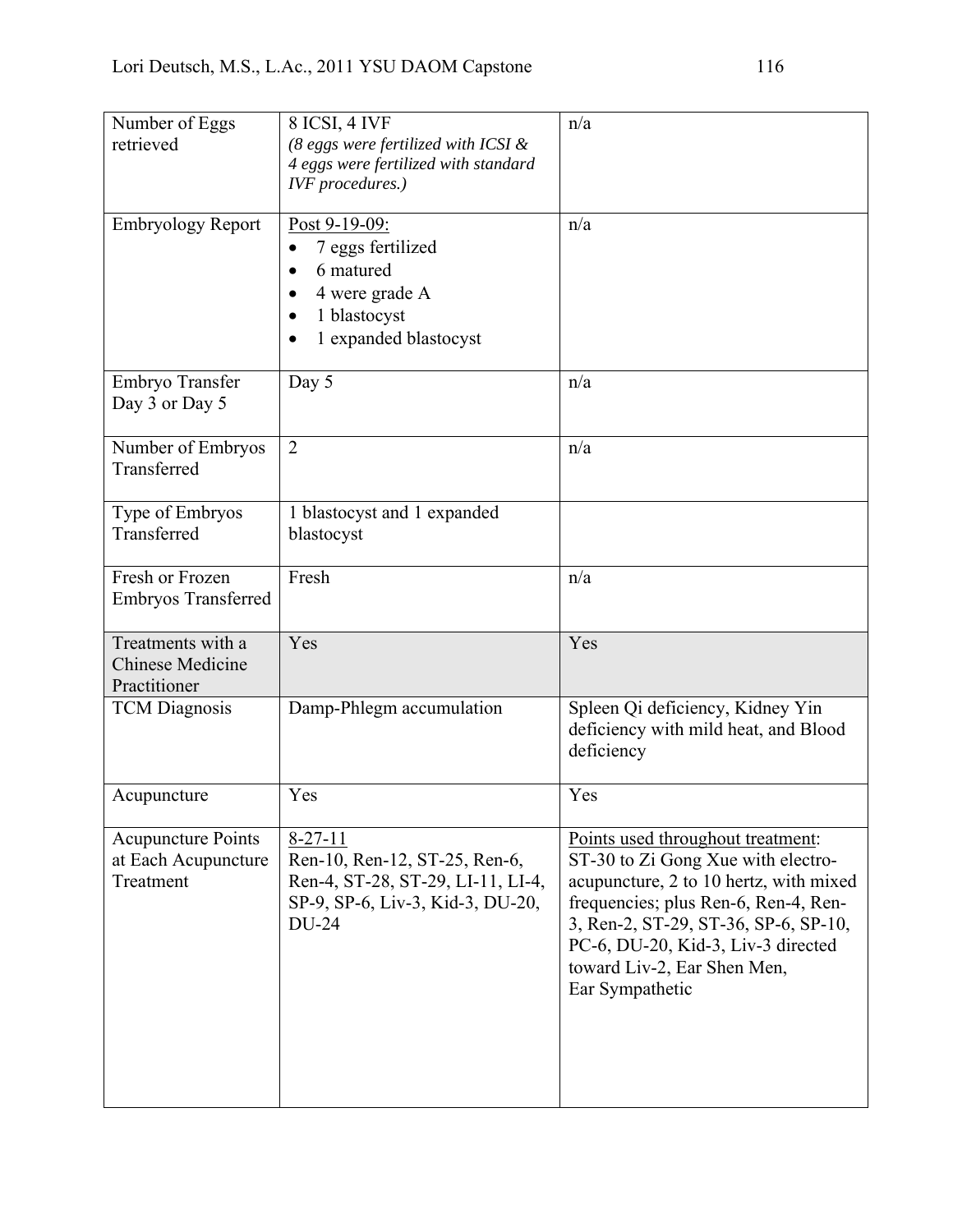| Number of Eggs             | 8 ICSI, 4 IVF                          | n/a                                    |
|----------------------------|----------------------------------------|----------------------------------------|
| retrieved                  | (8 eggs were fertilized with ICSI $\&$ |                                        |
|                            | 4 eggs were fertilized with standard   |                                        |
|                            | <b>IVF</b> procedures.)                |                                        |
|                            |                                        |                                        |
| <b>Embryology Report</b>   | Post 9-19-09:                          | n/a                                    |
|                            | 7 eggs fertilized<br>$\bullet$         |                                        |
|                            | 6 matured                              |                                        |
|                            | 4 were grade A                         |                                        |
|                            | 1 blastocyst                           |                                        |
|                            | 1 expanded blastocyst                  |                                        |
| Embryo Transfer            | Day 5                                  | n/a                                    |
| Day 3 or Day 5             |                                        |                                        |
|                            |                                        |                                        |
| Number of Embryos          | $\overline{2}$                         | n/a                                    |
| Transferred                |                                        |                                        |
|                            |                                        |                                        |
| Type of Embryos            | 1 blastocyst and 1 expanded            |                                        |
| Transferred                | blastocyst                             |                                        |
|                            |                                        |                                        |
| Fresh or Frozen            | Fresh                                  | n/a                                    |
| <b>Embryos Transferred</b> |                                        |                                        |
|                            |                                        |                                        |
| Treatments with a          | Yes                                    | Yes                                    |
| <b>Chinese Medicine</b>    |                                        |                                        |
| Practitioner               |                                        |                                        |
| <b>TCM</b> Diagnosis       | Damp-Phlegm accumulation               | Spleen Qi deficiency, Kidney Yin       |
|                            |                                        | deficiency with mild heat, and Blood   |
|                            |                                        | deficiency                             |
|                            |                                        |                                        |
| Acupuncture                | Yes                                    | Yes                                    |
|                            |                                        |                                        |
| <b>Acupuncture Points</b>  | $8 - 27 - 11$                          | Points used throughout treatment:      |
| at Each Acupuncture        | Ren-10, Ren-12, ST-25, Ren-6,          | ST-30 to Zi Gong Xue with electro-     |
| Treatment                  | Ren-4, ST-28, ST-29, LI-11, LI-4,      | acupuncture, 2 to 10 hertz, with mixed |
|                            | SP-9, SP-6, Liv-3, Kid-3, DU-20,       | frequencies; plus Ren-6, Ren-4, Ren-   |
|                            | DU-24                                  | 3, Ren-2, ST-29, ST-36, SP-6, SP-10,   |
|                            |                                        | PC-6, DU-20, Kid-3, Liv-3 directed     |
|                            |                                        | toward Liv-2, Ear Shen Men,            |
|                            |                                        |                                        |
|                            |                                        | Ear Sympathetic                        |
|                            |                                        |                                        |
|                            |                                        |                                        |
|                            |                                        |                                        |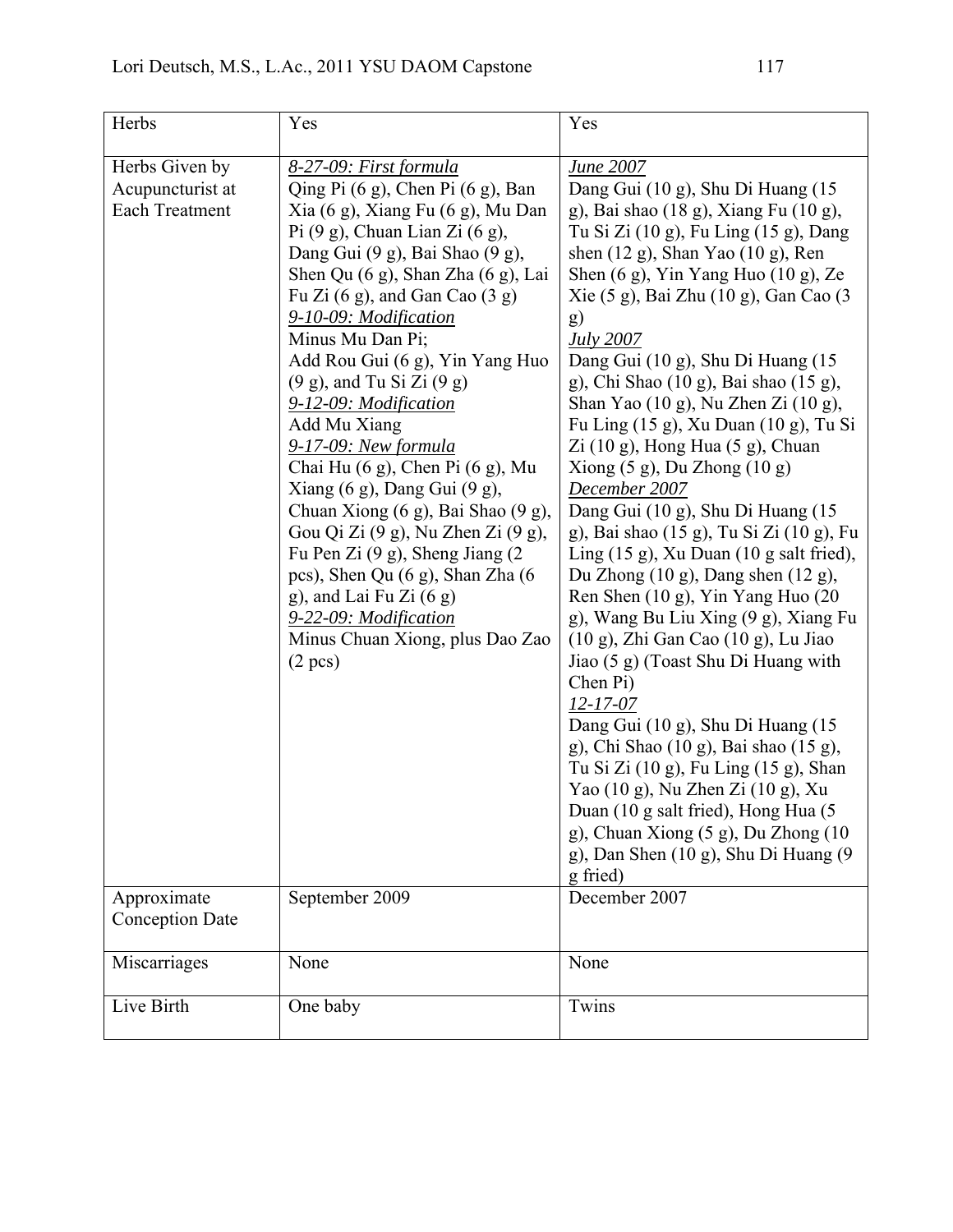| Herbs                                                               | Yes                                                                                                                                                                                                                                                                                                                                                                                                                                                                                                                                                                                                                                                                                                                                                                                                                           | Yes                                                                                                                                                                                                                                                                                                                                                                                                                                                                                                                                                                                                                                                                                                                                                                                                                                                                                                                                                                                                                                                                                                                                                                                                                                                                                                              |
|---------------------------------------------------------------------|-------------------------------------------------------------------------------------------------------------------------------------------------------------------------------------------------------------------------------------------------------------------------------------------------------------------------------------------------------------------------------------------------------------------------------------------------------------------------------------------------------------------------------------------------------------------------------------------------------------------------------------------------------------------------------------------------------------------------------------------------------------------------------------------------------------------------------|------------------------------------------------------------------------------------------------------------------------------------------------------------------------------------------------------------------------------------------------------------------------------------------------------------------------------------------------------------------------------------------------------------------------------------------------------------------------------------------------------------------------------------------------------------------------------------------------------------------------------------------------------------------------------------------------------------------------------------------------------------------------------------------------------------------------------------------------------------------------------------------------------------------------------------------------------------------------------------------------------------------------------------------------------------------------------------------------------------------------------------------------------------------------------------------------------------------------------------------------------------------------------------------------------------------|
| Herbs Given by<br>Acupuncturist at<br>Each Treatment<br>Approximate | 8-27-09: First formula<br>Qing Pi (6 g), Chen Pi (6 g), Ban<br>Xia (6 g), Xiang Fu (6 g), Mu Dan<br>Pi $(9 g)$ , Chuan Lian Zi $(6 g)$ ,<br>Dang Gui (9 g), Bai Shao (9 g),<br>Shen Qu (6 g), Shan Zha (6 g), Lai<br>Fu Zi $(6 g)$ , and Gan Cao $(3 g)$<br>9-10-09: Modification<br>Minus Mu Dan Pi;<br>Add Rou Gui (6 g), Yin Yang Huo<br>$(9 g)$ , and Tu Si Zi $(9 g)$<br>9-12-09: Modification<br>Add Mu Xiang<br>9-17-09: New formula<br>Chai Hu (6 g), Chen Pi (6 g), Mu<br>Xiang $(6 \text{ g})$ , Dang Gui $(9 \text{ g})$ ,<br>Chuan Xiong (6 g), Bai Shao (9 g),<br>Gou Qi Zi $(9 g)$ , Nu Zhen Zi $(9 g)$ ,<br>Fu Pen Zi (9 g), Sheng Jiang (2<br>pcs), Shen Qu (6 g), Shan Zha (6<br>g), and Lai Fu Zi $(6g)$<br>9-22-09: Modification<br>Minus Chuan Xiong, plus Dao Zao<br>$(2 \text{ pcs})$<br>September 2009 | <b>June 2007</b><br>Dang Gui (10 g), Shu Di Huang (15<br>g), Bai shao (18 g), Xiang Fu (10 g),<br>Tu Si Zi (10 g), Fu Ling (15 g), Dang<br>shen $(12 g)$ , Shan Yao $(10 g)$ , Ren<br>Shen $(6 g)$ , Yin Yang Huo $(10 g)$ , Ze<br>Xie (5 g), Bai Zhu (10 g), Gan Cao (3<br>g)<br><i>July</i> 2007<br>Dang Gui (10 g), Shu Di Huang (15<br>g), Chi Shao (10 g), Bai shao (15 g),<br>Shan Yao $(10 \text{ g})$ , Nu Zhen Zi $(10 \text{ g})$ ,<br>Fu Ling (15 g), Xu Duan (10 g), Tu Si<br>$Zi$ (10 g), Hong Hua (5 g), Chuan<br>Xiong $(5 g)$ , Du Zhong $(10 g)$<br>December 2007<br>Dang Gui (10 g), Shu Di Huang (15<br>g), Bai shao (15 g), Tu Si Zi (10 g), Fu<br>Ling $(15 \text{ g})$ , Xu Duan $(10 \text{ g salt fired})$ ,<br>Du Zhong $(10 \text{ g})$ , Dang shen $(12 \text{ g})$ ,<br>Ren Shen (10 g), Yin Yang Huo (20<br>g), Wang Bu Liu Xing (9 g), Xiang Fu<br>(10 g), Zhi Gan Cao (10 g), Lu Jiao<br>Jiao (5 g) (Toast Shu Di Huang with<br>Chen Pi)<br>$12 - 17 - 07$<br>Dang Gui (10 g), Shu Di Huang (15<br>g), Chi Shao (10 g), Bai shao (15 g),<br>Tu Si Zi (10 g), Fu Ling (15 g), Shan<br>Yao (10 g), Nu Zhen Zi (10 g), Xu<br>Duan (10 g salt fried), Hong Hua (5<br>g), Chuan Xiong $(5 g)$ , Du Zhong $(10 g)$<br>g), Dan Shen (10 g), Shu Di Huang (9<br>g fried)<br>December 2007 |
| <b>Conception Date</b>                                              |                                                                                                                                                                                                                                                                                                                                                                                                                                                                                                                                                                                                                                                                                                                                                                                                                               |                                                                                                                                                                                                                                                                                                                                                                                                                                                                                                                                                                                                                                                                                                                                                                                                                                                                                                                                                                                                                                                                                                                                                                                                                                                                                                                  |
| Miscarriages                                                        | None                                                                                                                                                                                                                                                                                                                                                                                                                                                                                                                                                                                                                                                                                                                                                                                                                          | None                                                                                                                                                                                                                                                                                                                                                                                                                                                                                                                                                                                                                                                                                                                                                                                                                                                                                                                                                                                                                                                                                                                                                                                                                                                                                                             |
| Live Birth                                                          | One baby                                                                                                                                                                                                                                                                                                                                                                                                                                                                                                                                                                                                                                                                                                                                                                                                                      | Twins                                                                                                                                                                                                                                                                                                                                                                                                                                                                                                                                                                                                                                                                                                                                                                                                                                                                                                                                                                                                                                                                                                                                                                                                                                                                                                            |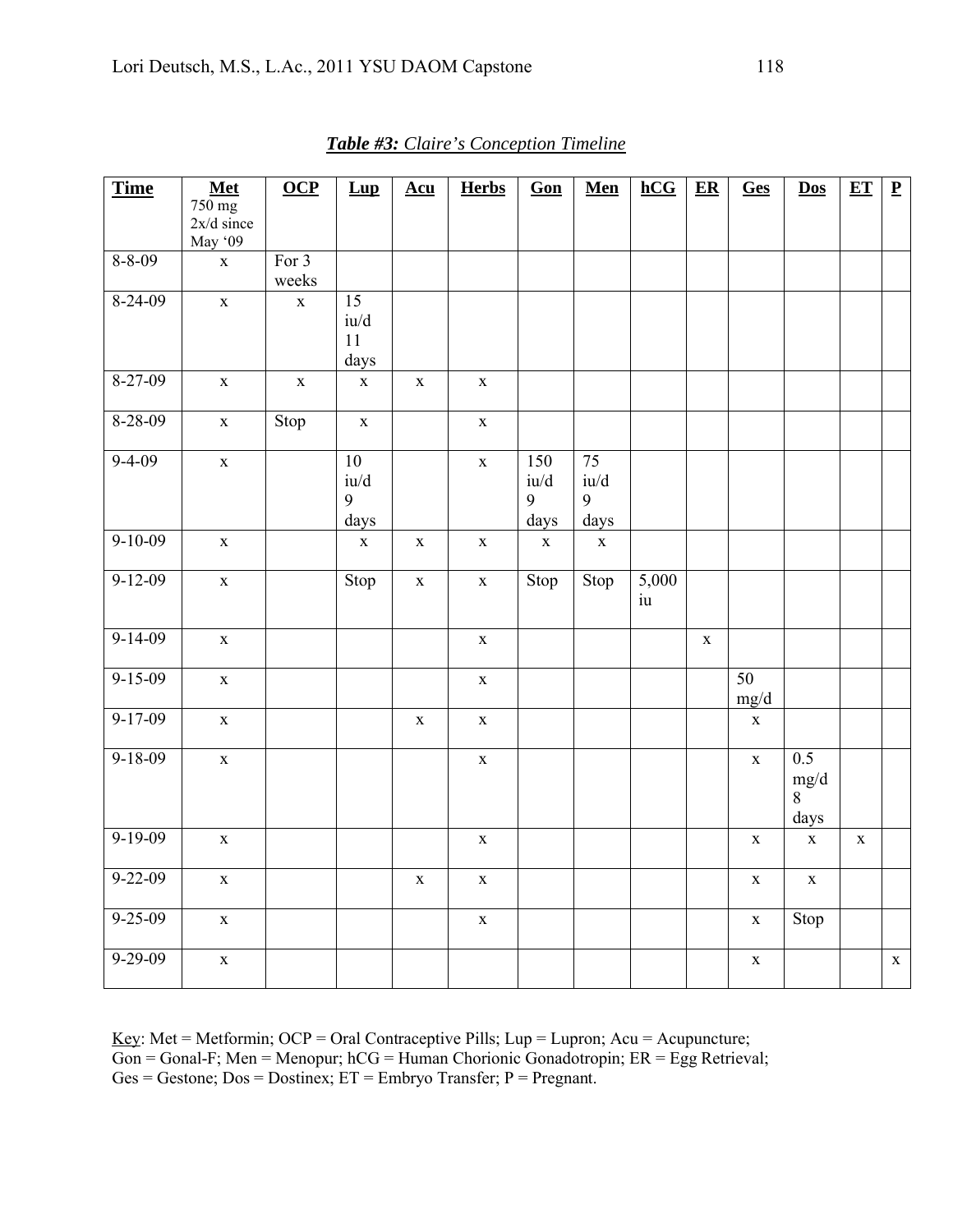| <b>Time</b>         | Met                              | OCP         | Lup             | $Acu$       | <b>Herbs</b> | Gon         | Men         | $hCG$             | $E$ R       | Ges         | $\underline{\mathbf{Dos}}$   | ET          | $\mathbf{P}$ |
|---------------------|----------------------------------|-------------|-----------------|-------------|--------------|-------------|-------------|-------------------|-------------|-------------|------------------------------|-------------|--------------|
|                     | $750 \text{ mg}$<br>$2x/d$ since |             |                 |             |              |             |             |                   |             |             |                              |             |              |
|                     | May '09                          |             |                 |             |              |             |             |                   |             |             |                              |             |              |
| $8 - 8 - 09$        | $\mathbf X$                      | For $3$     |                 |             |              |             |             |                   |             |             |                              |             |              |
|                     |                                  | weeks       |                 |             |              |             |             |                   |             |             |                              |             |              |
| $8 - 24 - 09$       | $\mathbf X$                      | $\mathbf X$ | $\overline{15}$ |             |              |             |             |                   |             |             |                              |             |              |
|                     |                                  |             | iu/d            |             |              |             |             |                   |             |             |                              |             |              |
|                     |                                  |             | 11<br>days      |             |              |             |             |                   |             |             |                              |             |              |
| $8 - 27 - 09$       | $\mathbf X$                      | $\mathbf X$ | $\mathbf X$     | $\mathbf X$ | $\mathbf X$  |             |             |                   |             |             |                              |             |              |
|                     |                                  |             |                 |             |              |             |             |                   |             |             |                              |             |              |
| $8 - 28 - 09$       | $\mathbf X$                      | Stop        | $\mathbf X$     |             | $\mathbf X$  |             |             |                   |             |             |                              |             |              |
|                     |                                  |             |                 |             |              |             |             |                   |             |             |                              |             |              |
| $9 - 4 - 09$        | $\mathbf X$                      |             | 10              |             | $\mathbf X$  | 150         | 75          |                   |             |             |                              |             |              |
|                     |                                  |             | iu/d<br>9       |             |              | iu/d<br>9   | iu/d<br>9   |                   |             |             |                              |             |              |
|                     |                                  |             | days            |             |              | days        | days        |                   |             |             |                              |             |              |
| $9 - 10 - 09$       | $\mathbf X$                      |             | $\mathbf X$     | $\mathbf X$ | $\mathbf X$  | $\mathbf X$ | $\mathbf X$ |                   |             |             |                              |             |              |
|                     |                                  |             |                 |             |              |             |             |                   |             |             |                              |             |              |
| $9 - 12 - 09$       | $\mathbf X$                      |             | Stop            | $\mathbf X$ | $\mathbf X$  | Stop        | Stop        | $\frac{1}{5,000}$ |             |             |                              |             |              |
|                     |                                  |             |                 |             |              |             |             | iu                |             |             |                              |             |              |
|                     |                                  |             |                 |             |              |             |             |                   |             |             |                              |             |              |
| $9-14-09$           | $\mathbf X$                      |             |                 |             | $\mathbf X$  |             |             |                   | $\mathbf X$ |             |                              |             |              |
| $9 - 15 - 09$       | $\mathbf X$                      |             |                 |             | $\mathbf X$  |             |             |                   |             | 50          |                              |             |              |
|                     |                                  |             |                 |             |              |             |             |                   |             | mg/d        |                              |             |              |
| $9 - 17 - 09$       | $\mathbf X$                      |             |                 | $\mathbf X$ | $\mathbf X$  |             |             |                   |             | $\mathbf X$ |                              |             |              |
|                     |                                  |             |                 |             |              |             |             |                   |             |             |                              |             |              |
| $9 - 18 - 09$       | $\mathbf X$                      |             |                 |             | $\mathbf X$  |             |             |                   |             | $\mathbf X$ | 0.5                          |             |              |
|                     |                                  |             |                 |             |              |             |             |                   |             |             | $\frac{\text{mg}}{\text{8}}$ |             |              |
|                     |                                  |             |                 |             |              |             |             |                   |             |             | days                         |             |              |
| $9-19-09$           | $\mathbf X$                      |             |                 |             | $\mathbf X$  |             |             |                   |             | $\mathbf X$ | $\mathbf X$                  | $\mathbf X$ |              |
|                     |                                  |             |                 |             |              |             |             |                   |             |             |                              |             |              |
| $9 - 22 - 09$       | $\mathbf X$                      |             |                 | $\mathbf X$ | $\mathbf X$  |             |             |                   |             | $\mathbf X$ | $\mathbf X$                  |             |              |
|                     |                                  |             |                 |             |              |             |             |                   |             |             |                              |             |              |
| $9 - 25 - 09$       | $\mathbf X$                      |             |                 |             | $\mathbf X$  |             |             |                   |             | $\mathbf X$ | Stop                         |             |              |
| $\frac{9-29-09}{9}$ |                                  |             |                 |             |              |             |             |                   |             |             |                              |             |              |
|                     | $\mathbf X$                      |             |                 |             |              |             |             |                   |             | $\mathbf X$ |                              |             | $\mathbf X$  |
|                     |                                  |             |                 |             |              |             |             |                   |             |             |                              |             |              |

*Table #3: Claire's Conception Timeline*

Key: Met = Metformin; OCP = Oral Contraceptive Pills; Lup = Lupron; Acu = Acupuncture;  $\overline{Gon}$  = Gonal-F; Men = Menopur; hCG = Human Chorionic  $\overline{Gonadotrop}$  ER = Egg Retrieval;  $Ges = Gestone$ ;  $Dos = Dostinez$ ;  $ET = Embryo Transfer$ ;  $P = Pregnant$ .